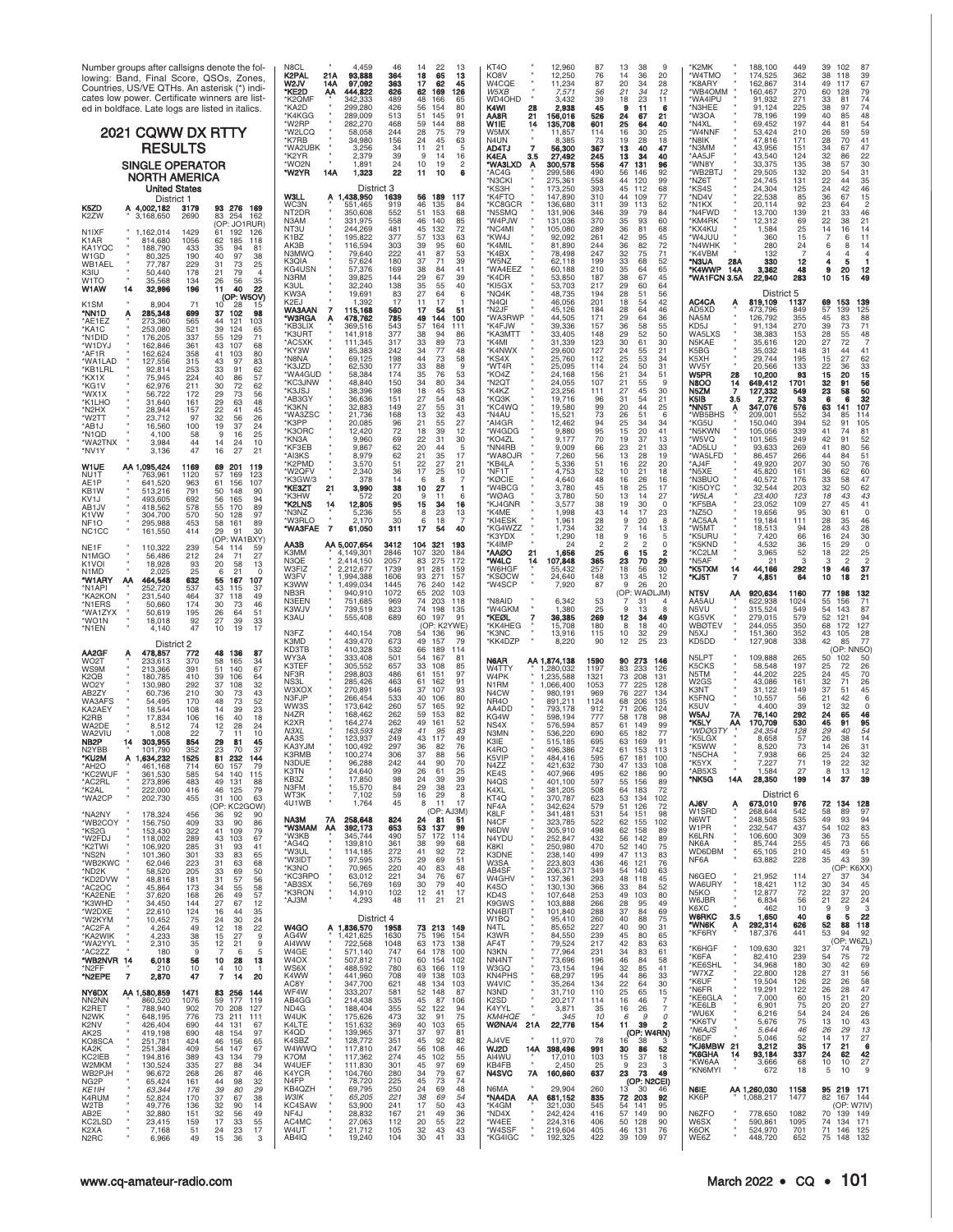| Number groups after callsigns denote the fol-<br>lowing: Band, Final Score, QSOs, Zones,<br>Countries, US/VE QTHs. An asterisk (*) indi-<br>cates low power. Certificate winners are list-<br>ed in boldface. Late logs are listed in italics.<br>2021 CQWW DX RTTY<br><b>RESULTS</b><br><b>SINGLE OPERATOR</b><br><b>NORTH AMERICA</b><br><b>United States</b><br>District 1                                                                                                                                                                                                                                                                                                                                                                                                                                                                                                                                | N8CL<br>46<br>22<br>13<br>4.459<br>14<br><b>K2PAL</b><br>$\frac{18}{17}$<br>21A<br>93,888<br>364<br>65<br>62<br>13<br>363<br>W2JV<br>45<br>14A<br>97,092<br>*KE2D<br>626<br>АА<br>444,822<br>62<br>169<br>126<br>489<br>*K2QMF<br>342,333<br>48<br>166<br>65<br>426<br>*KA2D<br>299,280<br>56<br>154<br>80<br>*K4KGG<br>289,009<br>513<br>51<br>145<br>91<br>*W2RP<br>468<br>59<br>144<br>88<br>282,270<br>75<br>*W2LCQ<br>244<br>28<br>79<br>58,058<br>*K7RB<br>34,980<br>156<br>24<br>45<br>63<br>34<br>21<br>5<br><b>WA2LIRK</b><br>3.256<br>11<br>39<br>*K2YR<br>2,379<br>16<br>9<br>14<br>$\frac{24}{22}$<br>*WO <sub>2N</sub><br>10<br>$\mathfrak{p}$<br>1.891<br>19<br>14A<br>1,323<br>6<br>*W2YR<br>11<br>10<br>District 3<br><b>W3LL</b><br>A 1,438,950<br>1639<br>56 189<br>117                                                                                                                                                                                                                             | 12,960<br>KT4O<br>13<br>38<br>87<br>q<br>KO8V<br>12,250<br>76<br>14<br>36<br>20<br>20<br>W4CQE<br>11,234<br>87<br>34<br>28<br>W5XB<br>7,571<br>56<br>21<br>12<br>39<br>WD4OHD<br>3,432<br>18<br>23<br>11<br>K4WI<br>2,938<br>45<br>11<br>6<br>526<br>21<br>156,016<br>21<br>AA8R<br>24<br>67<br>W1IE<br>14<br>135,708<br>601<br>25<br>64<br>40<br>16<br>W5MX<br>114<br>25<br>30<br>11,857<br>N4UN<br>8,385<br>73<br>19<br>18<br>28<br>AD4TJ<br>367<br>13<br>56,300<br>40<br>47<br>245<br>K4EA<br>3.5<br>27,492<br>13<br>34<br>40<br><b>WA3LXD</b><br>300,578<br>556<br>47<br>131<br>96<br>A<br>*AC4G<br>490<br>56<br>92<br>299,586<br>146<br>*N3CKI<br>558<br>99<br>275,361<br>44<br>120<br>68<br>'KS3H<br>173,250<br>393<br>45<br>112<br>*K4FTO<br>147,890<br>77<br>310<br>44<br>109<br>39                                                                                                                                                                                                        | 'K2MK<br>188,100<br>449<br>39<br>102<br>87<br>'W4TMO<br>174,525<br>362<br>38<br>118<br>39<br>67<br>*K8ARY<br>162,867<br>314<br>49<br>117<br>270<br>'WB4OMM<br>160,467<br>60<br>79<br>128<br>*WA4IPU<br>271<br>74<br>91,932<br>33<br>81<br>*N3HEE<br>74<br>91,124<br>225<br>38<br>199<br>48<br>*W3OA<br>78,196<br>40<br>85<br>*N4XL<br>197<br>44<br>54<br>69.452<br>59<br>*W4NNF<br>210<br>26<br>53,424<br>59<br>*N8IK<br>47,816<br>171<br>28<br>41<br>70<br>*N3MM<br>34<br>47<br>43,956<br>151<br>67<br>*AA5JF<br>43,540<br>124<br>32<br>22<br>*WN8Y<br>135<br>38<br>30<br>33,375<br>57<br>*WB2BTJ<br>29,505<br>132<br>20<br>31<br>$\frac{22}{24}$<br>35<br>*NZ6T<br>24,745<br>131<br>44<br>125<br>46<br>*KS4S<br>24,304<br>42<br>85<br>36<br>*ND4V<br>22,538<br>67<br>15<br>64                                                                                                                                                                             |
|--------------------------------------------------------------------------------------------------------------------------------------------------------------------------------------------------------------------------------------------------------------------------------------------------------------------------------------------------------------------------------------------------------------------------------------------------------------------------------------------------------------------------------------------------------------------------------------------------------------------------------------------------------------------------------------------------------------------------------------------------------------------------------------------------------------------------------------------------------------------------------------------------------------|-----------------------------------------------------------------------------------------------------------------------------------------------------------------------------------------------------------------------------------------------------------------------------------------------------------------------------------------------------------------------------------------------------------------------------------------------------------------------------------------------------------------------------------------------------------------------------------------------------------------------------------------------------------------------------------------------------------------------------------------------------------------------------------------------------------------------------------------------------------------------------------------------------------------------------------------------------------------------------------------------------------------------|----------------------------------------------------------------------------------------------------------------------------------------------------------------------------------------------------------------------------------------------------------------------------------------------------------------------------------------------------------------------------------------------------------------------------------------------------------------------------------------------------------------------------------------------------------------------------------------------------------------------------------------------------------------------------------------------------------------------------------------------------------------------------------------------------------------------------------------------------------------------------------------------------------------------------------------------------------------------------------------------------|-------------------------------------------------------------------------------------------------------------------------------------------------------------------------------------------------------------------------------------------------------------------------------------------------------------------------------------------------------------------------------------------------------------------------------------------------------------------------------------------------------------------------------------------------------------------------------------------------------------------------------------------------------------------------------------------------------------------------------------------------------------------------------------------------------------------------------------------------------------------------------------------------------------------------------------------------------------|
| K5ZD<br>A 4,002,182<br>93 276<br>3179<br>169<br>83 254<br>K2ZW<br>2690<br>3.168.650<br>162<br>(OP: JO1RUR<br>N <sub>1</sub> IXF<br>1,162,014<br>1429<br>61 192<br>126<br>814,680<br>1056<br>62<br>185<br>K1AR<br>118<br>35<br>KA1YOC<br>188.790<br>433<br>94<br>81<br>190<br>40<br>97<br>W1GD<br>80.325<br>38<br>73<br>79<br>77,787<br>229<br>31<br>25<br>WB1AEL<br>178<br>21<br>K3IU<br>50,440<br>W1TO<br>35,568<br>134<br>26<br>56<br>35<br>32,996<br>196<br>40<br>W1AW<br>14<br>11<br>22                                                                                                                                                                                                                                                                                                                                                                                                                  | 46<br>WC3N<br>551,465<br>919<br>135<br>84<br>NT <sub>2</sub> DR<br>350,608<br>552<br>51<br>153<br>68<br>140<br>85<br>N3AM<br>331,975<br>558<br>46<br>72<br>NT3U<br>244,269<br>481<br>45<br>132<br>K1BZ<br>195,822<br>377<br>57<br>133<br>63<br>AK3B<br>303<br>39<br>95<br>60<br>116,594<br>87<br>N3MWQ<br>222<br>41<br>53<br>79,640<br>K3QIA<br>57,624<br>180<br>37<br>71<br>39<br>KG4USN<br>38<br>84<br>41<br>57,376<br>169<br>N3RM<br>39,825<br>144<br>29<br>67<br>39<br>K3UL<br>138<br>35<br>55<br>40<br>32.240                                                                                                                                                                                                                                                                                                                                                                                                                                                                                                    | *KC8GCR<br>136,680<br>311<br>113<br>52<br>'N5SMQ<br>131,906<br>346<br>39<br>79<br>84<br>370<br>*W4PJW<br>131,036<br>35<br>60<br>93<br>'NC4MI<br>105,080<br>289<br>36<br>81<br>68<br>*KW4J<br>92,092<br>261<br>42<br>95<br>45<br>'K4MIL<br>81,890<br>244<br>36<br>82<br>72<br>71<br>K4BX<br>78,498<br>247<br>32<br>75<br>*W5NZ<br>62,118<br>199<br>33<br>68<br>52<br>*WA4EEZ<br>210<br>35<br>65<br>60,188<br>64<br>*K4DR<br>53,850<br>187<br>38<br>45<br>67<br>KI5GX<br>53,703<br>217<br>64<br>29<br>60                                                                                                                                                                                                                                                                                                                                                                                                                                                                                             | 23<br>92<br>$\overline{c}$<br>*N1KX<br>20,114<br>21<br>*N4FWD<br>13,700<br>139<br>33<br>46<br>*KM4RK<br>69<br>22<br>21<br>12,312<br>38<br>*KX4KU<br>1,584<br>25<br>14<br>16<br>14<br>'W4JUU<br>360<br>15<br>6<br>11<br>*N4WHK<br>280<br>24<br>6<br>8<br>14<br>*K4VBM<br>132<br>$\overline{7}$<br>$\overline{4}$<br>4<br>4<br>*N3UA<br>28A<br>330<br>12<br>5<br>*K4WWP<br>14A<br>3,362<br>9<br>48<br>20<br>12<br>*WA1FCN 3.5A<br>22,940<br>283<br>10<br>15<br>49                                                                                                                                                                                                                                                                                                                                                                                                                                                                                             |
| (OP: W5OV)<br>8,904<br>10 <sup>7</sup><br>K1SM<br>28<br>15<br>'NN1D<br>285,348<br>699<br>37 102<br>98<br>Α<br>565<br>AE1EZ<br>273,360<br>44<br>121<br>103<br>253,080<br>521<br>39<br>124<br>KA1C<br>65<br>337<br>55<br>129<br>'N1DID<br>71<br>176,205<br>'W1DYJ<br>162,846<br>361<br>43<br>107<br>68<br>358<br>41<br>103<br>162,624<br>80<br>'AF1R<br>'WA1LAD<br>127,556<br>315<br>43<br>97<br>83<br>253<br>91<br>KB1LRL<br>33<br>62<br>92.814<br>75,945<br>224<br>40<br>86<br>57<br>KX1X<br>211<br>30<br>29<br>62<br>KG <sub>1</sub> V<br>62,976<br>$\frac{72}{73}$<br>172<br>56<br>WX1X<br>56,722<br>63<br>'K1LHC<br>31,640<br>161<br>29<br>48<br>28,944<br>157<br>22<br>'N2HX<br>41<br>45<br>W2TT<br>23,712<br>97<br>32<br>56<br>26<br>100<br>19<br>37<br>'AB1J<br>16.560<br>24<br>'N1QD<br>4,100<br>58<br>16<br>25<br>44<br>47<br>14<br>'WA2TNX<br>3,984<br>24<br>10<br>27<br>3,136<br>16<br>21<br>'NV1Y | KW3A<br>19,691<br>83<br>27<br>64<br>6<br>K <sub>2</sub> FJ<br>17<br>17<br>1.392<br>11<br>WA3AAN<br>7<br>17<br>54<br>51<br>115,168<br>560<br>*W3RGA<br>785<br>144<br>478,762<br>49<br>100<br>Α<br>543<br>*KB3LIX<br>369,516<br>57<br>164<br>111<br>377<br>*K3URT<br>141,918<br>38<br>94<br>86<br>73<br>317<br>33<br>89<br>*AC5XK<br>111,345<br>*KY3W<br>85,383<br>242<br>34<br>77<br>48<br>44<br>58<br>*N8NA<br>69,125<br>198<br>73<br>88<br>*K3JZD<br>62,530<br>177<br>33<br>35<br>76<br>53<br>*WA4GUD<br>58,384<br>174<br>*KC3JNW<br>48,840<br>150<br>34<br>80<br>34<br>18<br>53<br>*K3JSJ<br>38,396<br>198<br>45<br>*AB3GY<br>36,636<br>151<br>27<br>54<br>48<br>*K3KN<br>27<br>55<br>31<br>32,883<br>149<br>*WA3ZSC<br>21,736<br>168<br>13<br>32<br>43<br>*K3PP<br>$\frac{55}{39}$<br>$\frac{27}{12}$<br>21<br>20,085<br>96<br>72<br>*K3ORC<br>12,420<br>18<br>31<br>*KN3A<br>9,960<br>69<br>22<br>30<br>62<br>5<br>20<br>44<br>*KF3EB<br>9,867<br>62<br>35<br>*AI3KS<br>8,979<br>21<br>17<br>51<br>27<br>22<br>21 | *NQ4K<br>48,735<br>28<br>56<br>194<br>51<br>'N <sub>4</sub> QI<br>201<br>42<br>46,056<br>18<br>54<br>46<br>*N2JF<br>45,126<br>184<br>28<br>64<br>*WA3RWP<br>171<br>44,505<br>29<br>64<br>36<br>39,336<br>*K4FJW<br>36<br>55<br>157<br>58<br>33,405<br>50<br>*KA3MTT<br>148<br>29<br>52<br>123<br>30<br>61<br>30<br>*K4MI<br>31,339<br>*K4NWX<br>29,600<br>127<br>21<br>24<br>55<br>*KS4X<br>25,760<br>112<br>25<br>53<br>34<br>31<br>*WT4R<br>25,095<br>114<br>24<br>50<br>34<br>51<br>*KO4Z<br>156<br>21<br>24,168<br>*N2QT<br>24,055<br>107<br>21<br>55<br>g<br>23,256<br>111<br>*K4KZ<br>27<br>45<br>30<br><b>'КQЗК</b><br>19,716<br>96<br>31<br>54<br>21<br>KC4WQ<br>19,580<br>99<br>25<br>20<br>44<br>*N4AU<br>15,521<br>73<br>26<br>51<br>6<br>12,462<br>94<br>95<br>'AI4GR<br>25<br>15<br>34<br>34<br>*W4GDG<br>9,880<br>20<br>41<br>9,177<br>70<br>*KO4ZL<br>19<br>37<br>13<br>*NN4RB<br>66<br>23<br>9,009<br>21<br>33<br>7,260<br>56<br>51<br>19<br>*WA8OJR<br>13<br>28<br>16<br>22<br>20 | District 5<br>AC4CA<br>819.109<br>1137<br>153<br>Ą<br>69<br>139<br>AD5XD<br>57<br>125<br>473,796<br>849<br>139<br>NA5M<br>126,792<br>355<br>45<br>83<br>88<br>KD5J<br>270<br>39<br>91,134<br>73<br>71<br>28<br>WA5LXS<br>38,383<br>153<br>48<br>55<br>N5KAE<br>120<br>35,616<br>27<br>72<br>-7<br>K5BG<br>35,032<br>148<br>31<br>41<br>44<br>K5XH<br>29.744<br>195<br>15<br>27<br>62<br>33<br>WV5Y<br>20,566<br>133<br>22<br>W5PR<br>10,200<br>93<br>15<br>15<br>28<br>20<br>N8OO<br>$\frac{14}{7}$<br>649,412<br>1701<br>$\frac{32}{23}$<br>56<br>50<br>N5ZM<br>549<br>127,332<br>58<br>53<br>K5IB<br>3.5<br>2,772<br>6<br>32<br>107<br>*NN5T<br>347,076<br>576<br>63<br>*WB5BHS<br>552<br>209.001<br>34<br>114<br>394<br>52<br>105<br>150,040<br>91<br>*KG5U<br>339<br>41<br>81<br>*N5KWN<br>105,056<br>42<br>*W5VQ<br>101,565<br>249<br>52<br>56<br>269<br>41<br>*AD5LU<br>93,633<br>80<br>266<br>51<br>*WA5LFD<br>86,457<br>44<br>207<br>30<br>76<br>50 |
| WIUE<br>AA 1,095,424<br>1169<br>201<br>119<br>69<br>57<br>1120<br>169<br>123<br>NU1T<br>763.961<br>641,520<br>61<br>156<br>107<br>AE1P<br>963<br>KB1W<br>791<br>50<br>148<br>513.216<br>90<br>692<br>56<br>165<br>KV1J<br>493.605<br>94<br>578<br>55<br>170<br>89<br>AB1.JV<br>418.562<br>570<br>50<br>K1VW<br>304,700<br>128<br>97<br>453<br>NF1O<br>295,988<br>58<br>161<br>89<br>161,550<br>414<br>30<br>NC1CC<br>29<br>91<br>(OP: WA'<br>BXY)<br>110,322<br>239<br>NE1F<br>54 114<br>59<br>212<br>N1MGO<br>56,486<br>24<br>71<br>27<br>K1VOI<br>18,928<br>93<br>20<br>58<br>13<br>25<br>21<br>N1MD<br>2.025<br>632<br>55<br>167<br>107<br>464,548<br>'W1ARY<br>ΑА                                                                                                                                                                                                                                        | *K2PMD<br>3,570<br>36<br>25<br>*W2QFV<br>2,340<br>17<br>10<br>14<br>*K3GW/3<br>378<br>*KE3ZT<br>3,990<br>38<br>20<br>95<br>55<br>10<br>27<br>21<br>*K3HW<br>11<br>572<br>9<br>6<br>*K2LNS<br>14<br>12,805<br>15<br>34<br>16<br>8<br>23<br>*N3NZ<br>13<br>5,236<br>*W3RLO<br>2,170<br>30<br>6<br>18<br>17<br>*WA3FAE<br>-7<br>61,050<br>311<br>54<br>40<br>AA3B<br>AA 5,007,654<br>3412<br><b>104 321</b><br>107 320<br>193<br>K3MM<br>2846<br>320<br>149,301<br>184<br>275<br>N3QE<br>2,414,150<br>2057<br>83<br>172<br>281<br>W3FIZ<br>2,212,677<br>1739<br>91<br>159<br>271<br>W3FV<br>,994,388<br>1606<br>93<br>157                                                                                                                                                                                                                                                                                                                                                                                                | 5,336<br>*KB4LA<br>4,753<br>52<br>*NF1T<br>10<br>21<br>18<br>48<br>4,640<br>'KØCIE<br>16<br>26<br>16<br>*W4BCG<br>3,780<br>45<br>18<br>25<br>17<br>50<br>3,780<br>13<br>27<br>*WØAG<br>14<br>*KJ4GNR<br>3,577<br>38<br>19<br>$\circ$<br>30<br>1,998<br>43<br>14<br>*K4ME<br>17<br>23<br>28<br>*KI4ESK<br>1,961<br>9<br>8<br>20<br>KG4WZZ<br>1,734<br>32<br>13<br>14<br>*K3YDX<br>1,290<br>18<br>9<br>16<br>'K4IMP<br>24<br>$\Omega$<br>2<br>1,656<br>*AAØO<br>25<br>15<br>6<br><b>"W4LC</b><br>107,848<br>365<br>23<br>70<br>29<br>14<br>*W6HGF<br>55,432<br>257<br>18<br>56<br>30<br>'KSØCW<br>24,640<br>148<br>12<br>13<br>45                                                                                                                                                                                                                                                                                                                                                                    | *AJ4F<br>49,920<br>*N5XE<br>45,820<br>161<br>36<br>60<br>*N3BUO<br>176<br>33<br>32<br>47<br>40,572<br>58<br>*KI5OYC<br>32,544<br>203<br>50<br>62<br>*W5LA<br>123<br>18<br>43<br>23,400<br>43<br>*KF5BA<br>23,052<br>109<br>27<br>41<br>45<br>95<br>30<br>$\mathbf 0$<br>*NZ5O<br>19,656<br>61<br>*AC5AA<br>111<br>28<br>46<br>19.184<br>35<br>28<br>28<br>*W5MT<br>18,513<br>94<br>43<br>*K5URU<br>7,420<br>66<br>16<br>30<br>24<br>36<br>52<br>$\mathbf 0$<br>*K5KND<br>4.532<br>15<br>29<br>22<br>18<br>25<br>*KC2LM<br>3,965<br>3<br>*N5AF<br>21<br>3<br>$\mathfrak{p}$<br>$\overline{c}$<br>19<br>*K5TXM<br>14<br>44,166<br>292<br>46<br>37<br>7<br>64<br>10<br>21<br>*KJ5T<br>4,851<br>18                                                                                                                                                                                                                                                              |
| 537<br>43<br>115<br>'N1API<br>252.720<br>37<br>464<br><b>KA2KON</b><br>231,540<br>37<br>118<br>49<br>174<br>30<br>73<br>46<br>'N1ERS<br>50,660<br>26<br>64<br>195<br>'WA1ZYX<br>50.619<br>51<br>'WO1N<br>18,018<br>92<br>27<br>39<br>33<br>47<br>10<br>19<br>'N1EN<br>17<br>4.140<br>District 2<br>48 136<br>AA2GF<br>478,857<br>772<br>87                                                                                                                                                                                                                                                                                                                                                                                                                                                                                                                                                                   | K3WW<br>1445<br>76<br>240<br>,499,034<br>142<br>1072<br>NB3R<br>940,910<br>65<br>202<br>103<br>N3EEN<br>751,685<br>969<br>74<br>203<br>118<br>K3WJV<br>739,519<br>823<br>74<br>198<br>135<br>K3AU<br>60<br>555,408<br>689<br>197<br>91<br>(OP: K2YWE<br>N3FZ<br>708<br>440,154<br>96<br>54 136<br>K3MD<br>439,470<br>673<br>49<br>157<br>79<br>KD3TB<br>410,328<br>532<br>66<br>189<br>114                                                                                                                                                                                                                                                                                                                                                                                                                                                                                                                                                                                                                            | *W4SCP<br>7,920<br>87<br>9<br>26<br>20<br>(OP: WAØLJM)<br>*N8AID<br>6,342<br>$\frac{53}{25}$<br>31<br>*W4GKM<br>1,380<br>9<br>13<br>8<br>*KEØL<br>36,385<br>269<br>12<br>34<br>49<br>*KK4HEG<br>15,708<br>180<br>8<br>18<br>40<br>13,916<br>115<br>10<br>29<br>*K3NC<br>32<br>8,220<br>12<br>25<br>*KK4DZP<br>90<br>23                                                                                                                                                                                                                                                                                                                                                                                                                                                                                                                                                                                                                                                                             | NT5V<br>1160<br>АА<br>920,634<br>77<br>198<br>132<br>1024<br>71<br>AA5AU<br>622,938<br>55<br>156<br>54<br>N5VU<br>315,524<br>549<br>87<br>143<br>KG5VK<br>52<br>279,015<br>579<br>121<br>94<br><b>WBØTEV</b><br>244,055<br>350<br>68<br>127<br>172<br>352<br>43<br>28<br>151,360<br>N5X.I<br>105<br>KD5DD<br>127,908<br>338<br>42<br>77<br>85<br>(OP: NN5O)                                                                                                                                                                                                                                                                                                                                                                                                                                                                                                                                                                                                 |
| 58<br>WO2T<br>233,613<br>370<br>165<br>34<br>51<br>140<br>67<br>WS9M<br>213.366<br>391<br>180,785<br>410<br>39<br>106<br>K2QB<br>64<br>292<br>32<br>WO2Y<br>130.980<br>37<br>108<br>210<br>30<br>73<br>43<br>AB2ZY<br>60.736<br>170<br>48<br>73<br>WA3AFS<br>54,495<br>52<br>KA2AEነ<br>18,544<br>108<br>14<br>39<br>23<br>106<br>40<br>17,834<br>18<br>K2RB<br>16<br>WA2DE<br>74<br>12<br>28<br>24<br>8.512<br>22<br>WA2VIL<br>1.008<br>10<br>11<br>854<br>NB2P<br>14<br>303,955<br>29<br>81<br>45<br>352<br>23<br><b>\I2YBB</b><br>70<br>37<br>101.790<br>81<br>1525<br>KU2M<br>232<br>ņ<br>AH <sub>2</sub> O<br>461,168<br>714<br>60 157<br>79<br>$\,$<br>'KC2WUF<br>361,530<br>585<br>54 140<br>115<br>49 131<br>AC2RL*<br>273,896<br>483<br>88<br>46 125<br>'K2AL<br>222,000<br>416<br>-79<br>31 100<br>63                                                                                               | WY3A<br>333,408<br>501<br>167<br>54<br>81<br>K3TEF<br>33<br>108<br>85<br>305.552<br>657<br>151<br>97<br>NF3R<br>298,803<br>486<br>61<br>NS3L<br>285,426<br>463<br>61<br>162<br>91<br>646<br>W3XOX<br>270,891<br>37<br>107<br>93<br>N3FJP<br>266,454<br>533<br>40<br>106<br>80<br>WW3S<br>260<br>92<br>173,642<br>57<br>165<br>N4ZR<br>168,462<br>262<br>59<br>153<br>82<br>262<br>52<br>K2XR<br>164,274<br>49<br>161<br>83<br>N3XL<br>428<br>41<br>95<br>163,593<br>43 117<br>49<br>249<br>AA3S<br>123.937<br>KA3YJM<br>100,492<br>297<br>82<br>76<br>36<br>K3RMB<br>37<br>100,274<br>306<br>88<br>56<br>N3DUE<br>90<br>96,288<br>242<br>44<br>70<br>99<br>26<br>61<br>25<br>K3TN<br>24,640<br>KB3Z<br>17,850<br>98<br>24<br>39<br>39<br>N3FM<br>15,570<br>23<br>84<br>29<br>38<br>59<br>16<br>29<br>WT3K<br>7,102<br>-8                                                                                                                                                                                              | N6AR<br>AA 1,874,138<br>1590<br>90<br>273<br>146<br>1197<br>W4TTY<br>83<br>233<br>126<br>,280,032<br>W4PK<br>,235,588<br>1321<br>73<br>208<br>131<br>1053<br>N <sub>1</sub> RM<br>,066,400<br>77<br>225<br>128<br>N4CW<br>969<br>76<br>227<br>134<br>980.191<br>1124<br>NR4O<br>891,211<br>68<br>206<br>135<br>AA4DD<br>793,178<br>912<br>71<br>206<br>124<br>KG4W<br>777<br>98<br>598.194<br>58<br>178<br>NS4X<br>576,594<br>857<br>61<br>149<br>.99<br>N3MN<br>536,220<br>690<br>182<br>77<br>65<br>K3IE<br>515,185<br>695<br>63<br>169<br>91<br>K4RO<br>496,386<br>742<br>61<br>153<br>113<br>K5VIP<br>N4ZZ<br>421,632<br>730<br>47 133<br>108<br>KE4S<br>407,966<br>495<br>62<br>186<br>90<br>N <sub>4</sub> Q <sub>S</sub><br>401,100<br>597<br>55<br>89<br>156<br>K4XL<br>381,205<br>508<br>64<br>183<br>72<br>KT4Q<br>370,787<br>623<br>53 134<br>102                                                                                                                                       | 265<br>N5LPT<br>109,888<br>50<br>50<br>102<br>K5CKS<br>197<br>58,548<br>$\frac{25}{24}$<br>26<br>72<br>225<br>70<br>N5TM<br>44,202<br>45<br>W <sub>2</sub> GS<br>43,086<br>161<br>32<br>71<br>26<br>149<br>37<br>45<br>K3NT<br>31,122<br>51<br>K5FNQ<br>56<br>10,557<br>21<br>42<br>6<br>K5UV<br>39<br>4,400<br>12<br>32<br>$\Omega$<br>W5AJ<br>7A<br>76,140<br>292<br>24<br>65<br>46<br>45<br>95<br>*K5LY<br>530<br>170,709<br>91<br>АΑ<br>*WDØGTY<br>128<br>29<br>40<br>54<br>24.354<br>57<br>26<br>14<br>*K5LGX<br>38<br>8,658<br>*K5WW<br>73<br>14<br>26<br>31<br>8.520<br>*N5CHA<br>7,938<br>25<br>24<br>32<br>66<br>*K5YX<br>71<br>19<br>22<br>32<br>7,227<br>$\mathbf{u}$<br>8<br>13<br>AB5XS*<br>1,584<br>27<br>12<br>14A<br>*NK5G<br>28,350<br>199<br>14<br>37<br>39<br>District 6                                                                                                                                                                 |
| 'WA2CP<br>202,730<br>455<br>(OP: KC2GOW)<br>*NA2NY<br>178,324<br>456<br>90<br>36<br>92<br>409<br>*WB2COY<br>33<br>90<br>156,750<br>86<br>*KS2G<br>153,430<br>322<br>41 109<br>79<br>*W2FDJ<br>118,002<br>289<br>43 103<br>67<br>*K2TWI<br>106,920<br>285<br>31<br>93<br>41<br>*NS2N<br>101,360<br>301<br>33<br>83<br>65<br>*WB2KWC<br>62,046<br>223<br>31<br>63<br>68<br>205<br>*ND2K<br>58,520<br>33<br>50<br>69<br>*KD2DVW<br>31<br>57<br>56<br>48,816<br>181<br>AC2OC*<br>45,864<br>173<br>34<br>55<br>58<br>*KA2ENE<br>49<br>57<br>37,620<br>168<br>26<br>27<br>*K3WHD<br>34,450<br>144<br>67<br>12<br>124<br>*W2DXE<br>22,610<br>16<br>44<br>35<br>*W2KYM<br>10,452<br>75<br>24<br>30<br>24                                                                                                                                                                                                             | ×.<br>4U1WB<br>1,764<br>45<br>8<br>11<br>17<br>(OP: AJ3M)<br><b>NA3M</b><br>258,648<br>7A<br>824<br>24<br>- 81<br>51<br>653<br>MAMSW*<br>53<br>137<br>АА<br>392,173<br>99<br>57<br>*W3KB<br>345,744<br>490<br>172<br>114<br>*AG4Q<br>139,810<br>361<br>38<br>99<br>68<br>72<br>*W3UL<br>114,185<br>272<br>41<br>92<br>*W3IDT<br>97,595<br>29<br>69<br>51<br>375<br>*K3NO<br>70,965<br>220<br>40<br>83<br>48<br>*KC3RPO<br>63,012<br>221<br>34<br>76<br>67<br>*AB3SX<br>56,769<br>169<br>30<br>79<br>40<br>*K3RON<br>12<br>41<br>14,910<br>102<br>17<br>*AJ3M<br>4,293<br>48<br>11<br>21<br>21<br>District 4                                                                                                                                                                                                                                                                                                                                                                                                           | NF4A<br>342,624<br>579<br>51 126<br>72<br>K8LF<br>341,481<br>531<br>54<br>151<br>98<br>N4CF<br>323,785<br>522<br>62 155<br>102<br>N6DW<br>305,910<br>498<br>62 158<br>89<br>N4YDU<br>252,847<br>432<br>56 142<br>89<br>470<br>75<br>K8KI<br>250,980<br>52<br>140<br>K3DNE<br>238,140<br>499<br>47 113<br>83<br>W3SA<br>223,803<br>436<br>46 121<br>76<br>AB4SF<br>206,371<br>349<br>54 140<br>63<br>W4GHV<br>137,361<br>293<br>48 118<br>45<br>K4SO<br>130,130<br>366<br>33<br>84<br>52<br>KD4S<br>107,648<br>253<br>49<br>103<br>80<br>K9GWS<br>103,888<br>266<br>28<br>95<br>49<br>KN4BIT<br>101,840<br>288<br>37<br>84<br>69<br>W1BQ<br>95,410<br>260<br>40<br>88<br>75                                                                                                                                                                                                                                                                                                                         | AJ6V<br>673,010<br>976<br>72 134<br>128<br>А<br>W1SRD<br>268,644<br>542<br>58<br>89<br>97<br>49<br>94<br>N6WT<br>248,508<br>535<br>93<br>54<br>83<br>W1PR<br>232,547<br>437<br>102<br>K6LRN<br>106,600<br>309<br>36<br>73<br>55<br>NK6A<br>255<br>45<br>66<br>85,744<br>73<br>WD6DBM<br>65,105<br>210<br>45<br>49<br>51<br>35<br>39<br>NF6A<br>63,882<br>228<br>43<br>(OP: K6XX)<br>N6GEO<br>21,952<br>114<br>27<br>34<br>37<br>WA6URY<br>18,421<br>112<br>30<br>45<br>34<br>22<br>20<br>N5KO<br>12,877<br>72<br>37<br>W6JBR<br>6,834<br>56<br>21<br>22<br>24<br>K6XC<br>10<br>9<br>9<br>3<br>462<br>22<br><b>W6RKC</b><br>3.5<br>1,650<br>40<br>6<br>5<br>*WN6K<br>88 118                                                                                                                                                                                                                                                                                  |
| 4,264<br>*AC2FA<br>49<br>12<br>18<br>22<br>*KA2WIK<br>4,233<br>38<br>15<br>27<br>9<br>21<br>*WA2YYL<br>2,310<br>35<br>12<br>9<br>*AC2ZZ<br>180<br>9<br>$\overline{7}$<br>5<br>6<br>*WB2NVR 14<br>10<br>6,018<br>56<br>28<br>13<br>*N2FF<br>210<br>10<br>$\overline{4}$<br>10<br>*N2EPE<br>2,870<br>7<br>20<br>7<br>47<br>14<br>NY6DX<br>AA 1,580,859<br>1471<br>83 256<br>144<br>NN2NN<br>860,520<br>1076<br>59 177<br>119<br>K2RET<br>788,940<br>902<br>70 208<br>127<br>N2WK<br>648,195<br>776<br>73 211<br>111<br>K2NV<br>426,404<br>690<br>44 131<br>67<br>48 154<br>AK2S<br>419,198<br>690<br>97<br>KO8SCA<br>251,781<br>424<br>46 156<br>65<br>KA2K<br>251,384<br>409<br>54<br>147<br>67<br>KC2IEB<br>194,816<br>389<br>43<br>134<br>79<br>W2MKM<br>130,524<br>335<br>27<br>88<br>34<br>WB2PJH<br>96,672<br>268<br>26<br>87<br>46                                                                      | W4GO<br>73 213 149<br>A 1,836,570<br>1958<br>AG4W<br>1,421,625<br>1630<br>75 196<br>154<br>AI4WW<br>722,568<br>63 173<br>1048<br>138<br>W4GE<br>571,140<br>747<br>64 178<br>100<br>W <sub>4</sub> OX<br>507,812<br>710<br>60 154<br>102<br>WS6X<br>488,592<br>780<br>63 166<br>119<br>441,960<br>K4WW<br>708<br>49 138<br>103<br>48 134<br>AC8Y<br>347,700<br>621<br>103<br>WF4W<br>333,207<br>581<br>52 148<br>87<br>AB4GG<br>214,438<br>45<br>87<br>535<br>106<br>188,404<br>52 122<br>ND4G<br>355<br>94<br>175,626<br>W4UK<br>473<br>75<br>32<br>-91<br>K4LTE<br>151,632<br>369<br>40<br>103<br>65<br>37<br>K4QD<br>139,965<br>371<br>97<br>81<br>K4SBZ<br>128,772<br>351<br>45<br>92<br>82<br>W4WWQ<br>46<br>117,810<br>247<br>56<br>108<br>K7OM<br>117,362<br>274<br>45<br>102<br>55<br>W4UEF<br>111,830<br>45<br>97<br>69<br>301<br>K4YCR<br>104,760<br>280<br>34<br>79<br>67                                                                                                                                   | N4TL<br>40<br>31<br>85,652<br>227<br>90<br>K3WR<br>84,550<br>239<br>45<br>80<br>65<br>79,524<br>AF4T<br>217<br>42<br>83<br>63<br>N3KN<br>77,964<br>231<br>34<br>83<br>61<br>NN4NT<br>46<br>73,696<br>196<br>84<br>58<br>41<br>W3GQ<br>73,154<br>194<br>32<br>85<br>KN4PHS<br>68,297<br>195<br>44<br>86<br>33<br>W4VIC<br>22<br>35,264<br>134<br>64<br>30<br>N3ND<br>31,710<br>25<br>110<br>65<br>15<br>K2SD<br>16<br>$\overline{7}$<br>20,217<br>114<br>46<br>K4YYL<br>3,871<br>35<br>16<br>26<br>$\overline{7}$<br>$\overline{u}$<br><b>KM4HQE</b><br>345<br>6<br>$\Omega$<br>-10<br>-9<br>WØNA/4<br>21A<br>22,776<br>154<br>11<br>39<br>$\overline{2}$<br>(OP: W4RN)<br>AJ4VE<br>11,970<br>78<br>16 <sup>1</sup><br>38<br>WJ2D<br>14A<br>398,496<br>991<br>30<br>86<br>52<br>AI4WU<br>17,010<br>103<br>15<br>37<br>18<br>$\mathbf{u}$<br>KB4FB<br>2,450<br>9<br>23<br>25<br>-3<br>N4SVC<br>7A<br>160,660<br>637<br>23 73<br>49                                                                   | 292,314<br>626<br>52<br>Ą<br>53<br>*KF6RY<br>187,376<br>441<br>94<br>92<br>(OP: W6ZL)<br>*K6HGF<br>321<br>109,630<br>37<br>74<br>79<br>*K6FA<br>72<br>82,410<br>239<br>54<br>75<br>*KE6SHL<br>$\frac{30}{27}$<br>69<br>34,968<br>180<br>42<br>*W7XZ<br>22,800<br>128<br>31<br>56<br>22<br>58<br>*K6UF<br>19,504<br>126<br>26<br>*N6FR<br>19,291<br>122<br>26<br>28<br>47<br>20<br>*KE6GLA<br>7,000<br>60<br>15<br>21<br>*KE6LB<br>6,901<br>75<br>20<br>20<br>27<br>*WU6X<br>24<br>26<br>6,216<br>54<br>24<br>*KK6TV<br>5,676<br>75<br>13<br>10<br>43<br>*N6AJS<br>26<br>$\frac{13}{27}$<br>5,644<br>$\substack{46 \\ 52}$<br>29<br>*K6DF<br>14<br>17<br>5,046<br>*KJ6MBW 21<br>3,212<br>35<br>17<br>21<br>- 6<br>24<br>337<br>42<br>*K6GHA<br>14<br>93,184<br>62<br>10<br>10<br>27<br>*KW6AA<br>3,666<br>68<br>5<br>9<br>*KN6MYI<br>672<br>18<br>10                                                                                                         |
| NG2P<br>98<br>65,424<br>161<br>44<br>32<br>63,344<br>176<br>39<br>80<br>29<br><i>KE1IH</i><br>170<br>37<br>67<br>38<br>K4RUM<br>52,824<br>W2TB<br>49,776<br>32<br>90<br>136<br>14<br>AB2E<br>32<br>49<br>32,880<br>151<br>56<br>KC2LSD<br>23,415<br>159<br>17<br>33<br>55<br>K2XA<br>7,168<br>51<br>24<br>23<br>17<br>N2RC<br>36<br>6,966<br>49<br>15<br>3                                                                                                                                                                                                                                                                                                                                                                                                                                                                                                                                                   | N <sub>4</sub> FP<br>45<br>78,720<br>225<br>$\overline{73}$<br>74<br>KB4QZH<br>250<br>24<br>69<br>48<br>69,795<br><b>W3IK</b><br>65,205<br>221<br>38<br>69<br>54<br>KC4SAW<br>17<br>43<br>53,900<br>241<br>50<br>28,832<br>49<br>NF4J<br>167<br>21<br>36<br>22<br>AC4MC<br>20<br>55<br>27,063<br>112<br>W4UT<br>21,712<br>32<br>105<br>43<br>43<br>AB4IQ<br>30<br>33<br>19,240<br>104<br>-41                                                                                                                                                                                                                                                                                                                                                                                                                                                                                                                                                                                                                          | (OP: N2CEI)<br>29,904<br>N6MA<br>260<br>13<br>30<br>46<br>*NA4DA<br>72 203<br>АА<br>681,152<br>835<br>92<br>*K4GM<br>321,030<br>545<br>54<br>141<br>95<br>*ND4X<br>57<br>242,424<br>416<br>149<br>90<br>*W4EE<br>224,316<br>406<br>50<br>128<br>90<br>*W4SSF<br>219,604<br>405<br>46 131<br>76<br>*KG4IGC<br>192,325<br>39 109<br>422<br>97                                                                                                                                                                                                                                                                                                                                                                                                                                                                                                                                                                                                                                                        | N6IE<br>AA 1,260,030<br>95 219 171<br>1158<br>1,088,217<br>KK6P<br>1477<br>82<br>167 144<br>(OP: W7IV)<br>N6ZFO<br>778,650<br>1082<br>139 149<br>70<br>W6SX<br>590,861<br>1095<br>74 134 171<br>71 146 125<br>K6OK<br>524,970<br>701<br>WE6Z<br>448,720<br>652<br>75 148 132                                                                                                                                                                                                                                                                                                                                                                                                                                                                                                                                                                                                                                                                                |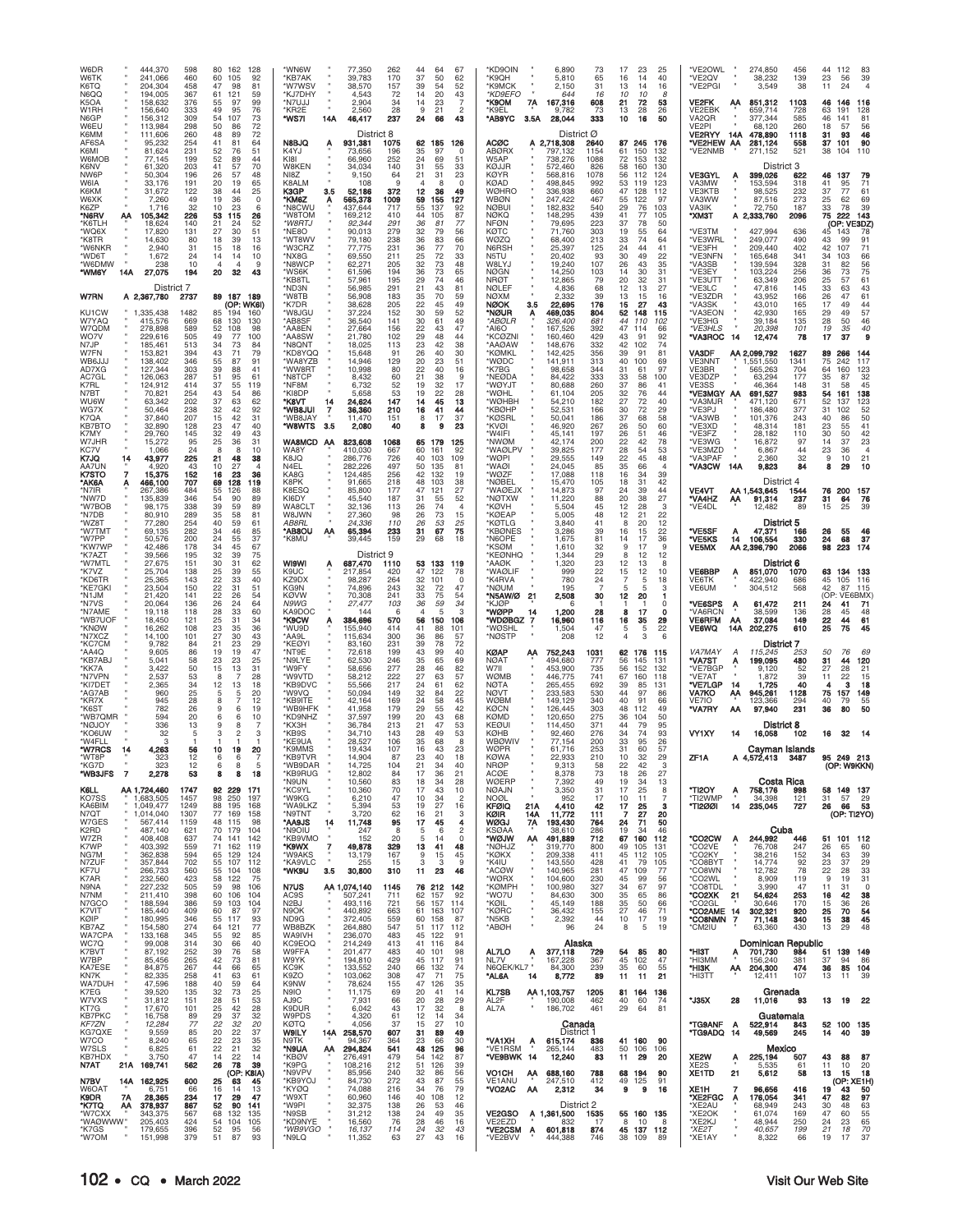| K6TQ<br>N6QQ<br>K5OA<br>W1RH<br>N6GP<br>W6EU<br>K6MM<br>AF6SA<br>K6MI<br>W6MOB<br>K6NV<br>NW6P<br><b>W6IA</b><br>K6KM<br>W6XK<br>K6ZP<br>'N6RV<br>'K6TLH<br>'WQ6X<br>*K8TR<br>'W6NKR<br>'WD6T<br>*W6DMW<br>*WM6Y | 241,066<br>204,304<br>194.005<br>158.632<br>156,640<br>156,312<br>113,984<br>111,606<br>95,232<br>81,624<br>77.145<br>61,320<br>50,304<br>33,176<br>31,672<br>7,260<br>1,716<br>105,342<br>АА<br>18,624<br>17,820<br>14,630<br>2,940<br>1,672<br>238<br>27,075<br>14A<br>District 7 | 598<br>460<br>458<br>367<br>376<br>333<br>309<br>298<br>260<br>254<br>231<br>199<br>203<br>196<br>191<br>122<br>49<br>32<br>226<br>140<br>131<br>80<br>31<br>24<br>10<br>194 | 80<br>162<br>128<br>60<br>105<br>92<br>47<br>98<br>81<br>61<br>121<br>59<br>55<br>99<br>97<br>49<br>76<br>95<br>54<br>107<br>73<br>72<br>50<br>86<br>72<br>48<br>89<br>41<br>64<br>81<br>52<br>76<br>51<br>52<br>44<br>89<br>41<br>70<br>57<br>26<br>57<br>48<br>20<br>65<br>19<br>38<br>25<br>44<br>19<br>0<br>36<br>10<br>23<br>6<br>53<br>115<br>26<br>21<br>52<br>24<br>27<br>30<br>51<br>18<br>39<br>13<br>15<br>18<br>16<br>14<br>14<br>10<br>$\overline{4}$<br>$\overline{4}$<br>9<br>20<br>32<br>43 | *WN6W<br>77,350<br>*KB7AK<br>39,783<br>*W7WSV<br>38,570<br>*KJ7DHY<br>4,543<br>*N7UJJ<br>2,904<br>*KR2E<br>2,560<br>*WS7I<br>14A<br>46,417<br>District 8<br>N8BJQ<br>931,381<br>Α<br>K4YJ<br>73,656<br>KI8I<br>66,960<br>W8KEN<br>34.034<br>NI8Z<br>9.150<br>K8ALM<br>108<br>K3GP<br>3.5<br>52,186<br>*KM6Z<br>565,378<br>Α<br>*N8CWU<br>437,644<br>*W8TOM<br>169,212<br>*W8RTJ<br>92,344<br>*NE8O<br>90,013<br>*WT8WV<br>79,180<br>*W3CRZ<br>77,775<br>*NX8G<br>69,550<br>*N8WCP<br>62,271<br>*WS6K<br>61,596<br>*KB8TL<br>57,961<br>*ND3N<br>56,985 | 262<br>44<br>67<br>64<br>37<br>170<br>50<br>62<br>39<br>54<br>52<br>157<br>72<br>14<br>20<br>43<br>34<br>14<br>23<br>7<br>28<br>9<br>21<br>$\mathfrak{p}$<br>24<br>237<br>66<br>43<br>1075<br>62 185<br>126<br>35<br>196<br>97<br>$\Omega$<br>252<br>24<br>51<br>69<br>31<br>140<br>55<br>33<br>64<br>21<br>23<br>31<br>9<br>$\Omega$<br>4<br>8<br>372<br>12<br>36<br>49<br>1009<br>59<br>155<br>127<br>717<br>55<br>137<br>92<br>44<br>410<br>87<br>105<br>77<br>29<br>36<br>81<br>279<br>32<br>79<br>56<br>238<br>36<br>83<br>66<br>231<br>36<br>77<br>70<br>25<br>211<br>72<br>33<br>205<br>32<br>73<br>48<br>194<br>36<br>73<br>65<br>195<br>29<br>74<br>46<br>21<br>291<br>43<br>81 | *KD9OIN<br>6,890<br>*K9OH<br>5,810<br>*K9MCK<br>2,150<br>*KD9EFO<br>*K9OM<br>7A<br>167,316<br>'K9EL<br>9.782<br>*AB9YC<br>28,044<br>3.5A<br><b>ACØC</b><br>A 2,718,308<br><b>ABØRX</b><br>797.132<br>W5AP<br>738,276<br>KØJJR<br>572,460<br>KØYR<br>568,816<br>KØAD<br>498.845<br><b>WØHRO</b><br>336,938<br><b>WBØN</b><br>247,422<br><b>NØBU</b><br>182,832<br><b>NØKQ</b><br>148,295<br><b>NFØN</b><br>79,695<br>KØTC<br>71,760<br>WØZQ<br>68,400<br>N6RSH<br>25,397<br>N5TU<br>20,402<br>19,240<br>W8LYJ<br><b>NØGN</b><br>14,250<br><b>NRØT</b><br>12,865<br><b>NØLEF</b><br>4,836 | 73<br>65<br>31<br>644<br>16<br>608<br>73<br>333<br>District Ø<br>2640<br>1154<br>1088<br>826<br>1078<br>992<br>660<br>467<br>540<br>439<br>223<br>303<br>213<br>125<br>93<br>107<br>103<br>79<br>68 | 17<br>23<br>25<br>16<br>40<br>14<br>13<br>16<br>14<br>10<br>10<br>8<br>21<br>72<br>53<br>13<br>28<br>26<br>10<br>16<br>50<br>87 245<br>176<br>61<br>150<br>132<br>72<br>132<br>153<br>58<br>160<br>130<br>56<br>112<br>124<br>53<br>123<br>119<br>47<br>128<br>112<br>55<br>122<br>97<br>29<br>76<br>103<br>41<br>77<br>105<br>37<br>78<br>50<br>19<br>55<br>64<br>33<br>74<br>64<br>24<br>44<br>41<br>30<br>49<br>22<br>26<br>43<br>35<br>14<br>30<br>31<br>20<br>32<br>31<br>12<br>27<br>13 | *VE2OWL<br>*VE2OV<br>*VE2PGI<br><b>VE2FK</b><br>ΑА<br>VE2EBK<br>VA <sub>2</sub> QR<br>VE2PI<br>VE2RYY 14A<br>*VE2HEW AA<br>*VE2NMB<br><b>VE3GYL</b><br>Α<br>VA3MW<br><b>VE3KTB</b><br>VA3WW<br>VA3IK<br>*ХМЗТ<br>*VE3TM<br>*VE3WRL<br>*VE3FH<br>'VE3NFN<br>*VA3SB<br>*VE3EY<br>*VE3UTT<br>*VE3LC | 274,850<br>456<br>38,232<br>139<br>3,549<br>38<br>851,312<br>1103<br>659,714<br>728<br>377,344<br>585<br>68,120<br>260<br>478,890<br>1118<br>281,124<br>558<br>521<br>271,152<br>District 3<br>399,026<br>622<br>318<br>153.594<br>98,525<br>232<br>87,516<br>273<br>72,750<br>187<br>A 2,333,760<br>2096<br>427,994<br>636<br>249,077<br>490<br>209,440<br>402<br>165,648<br>341<br>139,594<br>328<br>103,224<br>256<br>63,349<br>206<br>47,816<br>145 | 44<br>112<br>23<br>56<br>11<br>24<br>46<br>146<br>63<br>191<br>46<br>141<br>18<br>57<br>31<br>93<br>37<br>101<br>38<br>104<br>46<br>137<br>41<br>95<br>37<br>77<br>25<br>62<br>33<br>78<br>75<br>222<br>(OP: VE3DZ)<br>45<br>143<br>43<br>99<br>42<br>107<br>34<br>103<br>31<br>82<br>36<br>73<br>25<br>57<br>33<br>63 | 83<br>39<br>$\overline{4}$<br>116<br>128<br>81<br>56<br>46<br>90<br>110<br>79<br>71<br>61<br>69<br>39<br>143<br>78<br>91<br>71<br>66<br>56<br>75<br>61<br>43 |
|------------------------------------------------------------------------------------------------------------------------------------------------------------------------------------------------------------------|-------------------------------------------------------------------------------------------------------------------------------------------------------------------------------------------------------------------------------------------------------------------------------------|------------------------------------------------------------------------------------------------------------------------------------------------------------------------------|-------------------------------------------------------------------------------------------------------------------------------------------------------------------------------------------------------------------------------------------------------------------------------------------------------------------------------------------------------------------------------------------------------------------------------------------------------------------------------------------------------------|-------------------------------------------------------------------------------------------------------------------------------------------------------------------------------------------------------------------------------------------------------------------------------------------------------------------------------------------------------------------------------------------------------------------------------------------------------------------------------------------------------------------------------------------------------|------------------------------------------------------------------------------------------------------------------------------------------------------------------------------------------------------------------------------------------------------------------------------------------------------------------------------------------------------------------------------------------------------------------------------------------------------------------------------------------------------------------------------------------------------------------------------------------------------------------------------------------------------------------------------------------|-----------------------------------------------------------------------------------------------------------------------------------------------------------------------------------------------------------------------------------------------------------------------------------------------------------------------------------------------------------------------------------------------------------------------------------------------------------------------------------------------------------------------------------------------------------------------------------------|-----------------------------------------------------------------------------------------------------------------------------------------------------------------------------------------------------|-----------------------------------------------------------------------------------------------------------------------------------------------------------------------------------------------------------------------------------------------------------------------------------------------------------------------------------------------------------------------------------------------------------------------------------------------------------------------------------------------|--------------------------------------------------------------------------------------------------------------------------------------------------------------------------------------------------------------------------------------------------------------------------------------------------|---------------------------------------------------------------------------------------------------------------------------------------------------------------------------------------------------------------------------------------------------------------------------------------------------------------------------------------------------------------------------------------------------------------------------------------------------------|------------------------------------------------------------------------------------------------------------------------------------------------------------------------------------------------------------------------------------------------------------------------------------------------------------------------|--------------------------------------------------------------------------------------------------------------------------------------------------------------|
| W7RN<br>KU1CW                                                                                                                                                                                                    | A 2,367,780<br>1,335,438                                                                                                                                                                                                                                                            | 2737<br>1482                                                                                                                                                                 | 89 187 189<br>(OP: WK6I)<br>85<br>160                                                                                                                                                                                                                                                                                                                                                                                                                                                                       | *W8TB<br>56,908<br>38,628<br>*K7DR<br>*W8JGU<br>37,224                                                                                                                                                                                                                                                                                                                                                                                                                                                                                                | 183<br>35<br>70<br>59<br>205<br>22<br>49<br>45<br>152<br>30<br>59<br>52                                                                                                                                                                                                                                                                                                                                                                                                                                                                                                                                                                                                                  | <b>NØXM</b><br>2,332<br><b>NØOK</b><br>22,695<br>3.5<br>*NØUR<br>469,035<br>A                                                                                                                                                                                                                                                                                                                                                                                                                                                                                                           | 39<br>176<br>804                                                                                                                                                                                    | 13<br>15<br>16<br>15<br>27<br>43<br>52<br>148<br>115                                                                                                                                                                                                                                                                                                                                                                                                                                          | *VE3ZDR<br>*VA3SK<br>*VA3EON                                                                                                                                                                                                                                                                     | 43,952<br>166<br>43,010<br>165<br>42,930<br>165                                                                                                                                                                                                                                                                                                                                                                                                         | 26<br>47<br>17<br>49<br>29<br>49                                                                                                                                                                                                                                                                                       | 61<br>44<br>57                                                                                                                                               |
| W7YAQ<br>W7QDM<br>WO7V<br>N7JP                                                                                                                                                                                   | 415,576<br>278,898<br>229.616<br>185.46                                                                                                                                                                                                                                             | 669<br>589<br>505<br>513                                                                                                                                                     | 68<br>130<br>130<br>52<br>108<br>98<br>49<br>77<br>100<br>34<br>73<br>84                                                                                                                                                                                                                                                                                                                                                                                                                                    | *AB8SF<br>36,540<br>*AA8EN<br>27,664<br>*AA8SW<br>21,780<br>*N8QNT<br>18,025                                                                                                                                                                                                                                                                                                                                                                                                                                                                          | 30<br>141<br>61<br>49<br>156<br>22<br>47<br>43<br>102<br>29<br>48<br>44<br>23<br>113<br>42<br>38                                                                                                                                                                                                                                                                                                                                                                                                                                                                                                                                                                                         | *ABØLR<br>326,400<br>*AI6O<br>167,526<br>KCØZN<br>160,460<br>*AAØAW<br>148,676                                                                                                                                                                                                                                                                                                                                                                                                                                                                                                          | 681<br>392<br>429<br>332                                                                                                                                                                            | 44<br>110<br>102<br>47<br>114<br>66<br>43<br>91<br>92<br>42<br>74<br>102                                                                                                                                                                                                                                                                                                                                                                                                                      | *VE3HG<br>*VE3HLS<br>*VA3ROC<br>14                                                                                                                                                                                                                                                               | 39,184<br>135<br>20,398<br>101<br>12,474<br>78                                                                                                                                                                                                                                                                                                                                                                                                          | 28<br>50<br>19<br>35<br>17<br>37                                                                                                                                                                                                                                                                                       | 46<br>40<br>$\bf{9}$                                                                                                                                         |
| W7FN<br>WB6JJJ<br>AD7XG                                                                                                                                                                                          | 153,821<br>138,402<br>127,344                                                                                                                                                                                                                                                       | 394<br>346<br>303                                                                                                                                                            | 43<br>79<br>71<br>55<br>87<br>91<br>39<br>88<br>41                                                                                                                                                                                                                                                                                                                                                                                                                                                          | *KD8YQQ<br>15,648<br>14,946<br>*WA8YZB<br>*WW8RT<br>10,998                                                                                                                                                                                                                                                                                                                                                                                                                                                                                            | 91<br>26<br>40<br>30<br>129<br>20<br>23<br>51<br>22<br>80<br>40<br>16                                                                                                                                                                                                                                                                                                                                                                                                                                                                                                                                                                                                                    | <b>*KØMKL</b><br>142,425<br>*WØDC<br>141,911<br>'K7BG<br>98,658                                                                                                                                                                                                                                                                                                                                                                                                                                                                                                                         | 356<br>313<br>344                                                                                                                                                                                   | 39<br>91<br>81<br>40<br>100<br>69<br>31<br>61<br>97                                                                                                                                                                                                                                                                                                                                                                                                                                           | <b>VA3DF</b><br><b>VE3NNT</b><br>VE3BR                                                                                                                                                                                                                                                           | AA 2,099,792<br>1627<br>,551,550<br>1341<br>704<br>565,263                                                                                                                                                                                                                                                                                                                                                                                              | 89<br>266<br>75<br>242<br>64<br>160                                                                                                                                                                                                                                                                                    | 144<br>117<br>123                                                                                                                                            |
| AC7GL<br>K7RL<br>N7BT<br><b>WU6W</b>                                                                                                                                                                             | 126,063<br>124,912<br>70,821<br>63.342                                                                                                                                                                                                                                              | 287<br>414<br>254<br>202                                                                                                                                                     | 51<br>95<br>61<br>37<br>55<br>119<br>43<br>54<br>86<br>37<br>63<br>62                                                                                                                                                                                                                                                                                                                                                                                                                                       | *N8TCP<br>8,432<br>*NF8M<br>6,732<br>*KI8DP<br>5,658<br>*квvт<br>14<br>24,624                                                                                                                                                                                                                                                                                                                                                                                                                                                                         | 60<br>21<br>38<br>9<br>19<br>52<br>32<br>17<br>53<br>19<br>22<br>28<br>147<br>14<br>45<br>13                                                                                                                                                                                                                                                                                                                                                                                                                                                                                                                                                                                             | *NEØDA<br>84,422<br>*WØYJT<br>80,688<br>*WØHL<br>61,104<br>*WØHBH<br>54,210                                                                                                                                                                                                                                                                                                                                                                                                                                                                                                             | 333<br>260<br>205<br>182                                                                                                                                                                            | 33<br>58<br>100<br>37<br>86<br>41<br>32<br>76<br>44<br>27<br>72<br>40                                                                                                                                                                                                                                                                                                                                                                                                                         | VE3DZP<br>VE3SS<br>*VE3MGY AA<br>*VA3MJR                                                                                                                                                                                                                                                         | 63,294<br>177<br>46,364<br>148<br>691,527<br>983<br>671<br>471,120                                                                                                                                                                                                                                                                                                                                                                                      | 35<br>87<br>31<br>58<br>54<br>161<br>52<br>137                                                                                                                                                                                                                                                                         | 32<br>45<br>138<br>123                                                                                                                                       |
| WG7X<br>K7QA<br>KB7BTO<br>K7MY                                                                                                                                                                                   | 50.464<br>37,840<br>32,890<br>29,760                                                                                                                                                                                                                                                | 238<br>207<br>128<br>145                                                                                                                                                     | 32<br>92<br>42<br>15<br>42<br>31<br>40<br>23<br>47<br>32<br>43<br>49                                                                                                                                                                                                                                                                                                                                                                                                                                        | <b>IUGRW</b> *<br>$\overline{z}$<br>36,360<br>*WB8JAY<br>11,470<br>*W8WTS<br>3.5<br>2,080                                                                                                                                                                                                                                                                                                                                                                                                                                                             | 16<br>210<br>41<br>44<br>151<br>37<br>8<br>17<br>40<br>8<br>9<br>23                                                                                                                                                                                                                                                                                                                                                                                                                                                                                                                                                                                                                      | *KBØHP<br>52,531<br>*KØSRL<br>50,041<br><b>KVØI</b><br>46,920<br>*W4IFI<br>45,141                                                                                                                                                                                                                                                                                                                                                                                                                                                                                                       | 166<br>186<br>267<br>197                                                                                                                                                                            | 30<br>72<br>29<br>37<br>58<br>68<br>26<br>50<br>60<br>26<br>51<br>46                                                                                                                                                                                                                                                                                                                                                                                                                          | *VE3PJ<br>*VA3WB<br>*VE3XD<br>*VE3FZ                                                                                                                                                                                                                                                             | 377<br>186,480<br>101,376<br>243<br>181<br>48.314<br>28,182<br>110                                                                                                                                                                                                                                                                                                                                                                                      | 31<br>102<br>40<br>86<br>23<br>55<br>30<br>50                                                                                                                                                                                                                                                                          | 52<br>50<br>41<br>42                                                                                                                                         |
| W7JHR<br>KC7V<br>K7JQ<br>AA7UN                                                                                                                                                                                   | 15,272<br>1,066<br>43,977<br>14<br>4,920                                                                                                                                                                                                                                            | 95<br>24<br>225<br>43                                                                                                                                                        | 25<br>31<br>36<br>10<br>-8<br>8<br>21<br>38<br>48<br>10<br>27<br>$\Delta$                                                                                                                                                                                                                                                                                                                                                                                                                                   | WA8MCD AA<br>823,608<br>WA8Y<br>410,030<br><b>K8JO</b><br>286,776<br>N4EL<br>282,226                                                                                                                                                                                                                                                                                                                                                                                                                                                                  | 1068<br>65<br>179<br>125<br>60<br>161<br>92<br>667<br>40<br>103<br>726<br>109<br>497<br>50<br>135<br>81                                                                                                                                                                                                                                                                                                                                                                                                                                                                                                                                                                                  | *NWØM<br>42,174<br>*WAØLPV<br>39,825<br>*WØPI<br>29,555<br>*WAØI<br>24,045                                                                                                                                                                                                                                                                                                                                                                                                                                                                                                              | 200<br>177<br>149<br>85                                                                                                                                                                             | 22<br>42<br>78<br>28<br>53<br>54<br>22<br>48<br>45<br>35<br>66<br>$\Delta$                                                                                                                                                                                                                                                                                                                                                                                                                    | *VE3WG<br>*VE3MZD<br>'VA3PAF<br>*VA3CW<br>14A                                                                                                                                                                                                                                                    | 16,872<br>97<br>6,867<br>44<br>2,360<br>32<br>9,823<br>84                                                                                                                                                                                                                                                                                                                                                                                               | 14<br>37<br>23<br>36<br>9<br>10<br>8<br>29                                                                                                                                                                                                                                                                             | 23<br>$\overline{4}$<br>21<br>10                                                                                                                             |
| K7STO<br>'AK6A<br>'N7IR<br>*NW7D<br>*W7BOB                                                                                                                                                                       | 7<br>15,375<br>466,100<br>267,386<br>135,839<br>98,175                                                                                                                                                                                                                              | 152<br>707<br>484<br>346<br>338                                                                                                                                              | 16<br>23<br>36<br>69<br>128<br>119<br>55<br>126<br>88<br>54<br>90<br>89<br>39<br>59<br>89                                                                                                                                                                                                                                                                                                                                                                                                                   | KA8G<br>124,485<br>K8PK<br>91,665<br>K8ESQ<br>85,800<br>KI6DY<br>45,540<br>WA8CLT<br>32,136                                                                                                                                                                                                                                                                                                                                                                                                                                                           | 256<br>42<br>132<br>19<br>218<br>48<br>103<br>38<br>177<br>47<br>121<br>27<br>52<br>187<br>31<br>55<br>26<br>74<br>113                                                                                                                                                                                                                                                                                                                                                                                                                                                                                                                                                                   | 17,088<br>*WØZF<br>*NØBEL<br>15,470<br>'WAØEJX<br>14,873<br>*NØTXW<br>11,220<br>*KØVH<br>5,504                                                                                                                                                                                                                                                                                                                                                                                                                                                                                          | 118<br>105<br>97<br>88<br>45                                                                                                                                                                        | 16<br>39<br>42<br>18<br>31<br>24<br>39<br>44<br>27<br>20<br>38<br>12<br>28<br>3                                                                                                                                                                                                                                                                                                                                                                                                               | <b>VE4VT</b><br>*VA4HZ<br>ΑА<br>*VE4DL                                                                                                                                                                                                                                                           | District 4<br>AA 1,543,645<br>1544<br>237<br>91,314<br>12,482<br>89                                                                                                                                                                                                                                                                                                                                                                                     | $\frac{76}{31}$<br>200<br>64<br>15<br>25                                                                                                                                                                                                                                                                               | 157<br>76                                                                                                                                                    |
| *N7DB<br>*WZ8T<br>'W7TMT<br>*W7PP<br>*KW7WP<br>*K7AZT                                                                                                                                                            | 80,910<br>77,280<br>69.135<br>50,576<br>42,486<br>39,566                                                                                                                                                                                                                            | 289<br>254<br>282<br>200<br>178<br>195                                                                                                                                       | 35<br>58<br>81<br>40<br>59<br>61<br>34<br>46<br>85<br>24<br>37<br>55<br>34<br>67<br>45<br>32<br>75<br>39                                                                                                                                                                                                                                                                                                                                                                                                    | W8JWN<br>27,360<br>AB8RL<br>24,336<br>*AB8OU<br>65,394<br>АΑ<br>*K8MU<br>39.445<br>District 9                                                                                                                                                                                                                                                                                                                                                                                                                                                         | 26<br>98<br>73<br>15<br>110<br>26<br>53<br>25<br>31<br>75<br>233<br>67<br>159<br>29<br>68<br>18                                                                                                                                                                                                                                                                                                                                                                                                                                                                                                                                                                                          | *KØEAP<br>5,005<br>*KØTLG<br>3,840<br>*KBØNES<br>3,286<br>*N6OPE<br>1,675<br><b>'KSØM</b><br>1,610<br>*KEØNHQ<br>1,344                                                                                                                                                                                                                                                                                                                                                                                                                                                                  | 48<br>41<br>39<br>81<br>32<br>29                                                                                                                                                                    | 12<br>21<br>22<br>12<br>8<br>20<br>22<br>16<br>15<br>36<br>14<br>17<br>9<br>9<br>17<br>12<br>8<br>12                                                                                                                                                                                                                                                                                                                                                                                          | *VE5SF<br>Α<br>*VE5KS<br>14<br><b>VE5MX</b>                                                                                                                                                                                                                                                      | District 5<br>47,371<br>166<br>106,554<br>330<br>AA 2,396,790<br>2066                                                                                                                                                                                                                                                                                                                                                                                   | 26<br>55<br>24<br>68<br>98<br>223                                                                                                                                                                                                                                                                                      | 46<br>37<br>174                                                                                                                                              |
| 'W7MTL<br>*K7VZ<br>*KD6TR<br>*KE7GKI                                                                                                                                                                             | 27,675<br>25,704<br>25,365<br>23,504                                                                                                                                                                                                                                                | 151<br>138<br>143<br>150                                                                                                                                                     | 30<br>31<br>62<br>25<br>39<br>55<br>$\frac{22}{22}$<br>40<br>33<br>31<br>51                                                                                                                                                                                                                                                                                                                                                                                                                                 | <b>WI9WI</b><br>687,470<br>Α<br>K9UC<br>217,854<br>KZ9DX<br>98,287<br>KG9N<br>74,896                                                                                                                                                                                                                                                                                                                                                                                                                                                                  | 1110<br>53<br>133<br>119<br>47<br>122<br>42C<br>78<br>264<br>32<br>101<br>$\Omega$<br>32<br>243<br>72<br>47                                                                                                                                                                                                                                                                                                                                                                                                                                                                                                                                                                              | *AAØK<br>1,320<br>*WAØLIF<br>K4RVA<br>*NØUM                                                                                                                                                                                                                                                                                                                                                                                                                                                                                                                                             | 23<br>999<br>22<br>24<br>780<br>195<br>-7                                                                                                                                                           | 12<br>13<br>8<br>15<br>12<br>10<br>18<br>5<br>3<br>5<br>5                                                                                                                                                                                                                                                                                                                                                                                                                                     | VE6BBP<br>A<br><b>VE6TK</b><br>VE6UM                                                                                                                                                                                                                                                             | District 6<br>851,070<br>1070<br>422.940<br>686<br>304,512<br>568                                                                                                                                                                                                                                                                                                                                                                                       | 63 134 133<br>45<br>105<br>42<br>87                                                                                                                                                                                                                                                                                    | 116<br>115                                                                                                                                                   |
| *N1JM<br>*N7VS<br>*N7AME                                                                                                                                                                                         | 21,420<br>20,064<br>19,118                                                                                                                                                                                                                                                          | 141<br>136<br>118                                                                                                                                                            | 22<br>26<br>54<br>26<br>24<br>64<br>28<br>33<br>60                                                                                                                                                                                                                                                                                                                                                                                                                                                          | <b>KØVW</b><br>70,308<br>N9WG<br>27,477<br>KA9DOC<br>144                                                                                                                                                                                                                                                                                                                                                                                                                                                                                              | 241<br>33<br>75<br>54<br>103<br>36<br>34<br>59<br>6<br>5<br>106                                                                                                                                                                                                                                                                                                                                                                                                                                                                                                                                                                                                                          | *N5AW/Ø<br>21<br>2,508<br>'KJØP<br>*WØPP<br>1,200<br>14                                                                                                                                                                                                                                                                                                                                                                                                                                                                                                                                 | 30<br>28                                                                                                                                                                                            | 12<br>20<br>п<br>$\Omega$<br>8<br>17<br>0                                                                                                                                                                                                                                                                                                                                                                                                                                                     | *VE6SPS<br>A<br>'VA6RCN                                                                                                                                                                                                                                                                          | 211<br>61,472<br>38,599<br>136<br>149                                                                                                                                                                                                                                                                                                                                                                                                                   | (OP:<br>VE6BMX<br>24<br>41<br>28<br>45                                                                                                                                                                                                                                                                                 | -71<br>48                                                                                                                                                    |
| *WB7UOF<br>*KNØW<br>*N7XCZ<br>*KC7CM                                                                                                                                                                             | 18,450<br>16,262<br>14,100<br>9.782                                                                                                                                                                                                                                                 | 121<br>108<br>101<br>84                                                                                                                                                      | 25<br>31<br>34<br>23<br>35<br>36<br>27<br>30<br>43<br>21<br>23<br>29                                                                                                                                                                                                                                                                                                                                                                                                                                        | *K9CW<br>384,696<br>Α<br>*WU9D<br>155,940<br>*AA9L<br>115,634<br>*KEØYI<br>83,160                                                                                                                                                                                                                                                                                                                                                                                                                                                                     | 150<br>570<br>56<br>414<br>41<br>88<br>101<br>300<br>36<br>86<br>57<br>231<br>39<br>78<br>72                                                                                                                                                                                                                                                                                                                                                                                                                                                                                                                                                                                             | "WDØBGZ 7<br>16,960<br>*WØSHL<br>1,504<br>*NØSTP                                                                                                                                                                                                                                                                                                                                                                                                                                                                                                                                        | 116<br>47<br>208<br>12                                                                                                                                                                              | 16<br>35<br>29<br>5<br>5<br>22<br>3<br>6<br>4                                                                                                                                                                                                                                                                                                                                                                                                                                                 | <b>VE6RFM</b><br>АА<br><b>VE6WQ</b><br>14A                                                                                                                                                                                                                                                       | 37,084<br>202,275<br>610<br><b>District 7</b>                                                                                                                                                                                                                                                                                                                                                                                                           | $\frac{22}{25}$<br>44<br>75                                                                                                                                                                                                                                                                                            | 61<br>45                                                                                                                                                     |
| *AA4O<br>*KB7ABJ<br>*KK7A<br>*N7VPN                                                                                                                                                                              | 9,605<br>5,041<br>3,422<br>2,537                                                                                                                                                                                                                                                    | 86<br>58<br>50<br>53                                                                                                                                                         | 19<br>47<br>19<br>23<br>25<br>23<br>31<br>15<br>13<br>28                                                                                                                                                                                                                                                                                                                                                                                                                                                    | *NT9E<br>72,618<br>*N9LYE<br>62,530<br>*W9FY<br>58,656<br>*W9VTD<br>58,212                                                                                                                                                                                                                                                                                                                                                                                                                                                                            | 43<br>199<br>40<br>99<br>246<br>35<br>69<br>65<br>277<br>28<br>82<br>46<br>222<br>27<br>63<br>57                                                                                                                                                                                                                                                                                                                                                                                                                                                                                                                                                                                         | <b>KØAP</b><br>752,243<br>ΑA<br><b>NØAT</b><br>494,680<br>W7II<br>453,900<br>WØMB<br>446,775                                                                                                                                                                                                                                                                                                                                                                                                                                                                                            | 1031<br>777<br>735<br>741                                                                                                                                                                           | 62<br>176<br>115<br>56<br>145<br>131<br>56<br>152<br>132<br>67<br>160<br>118                                                                                                                                                                                                                                                                                                                                                                                                                  | <b>VA7MAY</b><br>A<br>*VA7ST<br>Α<br>'VE7BGP<br>*VE7AT                                                                                                                                                                                                                                           | 115,245<br>253<br>199,095<br>480<br>52<br>9,120<br>1,872<br>39                                                                                                                                                                                                                                                                                                                                                                                          | 50<br>-76<br>31<br>44<br>27<br>28<br>11<br>22                                                                                                                                                                                                                                                                          | 69<br>120<br>21<br>15                                                                                                                                        |
| *KI7DET<br>*AG7AB<br>*KR7X<br>*K6ST                                                                                                                                                                              | 2,365<br>960<br>945<br>782                                                                                                                                                                                                                                                          | 34<br>25<br>28<br>26                                                                                                                                                         | 12<br>18<br>13<br>20<br>12<br>8<br>6<br>19<br>9                                                                                                                                                                                                                                                                                                                                                                                                                                                             | *KB9DVC<br>55,566<br>*W9VQ<br>50,094<br>*KB9ITE<br>42,164<br>*WB9HFK<br>41,958                                                                                                                                                                                                                                                                                                                                                                                                                                                                        | 24<br>217<br>62<br>61<br>32<br>22<br>14S<br>84<br>24<br>169<br>58<br>45<br>29<br>179<br>55<br>42                                                                                                                                                                                                                                                                                                                                                                                                                                                                                                                                                                                         | <b>NØTA</b><br>265,455<br><b>NØVT</b><br>233,583<br><b>WØBM</b><br>149,129<br>KØCN<br>126,445                                                                                                                                                                                                                                                                                                                                                                                                                                                                                           | 692<br>530<br>340<br>303                                                                                                                                                                            | 39<br>85<br>131<br>44<br>97<br>86<br>40<br>91<br>66<br>48<br>112<br>49                                                                                                                                                                                                                                                                                                                                                                                                                        | *VE7LGP<br>14<br>VA7KO<br>ΑА<br>VE7IO<br>*VA7RY<br>АΑ                                                                                                                                                                                                                                            | 1,725<br>40<br>945,261<br>1128<br>123,366<br>294<br>97,940<br>231                                                                                                                                                                                                                                                                                                                                                                                       | з<br>4<br>75<br>157<br>40<br>79<br>36<br>80                                                                                                                                                                                                                                                                            | 18<br>149<br>55<br>50                                                                                                                                        |
| *WB7QMR<br>*NØJOY<br>'KO6UW                                                                                                                                                                                      | 594<br>336<br>32                                                                                                                                                                                                                                                                    | 20<br>13<br>5                                                                                                                                                                | 10<br>6<br>a<br>8<br>3<br>$\mathfrak{p}$<br>3                                                                                                                                                                                                                                                                                                                                                                                                                                                               | *KD9NHZ<br>37,597<br>*КХЗН<br>36,784<br>*KB9S<br>34,710                                                                                                                                                                                                                                                                                                                                                                                                                                                                                               | 199<br>20<br>43<br>68<br>213<br>21<br>47<br>53<br>143<br>28<br>49<br>53                                                                                                                                                                                                                                                                                                                                                                                                                                                                                                                                                                                                                  | <b>KØMD</b><br>120,650<br>KEØUI<br>114,450<br>KØHB<br>92,460                                                                                                                                                                                                                                                                                                                                                                                                                                                                                                                            | 275<br>371<br>276                                                                                                                                                                                   | 36<br>104<br>50<br>44<br>79<br>95<br>34<br>74<br>93                                                                                                                                                                                                                                                                                                                                                                                                                                           | <b>VY1XY</b><br>14                                                                                                                                                                                                                                                                               | <b>District 8</b><br>16,058<br>102                                                                                                                                                                                                                                                                                                                                                                                                                      | 16<br>32                                                                                                                                                                                                                                                                                                               | -14                                                                                                                                                          |
| 'W4FLL<br>*W7RCS<br>*WT8P<br>*KG7D                                                                                                                                                                               | 4,263<br>14<br>323                                                                                                                                                                                                                                                                  | 56<br>12<br>12                                                                                                                                                               | 10<br>19<br>20<br>8<br>6<br>5                                                                                                                                                                                                                                                                                                                                                                                                                                                                               | *KE9UA<br>28,527<br>*K9MMS<br>19,434<br>*KB9TVR<br>14,904                                                                                                                                                                                                                                                                                                                                                                                                                                                                                             | 106<br>35<br>68<br>8<br>107<br>16<br>43<br>23<br>87<br>23<br>40<br>18                                                                                                                                                                                                                                                                                                                                                                                                                                                                                                                                                                                                                    | <b>WBØWIV</b><br>77,154<br>WØPR<br>61,716                                                                                                                                                                                                                                                                                                                                                                                                                                                                                                                                               | 200<br>253                                                                                                                                                                                          | 33<br>95<br>26                                                                                                                                                                                                                                                                                                                                                                                                                                                                                |                                                                                                                                                                                                                                                                                                  |                                                                                                                                                                                                                                                                                                                                                                                                                                                         |                                                                                                                                                                                                                                                                                                                        |                                                                                                                                                              |
| *WB3JFS                                                                                                                                                                                                          | 2,278<br>$\overline{7}$                                                                                                                                                                                                                                                             | 53                                                                                                                                                                           |                                                                                                                                                                                                                                                                                                                                                                                                                                                                                                             | *WB9DAR<br>14,725                                                                                                                                                                                                                                                                                                                                                                                                                                                                                                                                     | 104<br>21<br>34<br>40                                                                                                                                                                                                                                                                                                                                                                                                                                                                                                                                                                                                                                                                    | KØWA<br>22,933<br><b>NRØP</b><br>9,313                                                                                                                                                                                                                                                                                                                                                                                                                                                                                                                                                  | 210<br>58                                                                                                                                                                                           | 31<br>57<br>60<br>10<br>32<br>29<br>22<br>42<br>3                                                                                                                                                                                                                                                                                                                                                                                                                                             | ZF1A<br>Α                                                                                                                                                                                                                                                                                        | Cayman Islands<br>3487<br>4,572,413                                                                                                                                                                                                                                                                                                                                                                                                                     | 95 249 213<br>(OP: W9KKN)                                                                                                                                                                                                                                                                                              |                                                                                                                                                              |
| <b>K6LL</b>                                                                                                                                                                                                      | AA 1,724,460                                                                                                                                                                                                                                                                        | 1747                                                                                                                                                                         | 8<br>8<br>18<br>229<br>92<br>171<br>98<br>250<br>197                                                                                                                                                                                                                                                                                                                                                                                                                                                        | *KB9RUG<br>12,802<br>*N9UN<br>10,560<br>*KC9YL<br>10,360<br>*W9KG                                                                                                                                                                                                                                                                                                                                                                                                                                                                                     | 17<br>84<br>36<br>21<br>83<br>18<br>28<br>34<br>70<br>17<br>43<br>10<br>34<br>2                                                                                                                                                                                                                                                                                                                                                                                                                                                                                                                                                                                                          | <b>ACØE</b><br>8,378<br>WØERP<br>7,392<br><b>NØAJN</b><br>3,350                                                                                                                                                                                                                                                                                                                                                                                                                                                                                                                         | 73<br>49<br>31<br>952<br>17                                                                                                                                                                         | 18<br>27<br>26<br>19<br>13<br>34<br>25<br>17<br>8<br>10<br>7<br>11                                                                                                                                                                                                                                                                                                                                                                                                                            | <b>"TI2OY</b><br>Ą<br>*TI2WMP                                                                                                                                                                                                                                                                    | <b>Costa Rica</b><br>758,176<br>998<br>34,398                                                                                                                                                                                                                                                                                                                                                                                                           | 58 149 137                                                                                                                                                                                                                                                                                                             |                                                                                                                                                              |
| KO7SS<br>KA6BIM<br>N7QT<br>W7GES                                                                                                                                                                                 | 1,683,505<br>1,049,477<br>1,014,040<br>567,414                                                                                                                                                                                                                                      | 1457<br>1249<br>1307<br>1159                                                                                                                                                 | 88<br>195<br>168<br>77<br>169<br>158<br>48<br>98<br>115                                                                                                                                                                                                                                                                                                                                                                                                                                                     | 6,210<br>*WA9LKZ<br>5,394<br>*N9TNT<br>3,720<br>*AA9JS<br>14<br>11,748                                                                                                                                                                                                                                                                                                                                                                                                                                                                                | 47<br>10<br>53<br>19<br>27<br>16<br>62<br>16<br>21<br>3<br>95<br>17<br>45<br>4                                                                                                                                                                                                                                                                                                                                                                                                                                                                                                                                                                                                           | <b>NOØL</b><br>KFØIQ<br>21A<br>4,410<br>KØIR<br>14A<br>11,772<br>WØGJ<br>7A<br>193,430                                                                                                                                                                                                                                                                                                                                                                                                                                                                                                  | 42<br>111<br>764                                                                                                                                                                                    | 17<br>25<br>з<br>7<br>27<br>20<br>50<br>24<br>71                                                                                                                                                                                                                                                                                                                                                                                                                                              | <b>*TI2ØØI</b><br>14                                                                                                                                                                                                                                                                             | 121<br>235,045<br>727                                                                                                                                                                                                                                                                                                                                                                                                                                   | 31<br>57<br>26<br>66<br>(OP: TI2YO)                                                                                                                                                                                                                                                                                    | 29<br>-53                                                                                                                                                    |
| K2RD<br>W7ZR<br>K7WP<br>NG7M                                                                                                                                                                                     | 487,140<br>408,408<br>403,392<br>362,838                                                                                                                                                                                                                                            | 621<br>637<br>559<br>594                                                                                                                                                     | 70<br>179<br>104<br>74<br>141<br>142<br>71<br>162<br>119<br>65<br>129<br>124                                                                                                                                                                                                                                                                                                                                                                                                                                | *N9OIU<br>247<br>*KB9VMO<br>152<br>*K9WX<br>$\vec{\cdot}$<br>49,878<br>*W9AKS<br>13,179                                                                                                                                                                                                                                                                                                                                                                                                                                                               | -8<br>5<br>-6<br>$\overline{c}$<br>20<br>5<br>$\Omega$<br>14<br>13<br>329<br>41<br>48<br>167<br>9<br>15<br>45                                                                                                                                                                                                                                                                                                                                                                                                                                                                                                                                                                            | <b>KSØAA</b><br>38,610<br>*WØJW<br>АΑ<br>491,889<br>*NØHJZ<br>319,770<br>$\mathbf{u}$<br>*KØKX<br>209,338                                                                                                                                                                                                                                                                                                                                                                                                                                                                               | 286<br>712<br>800<br>411                                                                                                                                                                            | 19<br>34<br>46<br>67<br>160<br>112<br>49<br>105<br>131<br>45<br>112<br>105                                                                                                                                                                                                                                                                                                                                                                                                                    | *CO2CW<br>Ą<br>*CO2VE<br>*CO2KY                                                                                                                                                                                                                                                                  | Cuba<br>244,992<br>446<br>247<br>76,708<br>38,216<br>152                                                                                                                                                                                                                                                                                                                                                                                                | 51 101 112<br>26<br>65<br>34<br>63                                                                                                                                                                                                                                                                                     | 60<br>39                                                                                                                                                     |
| N7ZUF<br>KF7U<br>K7AR<br>N9NA                                                                                                                                                                                    | 357,844<br>$\mathbf{u}$<br>266,733<br>232,560<br>227,232                                                                                                                                                                                                                            | 702<br>560<br>423<br>505                                                                                                                                                     | 55<br>107<br>112<br>55<br>104<br>108<br>58<br>122<br>75<br>59<br>98<br>106                                                                                                                                                                                                                                                                                                                                                                                                                                  | $\sim$<br>*KA9VLC<br>255<br>*WK9U<br>3.5<br>30,800<br>N7US                                                                                                                                                                                                                                                                                                                                                                                                                                                                                            | 15<br>3<br>3<br>-9<br>310<br>11<br>23<br>46<br>76<br>1145<br>212 142                                                                                                                                                                                                                                                                                                                                                                                                                                                                                                                                                                                                                     | *K4IU<br>143,550<br>$\mathbf{u}$<br>*ACØW<br>140,965<br>*WØRX<br>104,600<br>*KØMPH<br>100,980                                                                                                                                                                                                                                                                                                                                                                                                                                                                                           | 428<br>281<br>230<br>327                                                                                                                                                                            | 41<br>79<br>105<br>47<br>109<br>77<br>45<br>99<br>56<br>34<br>67<br>97                                                                                                                                                                                                                                                                                                                                                                                                                        | *CO8BYT<br>*CO8WN<br>*CO2WL<br>*CO8TDL                                                                                                                                                                                                                                                           | 92<br>14,774<br>12,782<br>78<br>8,909<br>119<br>3,990<br>47                                                                                                                                                                                                                                                                                                                                                                                             | 23<br>37<br>22<br>28<br>9<br>19<br>11<br>31                                                                                                                                                                                                                                                                            | 29<br>33<br>31<br>$\mathbf 0$                                                                                                                                |
| N7NM<br>N7GCO<br>K7VIT                                                                                                                                                                                           | 211,410<br>188,594<br>185,440                                                                                                                                                                                                                                                       | 398<br>386<br>409                                                                                                                                                            | 60<br>106<br>104<br>59<br>103<br>104<br>60<br>87<br>97                                                                                                                                                                                                                                                                                                                                                                                                                                                      | AA 1,074,140<br>AC9S<br>507,241<br>N <sub>2</sub> BJ<br>493,116<br>N9OK<br>440,892                                                                                                                                                                                                                                                                                                                                                                                                                                                                    | 62<br>157<br>711<br>-92<br>721<br>56<br>157<br>114<br>61<br>663<br>163<br>107                                                                                                                                                                                                                                                                                                                                                                                                                                                                                                                                                                                                            | *WO7U<br>84,630<br>*KØIL<br>45,149<br>*KØRC<br>36,432                                                                                                                                                                                                                                                                                                                                                                                                                                                                                                                                   | 300<br>188<br>155                                                                                                                                                                                   | 35<br>65<br>86<br>35<br>50<br>66<br>27<br>46<br>71                                                                                                                                                                                                                                                                                                                                                                                                                                            | *CO2XK<br>21<br>*CO2GL<br>*CO2AME 14                                                                                                                                                                                                                                                             | 253<br>54,624<br>30,646<br>170<br>302,321<br>920                                                                                                                                                                                                                                                                                                                                                                                                        | 16<br>42<br>15<br>36<br>25<br>70                                                                                                                                                                                                                                                                                       | 38<br>26<br>54                                                                                                                                               |
| KØIP<br>KB7AZ<br>WA7CPA<br>WC7Q                                                                                                                                                                                  | 180,995<br>154,580<br>133,168<br>99,008                                                                                                                                                                                                                                             | 346<br>274<br>345<br>314                                                                                                                                                     | 55<br>117<br>93<br>77<br>64<br>121<br>55<br>92<br>85<br>30<br>40<br>66                                                                                                                                                                                                                                                                                                                                                                                                                                      | ND9G<br>372,405<br>WB8BZK<br>264,880<br>WA9IVH<br>236,070<br>KC9EOQ<br>214,249                                                                                                                                                                                                                                                                                                                                                                                                                                                                        | 559<br>60<br>158<br>87<br>51 117<br>547<br>112<br>483<br>45<br>122<br>91<br>413<br>41 116<br>84                                                                                                                                                                                                                                                                                                                                                                                                                                                                                                                                                                                          | *N5KB<br>2,392<br>$\mathbf{u}$<br>*ABØH                                                                                                                                                                                                                                                                                                                                                                                                                                                                                                                                                 | 44<br>24<br>96<br>Alaska                                                                                                                                                                            | 10<br>17<br>19<br>5<br>19<br>8                                                                                                                                                                                                                                                                                                                                                                                                                                                                | 7<br>*CO8NMN<br>*CM2IU                                                                                                                                                                                                                                                                           | 71,148<br>340<br>430<br>63,360<br>Dominican Republic                                                                                                                                                                                                                                                                                                                                                                                                    | 15<br>38<br>13<br>29                                                                                                                                                                                                                                                                                                   | 45<br>48                                                                                                                                                     |
| K7BVT<br>W7BP<br>KA7ESE<br>KN7K                                                                                                                                                                                  | 87,192<br>85,456<br>84,875<br>82,335                                                                                                                                                                                                                                                | 252<br>265<br>267<br>258                                                                                                                                                     | 39<br>58<br>76<br>42<br>73<br>81<br>44<br>66<br>65<br>41<br>63<br>61                                                                                                                                                                                                                                                                                                                                                                                                                                        | W9FFA<br>201,477<br>W9YK<br>194,810<br>KC <sub>9</sub> K<br>133,552<br>K9ZO<br>103,062                                                                                                                                                                                                                                                                                                                                                                                                                                                                | 483<br>40<br>101<br>98<br>429<br>45 117<br>91<br>240<br>66<br>132<br>74<br>47<br>75<br>308<br>71                                                                                                                                                                                                                                                                                                                                                                                                                                                                                                                                                                                         | AL7LO<br>377,118<br>Ą<br>NL7V<br>167,228<br>N6QEK/KL7<br>84,300<br>14<br>*AL6A<br>8,772                                                                                                                                                                                                                                                                                                                                                                                                                                                                                                 | 729<br>367<br>239<br>89                                                                                                                                                                             | 54<br>85<br>80<br>45<br>102<br>47<br>35<br>55<br>60<br>11<br>11<br>21                                                                                                                                                                                                                                                                                                                                                                                                                         | *HI3T<br>Ą.<br>*HI3MM<br>*нізк<br>ΑА<br>*HI3TT                                                                                                                                                                                                                                                   | 984<br>701,730<br>381<br>156,240<br>204,300<br>474<br>12,411<br>107                                                                                                                                                                                                                                                                                                                                                                                     | 51<br>139<br>37<br>94<br>36<br>85<br>13<br>11                                                                                                                                                                                                                                                                          | 149<br>86<br>104<br>39                                                                                                                                       |
| <b>WA7DUH</b><br>K7EG<br>W7VXS<br>KT7G                                                                                                                                                                           | 47,596<br>39,520<br>31,812<br>17,670                                                                                                                                                                                                                                                | 188<br>135<br>151<br>101                                                                                                                                                     | 40<br>64<br>59<br>32<br>73<br>25<br>28<br>51<br>53<br>28<br>25<br>42                                                                                                                                                                                                                                                                                                                                                                                                                                        | K9NW<br>78,624<br>N9IO<br>11,175<br>AJ9C<br>7,931<br>K9DUR<br>6,042                                                                                                                                                                                                                                                                                                                                                                                                                                                                                   | 47<br>35<br>155<br>126<br>69<br>20<br>41<br>14<br>66<br>29<br>20<br>28<br>43<br>17<br>32<br>8                                                                                                                                                                                                                                                                                                                                                                                                                                                                                                                                                                                            | <b>KL7SB</b><br>AA 1,103,757<br>AL2F<br>190,008<br>AL7A<br>186,702                                                                                                                                                                                                                                                                                                                                                                                                                                                                                                                      | 1205<br>462<br>461                                                                                                                                                                                  | 81 164<br>136<br>60<br>40<br>74<br>29<br>64<br>81                                                                                                                                                                                                                                                                                                                                                                                                                                             | *J35X<br>28                                                                                                                                                                                                                                                                                      | Grenada<br>93<br>11,016                                                                                                                                                                                                                                                                                                                                                                                                                                 | 13<br>19                                                                                                                                                                                                                                                                                                               | -22                                                                                                                                                          |
| <b>KB7PKC</b><br><b>KF7ZN</b><br>KG7QXE                                                                                                                                                                          | 16,758<br>12,284<br>9,559                                                                                                                                                                                                                                                           | 89<br>77<br>85                                                                                                                                                               | 29<br>32<br>37<br>22<br>32<br>20<br>20<br>22<br>37                                                                                                                                                                                                                                                                                                                                                                                                                                                          | W9PDS<br>4,320<br>KØTQ<br>4,056<br><b>W9ILY</b><br>258,570<br>14A                                                                                                                                                                                                                                                                                                                                                                                                                                                                                     | 61<br>12<br>14<br>34<br>37<br>15<br>27<br>10<br>607<br>31<br>89<br>49                                                                                                                                                                                                                                                                                                                                                                                                                                                                                                                                                                                                                    |                                                                                                                                                                                                                                                                                                                                                                                                                                                                                                                                                                                         | Canada<br>District 1                                                                                                                                                                                |                                                                                                                                                                                                                                                                                                                                                                                                                                                                                               | *TG9ANF<br>A<br>*TG9ADQ<br>14                                                                                                                                                                                                                                                                    | Guatemala<br>522,914<br>843<br>49,569<br>245                                                                                                                                                                                                                                                                                                                                                                                                            | 52 100<br>14<br>40                                                                                                                                                                                                                                                                                                     | 135<br>39                                                                                                                                                    |
| W7CO<br>W7SLS<br><b>KB7HDX</b><br>N7AT                                                                                                                                                                           | 8,240<br>6,825<br>3,750<br>21A<br>169,741                                                                                                                                                                                                                                           | 65<br>61<br>47<br>562                                                                                                                                                        | 22<br>23<br>35<br>22<br>21<br>32<br>14<br>22<br>14<br>26<br>78<br>39                                                                                                                                                                                                                                                                                                                                                                                                                                        | N9TK<br>94,367<br>*N9UA<br>AA<br>294,824<br>*KBØV<br>276,491<br>*K9PG<br>108,216                                                                                                                                                                                                                                                                                                                                                                                                                                                                      | 364<br>23<br>66<br>30<br>541<br>48<br>125<br>96<br>479<br>54<br>142<br>87<br>212<br>51<br>126                                                                                                                                                                                                                                                                                                                                                                                                                                                                                                                                                                                            | *VA1XH<br>615,174<br>A<br>*VE1RSM<br>265.144<br>*VE9BWK 14<br>12,240                                                                                                                                                                                                                                                                                                                                                                                                                                                                                                                    | 836<br>483<br>83                                                                                                                                                                                    | 41 160<br>90<br>50<br>106<br>106<br>11<br>29<br>20                                                                                                                                                                                                                                                                                                                                                                                                                                            | XE2W<br>Ą<br>XE <sub>2</sub> S                                                                                                                                                                                                                                                                   | Mexico<br>225,194<br>507<br>5,535<br>61                                                                                                                                                                                                                                                                                                                                                                                                                 | 43<br>88<br>11<br>10                                                                                                                                                                                                                                                                                                   | 87<br>20                                                                                                                                                     |
| N7BV<br>W6OAT<br>K9DR                                                                                                                                                                                            | 162,925<br>14A<br>6,751<br>7A<br>28,365                                                                                                                                                                                                                                             | 600<br>66<br>234                                                                                                                                                             | (OP: K8IA)<br>25<br>63<br>45<br>16<br>14<br>13<br>17<br>47<br>29                                                                                                                                                                                                                                                                                                                                                                                                                                            | *N9VPV<br>85,956<br>*KB9YOJ<br>84,730<br>*KYØQ<br>74,088<br>*W9XT<br>60,960                                                                                                                                                                                                                                                                                                                                                                                                                                                                           | 39<br>56<br>32<br>240<br>86<br>55<br>272<br>43<br>87<br>79<br>34<br>216<br>76<br>40<br>12<br>146<br>108                                                                                                                                                                                                                                                                                                                                                                                                                                                                                                                                                                                  | VO1CH<br>ΑA<br>688,160<br>VE1ANU<br>247,510<br>*VO2AC<br>AA<br>2,312                                                                                                                                                                                                                                                                                                                                                                                                                                                                                                                    | 788<br>412<br>34                                                                                                                                                                                    | 68<br>194<br>90<br>49<br>125<br>91<br>9<br>9<br>16                                                                                                                                                                                                                                                                                                                                                                                                                                            | 21<br>XE1TD<br>XE1H<br>*XE2FGC                                                                                                                                                                                                                                                                   | 5,612<br>58<br>96,656<br>416<br>176,054<br>341                                                                                                                                                                                                                                                                                                                                                                                                          | 13<br>15<br>(OP: XE1H)<br>19<br>43<br>47<br>82                                                                                                                                                                                                                                                                         | 18<br>$\frac{50}{97}$                                                                                                                                        |
| *K7TQ<br>*W7CXX<br>*WAØWWW"<br>*K7GS                                                                                                                                                                             | 378,937<br>AA<br>343,375<br>205,403<br>179,655                                                                                                                                                                                                                                      | 867<br>567<br>424<br>396                                                                                                                                                     | 52<br>90<br>141<br>68<br>132<br>135<br>54<br>104<br>105<br>52<br>95<br>56                                                                                                                                                                                                                                                                                                                                                                                                                                   | *W9PI<br>32,375<br>*N9SB<br>31,212<br>*KD9NYE<br>16,560<br>*WB9VGO<br>16,137                                                                                                                                                                                                                                                                                                                                                                                                                                                                          | 138<br>26<br>53<br>46<br>138<br>24<br>49<br>35<br>28<br>76<br>46<br>16<br>114<br>24<br>32<br>43<br>27                                                                                                                                                                                                                                                                                                                                                                                                                                                                                                                                                                                    | VE2GSO<br>A 1,361,500<br>VE2EZD<br>*VE2CSM<br>Α<br>601,818                                                                                                                                                                                                                                                                                                                                                                                                                                                                                                                              | District 2<br>1535<br>832<br>17<br>874                                                                                                                                                              | 55 160 135<br>-8<br>10<br>8<br>45<br>137 112                                                                                                                                                                                                                                                                                                                                                                                                                                                  | Ą<br>*XE2AU<br>$\mathbf{u}$<br>*XE2OK<br>*XE2KJ<br>*XE2T                                                                                                                                                                                                                                         | 243<br>68,949<br>61,074<br>169<br>48,944<br>250<br>40,657<br>199<br>8,322                                                                                                                                                                                                                                                                                                                                                                               | 30<br>48<br>47<br>60<br>24<br>23<br>21<br>18<br>19                                                                                                                                                                                                                                                                     | 63<br>55<br>$65$<br>70<br>37                                                                                                                                 |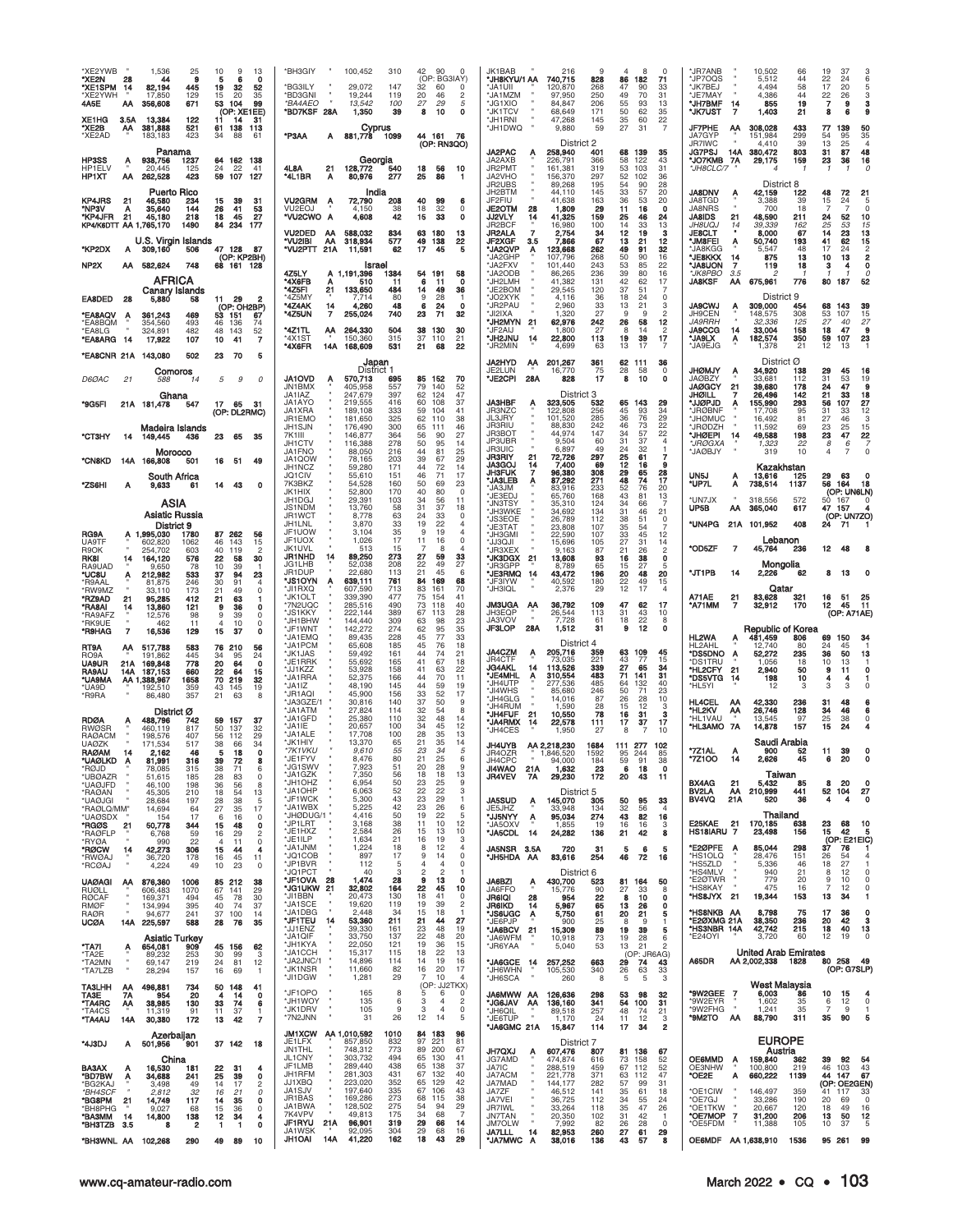| XE2YWB<br>*XE2N<br>*XE1SPM<br>*XE2YWH<br>4A5E               | 28<br>14<br>АΑ        | 1,536<br>25<br>44<br>9<br>82,194<br>445<br>17,850<br>129<br>356,608<br>671    | 10<br>9<br>13<br>6<br>o<br>5<br>19<br>32<br>52<br>15<br>20<br>35<br>53<br>104<br>99<br>(OP: XE1EE) | *BH3GIY<br>100,452<br>*BG3ILY<br>29,072<br>*BD3GNI<br>19,244<br>13,542<br>*BA4AEO<br>*BD7KSF 28A<br>1,350 | 42<br>90<br>310<br>$\Omega$<br>(OP: BG3IAY)<br>147<br>32<br>60<br>$\Omega$<br>20<br>119<br>46<br>$\overline{2}$<br>27<br>29<br>100<br>5<br>39<br>8<br>10<br>0 | JK1BAB<br>216<br>'JH8KYU/1 AA<br>740,715<br>'JA1UII<br>120,870<br>JA1MZM<br>97,950<br>'JG1XIO<br>84.847<br>*JK1TCV<br>68,649 | $\Omega$<br>71<br>828<br>86<br>182<br>47<br>90<br>268<br>33<br>250<br>49<br>70<br>31<br>206<br>93<br>13<br>55<br>50<br>62<br>35<br>171 | *JR7ANB<br>10,502<br>66<br>19<br>37<br>3<br>*JP7OQS<br>5,512<br>44<br>22<br>24<br>6<br>*JK7BEJ<br>58<br>17<br>4.494<br>20<br>5<br>JE7MAY<br>4,386<br>44<br>$\frac{22}{7}$<br>26<br><b>*JH7BMF</b><br>855<br>19<br>14<br>9<br>з<br>*JK7UST<br>1,403<br>8<br>21<br>6 |
|-------------------------------------------------------------|-----------------------|-------------------------------------------------------------------------------|----------------------------------------------------------------------------------------------------|-----------------------------------------------------------------------------------------------------------|---------------------------------------------------------------------------------------------------------------------------------------------------------------|------------------------------------------------------------------------------------------------------------------------------|----------------------------------------------------------------------------------------------------------------------------------------|--------------------------------------------------------------------------------------------------------------------------------------------------------------------------------------------------------------------------------------------------------------------|
| XE1HG<br>*XE2B<br>'XE2AD                                    | 3.5A<br>АА            | 13,384<br>122<br>381,888<br>521<br>423<br>183,183                             | 31<br>11<br>14<br>61<br>138<br>113<br>34<br>88<br>61                                               | Cyprus<br>*P3AA<br>881,778<br>A                                                                           | 44 161<br>1099<br>-76<br>(OP: RN3QO)                                                                                                                          | *JH1RNI<br>47,268<br>*JH1DWQ<br>9,880<br>District 2                                                                          | 60<br>22<br>145<br>35<br>59<br>27<br>31<br>7                                                                                           | 77<br>50<br><b>JF7PHE</b><br>308,028<br>433<br>139<br>АА<br>JA7GYP<br>35<br>151,984<br>299<br>54<br>95<br><b>JR7IWC</b><br>4,410<br>39<br>13<br>25<br>$\overline{4}$                                                                                               |
| HP3SS<br>HP1ELV<br><b>HP1XT</b>                             | Α<br>АΑ               | Panama<br>938,756<br>1237<br>20,445<br>125<br>262,528<br>423                  | 64 162 138<br>24<br>22<br>41<br>59<br>107<br>127                                                   | Georgia<br>4L8A<br>21<br>128,772<br>*4L1BR<br>A<br>80,976                                                 | 10<br>540<br>18<br>56<br>86<br>277<br>25                                                                                                                      | JA2PAC<br>258,940<br>А<br>JA2AXB<br>226,791<br>JR2PMT<br>161,381<br>JA2VHO<br>156,370<br>JR2UBS<br>89,268                    | 401<br>68<br>139<br>35<br>366<br>58<br>122<br>43<br>319<br>53<br>103<br>31<br>297<br>52<br>102<br>36<br>195<br>54<br>90<br>28          | 87<br>48<br>16<br>JG7PSJ<br>14A<br>380.472<br>803<br>31<br>*JO7KMB 7A<br>29,175<br>159<br>23<br>36<br>*JH8CLC/7<br>District 8                                                                                                                                      |
| <b>KP4JRS</b><br>*NP3V<br>*KP4JFR<br>KP4/K6DTT AA 1,765,170 | 21<br>Α<br>21         | <b>Puerto Rico</b><br>46,580<br>234<br>144<br>35,640<br>45,180<br>218<br>1490 | 15<br>39<br>31<br>41<br>26<br>53<br>18<br>45<br>27<br>84<br>234<br>177                             | India<br><b>VU2GRM</b><br>72,790<br>A<br>VU2EOJ<br>4.150<br>"VU2CWO A<br>4,608                            | 208<br>40<br>99<br>6<br>32<br>38<br>18<br>$\Omega$<br>42<br>33<br>0<br>15                                                                                     | JH2BTM<br>44,110<br>JF2FIU<br>41,638<br><b>JE2OTM</b><br>28<br>1,809<br>JJ2VLY<br>41,325<br>14<br>JR2BCF<br>16,980           | 33<br>145<br>57<br>20<br>163<br>36<br>53<br>20<br>29<br>11<br>16<br>$\Omega$<br>159<br>24<br>25<br>46<br>100<br>14<br>33<br>13         | <b>JA8DNV</b><br>42,159<br>48<br>72<br>122<br>21<br>JA8TGD<br>3,388<br>39<br>15<br>24<br>5<br>JA8NRS<br>700<br>18<br>7<br>7<br>$\Omega$<br><b>JA8IDS</b><br>48,590<br>52<br>10<br>21<br>211<br>24<br>25<br>53<br><i>JH8UQJ</i><br>15<br>39.339<br>14<br>162        |
| *KP2DX                                                      | A                     | U.S. Virgin Islands<br>309,160<br>506                                         | 47 128<br>87<br>(OP: KP2BH)                                                                        | VU2DED<br>- AA<br>588,032<br>AA<br>"VU2IBI<br>318,934<br>*VU2PTT<br>21A<br>11,591                         | 834<br>63<br>180<br>13<br>577<br>49<br>138<br>22<br>62<br>17<br>45<br>5                                                                                       | JR2ALA<br>7<br>2,754<br><b>JF2XGF</b><br>7,866<br>3.5<br>*JA2QVP<br>123,668<br>Α<br>JA2GHP<br>107,796                        | 34<br>12<br>19<br>з<br>67<br>13<br>12<br>21<br>262<br>49<br>91<br>32<br>16<br>268<br>50<br>90                                          | <b>JE8CLT</b><br>8,000<br>67<br>14<br>23<br>13<br>'JM8FEI<br>50,740<br>62<br>15<br>193<br>41<br>A<br>'JA8KGG<br>48<br>17<br>24<br>5.547<br>*JE8KKX<br>875<br>13<br>10<br>13<br>$\overline{2}$<br>14                                                                |
| NP <sub>2</sub> X                                           |                       | AA 582,624<br>748<br>AFRICA<br>Canary Islands                                 | 68 161 128                                                                                         | Israel<br>4Z5LY<br>1,191,396<br>А<br>*4X6FB<br>510<br>*4Z5FI<br>21<br>133,650                             | 54 191<br>1384<br>58<br>11<br>6<br>11<br>O<br>484<br>49<br>36<br>14                                                                                           | *JA2FXV<br>101,440<br>JA2ODB<br>86,265<br>*JH2LMH<br>41,382<br>*JE2BOM<br>29,545                                             | 243<br>53<br>85<br>22<br>16<br>236<br>39<br>80<br>131<br>42<br>62<br>17<br>120<br>37<br>51<br>-7                                       | <b>JA8UON</b><br>7<br>119<br>18<br>з<br>0<br>4<br>*JK8PBO<br>3.5<br>2<br>-1<br>0<br><b>JA8KSF</b><br>АΑ<br>675,961<br>52<br>776<br>80<br>187                                                                                                                       |
| EA8DED<br><b>EA8AQV*</b><br>'EA8BQM                         | 28<br>А               | 5,880<br>58<br>361,243<br>469<br>493<br>354,560                               | - 29<br>11<br>2<br>(OP: OH2BP)<br>53<br>151<br>67<br>46<br>136<br>74                               | *4Z5MY<br>7,714<br>*4Z4AK<br>14<br>4,260<br>$\overline{7}$<br>*4Z5UN<br>255,024                           | 28<br>80<br>9<br>48<br>6<br>24<br>0<br>740<br>71<br>23<br>32                                                                                                  | *JO2XYK<br>4,116<br>'JR2PAU<br>2,960<br>'JI2IXA<br>1,320<br>*JH2MYN<br>62,976<br>-21                                         | 0<br>36<br>18<br>24<br>33<br>13<br>21<br>3<br>27<br>2<br>$\mathbf{Q}$<br>q<br>242<br>26<br>58<br>12                                    | District 9<br><b>JA9CWJ</b><br>309,000<br>454<br>68<br>143<br>39<br>А<br>JH9CEN<br>107<br>15<br>148,575<br>308<br>53<br><b>JA9RRH</b><br>27<br>27<br>32,336<br>125<br>40                                                                                           |
| 'EA8LG<br>*EA8ARG                                           | -14                   | 324,891<br>482<br>17,922<br>107                                               | 48<br>143<br>52<br>7<br>10<br>41                                                                   | *4Z1TL<br>264,330<br>АА<br>150,360<br>*4X1ST<br>*4X6FR<br>168,609<br>14A                                  | 504<br>38<br>130<br>30<br>315<br>37<br>110<br>21<br>531<br>21<br>68<br>22                                                                                     | 'JF2AIJ<br>1,800<br>*JH2JNU<br>22,800<br>14<br>'JR2MIN<br>4,699                                                              | 27<br>8<br>$\overline{\mathbf{c}}$<br>14<br>113<br>19<br>39<br>17<br>$\overline{7}$<br>13<br>63<br>17                                  | <b>JA9CCG</b><br>9<br>158<br>18<br>47<br>14<br>33,004<br>'JA9LX<br>182,574<br>350<br>59<br>107<br>23<br>Α<br>12<br><b>'JA9EJG</b><br>21<br>1,378<br>13                                                                                                             |
| *EA8CNR 21A 143,080<br>D6ØAC                                | 21                    | 502<br>Comoros<br>588<br>14                                                   | 23<br>70<br>5<br>5<br>9<br>0                                                                       | Japan<br>District 1<br><b>JA1OVD</b><br>570,713                                                           | 695<br>85 152<br>70                                                                                                                                           | JA2HYD<br>201,267<br>Ą٨<br>JE2LUN<br>16,770<br>'JE2CPI<br>28A<br>828                                                         | 62<br>36<br>361<br>-111<br>75<br>28<br>58<br>$\mathbf 0$<br>17<br>8<br>10<br>0                                                         | District Ø<br>JHØMJY<br>34,920<br>138<br>29<br>45<br>16<br>A<br>19<br><b>JAØBZY</b><br>31<br>53<br>33.681<br>112                                                                                                                                                   |
| *9G5FI                                                      |                       | Ghana<br>21A 181,478<br>547                                                   | 17 65<br>-31<br>(OP: DL2RMC)                                                                       | JN1BMX<br>405.958<br>JA1IAZ<br>247.679<br>JA1AYO<br>219,555<br>JA1XRA<br>189,108                          | 557<br>79<br>140<br>52<br>397<br>47<br>62<br>124<br>416<br>60<br>108<br>37<br>333<br>59<br>104<br>41                                                          | District 3<br><b>JA3HBF</b><br>323,505<br>JR3NZC<br>122.808                                                                  | 65<br>143<br>532<br>29<br>256<br>45<br>93<br>34                                                                                        | <b>JAØGCY</b><br>21<br>39,680<br>178<br>24<br>47<br>9<br>21<br>33<br><b>JHØILL</b><br>26,496<br>142<br>18<br><b>'JJØPJD</b><br>107<br>27<br>155,990<br>293<br>56<br><b>JRØBNF</b><br>12<br>17,708<br>95<br>31<br>33                                                |
| стзнү                                                       | 14                    | Madeira Islands<br>149,445<br>436                                             | 23<br>65<br>35                                                                                     | JR1EMO<br>181,650<br>JH1SJN<br>176,490<br>146,877<br>7K1III<br>JH1CTV<br>116,388                          | 325<br>62<br>110<br>38<br>300<br>65<br>111<br>46<br>27<br>364<br>56<br>90<br>278<br>50<br>95<br>14                                                            | JL3JRY<br>101,520<br>JR3RIU<br>88,830<br><b>JR3BOT</b><br>44,974<br>JP3UBR<br>9,504                                          | 29<br>285<br>36<br>76<br>22<br>242<br>46<br>73<br>147<br>34<br>57<br>22<br>$\overline{4}$<br>31<br>37<br>60                            | <b>JHØMUC</b><br>3<br>16,492<br>81<br>27<br>46<br>*JRØDZH<br>11,592<br>69<br>23<br>25<br>$\frac{15}{22}$<br>23<br>47<br>49,588<br>*JHØEPI<br>14<br>198<br>*JRØGXA<br>1,323<br>22<br>8<br>6                                                                         |
| <b>CNBKD</b>                                                |                       | Morocco<br>14A 166,808<br>501                                                 | 16<br>- 51<br>49                                                                                   | 88,050<br>JA1FNO<br>JA1QOW<br>78,165<br>JH1NCZ<br>59,280                                                  | 44<br>25<br>216<br>81<br>39<br>203<br>67<br>29<br>171<br>44<br>72<br>14                                                                                       | <b>JR3UIC</b><br>6,897<br>JR3RIY<br>21<br>72,726<br><b>JA3GOJ</b><br>7,400<br>14<br><b>JH3FUK</b><br>7<br>96,380             | 49<br>24<br>32<br>$\mathbf{1}$<br>297<br>25<br>61<br>7<br>69<br>12<br>9<br>16<br>308<br>29<br>28<br>65                                 | JAØBJY<br>319<br>10<br>$\Omega$<br>4<br>Kazakhstan                                                                                                                                                                                                                 |
| *ZS6HI                                                      | Α                     | South Africa<br>9,633<br>61<br>ASIA                                           | 14<br>43<br>0                                                                                      | JQ1CIV<br>55,610<br>54,528<br>7K3BKZ<br>JK1HIX<br>52,800<br>JH1DGJ<br>29,391                              | 151<br>46<br>17<br>71<br>160<br>50<br>69<br>23<br>170<br>40<br>80<br>$\mathbf 0$<br>103<br>34<br>56<br>11                                                     | <b>JA3LEB</b><br>87,292<br>JA3JM<br>83,916<br>'JE3EDJ<br>65,760<br>*JN3TSY<br>35,310                                         | 271<br>48<br>74<br>17<br>233<br>52<br>20<br>76<br>168<br>43<br>81<br>13<br>34<br>$\overline{7}$<br>124<br>66                           | UN5J<br>13,616<br>125<br>- 63<br>29<br>Α<br>*UP7L<br>164<br>18<br>738,514<br>1137<br>56<br>А<br>(OP: UN6LN)<br>UN7JX<br>318.556<br>572<br>50<br>167<br>0                                                                                                           |
|                                                             |                       | Asiatic Russia<br>District 9                                                  |                                                                                                    | JS1NDM<br>13,760<br>JR1WCT<br>8.778<br>JH1LNL<br>3,870<br>JF1UOW<br>3,104                                 | 58<br>31<br>37<br>18<br>63<br>24<br>33<br>$\Omega$<br>33<br>19<br>22<br>$\overline{4}$<br>35<br>9<br>19                                                       | 'JH3WKE<br>34,692<br>'JS3EOE<br>26,789<br>*JE3TAT<br>23,808                                                                  | 134<br>31<br>46<br>21<br>112<br>38<br>51<br>0<br>35<br>$\overline{7}$<br>107<br>54                                                     | UP5B<br>365,040<br>617<br>47 157<br>АΑ<br>(OP: UN7ZO)<br>*UN4PG<br>408<br>21A<br>101,952<br>24<br>- 71                                                                                                                                                             |
| RG9A<br>UA9TF<br>R9OK<br><b>RK8I</b>                        | 14                    | A 1,995,030<br>1780<br>1062<br>602.820<br>254,702<br>603<br>164,120<br>576    | 87<br>262<br>56<br>143<br>46<br>15<br>40<br>$\overline{c}$<br>119<br>22<br>30<br>58                | JF1UOX<br>1,026<br>JK1UVL<br>513<br>89,250<br>JR1NHD<br>14                                                | 17<br>$\Omega$<br>11<br>16<br>15<br>8<br>273<br>27<br>59<br>33                                                                                                | <b>JH3GMI</b><br>22,590<br>'JJ3QJI<br>15,696<br>*JR3XEX<br>9,163<br>*JK3DGX<br>13,608<br>21                                  | 107<br>33<br>45<br>12<br>27<br>105<br>31<br>14<br>87<br>21<br>$\overline{c}$<br>26<br>$\mathbf 0$<br>93<br>16<br>38                    | Lebanon<br>*OD5ZF<br>7<br>45,764<br>236<br>12<br>48                                                                                                                                                                                                                |
| RA9UAD<br>'UC8U<br>*R9AAL<br>'RW9MZ                         | Α                     | 9.650<br>78<br>212,982<br>533<br>81,875<br>246<br>173<br>33.110               | 10<br>39<br>37<br>23<br>94<br>30<br>91<br>4<br>$\circ$<br>21<br>49                                 | JG1LHB<br>52,038<br>JR1DUP<br>22,680<br>*JS1OYN<br>A<br>639,111<br>"JI1RXO<br>607.590                     | 208<br>22<br>49<br>27<br>21<br>113<br>45<br>6<br>84<br>68<br>761<br>169<br>713<br>70<br>83<br>161                                                             | JR3GPF<br>8,789<br>*JE3RMQ<br>43,472<br>'JF3IYW<br>40,592<br>*JH3IQL<br>2,376                                                | 65<br>15<br>27<br>5<br>196<br>20<br>48<br>20<br>180<br>22<br>49<br>15<br>12<br>29<br>17<br>$\overline{4}$                              | Mongolia<br><b>UT1PB</b><br>62<br>2,226<br>13<br>14<br>8<br>Qatar                                                                                                                                                                                                  |
| *RZ9AD<br>*RA8AI<br>*RA9AFZ                                 | 21<br>14              | 95,285<br>412<br>13,860<br>121<br>12,576<br>98                                | 21<br>63<br>1<br>36<br>9<br>0<br>9<br>39<br>$\Omega$                                               | *JK1OLT<br>339,390<br>*7N2UQC<br>285,516<br>*JS1KKY<br>222,144<br>*JH1BHW<br>144,440                      | 477<br>75<br>41<br>154<br>490<br>73<br>118<br>40<br>389<br>67<br>113<br>28<br>309<br>63<br>98<br>23                                                           | <b>JM3UGA</b><br>36,792<br>AA<br>JH3EQP<br>26,544<br>7,728<br>JA3VOV                                                         | 109<br>47<br>62<br>17<br>113<br>31<br>43<br>10<br>22<br>8<br>61<br>18                                                                  | A71AE<br>83,628<br>- 51<br>21<br>321<br>16<br>25<br>11<br>*A71MM<br>170<br>45<br>32,912<br>12<br>7<br>(OP: A71AE)                                                                                                                                                  |
| *RK9UE<br>*R9HAG<br>RT9A                                    | $\overline{7}$<br>АА  | 462<br>11<br>16,536<br>129<br>517,788<br>583                                  | $\overline{4}$<br>10<br>0<br>15<br>37<br>0<br>76 210<br>56                                         | *JF1WNT<br>142,272<br>*JA1EMQ<br>89.435<br>*JA1PCM<br>65,608                                              | 274<br>62<br>95<br>35<br>228<br>33<br>45<br>77<br>185<br>45<br>76<br>18                                                                                       | <b>JF3LOP</b><br>28A<br>1,512<br>District 4                                                                                  | $\mathbf{o}$<br>31<br>9<br>12                                                                                                          | <b>Republic of Korea</b><br><b>HL2WA</b><br>481,459<br>34<br>806<br>69<br>150<br>Α<br>HL2AHI<br>12,740<br>80<br>24<br>45                                                                                                                                           |
| RO9A<br><b>UA9UR</b><br><b>RA9AU</b><br><b>UA9MA</b>        | 21A<br>14A            | 191,862<br>445<br>169,848<br>778<br>187,153<br>660<br>1658<br>AA 1,388,967    | 34<br>95<br>24<br>20<br>64<br>0<br>22<br>64<br>15<br>70<br>219<br>32                               | *JK1JAS<br>59,492<br>*JE1RRK<br>55,692<br>*JJ1KZZ<br>53,928<br>*JA1RRA<br>52,375                          | 161<br>44<br>74<br>21<br>41<br>165<br>67<br>18<br>158<br>41<br>63<br>22<br>166<br>44<br>70<br>11                                                              | JA4CZM<br>205,716<br>Ą<br><b>JR4CTF</b><br>73.035<br><b>JG4AKL</b><br>113,526<br>14<br><b>'JE4MHL</b><br>310,554<br>Α        | 109<br>359<br>63<br>45<br>221<br>77<br>15<br>43<br>27<br>71<br>65<br>339<br>34<br>483<br>31<br>141                                     | *DS5DNO A<br>52,272<br>235<br>36<br>50<br>13<br>*DS1TRU<br>1.056<br>18<br>10<br>13<br>*HL2CFY<br>21<br>2,940<br>50<br>9<br>11<br>0<br>*DS5VTG<br>198<br>10<br>14<br>4<br>4                                                                                         |
| 'UA9D<br>*R9RA                                              |                       | 359<br>192.510<br>86,480<br>357                                               | 43<br>145<br>19<br>21<br>63<br>8                                                                   | *JA1IZ<br>48,190<br>*JR1AQI<br>45,900<br>*JA3GZE/1<br>30,816<br>27,824<br>*.IA1ATM                        | 145<br>44<br>59<br>19<br>33<br>52<br>17<br>156<br>37<br>140<br>50<br>9<br>32<br>54<br>8<br>114                                                                | JH4UTP<br>277,536<br>*JI4WHS<br>85,680<br>'JH4GLG<br>14,016<br>'JH4RUM<br>1,590                                              | 485<br>40<br>64<br>132<br>246<br>50<br>71<br>23<br>87<br>26<br>28<br>10<br>28<br>12<br>3<br>15                                         | *HL5YI<br>12<br>3<br>3<br>3<br><b>HL4CEL</b><br>42,330<br>АА<br>236<br>31<br>48<br>*HL2KV<br>128<br>34<br>46                                                                                                                                                       |
| <b>RDØA</b><br>RWØSR<br>RAØACM                              |                       | District Ø<br>488,796<br>742<br>460,119<br>817<br>198,576<br>407              | 59<br>157<br>37<br>50<br>137<br>32<br>29<br>56<br>112                                              | *JA1GFD<br>25,380<br>*JA1IE<br>20,657<br>*JA1ALE<br>17,708                                                | 32<br>48<br>14<br>110<br>12<br>100<br>34<br>45<br>100<br>28<br>35<br>13                                                                                       | *JH4FUF<br>10,550<br>21<br><b>JA4RMX</b><br>22,578<br>14<br>1,950<br>'JH4CES                                                 | 78<br>16<br>31<br>з<br>17<br>17<br>37<br>111<br>7<br>10<br>27<br>8                                                                     | 26,746<br>АА<br>*HL1VAU<br>25<br>13.545<br>97<br>38<br>"HL3AMO 7A<br>14,878<br>157<br>15<br>24                                                                                                                                                                     |
| <b>UAØZK</b><br><b>RAØAM</b><br>*UAØLKD<br>*RØJD            | 14                    | 171,534<br>517<br>2,162<br>46<br>81.991<br>316<br>78,085<br>315               | 38<br>66<br>34<br>18<br>5<br>0<br>39<br>72<br>38<br>71<br>6                                        | *.JK1HIY<br>13,370<br>*7K1VKU<br>9,610<br>*JE1FYV<br>8,476<br>*JG1SWV<br>7,923                            | 21<br>35<br>14<br>65<br>23<br>34<br>5<br>55<br>25<br>80<br>21<br>6<br>28<br>51<br>20<br>9                                                                     | JH4UYB<br>AA 2,218,230<br>JR4OZR<br>1,846,520<br><b>IH4CPO</b><br>94.000<br><b>JI4WAO</b><br>21A<br>1,632                    | 1684<br>111 277<br>102<br>1592<br>95<br>244<br>85<br>184<br>9<br>23<br>6<br>18<br>$\Omega$                                             | Saudi Arabia<br>*7Z1AL<br>900<br>52<br>11<br>39<br><b>7Z1OO</b><br>2.626<br>45<br>20<br>6<br>14                                                                                                                                                                    |
| *UBØAZR<br>*UAØJFD<br>*RAØAN                                |                       | 51,615<br>185<br>198<br>46.100<br>45,305<br>210                               | 28<br>83<br>0<br>36<br>8<br>.56<br>13<br>18<br>54                                                  | *JA1GZK<br>7,350<br>*JH1OHZ<br>6,954<br>'JA1OHP<br>6,063<br>*JF1WCK<br>5,300                              | 13<br>56<br>18<br>18<br>50<br>23<br>25<br>9<br>52<br>22<br>22<br>3<br>43<br>23<br>29<br>$\mathbf{1}$                                                          | <b>JR4VEV</b><br>7A<br>29,230<br>District 5<br><b>JA5SUD</b>                                                                 | 172<br>20<br>43<br>11                                                                                                                  | Taiwan<br>20<br><b>BX4AG</b><br>21<br>5,432<br>8<br>85<br>0<br>BV2LA<br>AA<br>210,999<br>441<br>52 104<br>27<br>21A<br>36<br>BV4VQ<br>520<br>4<br>o<br>4                                                                                                           |
| *UAØJGI<br>*RAØLQ/MM"<br>*UAØSDX<br>*RGØS                   | 21                    | 28,684<br>197<br>14,694<br>64<br>154<br>17<br>50,778<br>344                   | 28<br>38<br>-5<br>27<br>35<br>17<br>16<br>$\Omega$<br>6<br>15<br>48<br>0                           | *JA1WBX<br>5,225<br>*JHØDUG/1 "<br>4,416<br>JP1LRT<br>3,168                                               | 42<br>23<br>26<br>6<br>50<br>19<br>22<br>5<br>12<br>38<br>11<br>10                                                                                            | 145,070<br>Ą<br>JE5JHZ<br>33,948<br>*JJ5NYY<br>95,034<br>Ą<br>JA5OXV<br>1.855                                                | 305<br>50<br>95<br>33<br>134<br>32<br>56<br>$\Delta$<br>43<br>82<br>274<br>16<br>19<br>16<br>16<br>3                                   | Thailand<br>E25KAE 21<br>170.185<br>638<br>23<br>68<br>10                                                                                                                                                                                                          |
| *RAØFLP<br>*RYØA<br>*RØCW<br>*RWØAJ                         | 14                    | 59<br>6,768<br>990<br>22<br>42,273<br>306<br>36,720<br>178                    | 16<br>29<br>$\overline{2}$<br>0<br>$\overline{4}$<br>11<br>15<br>44<br>4<br>11<br>16<br>45         | *JE1HXZ<br>2.584<br>*JE1ILP<br>1,634<br>MNLIAL*<br>1,224<br>*JQ1COB<br>897                                | 10<br>26<br>13<br>15<br>3<br>21<br>16<br>19<br>$\overline{4}$<br>18<br>8<br>12<br>17<br>9<br>14<br>0                                                          | *JA5CDL<br>- 14<br>24,282<br>JA5NSR 3.5A<br>720<br>83,616<br>*JH5HDA AA                                                      | 136<br>21<br>42<br>8<br>31<br>5<br>6<br>5<br>254<br>46<br>72<br>16                                                                     | HS18IARU 7<br>42<br>23,498<br>156<br>15<br>-5<br>(OP: E21EIC)<br>E2ØPFE<br>37<br>85,044<br>298<br>76<br>$\overline{A}$<br>*HS1OLQ<br>28,476<br>151<br>26<br>54                                                                                                     |
| *RCØAJ<br><b>UAØAGI</b>                                     | АА                    | 4,224<br>49<br>876,360<br>1006                                                | 10<br>23<br>0<br>85 212<br>38                                                                      | *JP1BVR<br>112<br>*JQ1PCT<br>40<br>*JF1OVA 28<br>1,474<br>*JG1UKW 21<br>32,802                            | 0<br>-5<br>4<br>$\overline{4}$<br>2<br>3<br>$\overline{2}$<br>28<br>9<br>13<br>$\mathbf{o}$<br>164<br>22<br>45<br>10                                          | District 6<br>JA6BZI<br>430,700<br>A<br>JA6FFO                                                                               | 523<br>81 164<br>50<br>90<br>27<br>33<br>8                                                                                             | 27<br>*HS5ZLD<br>5,336<br>46<br>18<br>*HS4MLV<br>940<br>21<br>8<br>12<br>0<br>*E2ØTWR<br>779<br>$\overline{9}$<br>20<br>10<br>$\Omega$<br>*HS8KAY<br>475<br>16<br>7<br>12<br>$\Omega$                                                                              |
| RUØLL<br><b>RØCAF</b><br><b>RMØF</b><br><b>RAØR</b>         |                       | 606,483<br>1070<br>169,371<br>494<br>134.994<br>395<br>94,677<br>241          | 67 141<br>29<br>45<br>78<br>30<br>37<br>40<br>74<br>37 100<br>14                                   | *JI1BBN<br>20,473<br>*JA1SCE<br>19,620<br>*JA1DBG<br>2,448                                                | 130<br>18<br>41<br>0<br>119<br>19<br>39<br>2<br>34<br>15<br>18<br>$\mathbf{1}$                                                                                | 15,776<br>JR6IQI<br>28<br>954<br><b>JR6IKD</b><br>5,967<br>14<br>*JS6UGC<br>A<br>5,750                                       | 22<br>8<br>10<br>0<br>65<br>13<br>26<br>$\mathbf 0$<br>61<br>20<br>21<br>5                                                             | *HS8JYX 21<br>19,344<br>153<br>13<br>34<br>*HS8NKB AA<br>8,798<br>17<br>36<br>0<br>75                                                                                                                                                                              |
| <b>UCØA</b><br>*TA7I                                        | A                     | 14A 225,597<br>588<br><b>Asiatic Turkey</b><br>654,081<br>909                 | 28<br>76<br>35<br>45 156<br>62                                                                     | *JF1TEU 14<br>53,360<br>39,330<br>*JJ1ENZ<br>*JA1QIF<br>33,750<br>*JH1KYA<br>22,050                       | 211<br>27<br>21<br>44<br>161<br>23<br>48<br>19<br>22<br>20<br>137<br>48<br>121<br>19<br>36<br>15                                                              | JE6PJP<br>900<br>*JA6BCV 21<br>15,309<br>JA6WFM<br>10,918<br>*JR6YAA<br>5,040                                                | 25<br>9<br>8<br>-1<br>89<br>19<br>39<br>5<br>73<br>19<br>28<br>6<br>53<br>13<br>21<br>$\overline{2}$                                   | *E2ØXMG 21A<br>38,350<br>236<br>20<br>42<br>з<br>*HS3NBR 14A<br>42,742<br>40<br>13<br>215<br>18<br>*E24OYI<br>3,720<br>60<br>12<br>19<br>0                                                                                                                         |
| *TA <sub>2</sub> F<br>*TA2MN<br>*TA7LZB                     |                       | 89,232<br>253<br>69,147<br>219<br>28,294<br>157                               | 30<br>99<br>-3<br>12<br>24<br>81<br>16<br>69<br>$\mathbf{1}$                                       | *.IA1CCH<br>15.317<br>*JA2JNC/1<br>14,896<br>*JK1NSR<br>11,660<br>*JI1DGW<br>1,281                        | 22<br>13<br>115<br>18<br>19<br>16<br>114<br>14<br>17<br>82<br>16<br>20<br>29<br>10<br>7<br>$\overline{4}$                                                     | *JA6GCE 14<br>257,252<br>*JH6WHN<br>105,530<br>*JH6SCA<br>260                                                                | (OP: JR6AG)<br>29<br>74<br>663<br>43<br>340<br>63<br>33<br>26<br>8<br>5<br>3<br>5                                                      | <b>United Arab Emirates</b><br>80 258 49<br>A65DR<br>AA 2,002,338 1828<br>(OP: G7SLP)                                                                                                                                                                              |
| TA3LHH<br>TA3E<br>*TA4RC<br>*TA4CS<br>*TA4AU                | АА<br>7Α<br>АА<br>14A | 496,881<br>734<br>954<br>20<br>38,985<br>130<br>11.319<br>91<br>172<br>30,380 | 50<br>148<br>41<br>4<br>14<br>0<br>33<br>74<br>6<br>37<br>11<br>1<br>13<br>42<br>7                 | *JF1OPO<br>165<br>*JH1WOY<br>135<br>*JK1DRV<br>105<br>*7N2JNN<br>31                                       | (OP: JJ2TKX)<br>8<br>5<br>6<br>0<br>6<br>3<br>$\mathfrak{p}$<br>$\overline{4}$<br>9<br>3<br>$\mathbf{A}$<br>0<br>26<br>12<br>14<br>5                          | AA WWM8AL<br>126,636<br>*JG6JAV AA<br>136,160<br><b>JH6OIL</b><br>89,518<br>*JE6TUP<br>1,170                                 | 53<br>98<br>32<br>298<br>341<br>54<br>100<br>31<br>257<br>48<br>74<br>21<br>24<br>11<br>12<br>3                                        | <b>West Malaysia</b><br>*9W2GEE 7<br>6,003<br>86<br>10<br>15<br>*9W2EYR<br>$\mathbf 0$<br>1.602<br>35<br>6<br>12<br>*9W2FHG<br>1,241<br>35<br>7<br>9<br>-1<br>*9M2TO AA<br>88,790<br>311<br>35<br>90<br>5                                                          |
| *4J3DJ                                                      | A                     | Azərbaljan<br>501,956<br>901                                                  | 37 142<br>18                                                                                       | JM1XCW AA 1,010,592<br>JE1LFX<br>857,850<br>JN1THL<br>748,312                                             | 1010<br>84 183<br>96<br>97<br>832<br>221<br>81<br>773<br>89 200<br>67                                                                                         | *JA6GMC 21A<br>15,847<br>District 7<br><b>JH7QXJ</b><br>607,476<br>A                                                         | 114<br>17<br>34<br>$\overline{2}$<br>807<br>81 136<br>67                                                                               | <b>EUROPE</b><br>Austria                                                                                                                                                                                                                                           |
| <b>BA3AX</b><br>*BD7BW                                      | A<br>Ą                | China<br>16,530<br>181<br>34,688<br>241                                       | 22<br>31<br>4<br>25<br>0<br>39                                                                     | JL1CNY<br>303,732<br>JF1LMB<br>289,440<br>JH1RFM<br>281,303<br>JJ1XBQ<br>223,020                          | 494<br>65<br>130<br>41<br>438<br>65<br>138<br>37<br>431<br>67<br>132<br>40<br>352<br>129<br>42<br>65                                                          | JG7AMD<br>474,874<br>288,519<br>JA7IC<br><b>JA7ACM</b><br>221,778<br>JA7MAD<br>144.177                                       | 616<br>73<br>158<br>52<br>52<br>459<br>67 112<br>47<br>371<br>63 112<br>57<br>31<br>282<br>-99                                         | OE6MMD A<br>159,840<br>92<br>362<br>39<br>54<br>OE3NHW<br>100,800<br>219<br>43<br>46 103<br>*OE2E<br>Α<br>660,222<br>1139<br>44<br>147<br>67<br>(OP: OE2GEN)                                                                                                       |
| *BG2KAJ<br>*BH4SCF<br>*BG8PM<br>BH8PHG                      | 21                    | 3,498<br>49<br>2,812<br>32<br>117<br>14,749<br>9,027<br>68                    | 14<br>17<br>2<br>16<br>21<br>0<br>0<br>14<br>35<br>15<br>36<br>0                                   | JA1SJV<br>197,640<br>JR1BAS<br>169,286<br>JA1BWA<br>128,502                                               | 335<br>67<br>106<br>43<br>273<br>68<br>115<br>38<br>275<br>29<br>54<br>94                                                                                     | JA7ZF<br>46,512<br>JA7VEI<br>36,725<br><b>JR7IWL</b><br>33,264                                                               | 141<br>35<br>61<br>18<br>24<br>112<br>34<br>55<br>35<br>47<br>26<br>118                                                                | *OE1CIW<br>146,497<br>359<br>41<br>117<br>33<br>*OE7GJ<br>33,286<br>190<br>$\Omega$<br>20<br>-69<br>*OE1TKW<br>20,667<br>120<br>18<br>49<br>16                                                                                                                     |
| *ВАЗММ<br>*BH3TZB 3.5<br>*BH3WNL AA 102,268                 | 14                    | 14,800<br>138<br>2<br>8<br>290                                                | 12<br>34<br>4<br>0<br>1<br>1<br>49<br>89<br>10                                                     | 7K4VPV<br>49,813<br>JF1RYU<br>21A<br>96,901<br>JA1WSK<br>92,095<br><b>JH1OAI</b><br>14A<br>41,220         | 175<br>34<br>68<br>319<br>29<br>66<br>14<br>304<br>29<br>68<br>16<br>162<br>18<br>43<br>29                                                                    | <b>JN7TAN</b><br>20,350<br><b>JM7OLW</b><br>7,992<br><b>JA7LLL</b><br>82,953<br>14<br>*JA7MWC A<br>38,016                    | 102<br>31<br>42<br>-1<br>82<br>28<br>26<br>$\circ$<br>260<br>27<br>61<br>29<br>136<br>43<br>57<br>8                                    | *OE7MOP<br>$\overline{7}$<br>50<br>12<br>31,200<br>206<br>13<br>*OE5FDM<br>11,388<br>10<br>105<br>-37<br>5<br>OE6MDF AA 1,638,910<br>1536<br>95 261<br>99                                                                                                          |
|                                                             |                       |                                                                               |                                                                                                    |                                                                                                           |                                                                                                                                                               |                                                                                                                              |                                                                                                                                        |                                                                                                                                                                                                                                                                    |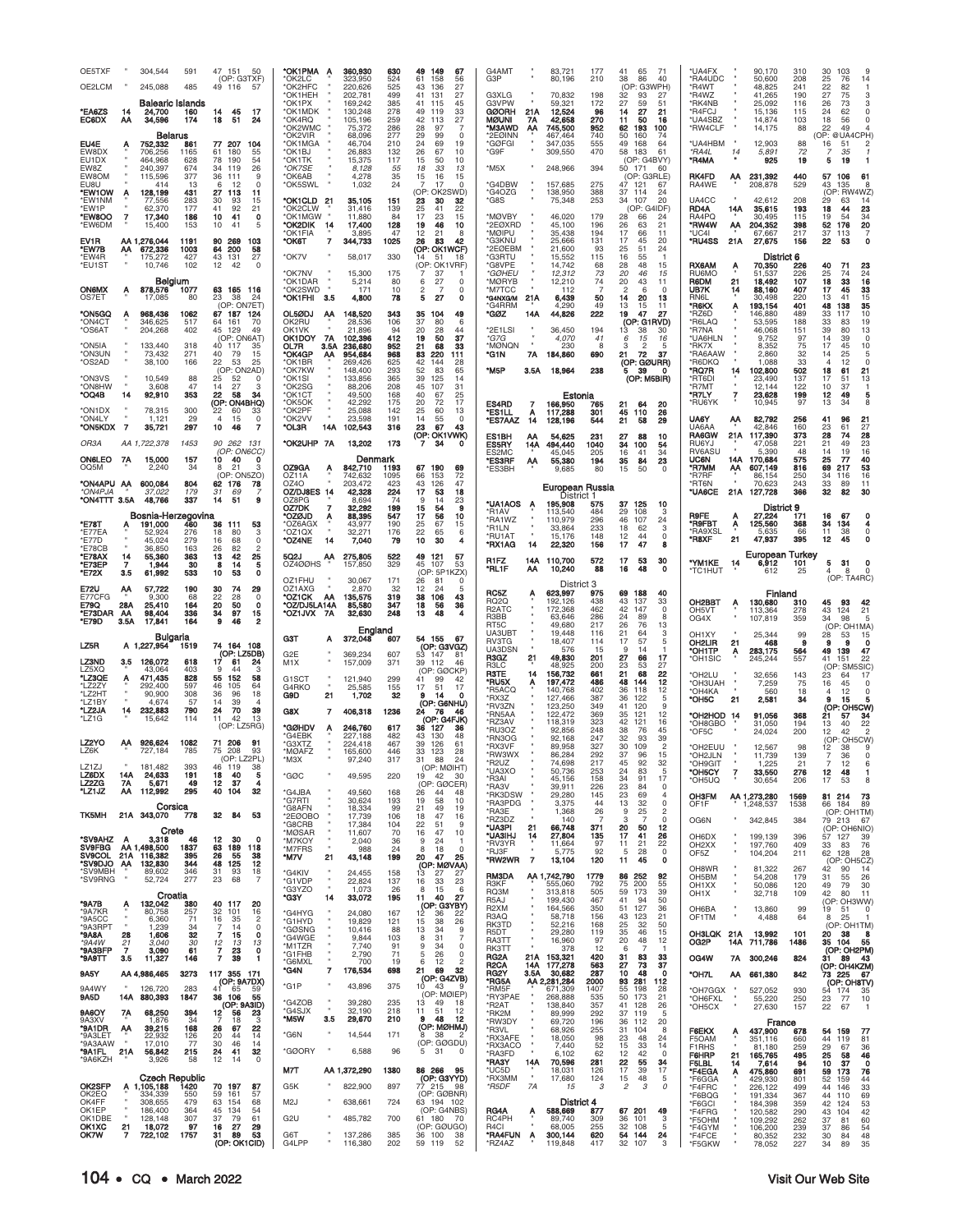| OE5TXF<br>OE2LCM<br><b>EA6ZS</b><br>EC6DX                                   | 14<br>ΑА                         | 304,544<br>245,088<br>Balearic Islands<br>24,700<br>34,596                          | 591<br>485<br>160<br>174                                 | 47<br>151<br>50<br>(OP: G3TXF)<br>49 116<br>57<br>14<br>45<br>17<br>18<br>51<br>24                                                                                                    | *OK1PMA<br>'OK2LC<br>*OK2HFC<br>*OK1HEH<br>*OK1PX<br>*OK1MDK<br>*OK4RQ | A                        | 360,930<br>323,950<br>220,626<br>202,781<br>169,242<br>130,248<br>105,196 | 630<br>524<br>525<br>499<br>385<br>278<br>259 | 49<br>149<br>67<br>61<br>158<br>56<br>43<br>136<br>27<br>41<br>131<br>27<br>41<br>115<br>45<br>49<br>33<br>119<br>42<br>27<br>113  | G4AMT<br>G3P<br>G3XLG<br>G3VPW<br><b>GØORH</b><br>MØUNI                             | 21A<br>7Α                   | 83,721<br>80,196<br>70,832<br>59,321<br>12,524<br>42,658                     | 177<br>210<br>198<br>172<br>96<br>270              | 41<br>65<br>38<br>86<br>(OP: G3WPH)<br>32<br>93<br>27<br>59<br>14<br>27<br>11<br>50                       | 71<br>40<br>27<br>51<br>21<br>16                       | *UA4FX<br>*RA4UDC<br>*R4WT<br>*R4WZ<br>*RK4NB<br>*R4FCJ<br>*UA4SBZ |                  | 90,170<br>50,600<br>48,825<br>41.265<br>25,092<br>15,136<br>14,874       | 310<br>208<br>241<br>190<br>116<br>115<br>103 | 30<br>103<br>76<br>25<br>22<br>82<br>27<br>75<br>73<br>26<br>24<br>62<br>18<br>56      | 9<br>14<br>$\overline{1}$<br>з<br>$\Omega$                            |
|-----------------------------------------------------------------------------|----------------------------------|-------------------------------------------------------------------------------------|----------------------------------------------------------|---------------------------------------------------------------------------------------------------------------------------------------------------------------------------------------|------------------------------------------------------------------------|--------------------------|---------------------------------------------------------------------------|-----------------------------------------------|------------------------------------------------------------------------------------------------------------------------------------|-------------------------------------------------------------------------------------|-----------------------------|------------------------------------------------------------------------------|----------------------------------------------------|-----------------------------------------------------------------------------------------------------------|--------------------------------------------------------|--------------------------------------------------------------------|------------------|--------------------------------------------------------------------------|-----------------------------------------------|----------------------------------------------------------------------------------------|-----------------------------------------------------------------------|
| EU4E<br>EW8DX<br>EU1DX<br>EW8Z<br>EW8OM                                     | А                                | Belarus<br>752.332<br>706,256<br>464,968<br>240.397<br>115,596                      | 861<br>1165<br>628<br>674<br>377                         | 77 207<br>104<br>55<br>61<br>180<br>78<br>190<br>54<br>26<br>34<br>119<br>36<br>111<br>9                                                                                              | *OK2WMC<br>*OK2VIR<br>'OK1MGA<br>*OK1BJ<br>*OK1TK<br>*OK7SE<br>*OK6AB  |                          | 75,372<br>68,096<br>46,704<br>26,883<br>15,375<br>8,128<br>4,278          | 286<br>277<br>210<br>132<br>117<br>55<br>35   | 28<br>97<br>7<br>29<br>$\Omega$<br>99<br>24<br>19<br>69<br>26<br>67<br>10<br>15<br>50<br>10<br>18<br>33<br>13<br>15<br>16<br>15    | <b>M3AWD</b><br>*2EØINN<br>*GØFGI<br>*G9F<br>*M5X                                   | AA                          | 745,500<br>467,464<br>347,035<br>309,550<br>248,966                          | 952<br>740<br>555<br>470<br>394                    | 62<br>193<br>50<br>160<br>49<br>168<br>58 183<br>(OP: G4BVY)<br>50 171<br>(OP: G3RLE)                     | 100<br>74<br>64<br>61<br>60                            | *RW4CLF<br><b>UA4HBM</b><br>*RA4L<br>*R4MA<br><b>RK4FD</b>         | 14<br>АА         | 14,175<br>12.903<br>5,891<br>925<br>231,392                              | 88<br>88<br>72<br>19<br>440                   | 22<br>49<br>OP: @UA4CPH)<br>16<br>51<br>7<br>35<br>5<br>19<br>57<br>106                | Δ<br>61                                                               |
| FU8U<br>*EW1OW<br>'EW1NM<br>*EW1P<br>*EW8OO<br>*EW6DN                       | А<br>$\overline{7}$              | 414<br>128,199<br>77,556<br>62,370<br>17,340<br>15,400                              | 13<br>431<br>283<br>177<br>186<br>153                    | <sup>0</sup><br>12<br>27<br>113<br>11<br>30<br>93<br>15<br>41<br>92<br>21<br>10<br>41<br>0<br>10<br>41<br>5                                                                           | °OK5SWL<br>*OK1CLD<br>*OK2CLW<br>°OK1MGW<br>*OK2DIK<br>'OK1FIA         | -21<br>- 14              | 1,032<br>35,105<br>31,416<br>11,880<br>17,400<br>3.895                    | 24<br>151<br>139<br>84<br>128<br>47           | 7<br>17<br>$\Omega$<br>(OP: OK2SWD)<br>23<br>30<br>32<br>25<br>41<br>22<br>17<br>23<br>15<br>19<br>46<br>10<br>12<br>21<br>8       | 'G4DBW<br>G4OZG*<br>*G8S<br>*MØVBY<br>*2EØXRD<br><b>MØIPU</b>                       |                             | 157,685<br>138,950<br>75,348<br>46,020<br>45,100<br>35,438                   | 275<br>388<br>253<br>179<br>196<br>194             | 47 121<br>37 114<br>34<br>107<br>28<br>66<br>26<br>63<br>17<br>66                                         | 67<br>24<br>20<br>(OP: G4IDF)<br>24<br>21<br>11        | RA4WE<br>UA4CC<br>RD4A<br>RA4PQ<br>*RW4W<br>'UC4I                  | 14A<br>ΑА        | 208,878<br>42,612<br>35,615<br>30,495<br>204,352<br>67,667               | 529<br>208<br>193<br>115<br>398<br>217        | 43<br>135<br>(OP: RW4WZ)<br>29<br>63<br>18<br>44<br>19<br>54<br>52<br>176<br>37<br>113 | 8<br>14<br>23<br>34<br>20<br>7                                        |
| EV1R<br>*EW7B<br>*EW4R<br>*EU1ST                                            | ΑА                               | AA 1,276,044<br>672,336<br>175,272<br>10.746<br>Belgium                             | 1191<br>1003<br>427<br>102                               | 90<br>269<br>103<br>64 200<br>58<br>43<br>131<br>27<br>12<br>42<br>$\circ$                                                                                                            | *ОК6Т<br>*OK7V<br>*OK7NV<br>*OK1DAR                                    | 7                        | 344,733<br>58,017<br>15,300<br>5,214                                      | 1025<br>330<br>175<br>80                      | 26<br>83<br>42<br>(OP: OK1WCF)<br>14<br>51<br>18<br>(OP: OK1VRF)<br>7<br>37<br>6<br>27                                             | 'G3KNU<br>2EØEBM<br>'G3RTU<br>'G8VPE<br>*GØHEU<br>*MØRYB                            |                             | 25,666<br>21,600<br>15,552<br>14,742<br>12,312<br>12,210                     | 131<br>93<br>115<br>68<br>73<br>74                 | 17<br>45<br>25<br>51<br>16<br>55<br>28<br>48<br>20<br>46<br>20<br>43                                      | 20<br>24<br>15<br>15<br>11                             | *RU4SS<br><b>RX6AM</b><br>RU6MO<br>R6DM                            | 21A<br>А<br>21   | 27,675<br>District 6<br>70,350<br>51,537<br>18,492                       | 156<br>226<br>226<br>107                      | 22<br>53<br>40<br>71<br>25<br>74<br>18<br>33                                           | ٥<br>23<br>24<br>16                                                   |
| <b>ON6MX</b><br>OS7ET<br>ON5GQ*<br>'ON4C1                                   | А<br>А                           | 878,576<br>17,085<br>968,436<br>346,625                                             | 1077<br>80<br>1062<br>517                                | 63 165 116<br>23<br>38<br>24<br>(OP: ON7ET)<br>67 187<br>124<br>64 161<br>70                                                                                                          | *OK2SWD<br>*OK1FHI<br>OL5ØDJ<br>OK2RU                                  | - 3.5<br>ΑА              | 171<br>4,800<br>148,520<br>28,536                                         | 10<br>78<br>343<br>106                        | 2<br>$\Omega$<br>-7<br>27<br>5<br>$\Omega$<br>35<br>104<br>49<br>37<br>80<br>6                                                     | *M7TCC<br><b>G4NXG/M</b><br>'G4RRM<br>*GØZ                                          | 21A<br>14A                  | 112<br>6,439<br>4,290<br>44,826                                              | 50<br>49<br>222                                    | 2<br>6<br>14<br>20<br>13<br>15<br>19<br>47<br>(OP: G1RVD)                                                 | $\Omega$<br>13<br>11<br>27                             | UB7K<br>RN6L<br>*R6KX<br>*RZ6D<br>*R6LAQ                           | 14               | 88,160<br>30,498<br>193,154<br>146,880<br>53,595                         | 407<br>220<br>401<br>489<br>188               | 45<br>17<br>13<br>41<br>48<br>138<br>33<br>117<br>33<br>83                             | 33<br>15<br>35<br>10<br>19                                            |
| 'OS6AT<br>'ON5IA<br><b>ON3UN</b><br>'OS2AD                                  |                                  | 204,268<br>133,440<br>73,432<br>38,100                                              | 402<br>318<br>271<br>166                                 | 45 129<br>49<br>(OP: ON6AT)<br>40 117<br>35<br>40<br>15<br>-79<br>22<br>53<br>25<br>(OP: ON2AD)                                                                                       | OK1VK<br>OK1DOY<br>OL7R<br><b>OK4GP</b><br>OK1BR*<br>*OK7KW            | <b>7A</b><br>3.5A<br>AA  | 21,896<br>102,396<br>236,680<br>954,684<br>269,426<br>148,400             | 94<br>412<br>952<br>968<br>625<br>293         | 20<br>28<br>44<br>19<br>37<br>50<br>21<br>68<br>33<br>83<br>220<br>111<br>42<br>144<br>28<br>52<br>83<br>65                        | *2E1LSI<br>*G7G<br>*MØNQN<br>*G1N<br>*M5P                                           | 7A<br>3.5A                  | 36,450<br>4,070<br>230<br>184,860<br>18,964                                  | 194<br>41<br>8<br>690<br>238                       | 13<br>38<br>6<br>15<br>3<br>$\overline{2}$<br>72<br>21<br>(OP: GØURR)<br>39<br>5                          | 30<br>16<br>5<br>37<br>0                               | 'R7NA<br>*UA6HLN<br>*RK7X<br><b>*RA6AAW</b><br>*R6DKQ<br>*RQ7R     | 14               | 46,068<br>9,752<br>8,352<br>2,860<br>1,088<br>102,800                    | 151<br>97<br>75<br>32<br>33<br>502            | 39<br>80<br>14<br>39<br>17<br>45<br>25<br>14<br>12<br>4<br>18<br>61                    | 13<br>$\Omega$<br>10<br>5<br>$\mathbf 0$<br>21                        |
| 'ON3VS<br><b>ONBHW</b><br>*OQ4B<br>'ON1DX<br>'ON4LY<br>"ON5KDX7             | $\mathbf{u}$<br>14               | 10,549<br>3.608<br>92,910<br>78,315<br>1,121<br>35,721                              | 88<br>47<br>353<br>300<br>29<br>297                      | 25<br>52<br>0<br>14<br>27<br>з<br>22<br>58<br>34<br>(OP: ON4BHQ)<br>22<br>60<br>33<br>$\overline{4}$<br>15<br>0<br>10<br>46<br>7                                                      | *OK1SI<br>°OK2SG<br>*OK1CT<br>*OK5OK<br>OK2PF<br>*OK2VV<br>*OL3R       | 14A                      | 133,856<br>88,206<br>49,500<br>42,292<br>25,088<br>23,598<br>102,543      | 365<br>208<br>168<br>175<br>142<br>191<br>316 | 39<br>125<br>14<br>45<br>31<br>107<br>40<br>25<br>67<br>20<br>72<br>17<br>25<br>60<br>13<br>14<br>55<br>0<br>23<br>67<br>43        | ES4RD<br>*ES1LL<br><b>*ES7AAZ</b>                                                   | 7<br>$\frac{A}{14}$         | Estonia<br>166,950<br>117,288<br>128,196                                     | 765<br>301<br>544                                  | 21<br>64<br>45<br>110<br>21<br>58                                                                         | (OP: M5BIR)<br>20<br>26<br>29                          | *RT6DI<br>*R7MT<br>*R7LY<br>*RU6YK<br><b>UA6Y</b><br>UA6AA         | ΑА               | 23,490<br>12,144<br>23,628<br>10,945<br>82,792<br>42,846                 | 137<br>122<br>199<br>97<br>256<br>160         | 17<br>51<br>10<br>37<br>12<br>49<br>13<br>34<br>41<br>96<br>23<br>61                   | 13<br>5<br>21<br>27                                                   |
| OR3A<br>ON6LEO<br>OQ5M                                                      | 7A                               | AA 1,722,378<br>15,000<br>2,240                                                     | 1453<br>157<br>34                                        | 90 262 131<br>(OP: ON6CC)<br>10<br>40<br>0<br>8<br>21<br>3<br>(OP: ON5ZO)                                                                                                             | *OK2UHP<br>OZ9GA<br>OZ11A                                              | 7A<br>Α                  | 13,202<br>Denm<br>842,710<br>742,632                                      | 173<br>ıark<br>1193<br>1095                   | (OP: OK1VWK)<br>34<br>7<br>o<br>67<br>190<br>69<br>66<br>72<br>153                                                                 | ES1BH<br>ES5RY<br>ES2MC<br>*ES3RF<br>*ES3BH                                         | ΑА<br>14A<br>ΑА             | 54,625<br>494,440<br>45,045<br>55,380<br>9,685                               | 231<br>1040<br>205<br>194<br>80                    | 27<br>88<br>34<br>100<br>16<br>41<br>35<br>84<br>15<br>50                                                 | 10<br>54<br>34<br>23<br>$\Omega$                       | <b>RA6GW</b><br>RU6YJ<br>RV6ASL<br>UC6N<br>*R7MM<br>*R7RF          | 21A<br>14A<br>АΑ | 117,390<br>47,058<br>5,390<br>170,684<br>607.149<br>86,154               | 373<br>221<br>48<br>575<br>816<br>250         | 28<br>74<br>21<br>49<br>14<br>19<br>25<br>$\overline{77}$<br>69<br>217<br>34<br>116    | 28<br>23<br>16<br>40<br>53<br>16                                      |
| "ON4APU AA<br>*ON4PJA<br>*ON4TTT 3.5A                                       |                                  | 600,084<br>37.022<br>48,766<br>Bosnia-Herzegovina<br>191,000 460                    | 804<br>179<br>337                                        | 62 176<br>78<br>31<br>69<br>-7<br>14<br>-51<br>9                                                                                                                                      | OZ4O<br>OZ/DJ8ES 14<br>OZ8PG<br>OZ7DK<br>*OZØJD                        | 7<br>Α                   | 203,472<br>42,328<br>8,694<br>32.292<br>88,395                            | 423<br>224<br>74<br>199<br>547                | 43<br>126<br>47<br>17<br>53<br>18<br>9<br>23<br>15<br>9<br>54<br>17<br>56<br>10                                                    | *UA1AOS<br>*R1AV                                                                    | A                           | European Russia<br>District 1<br>195,908<br>113.540                          | 575<br>484                                         | 125<br>37<br>29<br>108                                                                                    | 10<br>3                                                | *RT6N<br>*UA6CE<br><b>R9FE</b>                                     | 21A<br>A         | 70,623<br>127,728<br>District 9<br>27.224                                | 243<br>366<br>171                             | 33<br>89<br>32<br>82<br>16<br>67                                                       | 11<br>30                                                              |
| *E78T<br>'E77EA<br>'E77D<br>'E78CB<br><b>*E78AX</b><br>*E73EP<br>*E72X      | 14<br>7<br>3.5                   | 191,000<br>52.924<br>45,024<br>36,850<br>55,360<br>1,944<br>61,992                  | 276<br>279<br>163<br>363<br>30<br>533                    | 36<br>111<br>53<br>18<br>80<br>з<br>16<br>68<br>$\Omega$<br>26<br>82<br>2<br>13<br>42<br>25<br>ē.<br>5<br>14                                                                          | *OZ6AGX<br>'OZ1QX<br>*OZ4NE<br>5Q2J<br>OZ4ØØHS                         | 14<br>AA                 | 43,977<br>32,271<br>7,040<br>275,805                                      | 190<br>176<br>79<br>522                       | 25<br>67<br>15<br>22<br>65<br>6<br>10<br>30<br>4<br>49<br>121<br>57                                                                | 'RA1WZ<br>*R1LN<br>*RU1AT<br>*RX1AG<br>R1FZ                                         | 14<br>14A<br>ΑА             | 110,979<br>33,864<br>15,176<br>22,320<br>110,700<br>10,240                   | 296<br>233<br>148<br>156<br>572<br>88              | 46<br>107<br>18<br>62<br>12<br>44<br>17<br>47<br>17<br>53<br>48<br>16                                     | 24<br>3<br>$\mathbf 0$<br>8<br>30<br>$\mathbf 0$       | *R9FBT<br>'RA9XSI<br>*R8XF<br>"YM1KE                               | Α<br>21<br>14    | 125,560<br>47,937<br>European Turkey<br>6,912                            | 368<br>66<br>395<br>101                       | 34<br>134<br>11<br>38<br>12<br>45<br>5<br>-31                                          | $\Omega$<br>0<br>0                                                    |
|                                                                             |                                  |                                                                                     |                                                          |                                                                                                                                                                                       |                                                                        |                          | 157,850                                                                   | 329                                           | 45<br>107<br>53                                                                                                                    | 'RL1F                                                                               |                             |                                                                              |                                                    |                                                                                                           |                                                        | *TC1HUT                                                            |                  | 612                                                                      | 25                                            | 8                                                                                      | $\mathbf 0$                                                           |
| E72U<br>E77CFG<br>E79Q<br>*E73DAR<br>*E79D                                  | АА<br>28A<br><b>AA</b><br>3.5A   | 57,722<br>9.300<br>25,410                                                           | 190<br>68<br>164<br>336<br>164                           | 10<br>53<br>٥<br>30<br>74<br>29<br>22<br>$\Omega$<br>28<br>20<br>50<br>0<br>34<br>9<br>97<br>15<br>46<br>2                                                                            | OZ1FHU<br>OZ1AXG<br>*OZ1CK<br>*OZ/DJ5LA14A<br>*OZ1JVX 7A               | AA                       | 30,067<br>2,870<br>135,575<br>85,580<br>32,630                            | 171<br>32<br>319<br>347<br>248                | (OP: 5P1KZX)<br>26<br>81<br>12<br>24<br>5<br>38<br>106<br>43<br>18<br>36<br>56<br>13<br>48                                         | RC5Z<br><b>RQ2Q</b><br>R <sub>2</sub> ATC<br>R3BB                                   |                             | District 3<br>623,997<br>192,126<br>172,368<br>63,646                        | 975<br>438<br>462<br>286                           | 69<br>188<br>43<br>137<br>42<br>147<br>24<br>89                                                           | 40<br>33<br>$\Omega$<br>8                              | OH <sub>2</sub> BBT<br>OH5VT<br>OG4X                               |                  | Finland<br>130,680<br>113,364<br>107,819                                 | 310<br>278<br>359                             | 93<br>45<br>43<br>124<br>98<br>34                                                      | (OP: TA4RC)<br>42<br>21<br>5                                          |
| LZ5R                                                                        |                                  | 98,404<br>17,841<br>Bulgaria<br>A 1,227,954                                         | 1519                                                     | 74 164 108                                                                                                                                                                            | G3T                                                                    | А                        | England<br>372,048                                                        | 607                                           | 54 155<br>67<br>(OP: G3VGZ)                                                                                                        | RT5C<br><b>UA3UBT</b><br>RV3TG<br>UA3DSN                                            |                             | 49,680<br>19,448<br>18,407<br>576                                            | 217<br>116<br>114<br>15                            | 26<br>76<br>21<br>64<br>57<br>17<br>9<br>14                                                               | 13<br>3<br>5                                           | OH1XY<br>OH2LIR                                                    | 21               | 25,344<br>468                                                            | 99<br>9                                       | (OP)<br>28<br>53<br>9                                                                  | OH <sub>1</sub> MA)<br>15<br>$\mathbf o$                              |
| LZ3ND<br>LZ5XQ                                                              | 3.5                              | 126,072<br>43,064                                                                   | 618<br>403                                               | (OP: LZ5DB)<br>17 61 24<br>24<br>q<br>44<br>з                                                                                                                                         | G <sub>2</sub> E<br>M <sub>1</sub> X                                   |                          | 369,234<br>157,009                                                        | 607<br>371                                    | 53 147<br>81<br>39<br>112<br>46<br>(OP: GØCKP)                                                                                     | R3GZ<br>R3LC<br><b>R3TE</b>                                                         | 21<br>14                    | 49,830<br>48,925<br>156,732                                                  | 201<br>200<br>661                                  | 27<br>66<br>23<br>53<br>21<br>68                                                                          | 17<br>27<br>22                                         | OH1TP*<br>'OH1SIC<br>OH2LU <sup>*</sup>                            | Α                | 283,175<br>245,244<br>32,656                                             | 564<br>557<br>143                             | 49<br>139<br>41<br>151<br>(OP<br>23<br>64                                              | 47<br>22<br>SM5SIC<br>17                                              |
| *LZ3QE<br>LZ2ZY<br>'LZ2HT<br>'LZ1BY<br>*LZ2JA<br>ʻLZ1G                      | Α<br>14                          | 471,435<br>292,400<br>90,900<br>4,674<br>232,883<br>15,642                          | 828<br>597<br>308<br>57<br>790<br>114                    | 55<br>152<br>58<br>46<br>105<br>64<br>36<br>96<br>18<br>14<br>39<br>4<br>70<br>39<br>24<br>13<br>11<br>42                                                                             | G1SCT<br>G4RKO<br>G9D<br>G8X                                           | 21<br>$\overline{7}$     | 121,940<br>25,585<br>1,702<br>406,318                                     | 299<br>155<br>32<br>1236                      | 41<br>99<br>42<br>17<br>17<br>51<br>9<br>-14<br>(OP: G6NHU)<br>24<br>-76<br>46<br>(OP: G4FJK)                                      | *RU5X<br>*R5ACQ<br>*RX3Z<br>*RV3ZN<br>*RN5AA                                        |                             | 197,472<br>140,768<br>127,466<br>123,250<br>122,472                          | 486<br>402<br>387<br>349<br>369                    | 48<br>144<br>36<br>118<br>36<br>122<br>41<br>120<br>35<br>121                                             | 12<br>12<br>5<br>9<br>12                               | <b>OH3UAH</b><br>*OH4KA<br>*OH5C<br>*OH2HOD 14                     | 21               | 7,259<br>560<br>2,581<br>91,056                                          | 75<br>18<br>34<br>368                         | 45<br>16<br>12<br>9<br>15<br>(OP:<br>21<br>57                                          | $\Omega$<br>0<br>5<br>OH5CW<br>34                                     |
| LZ2YO<br>LZ6K                                                               | AA.                              | 926,624<br>727.184                                                                  | 1082<br>785                                              | (OP: LZ5RG)<br>71 206<br>91<br>75 208<br>93<br>(OP: LZ2PL)                                                                                                                            | *GØHDV<br>'G4EBK<br>'G3XTZ<br>*MØAFZ<br>$*$ M $3X$                     | Α                        | 246,760<br>227,188<br>224,418<br>165,600<br>97,240                        | 617<br>482<br>467<br>446<br>317               | 36<br>-127<br>36<br>43<br>130<br>48<br>39<br>126<br>61<br>33<br>123<br>28<br>31<br>88<br>24                                        | *RZ3AV<br>*RU3OZ<br>*RN3OG<br>*RX3VF<br>*RW3WX<br><b>R2LIZ</b>                      |                             | 118,319<br>92.856<br>92,168<br>89.958<br>86,284<br>74 698                    | 323<br>248<br>247<br>327<br>292                    | 42<br>121<br>38<br>76<br>32<br>93<br>30<br>109<br>37<br>96<br>۵2                                          | 16<br>45<br>39<br>$\mathfrak{p}$<br>15                 | 'OH8GBO<br>*OF5C<br>*OH2EUU<br>*OH2JLN                             |                  | 31,050<br>24,024<br>12,567<br>11,739                                     | 194<br>200<br>98<br>139                       | 13<br>40<br>12<br>42<br>(OP<br>12<br>38<br>36                                          | 22<br>$\overline{c}$<br>OH5CW)<br>0                                   |
| LZ1ZJ<br>LZ6DX<br>LZ2ZG<br>"LZ1JZ                                           | 14A<br>7A<br>ΑА                  | 181,482<br>24,633<br>5,671<br>112,992                                               | 393<br>191<br>49<br>295                                  | 46<br>119<br>38<br>18<br>40<br>5<br>12<br>37<br>4<br>40<br>32<br>104                                                                                                                  | *GØC<br>*G4JBA                                                         |                          | 49,595<br>49,560                                                          | 220<br>168                                    | (OP: MØIHT)<br>19<br>42<br>-30<br>(OP: GØCER)<br>26<br>48<br>44<br>58<br>10                                                        | *UA3XO<br>*R3AI<br>*RA3V<br>*RK3DSW                                                 |                             | 50,736<br>45,156<br>39,911<br>29,280                                         | 253<br>158<br>226<br>145                           | 24<br>83<br>34<br>91<br>23<br>84<br>23<br>69                                                              | 32<br>5<br>17<br>0<br>4                                | лнысы<br>*OH5CY<br>*OH5UQ<br><b>OH3FM</b>                          | 7                | 1.225<br>33,550<br>30,654<br>AA 1,273,280                                | 21<br>276<br>206<br>1569                      | 12<br>48<br>17<br>53<br>81 214                                                         | ь<br>$\mathbf{1}$<br>8<br>73                                          |
| <b>TK5MH</b>                                                                | А                                | Corsica<br>21A 343,070<br>Crete                                                     | 778<br>46                                                | 32<br>84<br>53<br>$\Omega$                                                                                                                                                            | *G7RTI<br>*G8AFN<br>*2EØOBO<br>*G8CRB<br>*MØSAR                        |                          | 30,624<br>18,334<br>17,739<br>17,384<br>11,607                            | 193<br>99<br>106<br>104<br>70                 | 19<br>21<br>49<br>-19<br>18<br>47<br>16<br>22<br>51<br>9<br>16<br>47<br>10                                                         | *RA3PDG<br>*RA3E<br>*RZ3DZ<br>*UA3PI<br>*UA3IHJ                                     | 21<br>14                    | 3,375<br>1,368<br>140<br>66,748<br>27,804                                    | 44<br>26<br>371<br>135                             | 13<br>32<br>25<br>9<br>3<br>20<br>50<br>17<br>41                                                          | 0<br>$\overline{c}$<br>$\mathbf 0$<br>12<br>26         | OF1F<br>OG6N<br>OH6DX                                              |                  | 1,248,537<br>342,845<br>199,139                                          | 1538<br>384<br>396                            | 66 184<br>79 213<br>(OP: OH6NIO)<br>57 127                                             | 89<br>(OP: OH1TM)<br>67<br>39                                         |
| *SV9AHZ<br>SV9FBG<br>SV9COL.<br>*SV9DJO<br>'SV9MBH<br>*SV9RNG               | 21A<br>AA<br>$\mathbf{u}$        | 3,318<br>AA 1,498,500<br>116,382<br>132,830<br>89,602<br>52,724                     | 1837<br>395<br>344<br>346<br>277                         | 12<br>-30<br>63<br>189<br>118<br>26<br>55<br>38<br>48<br>12<br>125<br>93<br>31<br>18<br>23<br>68<br>$\overline{7}$                                                                    | *M7KOY<br>*M7FRS<br>*M7V<br>*G4KIV<br>*G1VDP<br>*G3YZO                 | 21                       | 2,040<br>988<br>43,148<br>24,455<br>22,824<br>1,073                       | 36<br>24<br>199<br>158<br>137<br>26           | 9<br>24<br>8<br>18<br>$\Omega$<br>20<br>47<br>25<br>(OP: MØVAA)<br>13<br>27<br>-27<br>23<br>16<br>33<br>8<br>15<br>6               | *RV3YR<br>*RJ3F<br>*RW2WR<br><b>RM3DA</b><br>R3KF<br>RQ3M                           | $\overline{7}$              | 11,664<br>5,775<br>13,104<br>AA 1,742,790<br>555,060<br>313,818              | 97<br>92<br>120<br>1779<br>792<br>505              | 11<br>21<br>-5<br>28<br>11<br>45<br>86 252<br>75<br>200<br>59<br>173                                      | 22<br>0<br>0<br>92<br>55<br>39                         | OH <sub>2</sub> XX<br>OF5Z<br>OH8WR<br>OH5BM<br>OH <sub>1</sub> XX |                  | 197,760<br>104,204<br>81,322<br>54,208<br>50,086                         | 409<br>211<br>267<br>179<br>120               | 33 83<br>62 128<br>42<br>90<br>31<br>55<br>49<br>79<br>-80                             | 76<br>28<br>(OP: OH5CZ)<br>-14<br>26<br>30<br>11                      |
| °9A7B<br>*9A7KR<br>*9A5CC<br>*9A3RPT<br>°9A8A<br>*9A4W<br>*9A3BFP<br>*9A9TT | ۸<br>28<br>21<br><b>7</b><br>3.5 | Croatia<br>132,042<br>80,758<br>6,360<br>1,239<br>1,606<br>3,040<br>3,090<br>11,327 | 380<br>257<br>$7^{\circ}$<br>34<br>32<br>30<br>61<br>146 | 40 117<br>20<br>32<br>101<br>16<br>16<br>35<br>$\overline{2}$<br>14<br>0<br>$\overline{7}$<br>15<br>$\mathbf 0$<br>$\frac{12}{7}$<br>13<br>13<br>23<br>0<br>$\overline{7}$<br>39<br>1 | *G3Y<br>*G4HYG<br>*G1HYD<br>*GØSNG<br>*G4WGE<br>*M1TZR<br>*G1FHB       | 14                       | 33,072<br>24,080<br>19,829<br>10,416<br>9,844<br>7,740<br>2,790           | 195<br>167<br>121<br>88<br>103<br>91<br>71    | 11<br>40<br>27<br>(OP: G3YBY)<br>12<br>36<br>22<br>15<br>38<br>26<br>13<br>34<br>9<br>8<br>31<br>7<br>9<br>34<br>0<br>5<br>26<br>0 | <b>R5AJ</b><br>R <sub>2</sub> XM<br>R3AQ<br>RK3TD<br>R5DT<br>RA3TT<br>RK3TT<br>RG2A | 21A                         | 199,430<br>164,566<br>58,718<br>52,216<br>29,280<br>16,960<br>378<br>153,321 | 467<br>350<br>156<br>168<br>119<br>97<br>12<br>420 | 41<br>94<br>51<br>127<br>43<br>123<br>25<br>32<br>46<br>35<br>20<br>48<br>$\overline{7}$<br>6<br>31<br>83 | 50<br>36<br>21<br>50<br>15<br>12<br>$\mathbf{1}$<br>33 | OH <sub>1</sub> X<br>OH6BA<br>OF1TM<br>OH3LQK 21A<br>OG2P<br>OG4W  |                  | 32,718<br>13,860<br>4,488<br>13,992<br>14A 711,786<br>7A 300,246         | 109<br>99<br>64<br>101<br>1486<br>824         | 42<br>(OP: OH3WW)<br>19<br>-51<br>25<br>8<br>20 38<br>35 104<br>31 89 43               | $\Omega$<br>$\mathbf{1}$<br>(OP: OH1TM)<br>- 8<br>- 55<br>(OP: OH2PM) |
| 9A5Y<br>9A4WY                                                               |                                  | AA 4,986,465                                                                        | 3273<br>283                                              | 117 355 171<br>(OP: 9A7DX)<br>41<br>65<br>59                                                                                                                                          | *G6MXL<br>*G4N<br>*G1P                                                 | $\overline{\phantom{a}}$ | 700<br>176,534<br>43,896                                                  | 19<br>698<br>375                              | 6<br>12<br>$\overline{c}$<br>21<br>69<br>32<br>(OP: G4ZVB)<br>10 <sup>10</sup><br>- 43<br>-9                                       | R <sub>2</sub> CA<br>RG2Y<br>*RG5A                                                  | 14A<br>3.5A                 | 177,278<br>30,682<br>AA 2,281,284                                            | 563<br>287<br>2000                                 | 27<br>73<br>10<br>48<br>93<br>281                                                                         | 37<br>0<br>112                                         | *OH7L                                                              |                  | AA 661,380                                                               | 842                                           | (OP: OH4KZM)<br>73 225 67                                                              | (OP: OH8TV)                                                           |
| 9A5D<br>9A6OY<br>9A3XV                                                      | 14A<br>7A                        | 126,720<br>880,393<br>68,250<br>1,876                                               | 1847<br>394<br>34                                        | 36 106<br>55<br>(OP: 9A3ID)<br>23<br>12<br>56<br>18<br>3                                                                                                                              | *G4ZOB<br>*G4SJX<br>*M5W                                               | 3.5                      | 39,280<br>32,190<br>29,670                                                | 235<br>218<br>210                             | (OP: MØIEP)<br>49<br>13<br>- 18<br>11<br>51<br>-12<br>48<br>я<br>-12                                                               | *RM5F<br>*RY3PAE<br>*R2AT<br>*RK2M<br>*RW3DY                                        |                             | 671,309<br>268,888<br>138,840<br>89,999<br>69,720                            | 1407<br>535<br>357<br>292<br>196                   | 55<br>198<br>50<br>173<br>41<br>128<br>37 119<br>36 112                                                   | 28<br>21<br>26<br>5<br>20                              | *OH7GGX<br>*OH6FXL<br>*OH5CX                                       | $\mathbf{u}$     | 527,052<br>55,220<br>27,630                                              | 930<br>250<br>157                             | 54 174<br>23<br>- 77<br>22<br>67                                                       | - 35<br>10<br>$\overline{1}$                                          |
| *9A1DR<br>*9A3LET<br>'9A3AAW<br>*9A1FL<br>*9A6KZH                           | AA<br>21A                        | 39,215<br>22,932<br>17,010<br>56,842<br>3,926                                       | 168<br>126<br>77<br>215<br>58                            | 26<br>67<br>22<br>20<br>44<br>14<br>30<br>46<br>14<br>24<br>32<br>41<br>12<br>-14<br>0                                                                                                | *G6N<br>*GØORY                                                         | $\blacksquare$           | 14,544<br>6,588                                                           | 171<br>96                                     | (OP: MØHMJ)<br>38<br>8<br>(OP: GØGDU)<br>5 31<br>$^{\circ}$                                                                        | *R3VL<br>*RX3AFE<br>*RX3ACO<br>*RA3FD                                               |                             | 68,926<br>18,050<br>7,440<br>6,102                                           | 255<br>98<br>52<br>62                              | 31<br>104<br>23<br>48<br>15<br>33<br>12<br>42                                                             | 8<br>24<br>14<br>$\circ$                               | F6EKX<br>F5OAM<br>F1RHS<br>F6HRP                                   | A<br>21          | France<br>437,900<br>351,116<br>81.180<br>165,765                        | 678<br>660<br>259<br>495                      | 54 159<br>44<br>119<br>29<br>67<br>25<br>58                                            | 77<br>81<br>36<br>46                                                  |
| OK2SFP                                                                      |                                  | Czech Republic<br>A 1,105,188                                                       | 1420                                                     | 70 197<br>87                                                                                                                                                                          | M7T<br>G5K                                                             |                          | AA 1,372,290<br>822,900                                                   | 1380<br>897                                   | 86 266 95<br>(OP: G3YYD)<br>77 215 98                                                                                              | *RA3Y<br>*UC5D<br>*RX3MM<br>*R5DF                                                   | 14A<br>$\blacksquare$<br>7A | 70,596<br>18,031<br>17,680<br>15                                             | 281<br>126<br>124<br>3                             | 22<br>55<br>17<br>39<br>48<br>15<br>3<br>2                                                                | 34<br>17<br>5<br>$\mathcal{O}$                         | F5LBL<br>*F4EGA<br>*F6GGA                                          | 14<br>Α          | 7,614<br>475,860<br>429,930                                              | 94<br>691<br>801<br>499                       | 10<br>37<br>59<br>173<br>52<br>159<br>44                                               | $\mathbf 0$<br>76<br>44                                               |
| OK2EQ<br>OK4FF<br>OK1EP<br>OK1DBE<br>OK1XC<br>OK7W                          | 21<br>7                          | 334,339<br>308,655<br>186,400<br>128,148<br>18,072<br>722,102                       | 550<br>479<br>364<br>307<br>97<br>1757                   | 59<br>161<br>57<br>63<br>154<br>68<br>45<br>134<br>54<br>37<br>79<br>61<br>29<br>27<br>16<br>89<br>53<br>31                                                                           | M <sub>2</sub> J<br>G <sub>2U</sub><br>G6T<br>G4LPP                    | л                        | 638,661<br>485,782<br>137,286                                             | 724<br>700<br>385<br>202                      | (OP: GØBNR)<br>63 194 102<br>(OP: G4NBS)<br>61 180<br>- 70<br>(OP: GØUGO)<br>36 100<br>38<br>59 119                                | RG4A<br>RC4PH<br>R <sub>4CI</sub><br>*RA4FUN<br>*RZ4AZ                              | Ą<br>A                      | District 4<br>588,669<br>89,740<br>68,005<br>300,144                         | 877<br>309<br>255<br>620                           | 67 201<br>36<br>101<br>32<br>108<br>54<br>144<br>32                                                       | 49<br>3<br>5<br>24<br>3                                | *F4FRC<br>*F6BQG<br>*F6GCI<br>*F4FRG<br>*F5OHM<br>*F4GYM<br>*F4FCE |                  | 226,122<br>191,334<br>184,398<br>120,582<br>109,292<br>106,200<br>80,352 | 367<br>359<br>290<br>262<br>239<br>232        | 146<br>44<br>110<br>42<br>124<br>43<br>104<br>37<br>81<br>37<br>86<br>84<br>30         | 33<br>69<br>53<br>42<br>60<br>54<br>48                                |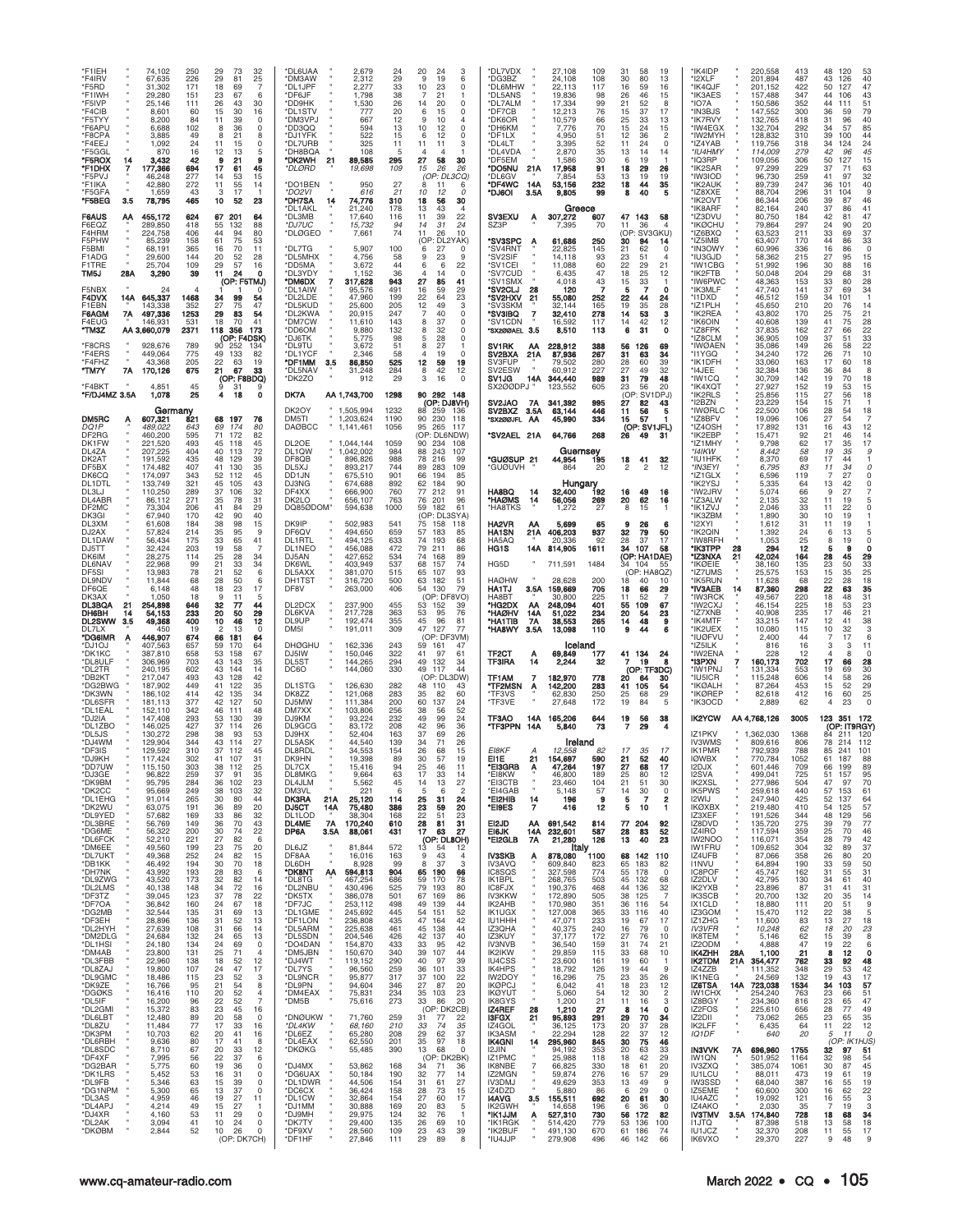| *F1IEH<br>*F4IRV<br>*F5RD<br>*F1IWH<br>*F5IVP<br>*F4CIB<br>*F5TYY<br>*F6APU<br>*F8CPA<br>*F4EEJ<br>*F5GGI<br>*F5ROX<br>14<br>*F1DHX<br>7<br>'F5PVJ<br>*F1IKA<br>*F5GFA<br>*F5BEG<br>3.5<br><b>F6AUS</b><br>AΑ<br>F6EQZ<br>F4HRM<br>F5PHW<br>F5BMI<br>F1ADG<br>F1TRE<br>28A<br>TM5J<br>F5NBX<br>F4DVX<br>14A<br>F1EBN<br>7A<br>F6AGM<br>F4EUG<br>*TM3Z<br>AA 3,660,079<br>*F8CRS<br>*F4ERS<br>*F4FHZ<br>*TM7Y<br>7A<br>*F4BKT<br>*F/DJ4MZ 3.5A                                                                                                                                                                                                                                                                                                                                                                                                                                                                                                                                     | 74,102<br>250<br>67,635<br>226<br>31,302<br>171<br>29,280<br>151<br>25.146<br>111<br>8,601<br>60<br>8,200<br>84<br>6,688<br>102<br>3,885<br>49<br>24<br>1,092<br>870<br>16<br>3,432<br>42<br>177,366<br>694<br>277<br>46,248<br>42,880<br>272<br>1,659<br>43<br>78,795<br>465<br>455,172<br>624<br>289,850<br>418<br>224,758<br>406<br>85,239<br>158<br>68,191<br>365<br>29,600<br>144<br>25,704<br>109<br>3,290<br>39<br>24<br>645,337<br>1468<br>143,338<br>352<br>497,336<br>1253<br>146,931<br>531<br>2371<br>928,676<br>789<br>449,064<br>775<br>43,368<br>205<br>170,126<br>675<br>4,851<br>45<br>1,078<br>25                                                                                                                                                                                                                                                                                                                                                                                                                                                                                                                                                                                                                                                                                                                                                                                                                                                                                                                                                 | 29<br>73<br>32<br>29<br>81<br>25<br>18<br>69<br>23<br>67<br>26<br>43<br>30<br>15<br>30<br>16<br>11<br>39<br>$\Omega$<br>8<br>36<br>0<br>21<br>15<br>$\Omega$<br>11<br>12<br>21<br>17<br>61<br>45<br>14<br>53<br>15<br>11<br>55<br>14<br>3<br>17<br>10<br>52<br>23<br>67<br>201<br>64<br>55<br>88<br>132<br>44<br>94<br>80<br>61<br>53<br>75<br>70<br>11<br>16<br>20<br>52<br>28<br>29<br>16<br>57<br>11<br>24<br>o<br>(OP: F5TMJ)<br>34<br>99<br>54<br>27<br>75<br>47<br>29<br>83<br>54<br>18<br>70<br>41<br>356<br>118<br>173<br>(OP: F4DSK)<br>90<br>134<br>49<br>133<br>82<br>22<br>19<br>63<br>21<br>67<br>33<br>(OP: F8BDQ)<br>31<br>9<br>18<br>4<br>O                                                                                                                                                                                                                                                                                                                                                                                                                                                                                                                                                                                                                                                                                                                                                                                                                                                                                                                                                                                                                                                              | *DL6UAA<br>2,679<br><b>DM3AW</b><br>2,312<br>*DL1JPF<br>2,277<br>*DF6JF<br>1.798<br>*DD9HK<br>1,530<br>*DL1STV<br>777<br>*DM3VPJ<br>667<br>*DD3QQ<br>594<br>*DJ1YFK<br>522<br>DL7URB<br>325<br>*DH8BQA<br>108<br>*DK2WH<br>21<br>89.585<br>*DLØRD<br>19,698<br>*DO1BEN<br>950<br>*DO2VI<br>616<br>*DH7SA<br>14<br>74,776<br>*DL1AKL<br>21,240<br>*DL3MB<br>17,640<br>*DJ7UC<br>15,732<br>*DLØGEO<br>7,661<br>*DL7TG<br>5,907<br>*DL5MHX<br>4,756<br>'DD5MA<br>3,672<br>*DL3YDY<br>1.152<br>*DM6DX<br>317,628<br>*DL1AIW<br>95,576<br>*DL2LDE<br>47,960<br>*DL5KUD<br>25,600<br>*DL2KWA<br>20,915<br>*DM7CW<br>11,610<br>*DD6OM<br>9,880<br>*DJ6TK<br>5,775<br>*DL9TU<br>3,672<br>*DL1YCF<br>2.346<br>*DF1MM<br>3.5<br>86,850<br>*DL5NAV<br>31,248<br>*DK2ZO<br>912<br>DK7A<br>AA 1,743,700<br>1298                                                                                                                                                                                                                                                                                                                                                                                                                                                                                                                                                                                                                                                                                                                                                                                                                                                                                                                                                                                                                                                                                                           | 24<br>20<br>24<br>3<br>29<br>9<br>19<br>6<br>33<br>10<br>23<br>$\Omega$<br>38<br>21<br>26<br>14<br>20<br>$\Omega$<br>20<br>6<br>$\Omega$<br>15<br>12<br>10<br>13<br>10<br>12<br>$\Omega$<br>15<br>12<br>6<br>11<br>11<br>3<br>11<br>5<br>295<br>27<br>30<br>58<br>109<br>15<br>26<br>26<br>(OP: DL3CQ)<br>27<br>8<br>11<br>21<br>10<br>12<br>O<br>18<br>310<br>56<br>30<br>178<br>13<br>43<br>116<br>11<br>39<br>22<br>94<br>14<br>31<br>24<br>74<br>11<br>10<br>26<br>(OP<br>DL2YAK<br>100<br>27<br>6<br>58<br>9<br>23<br>44<br>22<br>6<br>6<br>36<br>943<br>27<br>85<br>491<br>16<br>29<br>59<br>199<br>22<br>64<br>23<br>12<br>205<br>49<br>3<br>247<br>$\overline{7}$<br>40<br>143<br>8<br>37<br>$\Omega$<br>132<br>8<br>32<br>98<br>28<br>5<br>51<br>8<br>27<br>58<br>4<br>19<br>$\Omega$<br>525<br>12<br>59<br>19<br>284<br>42<br>8<br>12<br>29<br>3<br>16<br>90 292 148                                                                                                                                                                                                                                                                                                                                                                                                                                                                                                                                                                                                                                                                                                                                                                                                                                                                                                                                                                                                                                                                                                                                                                                                                                                                                                                                                                                                                                    | *DL7VDX<br>27,108<br>109<br>31<br>58<br>30<br>*DG3BZ<br>24,108<br>108<br>80<br>*DL6MHW<br>22,113<br>117<br>16<br>59<br>*DL5ANS<br>19,836<br>98<br>26<br>46<br>*DL7ALM<br>17,334<br>21<br>99<br>52<br>12,213<br>*DF7CB<br>76<br>15<br>37<br>*DK6OR<br>10,579<br>25<br>66<br>33<br>*DH6KM<br>7,776<br>15<br>24<br>70<br>*DF1LX<br>4,950<br>51<br>12<br>36<br>3,395<br>*DL4LT<br>52<br>11<br>24<br>*DL4VDA<br>2,870<br>13<br>35<br>14<br>*DF5EM<br>1,586<br>30<br>1 <sup>c</sup><br>*DO5NU<br>17,958<br>21A<br>91<br>18<br>29<br>'DL6GV<br>7,854<br>53<br>13<br>19<br>*DF4WC<br>53,156<br>44<br>232<br>18<br>14A<br>*DJ6OI<br>3.5A<br>9,805<br>40<br>99<br>Greece<br><b>SV3EXU</b><br>307,272<br>47 143<br>607<br>Α<br>SZ3P<br>7,395<br>70<br>11<br>36<br>(OP: SV3GKU)<br>*SV3SPC<br>61,686<br>250<br>30<br>94<br>A<br>*SV4RNT<br>145<br>22,825<br>21<br>62<br>*SV2SIF<br>14,118<br>23<br>93<br>51<br>22<br>'SV1CEI<br>11,088<br>29<br>60<br>*SV7CUD<br>6,435<br>18<br>47<br>25<br>*SV1SMX<br>4,018<br>43<br>15<br>*SV2CLJ<br>28<br>120<br>'SV2HXV<br>21<br>55,080<br>252<br>22<br>44<br>SV3SKM<br>32,144<br>165<br>19<br>35<br>*SV3IBQ<br>32,410<br>278<br>53<br>7<br>14<br>16,592<br>14<br>42<br>*SV1CDN<br>117<br>8,510<br>31<br>*SX200AEL 3.5<br>113<br>6<br>SV1RK<br>228,912<br>56<br>АА<br>388<br>126<br>SV2BXA<br>87,936<br>267<br>31<br>63<br>21A<br><b>SV3FUP</b><br>280<br>28<br>60<br>79.502<br>SV2ESW<br>60,912<br>227<br>27<br>49<br>SV1JG<br>14A<br>344,440<br>989<br>31<br>79<br>SX200DPJ<br>605<br>23<br>123.552<br>56<br>(OP<br>SV1DPJ)                                                                                                                                                                                                                                                                                                                                                                                                                                                                                                                                                                                                                                                                                                                                                                                                                                                                                                                                                                                                                                                                                                                                                                                                                                                                                                                                                                                                                                                                                                                                                                                                                                                                                                                                                                                                                                                                                                                                                                                                                 | 19<br>*IK4IDP<br>*I2XLF<br>13<br>16<br>*IK4QJF<br>15<br>*IK3AES<br>*IO7A<br>8<br>*IN3BJS<br>17<br>*ik7rvy<br>13<br>*IW4EGX<br>15<br>*IW2MYF<br>2<br>$\circ$<br>*IZ4YAB<br>*IU4HMY<br>14<br>*IQ3RP<br>*IK2SAR<br>26<br><b>'IW3IOD</b><br>19<br>35<br>*IK2AUK<br>*IZ8XXE<br>5<br>*IK2OVT<br>*IK8ARF<br>58<br>'IZ3DVU<br>*IKØCHU<br>4<br>*IZ6BXQ<br>*IZ5IMB<br>14<br>*IN3OWY<br>$\Omega$<br>*IU3GJD<br>4<br>*IW1CBG<br>21<br>*IK2FTB<br>12<br>*IW6PWC<br>*IK3MLF<br>O<br>24<br>*I1DXD<br>*IZ1PLH<br>28<br>з<br>*IK2REA<br>*IK6OIN<br>12<br>0<br>*IZ8FPK<br>*IZ8CLM<br>*IWØAEN<br>69<br>34<br>*I1YGQ<br>39<br>*IK1DFH<br>*I4JEE<br>32<br>48<br>*IW1CQ<br><b>'IK4XQT</b><br>20<br>*IK2RLS                                                                                                                                                                                                                                                                                                                                                                                                                                                                                                                                                                                                                                                                                                                                                                                                                                                                                                                                                  | 220,558<br>201,894<br>201,152<br>157.488<br>150,586<br>147,552<br>132,765<br>132,704<br>128,832<br>119,756<br>114,009<br>109,056<br>97,299<br>96,730<br>89,739<br>88,704<br>86,344<br>82,164<br>80,750<br>79,864<br>63,523<br>63,407<br>60,996<br>58,362<br>51,992<br>50,048<br>48,363<br>47,740<br>46,512<br>45,650<br>43,802<br>40,608<br>37,835<br>36,905<br>35,086<br>34,240<br>33,060<br>32,384<br>30,709<br>27,927<br>25,856                                                                                                                                                                                                                                                                                                                                                                                                                                                                                                                                                          | 413<br>48<br>120<br>487<br>43<br>126<br>422<br>50<br>127<br>347<br>44<br>106<br>352<br>44<br> 11<br>300<br>36<br>59<br>418<br>31<br>96<br>292<br>34<br>57<br>310<br>39<br>100<br>34<br>318<br>124<br>279<br>42<br>50<br>306<br>127<br>229<br>37<br>71<br>259<br>41<br>97<br>247<br>36<br>101<br>296<br>31<br>104<br>39<br>206<br>87<br>37<br>240<br>86<br>184<br>42<br>81<br>297<br>24<br>90<br>211<br>33<br>69<br>170<br>44<br>86<br>336<br>16<br>86<br>215<br>27<br>95<br>30<br>88<br>196<br>204<br>29<br>68<br>33<br>153<br>80<br>141<br>37<br>69<br>159<br>34<br>01<br>210<br>20<br>76<br>170<br>25<br>75<br>41<br>75<br>139<br>27<br>162<br>66<br>37<br>109<br>51<br>149<br>58<br>26<br>172<br>26<br>71<br>163<br>17<br>60<br>136<br>36<br>84<br>142<br>19<br>70<br>53<br>152<br>19<br>115<br>27<br>56                                                                                                                                                                                                                                                                                                                                                                                                                                                                                                                                                                                                                                                                                                                                                                                                                                                                                                                                                                                                         | 53<br>40<br>47<br>43<br>51<br>79<br>40<br>85<br>44<br>24<br>45<br>15<br>63<br>32<br>40<br>9<br>46<br>41<br>47<br>20<br>37<br>33<br>$\mathsf 0$<br>15<br>16<br>31<br>28<br>34<br>14<br>21<br>28<br>22<br>33<br>22<br>10<br>18<br>8<br>18<br>15<br>18                                                                                                                                                                                                                                                                                                                                    |
|-----------------------------------------------------------------------------------------------------------------------------------------------------------------------------------------------------------------------------------------------------------------------------------------------------------------------------------------------------------------------------------------------------------------------------------------------------------------------------------------------------------------------------------------------------------------------------------------------------------------------------------------------------------------------------------------------------------------------------------------------------------------------------------------------------------------------------------------------------------------------------------------------------------------------------------------------------------------------------------|---------------------------------------------------------------------------------------------------------------------------------------------------------------------------------------------------------------------------------------------------------------------------------------------------------------------------------------------------------------------------------------------------------------------------------------------------------------------------------------------------------------------------------------------------------------------------------------------------------------------------------------------------------------------------------------------------------------------------------------------------------------------------------------------------------------------------------------------------------------------------------------------------------------------------------------------------------------------------------------------------------------------------------------------------------------------------------------------------------------------------------------------------------------------------------------------------------------------------------------------------------------------------------------------------------------------------------------------------------------------------------------------------------------------------------------------------------------------------------------------------------------------------------------------------------------------|--------------------------------------------------------------------------------------------------------------------------------------------------------------------------------------------------------------------------------------------------------------------------------------------------------------------------------------------------------------------------------------------------------------------------------------------------------------------------------------------------------------------------------------------------------------------------------------------------------------------------------------------------------------------------------------------------------------------------------------------------------------------------------------------------------------------------------------------------------------------------------------------------------------------------------------------------------------------------------------------------------------------------------------------------------------------------------------------------------------------------------------------------------------------------------------------------------------------------------------------------------------------------------------------------------------------------------------------------------------------------------------------------------------------------------------------------------------------------------------------------------------------------------------------------------------------------------------------------------------------------------------------------------------------------------------------------------------------------|--------------------------------------------------------------------------------------------------------------------------------------------------------------------------------------------------------------------------------------------------------------------------------------------------------------------------------------------------------------------------------------------------------------------------------------------------------------------------------------------------------------------------------------------------------------------------------------------------------------------------------------------------------------------------------------------------------------------------------------------------------------------------------------------------------------------------------------------------------------------------------------------------------------------------------------------------------------------------------------------------------------------------------------------------------------------------------------------------------------------------------------------------------------------------------------------------------------------------------------------------------------------------------------------------------------------------------------------------------------------------------------------------------------------------------------------------------------------------------------------------------------------------------------------------------------------------------------------------------------------------------------------------------------------------------------------------------------------------------------------------------------------------------------------------------------------------------------------------------------------------------------------------------------|-------------------------------------------------------------------------------------------------------------------------------------------------------------------------------------------------------------------------------------------------------------------------------------------------------------------------------------------------------------------------------------------------------------------------------------------------------------------------------------------------------------------------------------------------------------------------------------------------------------------------------------------------------------------------------------------------------------------------------------------------------------------------------------------------------------------------------------------------------------------------------------------------------------------------------------------------------------------------------------------------------------------------------------------------------------------------------------------------------------------------------------------------------------------------------------------------------------------------------------------------------------------------------------------------------------------------------------------------------------------------------------------------------------------------------------------------------------------------------------------------------------------------------------------------------------------------------------------------------------------------------------------------------------------------------------------------------------------------------------------------------------------------------------------------------------------------------------------------------------------------------------------------------------------------------------------------------------------------------------------------------------------------------------------------------------------------------------------------------------------------------------------------------------------------------------------------------------------------------------------------------------------------------------------------------------------|-----------------------------------------------------------------------------------------------------------------------------------------------------------------------------------------------------------------------------------------------------------------------------------------------------------------------------------------------------------------------------------------------------------------------------------------------------------------------------------------------------------------------------------------------------------------------------------------------------------------------------------------------------------------------------------------------------------------------------------------------------------------------------------------------------------------------------------------------------------------------------------------------------------------------------------------------------------------------------------------------------------------------------------------------------------------------------------------------------------------------------------------------------------------------------------------------------------------------------------------------------------------------------------------------------------------------------------------------------------------------------------------------------------------------------------------------------------------------------------------------------------------------------------------------------------------------------------------------------------------------------------------------------------------------------------------------------------------------------------------------------------------------------------------------------------------------------------------------------------------------------------------------------------------------------------------------------------------------------------------------------------------------------------------------------------------------------------------------------------------------------------------------------------------------------------------------------------------------------------------------------------------------------------------------------------------------------------------------------------------------------------------------------------------------------------------------------------------------------------------------------------------------------------------------------------------------------------------------------------------------------------------------------------------------------------------------------------------------------------------------------------------------------------------------------------------------------------------------------------------------------------------------------------------------------------------------------------------------------------------------------------------------------------------------------------------------------------------------------------------------------------------------------------------------------------------------------------------------------------------------------------------------------------------------------------------------------------------------------------------------------------------------------------------------------------------------------------------------------------------------------------------------------------------------------------------------|---------------------------------------------------------------------------------------------------------------------------------------------------------------------------------------------------------------------------------------------------------------------------------------------------------------------------------------------------------------------------------------------------------------------------------------------------------------------------------------------------------------------------------------------------------------------------------------------------------------------------------------------------------------------------------------------------------------------------------------------------------------------------------------------------------------------------------------------------------------------------------------------------------------------------------------------------------------------------------------------------------------------------------------------------------------------------------------------------------------------------------------------------------------------------------------------------------------------------------------------------------------------------------------------------------------------------------------------------------------------------------------------------------------------------------------------------------------------------------------------------------------------------------------------------------------------------------------------------------------------------------------|---------------------------------------------------------------------------------------------------------------------------------------------------------------------------------------------------------------------------------------------------------------------------------------------------------------------------------------------------------------------------------------------------------------------------------------------------------------------------------------------------------------------------------------------------------------------------------------------------------------------------------------------------------------------------------------------------------------------------------------------------------------------------------------------------------------------------------------------------------------------------------------------------------------------------------------------------------------------------------------------|---------------------------------------------------------------------------------------------------------------------------------------------------------------------------------------------------------------------------------------------------------------------------------------------------------------------------------------------------------------------------------------------------------------------------------------------------------------------------------------------------------------------------------------------------------------------------------------------------------------------------------------------------------------------------------------------------------------------------------------------------------------------------------------------------------------------------------------------------------------------------------------------------------------------------------------------------------------------------------------------------------------------------------------------------------------------------------------------------------------------------------------------------------------------------------------------------------------------------------------------------------------------------------------------------------------------------------------------------------------------------------------------------------------------------------------------------------------------------------------------------------------------------------------------------------------------------------------------------------------------------------------------------------------------------------------------------------------------------------------------------------------------------------------------------------------------|----------------------------------------------------------------------------------------------------------------------------------------------------------------------------------------------------------------------------------------------------------------------------------------------------------------------------------------------------------------------------------------------------------------------------------------------------------------------------------------------------------------------------------------------------------------------------------------|
| DM5RC<br>Ą<br>DQ1P<br>DF2RG<br>DK1FW<br>DL4ZA<br>DK2AT<br>DF5BX<br>DK6CQ<br>DL1DTL<br>DL3LJ<br>DL4ABR<br>DF2MC<br>DK3GI<br>DL3XM<br>DJ2AX<br>DL1DAW<br>DJ5TT<br>DK6IM<br>DL6NAV<br>DF5SI<br>DL9NDV<br>DF6QE<br>DK3AX<br><b>DL3BQA</b><br>21<br>DH6BH<br>14<br><b>DL2SWW</b><br>3.5<br>DIZLX<br>*DG6IMR<br>A<br>*DJ1OJ<br>*DK1KC<br>*DL8ULF<br>*DL2TR<br>*DB2KT<br>*DG2BWG<br>*DK3WN<br>*DL6SFR<br>*DL1EAL<br>*DJ2IA<br>*DL1ZBO<br>*DL5JS<br>*DJ4WM<br>*DF3IS<br>*DJ9KH<br>*DD7UW<br>×<br>×<br>*DJ3GE<br>*DK9BM<br>*DK2CC<br>*DL1EHG<br>*DK2WU<br>*DL9YED<br>*DL3BRE<br>*DG6ME<br>*DL6FCK<br>*DM6EE<br>*DL7UKT<br>*DB1KK<br>*DH7NK<br>*DL9ZWG<br>*DL2LMS<br>*DF3TZ<br>*DF7OA<br>*DG2MB<br>*DF3EH<br>*DL2HYH<br>*DM2DLG<br>*DL1HSI<br>*DM4AB<br>*DL3FBB<br>*DL8ZAJ<br>*DL9GMC<br>*DK9ZE<br>*DGØKS<br>*DL5IF<br>*DL2GMI<br>*DL6LBT<br>*DL8ZU<br>*DK3PM<br>*DL6RBH<br>*DL8SDC<br>*DF4XF<br>*DG2BAR<br>*DK1LRS<br>*DL9FB<br>*DG1NPM<br>*DL3AS<br>*DL4APJ<br>*DJ4XR<br>*DL2AK<br>*DKØBM | Germany<br>821<br>607,321<br>489,022<br>643<br>460,200<br>595<br>221,520<br>493<br>207,225<br>404<br>191,592<br>435<br>174,482<br>407<br>174,097<br>343<br>133,749<br>321<br>110,250<br>289<br>86,112<br>271<br>206<br>73.304<br>67,940<br>170<br>61,608<br>184<br>57,824<br>214<br>56,434<br>175<br>32,424<br>203<br>28,275<br>114<br>22,968<br>99<br>13,983<br>78<br>11,844<br>68<br>48<br>6,148<br>1.050<br>18<br>254,898<br>646<br>54,153<br>233<br>400<br>49,368<br>450<br>19<br>446,907<br>674<br>407,563<br>657<br>387,810<br>658<br>306,969<br>703<br>240.195<br>602<br>217,047<br>493<br>187,902<br>449<br>186,102<br>414<br>181.113<br>377<br>152.110<br>342<br>147.408<br>293<br>146,025<br>427<br>130,272<br>298<br>129,904<br>344<br>129,592<br>310<br>117.424<br>302<br>115,150<br>303<br>96,822<br>259<br>95,795<br>284<br>249<br>95,669<br>91,014<br>265<br>63,075<br>191<br>57,682<br>169<br>56,769<br>149<br>56,322<br>200<br>52,210<br>221<br>49,560<br>199<br>49,368<br>252<br>46,492<br>194<br>43,992<br>193<br>43,520<br>173<br>40,138<br>148<br>39,045<br>123<br>36,842<br>160<br>32,544<br>135<br>28,896<br>136<br>27,639<br>108<br>24,684<br>132<br>24,180<br>134<br>23,800<br>131<br>22,960<br>138<br>19,800<br>107<br>18,486<br>115<br>16,766<br>95<br>16,416<br>110<br>16,200<br>96<br>83<br>15,372<br>12,480<br>89<br>77<br>11,484<br>62<br>10,703<br>9,636<br>80<br>67<br>8,710<br>56<br>7,995<br>5,775<br>60<br>5,452<br>53<br>5,346<br>63<br>5,300<br>65<br>4,959<br>46<br>4,214<br>49<br>53<br>4,160<br>3,094<br>41<br>2,844<br>52 | 68<br>197<br>76<br>69<br>174<br>80<br>71<br>172<br>82<br>45<br>118<br>45<br>40<br>113<br>72<br>48<br>129<br>39<br>41<br>35<br>130<br>52<br>45<br>112<br>43<br>45<br>105<br>32<br>37<br>106<br>35<br>31<br>78<br>29<br>41<br>84<br>40<br>42<br>38<br>98<br>15<br>35<br>95<br>q<br>33<br>41<br>65<br>19<br>58<br>25<br>28<br>34<br>21<br>33<br>34<br>52<br>6<br>21<br>28<br>50<br>18<br>17<br>23<br>11<br>5<br>32<br>44<br>77<br>20<br>50<br>29<br>10<br>46<br>12<br>2<br>$\Omega$<br>13<br>66<br>181<br>64<br>59<br>170<br>64<br>53<br>158<br>67<br>43<br>143<br>35<br>14<br>43<br>144<br>43<br>128<br>42<br>41<br>122<br>35<br>42<br>135<br>34<br>50<br>42<br>127<br>46<br>48<br>111<br>39<br>53<br>130<br>37<br>26<br>114<br>38<br>93<br>53<br>43<br>27<br>114<br>37<br>45<br>112<br>31<br>41<br>107<br>38<br>112<br>25<br>37<br>91<br>35<br>102<br>23<br>36<br>38<br>103<br>32<br>30<br>80<br>44<br>20<br>36<br>89<br>33<br>32<br>86<br>36<br>43<br>70<br>30<br>74<br>22<br>6<br>27<br>82<br>23<br>75<br>20<br>82<br>24<br>15<br>30<br>70<br>18<br>28<br>83<br>6<br>32<br>82<br>14<br>34<br>72<br>16<br>37<br>22<br>78<br>18<br>24<br>67<br>69<br>13<br>31<br>31<br>52<br>13<br>66<br>31<br>14<br>13<br>24<br>65<br>69<br>24<br>0<br>25<br>71<br>$\overline{4}$<br>18<br>12<br>52<br>24<br>47<br>17<br>23<br>52<br>3<br>21<br>54<br>8<br>20<br>52<br>4<br>22<br>52<br>$\overline{7}$<br>23<br>45<br>16<br>20<br>58<br>$^{\circ}$<br>17<br>33<br>16<br>20<br>41<br>16<br>17<br>41<br>8<br>20<br>33<br>12<br>22<br>37<br>6<br>19<br>36<br>0<br>16<br>31<br>0<br>15<br>$\Omega$<br>39<br>13<br>37<br>0<br>19<br>27<br>11<br>15<br>27<br>1<br>29<br>$\Omega$<br>11<br>10<br>24<br>0<br>10<br>26<br>$\Omega$<br>(OP: DK7CH) | DK2OY<br>1,505,994<br>1232<br>DM5TI<br>1,203,624<br>1190<br><b>DAØBCC</b><br>1,141,461<br>1056<br>DL2OE<br>1059<br>1,044,144<br>DL1QW<br>1,042,002<br>DF8QB<br>896,826<br>DL5XJ<br>893.217<br>DD <sub>1</sub> .JN<br>675,510<br>DJ3NG<br>674,688<br>DF4XX<br>666,900<br>DK2LO<br>656,107<br>DQ85ØDOM*<br>594,638<br>DK9IP<br>502,983<br>DF6QV<br>494,650<br>DL1RTL<br>494,125<br>DL1NEO<br>456,088<br>DJ5AN<br>427,652<br>DK6WL<br>403,949<br>DL5AXX<br>381,070<br>DH1TS <sub>1</sub><br>316,720<br>DF8V<br>263,000<br>DL2DCX<br>237,900<br>DL6KVA<br>217,728<br>DL9UP<br>192,474<br>DM <sub>5</sub><br>191,011<br><b>DHØGHU</b><br>162,336<br>DJ5IW<br>150,046<br>DL5ST<br>144,265<br>DC <sub>6</sub> O<br>144,060<br>DL1STG<br>126,630<br>DK8ZZ<br>121,068<br>DJ5MW<br>111,384<br>DM7XX<br>103,806<br>DJ9KM<br>93,224<br>DL9GCG<br>83,172<br>DJ9HX<br>52,404<br>DL5ASK<br>44,540<br>DL8RDL<br>34,553<br>19,398<br>DK9HN<br>DL7CX<br>15,416<br>DL8MKG<br>9,664<br>DL4JLM<br>5,562<br>DM3VL<br>221<br><b>DK3RA</b><br>21A<br>25,120<br>DJ5CT<br>14A<br>75,480<br>DL1LOD<br>38,304<br><b>7A</b><br>170,240<br>DL4ME<br>DP6A<br>3.5A<br>88,061<br>DL6JZ<br>81,844<br>×<br>DF8AA<br>16,016<br>×<br>DL6DH<br>8,928<br>*DK8NT<br>AA<br>594,813<br>*DL8TG<br>467,254<br>*DL2NBU<br>430,496<br>386,078<br>*DK5TX<br>*DF7JC<br>253,112<br>*DL1GME<br>245,692<br>*DF1LON<br>236,808<br>*DL5ARM<br>225,638<br>*DL5SDN<br>204,546<br>*DO4DAN<br>154,870<br>*DM5JBN<br>150,670<br>*DJ4WT<br>119,152<br>*DL7YS<br>96,560<br>*DL9NCR<br>95,877<br>*DL9PN<br>94,604<br>*DM4EAX<br>75,831<br>*DM5B<br>75,616<br>*DNØUKW<br>71,760<br>*DL4KW<br>68,160<br>*DL6EZ<br>65,280<br>*DL4EAX<br>62,550<br>*DKØKG<br>55,485<br>*DJ4MX<br>53,862<br>*DG6UAX<br>50,184<br>*DL1DWR<br>44,506<br>*DC6CX<br>36,424<br>*DL1CW<br>32,864<br>*DJ1MM<br>30,888<br>29,975<br>*DJ9MH<br>*DK7TY<br>29,400<br>*DF9XV<br>28,560<br>*DF1HF<br>27,846 | (OP: DJ8VH)<br>88<br>259<br>136<br>90<br>230<br>118<br>95<br>265<br>117<br>(OP: DL6NDW)<br>90<br>234<br>108<br>984<br>88<br>243<br>107<br>988<br>78<br>216<br>99<br>744<br>89<br>283<br>109<br>901<br>66<br>194<br>85<br>892<br>62<br>184<br>90<br>760<br>77<br>212<br>91<br>763<br>76<br>201<br>96<br>1000<br>59<br>182<br>61<br>(OP: DL3SYA)<br>Ż5<br>541<br>158<br>118<br>659<br>57<br>183<br>85<br>633<br>74<br>193<br>68<br>79<br>472<br>211<br>86<br>534<br>74<br>89<br>168<br>537<br>68<br>157<br>74<br>515<br>65<br>107<br>93<br>500<br>63<br>182<br>51<br>79<br>406<br>54<br>130<br>(OP: DF8VO)<br>455<br>53<br>152<br>39<br>363<br>53<br>95<br>-76<br>355<br>45<br>96<br>81<br>47<br>309<br>127<br>77<br>(OP: DF3VM<br>243<br>59<br>161<br>47<br>322<br>41<br>97<br>61<br>294<br>49<br>132<br>34<br>49<br>330<br>117<br>44<br>(OP: DL3DW)<br>282<br>48<br>110<br>43<br>283<br>35<br>60<br>82<br>200<br>60<br>137<br>24<br>256<br>52<br>38<br>232<br>49<br>99<br>24<br>208<br>42<br>36<br>96<br>37<br>163<br>26<br>69<br>139<br>34<br>71<br>26<br>154<br>26<br>15<br>68<br>30<br>89<br>57<br>19<br>94<br>25<br>46<br>11<br>63<br>17<br>33<br>14<br>45<br>14<br>13<br>27<br>6<br>5<br>6<br>2<br>$\frac{25}{23}$<br>114<br>31<br>24<br>386<br>59<br>20<br>168<br>22<br>23<br>51<br>28<br>31<br>81<br>610<br>17<br>27<br>431<br>63<br>(OP: DL8OH)<br>572<br>13<br>12<br>54<br>9<br>163<br>43<br>$\overline{4}$<br>99<br>8<br>37<br>3<br>904<br>65 190<br>66<br>686<br>59<br>170<br>78<br>525<br>79<br>193<br>80<br>501<br>67<br>169<br>86<br>498<br>49<br>139<br>44<br>445<br>54<br>52<br>151<br>47<br>435<br>164<br>42<br>461<br>45<br>138<br>44<br>42 137<br>40<br>426<br>433<br>33<br>-95<br>42<br>340<br>39<br>107<br>44<br>290<br>40<br>39<br>97<br>259<br>36<br>101<br>33<br>37<br>22<br>317<br>100<br>346<br>27<br>87<br>20<br>234<br>35 103<br>23<br>273<br>33<br>86<br>20<br>(OP: DK2CB)<br>259<br>31<br>77<br>22<br>210<br>33<br>74<br>35<br>29<br>62<br>37<br>208<br>35<br>201<br>97<br>18<br>13<br>390<br>68<br>$\Omega$<br>(OP: DK2BK)<br>168<br>34<br>71<br>36<br>190<br>32<br>77<br>14<br>31<br>154<br>27<br>61<br>158<br>28<br>73<br>15<br>27<br>17<br>154<br>60<br>169<br>20<br>83<br>5<br>124<br>32<br>76<br>-1<br>135<br>26<br>10<br>69<br>23<br>109<br>43<br>39<br>29<br>8<br>111<br>89 | 27<br><b>SV2JAO</b><br>7A<br>341,392<br>995<br>82<br>SV2BXZ<br>446<br>3.5A<br>63,144<br>11<br>56<br>334<br>15<br>57<br>'SX2ØØJFL<br>AA<br>45,990<br>(OP: SV1JFL)<br>*SV2AEL 21A<br>64,766<br>268<br>26<br>49<br>Guernsey<br>*GUØSUP 21<br>44,954<br>195<br>18<br>41<br>*GUØUVH<br>864<br>$\overline{c}$<br>20<br>Hungary<br>192<br>HA8BQ<br>32,400<br>16<br>49<br>-14<br>62<br>*HAØMS<br>14<br>56,056<br>269<br>20<br>27<br>*HA8TKS<br>1,272<br>8<br>15<br><b>HA2VR</b><br>5,699<br>26<br>АА<br>65<br>9<br><b>HA1SN</b><br>21A<br>406,203<br>937<br>32<br>79<br>HA5AQ<br>92<br>28<br>37<br>20.336<br>HG1S<br>14A<br>814,905<br>34<br>107<br>1611<br>(OP: HA1DAE)<br>HG5D<br>711,591<br>1484<br>34<br>104<br>(OP: HA8QZ)<br><b>HAØHW</b><br>28,628<br>200<br>18<br>40<br><b>HA1TJ</b><br>159,669<br>705<br>66<br>3.5A<br>18<br>225<br>HA8BT<br>30.800<br>11<br>52<br>*HG2DX<br>248,094<br>401<br>55<br>109<br>АА<br>*HAØHV<br>14A<br>20<br>51,022<br>234<br>54<br>38,553<br>14<br>48<br>*HA1TIB<br>7Α<br>265<br>13,098<br>110<br>$\bf{9}$<br>*HA8WY<br>3.5A<br>44<br>Iceland<br>TF2CT<br>41 134<br>69,849<br>177<br>14<br>19<br>TF3IRA<br>2,244<br>32<br>(OP: TF3DC)<br>TF1AM<br>7<br>182,970<br>778<br>20<br>64<br>142,200<br>41<br>"TF2MSN<br>283<br>105<br>A<br>250<br>'TF3VS<br>62,830<br>25<br>68<br>*TF3VE<br>27,648<br>19<br>172<br>84<br>TF3AO<br>165,206<br>14A<br>644<br>19<br>56<br>*TF3PPN<br>14A<br>5,840<br>73<br>7<br>29<br>Ireland<br>EI8KF<br>12.558<br>17<br>35<br>82<br>А<br>EI1E<br>21<br>154,697<br>590<br>21<br>52<br>*EI3GRB<br>47,264<br>197<br>27<br>68<br>Ą<br>25<br>*EI8KW<br>46,800<br>189<br>80<br>21<br>*EI3CTB<br>23,460<br>104<br>51<br>57<br>14<br>30<br>*EI4GAB<br>5,148<br>*EI2HIB<br>14<br>7<br>196<br>9<br>5<br>5<br>12<br>10<br>*EI9ES<br>7<br>416<br>EI2JD<br>691,542<br>77 204<br>АА<br>814<br>EI6JK<br>14A<br>232,601<br>587<br>28<br>83<br>40<br><b>7A</b><br>13<br>*EI2GLB<br>21,280<br>126<br>Italy<br><b>IV3SKB</b><br>878,080<br>1100<br>68 142<br>A<br><b>IV3AVQ</b><br>609,840<br>65<br>183<br>823<br>IC8SQS<br>327,598<br>774<br>55 178<br>IK1BPL<br>268,765<br>503<br>45<br>132<br>IC8FJX<br>190,376<br>468<br>44<br>136<br>×<br><b>IV3KKW</b><br>172,890<br>505<br>38<br>125<br>IK2AHB<br>170,980<br>351<br>36<br>116<br><b>IK1UGX</b><br>127,008<br>365<br>33<br>116<br>IU1HHH<br>47,071<br>233<br>19<br>67<br>IZ3QHA<br>40,375<br>240<br>16<br>79<br>IZ3KUY<br>27<br>37,177<br>172<br>76<br><b>IV3NVB</b><br>36,540<br>159<br>31<br>74<br>IK2IKW<br>29,859<br>33<br>68<br>115<br>IU4CSS<br>23,600<br>19<br>60<br>161<br>IK4HPS<br>18,792<br>126<br>19<br>44<br>IW2DOY<br>16,296<br>75<br>23<br>35<br><b>IKØPCJ</b><br>6,042<br>41<br>18<br>23<br><b>IKØYUT</b><br>5,060<br>12<br>30<br>54<br>IK8GYS<br>1,200<br>21<br>11<br>16<br><b>IZ4REF</b><br>28<br>1,210<br>27<br>14<br>8<br>21<br>291<br><b>I3FGX</b><br>95,893<br>29<br>70<br>IZ4GOL<br>20<br>37<br>36,125<br>173<br>22<br><b>IK3ASM</b><br>37<br>22,294<br>128<br><b>IK4GNI</b><br>14<br>295,960<br>30<br>845<br>75<br>20<br>353<br>63<br>I2JIN<br>94,192<br>IZ1PMC<br>18<br>42<br>25,988<br>118<br>$\frac{7}{1}$<br>IK8NBE<br>18<br>66,825<br>330<br>61<br>IZ2MGN<br>59,874<br>276<br>16<br>57<br><b>IV3DMJ</b><br>49<br>49,629<br>353<br>13<br>IZ4DZD<br>5,880<br>86<br>6<br>29<br><b>I4AVG</b><br>155,511<br>20<br>3.5<br>692<br>61<br>IK2GWH<br>14,658<br>196<br>6<br>36<br>*IK1JJM<br>Α<br>527,310<br>730<br>56 172<br>*IK1RGK<br>514,420<br>779<br>53<br>136<br>×<br>*IK2BUF<br>491,130<br>670<br>61 186<br>*IU4JJP<br>46<br>142<br>279,908<br>496 | *I2BZN<br>43<br>*IWØRLC<br>5<br>*IZ8BFV<br>*IZ4OSH<br>*IK2EBP<br>31<br>*IZ1MHY<br>*I4IKW<br>32<br>*IU1HFK<br>12<br>*IN3EYI<br>*IZ1GLX<br>*IK2YSJ<br>*IW2JRV<br>16<br>16<br>*IZ3ALW<br>*IK1ZVJ<br>-1<br>*IK3ZBM<br>*I2XYI<br>в<br>*IK2QIN<br>50<br>*IW8RFH<br>17<br>*IK3TPP<br>58<br>*IZ3NXA<br>*IKØEIE<br>55<br>*IZ7UMS<br>*IK5RUN<br>10<br>*IV3AEB<br>29<br>*IW3RCK<br>7<br>67<br>*IW2CXJ<br>23<br>*IZ7XNB<br>9<br>*IK4MTF<br>6<br><b>'IK2UEX</b><br>*IUØFVU<br>*IZ5ILK<br>*IW2ENA<br>24<br>*I3PXN<br>8<br>*IW1PNJ<br>30<br>*IU5ICR<br>54<br>*IKØALH<br><b>IKØREP</b><br>29<br>*IK3OCD<br>5<br>38<br><b>IK2YCW</b><br>4<br>IZ1PKV<br><b>IV3WMS</b><br>IK1PMR<br>-17<br>40<br><b>IØWBX</b><br>17<br>I2DJX<br>12<br>I2SVA<br>30<br>IK2XSL<br>IK5PWS<br>$\circ$<br>I2WIJ<br>$\frac{2}{1}$<br><b>IKØXBX</b><br>IZ3XEF<br>92<br>IZ8DVD<br>52<br>IZ4IRO<br>23<br>IW2NOO<br>IW1FRU<br>IZ4UFB<br>110<br>82<br><b>I1NVU</b><br>$\overline{0}$<br>IC8POF<br>68<br>IZ2DLV<br>IK2YXB<br>32<br>$\overline{7}$<br>IK3SCB<br>IX1CLD<br>54<br>40<br>IZ3GOM<br>17<br>IZ1ZHG<br>$\mathbf 0$<br><b>IV3VFR</b><br>10<br><b>IK8TEM</b><br>IZ2ODM<br>21<br>10<br><b>IK4ZHH</b><br><b>IK2TDM</b><br>$\overline{1}$<br>9<br>IZ4ZZB<br><b>IK1NEG</b><br>26<br>12<br>IZ6TSA<br>$\overline{c}$<br>IW1CHX<br>3<br>IZ8BGY<br>IZ2FOS<br>$\mathbf 0$<br>34<br>IZ2DII<br>28<br>IK2LFF<br>IQ1DF<br>12<br>46<br><b>IN3VVK</b><br>33<br>29<br>IW1QN<br>20<br>IV3ZXQ<br>29<br><b>IU1LCU</b><br>9<br><b>IW3SSD</b><br>$\mathbf 0$<br>IZ5EME<br>30<br>IU4AZC<br>$\mathbf 0$<br>IZ4AKO<br>82<br><b>IV3TMV</b><br>100<br><b>I1JTQ</b><br>74<br><b>IU1JCZ</b><br>66<br>IK6VXO | 23,229<br>22,500<br>19,096<br>17,892<br>15,471<br>9,798<br>8,442<br>8,370<br>6.795<br>6,596<br>5,335<br>5,074<br>2,135<br>2,046<br>1,890<br>1,612<br>1,392<br>1,053<br>28<br>294<br>21<br>42,024<br>38,160<br>25,575<br>11.628<br>14<br>87,360<br>49,567<br>46,154<br>40,908<br>33,215<br>10,080<br>2.400<br>816<br>228<br>160,173<br>131,334<br>115,248<br>87,264<br>82,618<br>2,889<br>AA 4,768,126<br>1,362,030<br>809,616<br>792,939<br>770,784<br>601,446<br>499,041<br>277,986<br>259,618<br>247,940<br>219,480<br>191,526<br>135,720<br>117,594<br>116,071<br>109,652<br>87,066<br>64,894<br>45,747<br>42,795<br>23,896<br>20,700<br>18,880<br>15,470<br>11,600<br>10,248<br>5,146<br>4,888<br>28A<br>1,100<br>21A<br>354,477<br>111,352<br>24,569<br>14A<br>723,038<br>254,240<br>234,360<br>225,610<br>73,062<br>6,435<br>640<br>7Α<br>696,960<br>501,952<br>385,074<br>88,011<br>68,040<br>60,600<br>19,092<br>2,030<br>3.5A<br>174,840<br>87,398<br>$\alpha$<br>32,370<br>29,370 | 154<br>15<br>71<br>106<br>28<br>54<br>27<br>106<br>54<br>43<br>131<br>16<br>92<br>21<br>46<br>62<br>35<br>17<br>58<br>19<br>35<br>69<br>17<br>44<br>83<br>11<br>34<br>27<br>119<br>7<br>13<br>42<br>64<br>27<br>66<br>9<br>32<br>11<br>19<br>22<br>33<br>11<br>30<br>10<br>19<br>31<br>11<br>1 <sup>c</sup><br>24<br>6<br>13<br>25<br>8<br>19<br>12<br>5<br>9<br>164<br>28<br>45<br>23<br>50<br>135<br>15<br>153<br>35<br>22<br>28<br>68<br>298<br>22<br>63<br>220<br>18<br>48<br>225<br>18<br>53<br>235<br>17<br>46<br>147<br>12<br>41<br>10<br>32<br>115<br>7<br>17<br>44<br>3<br>16<br>3<br>12<br>8<br>4<br>702<br>17<br>66<br>553<br>19<br>69<br>606<br>14<br>58<br>453<br>15<br>52<br>412<br>60<br>16<br>62<br>4<br>23<br>123<br>3005<br>351<br>172<br>(OP: IT9RGY)<br>1368<br>211<br>- 120<br>84<br>806<br>78<br>214<br>112<br>788<br>241 101<br>85<br>1052<br>61<br>187<br>709<br>66<br>199<br>51<br>725<br>157<br>47<br>504<br>97<br>440<br>57<br>153<br>425<br>52<br>137<br>54<br>410<br>125<br>48<br>344<br>129<br>275<br>39<br>79<br>359<br>25<br>70<br>354<br>28<br>79<br>304<br>32<br>89<br>80<br>358<br>26<br>190<br>33<br>59<br>31<br>162<br>55<br>130<br>34<br>61<br>31<br>87<br>41<br>132<br>35<br>20<br>20<br>111<br>51<br>22<br>38<br>112<br>27<br>83<br>13<br>62<br>20<br>18<br>62<br>15<br>39<br>47<br>22<br>19<br>21<br>8<br>12<br>762<br>33<br>92<br>348<br>29<br>53<br>132<br>19<br>43<br>1534<br>34<br>103<br>23<br>763<br>66<br>816<br>23<br>65<br>28<br>77<br>656<br>265<br>23<br>65<br>22<br>64<br>11<br>11<br>20<br>5<br>(OP: IK1HJS)<br>1755<br>32<br>97<br>32<br>1164<br>98<br>30<br>87<br>1061<br>473<br>19<br>61<br>387<br>16<br>55<br>300<br>16<br>62<br>121<br>16<br>55<br>35<br>$\overline{7}$<br>19<br>728<br>18<br>68<br>518<br>13<br>58<br>55<br>208<br>11<br>227<br>48<br>9 | 18<br>12<br>14<br>17<br>g<br>$\mathcal{L}$<br>$\mathbf 0$<br>$\mathbf 0$<br>5<br>$\Omega$<br>5<br>$\mathbf 0$<br>o<br>29<br>$\overline{33}$<br>25<br>18<br>35<br>31<br>23<br>21<br>38<br>3<br>6<br>11<br>$\Omega$<br>28<br>30<br>26<br>29<br>25<br>$\Omega$<br>88<br>89<br>95<br>70<br>61<br>64<br>57<br>56<br>$\frac{77}{46}$<br>42<br>37<br>20<br>50<br>31<br>40<br>31<br>14<br>9<br>5<br>18<br>23<br>8<br>6<br>0<br>48<br>$^{42}_{17}$<br>57<br>51<br>47<br>49<br>35<br>12<br>$\Omega$<br>51<br>54<br>45<br>19<br>19<br>22<br>$\ensuremath{\mathsf{3}}$<br>3<br>34<br>18<br>17<br>9 |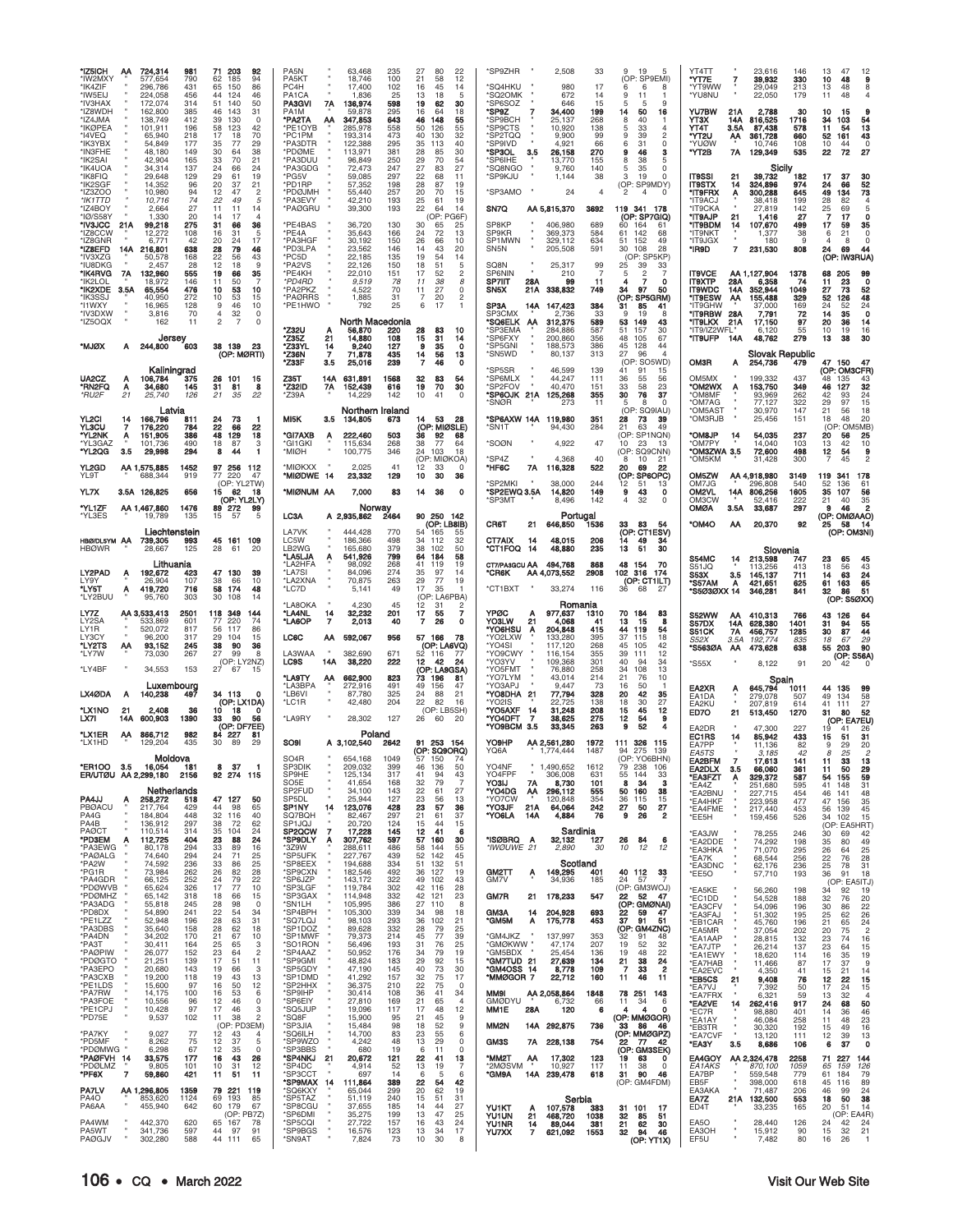| *IZ5ICH<br>*IW2MXY<br>*IK4ZIF<br>*IW5EIJ<br>*IV3HAX<br>*IZ8WDH<br>*IZ4JMA<br>*IKØPEA<br>*I4VEO<br>*IK3YBX<br>*IN3FHE<br>*IK2SAI<br>*IK4UOA<br>*IK8FIQ<br>*IK2SGF<br>*IZ3ZOO<br>*IK1TTD<br>'IZ4BOY<br>'IØ/S58Y<br>*IV3JCC<br>'IZ8CCW<br>'IZ8GNR<br>*IZ8EFD<br>*IV3XZG<br>*IU8DKG<br>*IK4RVG<br>'IK2LOL<br>*IK2XDE<br>ʻIK3SSJ<br>*I1WXY<br>*IV3DXW<br>*IZ5OQX<br><b>XQLM*</b> | AA<br>21A<br>14A<br>7A<br>3.5A<br>А | 724,314<br>577,654<br>296.786<br>224,058<br>172.074<br>162,800<br>138,749<br>101,911<br>65,940<br>54,849<br>48.180<br>42,904<br>34,314<br>29,648<br>14,352<br>10,980<br>10,716<br>2,664<br>1,330<br>99,218<br>12,272<br>6.771<br>216,801<br>50,578<br>2,457<br>132,960<br>18,972<br>65,554<br>40,950<br>16,965<br>3,816<br>162<br>Jersey<br>244,800 | 981<br>790<br>431<br>456<br>314<br>385<br>412<br>196<br>218<br>177<br>149<br>165<br>137<br>129<br>96<br>94<br>74<br>27<br>20<br>275<br>108<br>42<br>638<br>168<br>28<br>555<br>146<br>476<br>272<br>128<br>70<br>11<br>603 | 71<br>203<br>92<br>62<br>185<br>94<br>65<br>150<br>86<br>44<br>124<br>46<br>51<br>140<br>50<br>46<br>143<br>31<br>39<br>130<br>$\Omega$<br>58<br>123<br>42<br>17<br>70<br>18<br>35<br>29<br>77<br>38<br>30<br>64<br>33<br>70<br>21<br>24<br>66<br>24<br>19<br>29<br>61<br>20<br>37<br>21<br>12<br>47<br>$\overline{c}$<br>22<br>49<br>5<br>11<br>11<br>14<br>14<br>17<br>31<br>36<br>66<br>16<br>31<br>5<br>20<br>17<br>24<br>28<br>79<br>46<br>22<br>43<br>56<br>12<br>18<br>9<br>19<br>35<br>66<br>11<br>50<br>10<br>53<br>10<br>10<br>53<br>15<br>9<br>46<br>10<br>4<br>32<br>0<br>2<br>$\overline{7}$<br>$\Omega$<br>38 139<br>23 | PA <sub>5</sub> N<br>PA5KT<br>PC4H<br>PA <sub>1</sub> CA<br><b>PA3GVI</b><br>7A<br>136,974<br>PA <sub>1</sub> M<br><b>*PA2TA</b><br>347,853<br>ΑА<br>*PE1OYB<br>285,978<br>*PC1PM<br>193,314<br>*PA3DTR<br>122,388<br>*PDØME<br>113,971<br>*PA3DUU<br>*PA3GDG<br>*PG5V<br>*PD1RP<br>*PDØJMH<br>*PA3EVY<br>*PAØGRU<br>*PE4BAS<br>*PE4A<br>*PA3HGF<br>*PD3LPA<br>*PC5D<br>*PA2VS<br>*PE4KH<br>*PD4RD<br>*PA2PKZ<br>*PAØRRS<br>*PE1HWO<br>'Z32U<br>*Z35Z<br>21<br>*Z33YL<br>14 | 63,468<br>235<br>18,746<br>100<br>17,400<br>102<br>1,836<br>25<br>598<br>59,878<br>295<br>643<br>558<br>473<br>295<br>381<br>96,849<br>250<br>72,473<br>247<br>59,085<br>297<br>57,352<br>198<br>257<br>55,440<br>42,210<br>193<br>39,300<br>193<br>36,720<br>130<br>35,643<br>166<br>30,192<br>150<br>23,562<br>146<br>135<br>22,185<br>22,126<br>150<br>22.010<br>151<br>9,519<br>78<br>4,522<br>70<br>1,885<br>31<br>792<br>25<br>North Macedonia<br>220<br>56,870<br>108<br>14,880<br>9,240<br>127 | 27<br>80<br>22<br>21<br>58<br>12<br>16<br>45<br>14<br>13<br>18<br>5<br>19<br>30<br>62<br>16<br>64<br>18<br>46<br>148<br>55<br>50<br>55<br>126<br>40<br>130<br>32<br>35<br>40<br>113<br>30<br>28<br>85<br>29<br>70<br>54<br>27<br>83<br>27<br>22<br>68<br>11<br>28<br>87<br>19<br>20<br>70<br>15<br>25<br>61<br>19<br>22<br>64<br>14<br>(OP: PG6F)<br>30<br>65<br>25<br>24<br>72<br>13<br>26<br>10<br>66<br>14<br>43<br>20<br>19<br>54<br>14<br>18<br>51<br>5<br>17<br>$\mathfrak{p}$<br>52<br>11<br>38<br>8<br>11<br>27<br>0<br>2<br>7<br>20<br>6<br>17<br>1<br>28<br>83<br>10<br>15<br>31<br>14<br>9<br>35<br>$\Omega$ | *SP9ZHR<br>*SQ4HKU<br>'SQ2OMK<br>SP6SOZ<br>*SP9Z<br>'SP9BCH<br>*SP9CTS<br>*SP2TQQ<br>*SP9IVD<br>*SP3OL<br>3.5<br>'SP6IHE<br>*SQ8NGO<br>*SP9KJU<br>*SP3AMO<br>SN7Q<br>SP8KP<br><b>SP9KR</b><br>SP1MWN<br>SN <sub>5N</sub><br>SQ8N<br><b>SP6NIN</b><br>SP7IIT<br>28A<br>SN5X<br>21A<br>SP3A<br>14A<br>SP3CMX<br>'SQ6ELK AA<br>*SP3EMA<br>*SP6FXY<br>'SP5GNI | 2,508<br>980<br>672<br>646<br>34,400<br>25,137<br>10,920<br>9.900<br>4,921<br>26,158<br>13,770<br>9,760<br>1,144<br>24<br>AA 5,815,370<br>3692<br>406,980<br>369,373<br>329,112<br>205,508<br>25,317<br>210<br>99<br>338,832<br>147,423<br>2,736<br>312,375<br>284,886<br>200,860<br>188,573 | 33<br>9<br>19<br>5<br>(OP: SP9EMI)<br>17<br>6<br>6<br>8<br>9<br>11<br>14<br>1<br>15<br>9<br>5<br>-5<br>16<br>199<br>14<br>50<br>268<br>8<br>40<br>л.<br>138<br>33<br>5<br>4<br>9<br>$\mathfrak{p}$<br>99<br>39<br>31<br>$\mathbf 0$<br>66<br>6<br>270<br>9<br>46<br>3<br>155<br>8<br>38<br>5<br>140<br>35<br>0<br>5<br>$\Omega$<br>38<br>3<br>19<br>(OP: SP9MDY)<br>$\overline{4}$<br>2<br>$\overline{4}$<br>0<br>119 341 178<br>(OP: SP7GIQ)<br>689<br>60<br>164<br>-61<br>142<br>584<br>61<br>68<br>634<br>152<br>49<br>51<br>591<br>30<br>108<br>28<br>(OP: SP5KP)<br>99<br>25<br>39<br>33<br>$\overline{7}$<br>$\overline{2}$<br>$\overline{7}$<br>-5<br>11<br>7<br>o<br>4<br>749<br>34<br>97<br>50<br>(OP: SP5GRM)<br>384<br>31<br>85<br>41<br>33<br>9<br>19<br>8<br>589<br>53<br>149<br>43<br>587<br>51<br>157<br>30<br>356<br>48<br>105<br>67<br>386<br>128<br>45<br>44 | YT4TT<br>*YT7E<br>'YT9WW<br>*YU8NU<br>YU7BW<br>YT3X<br>YT4T<br>*YT2U<br>*YUØW<br>*YT2B<br>IT9SSI<br><b>IT9STX</b><br>*IT9FRX<br>*IT9ACJ<br>*IT9CKA<br>*IT9AJP<br>*IT9BDM<br>*IT9NKT<br>*IT9JGX<br>*IR9D<br><b>IT9VCE</b><br>IT9XTP<br><b>IT9WDC</b><br><b>*IT9ESW</b><br>*IT9GHW<br><b>"IT9RBW 28A</b><br>*IT9LKX<br>*IT9/IZ2WFL<br>*IT9UFP | 7<br>21A<br>816,525<br>14A<br>3.5A<br>361,728<br>ΑА<br>7A<br>129,349<br>21<br>14<br>324,896<br>300,288<br>A<br>21<br>107,670<br>14<br>7<br>231,530<br>AA 1,127,904<br>28A<br>352,944<br>14A<br>155,488<br>ΑА<br>21A<br>14A | 23,616<br>146<br>39,932<br>330<br>29,049<br>213<br>22,050<br>179<br>2,788<br>30<br>1716<br>87,438<br>578<br>660<br>108<br>10,746<br>535<br>Sicily<br>39,732<br>182<br>974<br>645<br>38,418<br>199<br>27,819<br>142<br>27<br>1,416<br>499<br>38<br>1,377<br>180<br>9<br>808<br>1378<br>6,358<br>74<br>1049<br>329<br>37,000<br>169<br>72<br>7,791<br>97<br>17,150<br>55<br>6,120<br>48,762<br>279 | 13<br>47<br>12<br>10<br>48<br>g<br>48<br>8<br>13<br>11<br>48<br>10<br>g<br>15<br>34<br>103<br>54<br>13<br>11<br>54<br>43<br>52<br>161<br>10<br>C<br>44<br>22<br>72<br>27<br>17<br>37<br>30<br>52<br>24<br>66<br>73<br>49<br>134<br>28<br>82<br>25<br>69<br>5<br>17<br>$\mathbf{o}$<br>17<br>59<br>35<br>21<br>0<br>6<br>$\circ$<br>$\overline{4}$<br>8<br>24<br>69<br>44<br>(OP: IW3RUA)<br>68<br>205<br>99<br>0<br>23<br>11<br>73<br>52<br>27<br>48<br>52<br>126<br>24<br>24<br>52<br>$\mathbf 0$<br>35<br>14<br>20<br>36<br>14<br>16<br>19<br>10<br>13<br>38<br>30 |
|-----------------------------------------------------------------------------------------------------------------------------------------------------------------------------------------------------------------------------------------------------------------------------------------------------------------------------------------------------------------------------|-------------------------------------|-----------------------------------------------------------------------------------------------------------------------------------------------------------------------------------------------------------------------------------------------------------------------------------------------------------------------------------------------------|----------------------------------------------------------------------------------------------------------------------------------------------------------------------------------------------------------------------------|---------------------------------------------------------------------------------------------------------------------------------------------------------------------------------------------------------------------------------------------------------------------------------------------------------------------------------------------------------------------------------------------------------------------------------------------------------------------------------------------------------------------------------------------------------------------------------------------------------------------------------------|-----------------------------------------------------------------------------------------------------------------------------------------------------------------------------------------------------------------------------------------------------------------------------------------------------------------------------------------------------------------------------------------------------------------------------------------------------------------------------|--------------------------------------------------------------------------------------------------------------------------------------------------------------------------------------------------------------------------------------------------------------------------------------------------------------------------------------------------------------------------------------------------------------------------------------------------------------------------------------------------------|-------------------------------------------------------------------------------------------------------------------------------------------------------------------------------------------------------------------------------------------------------------------------------------------------------------------------------------------------------------------------------------------------------------------------------------------------------------------------------------------------------------------------------------------------------------------------------------------------------------------------|-----------------------------------------------------------------------------------------------------------------------------------------------------------------------------------------------------------------------------------------------------------------------------------------------------------------------------------------------------------|----------------------------------------------------------------------------------------------------------------------------------------------------------------------------------------------------------------------------------------------------------------------------------------------|--------------------------------------------------------------------------------------------------------------------------------------------------------------------------------------------------------------------------------------------------------------------------------------------------------------------------------------------------------------------------------------------------------------------------------------------------------------------------------------------------------------------------------------------------------------------------------------------------------------------------------------------------------------------------------------------------------------------------------------------------------------------------------------------------------------------------------------------------------------------------------|---------------------------------------------------------------------------------------------------------------------------------------------------------------------------------------------------------------------------------------------------------------------------------------------------------------------------------------------|----------------------------------------------------------------------------------------------------------------------------------------------------------------------------------------------------------------------------|--------------------------------------------------------------------------------------------------------------------------------------------------------------------------------------------------------------------------------------------------------------------------------------------------------------------------------------------------------------------------------------------------|----------------------------------------------------------------------------------------------------------------------------------------------------------------------------------------------------------------------------------------------------------------------------------------------------------------------------------------------------------------------------------------------------------------------------------------------------------------------------------------------------------------------------------------------------------------------|
| UA <sub>2</sub> CZ                                                                                                                                                                                                                                                                                                                                                          | А                                   | Kaliningrad<br>106,784                                                                                                                                                                                                                                                                                                                              | 375                                                                                                                                                                                                                        | (OP: MØRTI)<br>101<br>26<br>15                                                                                                                                                                                                                                                                                                                                                                                                                                                                                                                                                                                                        | *Z36N<br>7<br>Z33F<br>3.5<br>Z35T<br>631,891<br>14A                                                                                                                                                                                                                                                                                                                                                                                                                         | 71,878<br>435<br>239<br>25,016<br>1568                                                                                                                                                                                                                                                                                                                                                                                                                                                                 | 14<br>56<br>13<br>$\overline{7}$<br>46<br>$\Omega$<br>32<br>83<br>54                                                                                                                                                                                                                                                                                                                                                                                                                                                                                                                                                    | *SN5WD<br>*SP5SR<br>*SP6MLX                                                                                                                                                                                                                                                                                                                               | 80,137<br>46,599<br>44,247                                                                                                                                                                                                                                                                   | 313<br>27<br>96<br>4<br>(OP: SO5WD)<br>139<br>41<br>91<br>15<br>111<br>36<br>55<br>56                                                                                                                                                                                                                                                                                                                                                                                                                                                                                                                                                                                                                                                                                                                                                                                          | <b>OM3R</b><br>OM5MX                                                                                                                                                                                                                                                                                                                        | A<br>199.332                                                                                                                                                                                                               | <b>Slovak Republic</b><br>254,736<br>479<br>437                                                                                                                                                                                                                                                                                                                                                  | 47 150<br>47<br>(OP: OM3CFR)<br>48<br>135<br>43                                                                                                                                                                                                                                                                                                                                                                                                                                                                                                                      |
| *RN2FQ<br>*RU2F<br>YL2CI                                                                                                                                                                                                                                                                                                                                                    | Α<br>21<br>14                       | 34,680<br>25,740<br>Latvia<br>166,796                                                                                                                                                                                                                                                                                                               | 145<br>126<br>811                                                                                                                                                                                                          | 31<br>81<br>8<br>21<br>35<br>22<br>24<br>73                                                                                                                                                                                                                                                                                                                                                                                                                                                                                                                                                                                           | *Z32ID<br>7Α<br>152,439<br><b>Z39A</b><br>MI <sub>5</sub> K<br>3.5<br>134,805                                                                                                                                                                                                                                                                                                                                                                                               | 616<br>14,229<br>142<br>Northern Ireland<br>673                                                                                                                                                                                                                                                                                                                                                                                                                                                        | 19<br>70<br>30<br>10<br>41<br>$\Omega$<br>53<br>14<br>28                                                                                                                                                                                                                                                                                                                                                                                                                                                                                                                                                                | *SP2FOV<br>*SP6OJK 21A<br>'SNØR<br>*SP6AXW 14A                                                                                                                                                                                                                                                                                                            | 40,470<br>125,268<br>273<br>119,980                                                                                                                                                                                                                                                          | 33<br>151<br>58<br>23<br>355<br>30<br>76<br>37<br>11<br>8<br>$\Omega$<br>5<br>(OP: SQ9IAU)<br>351<br>28<br>73<br>39                                                                                                                                                                                                                                                                                                                                                                                                                                                                                                                                                                                                                                                                                                                                                            | *OM2WX<br><b>OM8MF</b><br>*OM7AG<br>*OM5AST<br>OM3RJB <sup>*</sup>                                                                                                                                                                                                                                                                          | 153,750                                                                                                                                                                                                                    | 349<br>262<br>93,969<br>77,127<br>322<br>30,970<br>147<br>25,456<br>151                                                                                                                                                                                                                                                                                                                          | 32<br>46<br>127<br>$^{24}_{15}$<br>93<br>42<br>29<br>97<br>21<br>56<br>18<br>20<br>18<br>48                                                                                                                                                                                                                                                                                                                                                                                                                                                                          |
| <b>YL3CU</b><br>'YL2NK<br>*YL3GAZ<br>*YL2QG                                                                                                                                                                                                                                                                                                                                 | 7<br>A<br>3.5                       | 176,220<br>151,905<br>101,736<br>29,998                                                                                                                                                                                                                                                                                                             | 784<br>386<br>490<br>294                                                                                                                                                                                                   | 22<br>66<br>22<br>48<br>129<br>18<br>18<br>87<br>3<br>8<br>44<br>1                                                                                                                                                                                                                                                                                                                                                                                                                                                                                                                                                                    | *GI7AXB<br>222,460<br>A<br>*GI1GKI<br>115,634<br>*MIØH<br>100,775                                                                                                                                                                                                                                                                                                                                                                                                           | 503<br>268<br>346                                                                                                                                                                                                                                                                                                                                                                                                                                                                                      | (OP: MIØSLE)<br>36<br>92<br>68<br>38<br>77<br>64<br>24<br>103<br>18                                                                                                                                                                                                                                                                                                                                                                                                                                                                                                                                                     | *SN1T<br>*SOØN                                                                                                                                                                                                                                                                                                                                            | 94,430<br>4,922                                                                                                                                                                                                                                                                              | 21<br>284<br>63<br>49<br>(OP: SP1NQN)<br>47<br>10<br>23<br>13<br>(OP: SQ9CNN)                                                                                                                                                                                                                                                                                                                                                                                                                                                                                                                                                                                                                                                                                                                                                                                                  | <b>OM&amp;JP</b><br>'OM7PY<br>*OM3ZWA 3.5                                                                                                                                                                                                                                                                                                   | 14                                                                                                                                                                                                                         | 54,035<br>237<br>14,040<br>103<br>72,600<br>498                                                                                                                                                                                                                                                                                                                                                  | OM5MB<br>(OP<br>20<br>56<br>25<br>$\frac{10}{9}$<br>13<br>42<br>12<br>54                                                                                                                                                                                                                                                                                                                                                                                                                                                                                             |
| YL2GD<br>YL9T                                                                                                                                                                                                                                                                                                                                                               |                                     | AA 1,575,885<br>688,344                                                                                                                                                                                                                                                                                                                             | 1452<br>919                                                                                                                                                                                                                | 97 256<br>112<br>77 220<br>47<br>(OP: YL2TW)                                                                                                                                                                                                                                                                                                                                                                                                                                                                                                                                                                                          | *MIØKXX<br>*MIØDWE 14                                                                                                                                                                                                                                                                                                                                                                                                                                                       | 2.025<br>41<br>23,332<br>129                                                                                                                                                                                                                                                                                                                                                                                                                                                                           | (OP: MIØKOA)<br>12<br>33<br>$\Omega$<br>10<br>30<br>36                                                                                                                                                                                                                                                                                                                                                                                                                                                                                                                                                                  | 'SP4Z<br>*HF6C<br>7A<br>SP2MKI                                                                                                                                                                                                                                                                                                                            | 4,368<br>116,328<br>38,000                                                                                                                                                                                                                                                                   | 40<br>10<br>21<br>8<br>522<br>20<br>69<br>22<br>(OP: SP6OPC)<br>244<br>51<br>12<br>13                                                                                                                                                                                                                                                                                                                                                                                                                                                                                                                                                                                                                                                                                                                                                                                          | *OM5KM<br>OM5ZW<br>OM7JG                                                                                                                                                                                                                                                                                                                    | AA 4,918,980<br>296.808                                                                                                                                                                                                    | 31,428<br>300<br>3149<br>540                                                                                                                                                                                                                                                                                                                                                                     | 2<br>$\overline{7}$<br>45<br>119<br>341<br>178<br>52<br>136<br>61                                                                                                                                                                                                                                                                                                                                                                                                                                                                                                    |
| YL7X<br>*YL1ZF<br>'YL3ES                                                                                                                                                                                                                                                                                                                                                    |                                     | 3.5A 126,825<br>AA 1,467,860<br>19,789                                                                                                                                                                                                                                                                                                              | 656<br>1476<br>135                                                                                                                                                                                                         | 15<br>62<br>18<br>(OP: YL2LY)<br>89 272<br>99<br>15<br>5<br>57                                                                                                                                                                                                                                                                                                                                                                                                                                                                                                                                                                        | *MIØNUM AA<br>LC3A<br>A 2,935,862                                                                                                                                                                                                                                                                                                                                                                                                                                           | 7,000<br>83<br>Norway<br>2464                                                                                                                                                                                                                                                                                                                                                                                                                                                                          | 14<br>36<br>0<br>90 250 142                                                                                                                                                                                                                                                                                                                                                                                                                                                                                                                                                                                             | *SP2EWQ 3.5A<br>*SP3MT<br>CR6T                                                                                                                                                                                                                                                                                                                            | 14,820<br>8,496<br>Portugal                                                                                                                                                                                                                                                                  | 149<br>9<br>43<br>0<br>142<br>32<br>0<br>4<br>83<br>54                                                                                                                                                                                                                                                                                                                                                                                                                                                                                                                                                                                                                                                                                                                                                                                                                         | OM2VL<br>OM3CW<br><b>OMØA</b><br><b>OM4O</b>                                                                                                                                                                                                                                                                                                | 14A<br>806,256<br>3.5A                                                                                                                                                                                                     | 1605<br>52,416<br>222<br>297<br>33,687<br>92                                                                                                                                                                                                                                                                                                                                                     | 35<br>107<br>56<br>21<br>$\frac{35}{2}$<br>40<br>9<br>46<br>(OP: OMØAAO)                                                                                                                                                                                                                                                                                                                                                                                                                                                                                             |
| HBØ/DL5YM AA<br><b>HBØWR</b>                                                                                                                                                                                                                                                                                                                                                |                                     | Liechtenstein<br>739,305<br>28,667                                                                                                                                                                                                                                                                                                                  | 993<br>125                                                                                                                                                                                                                 | 45 161<br>109<br>28<br>61<br>20                                                                                                                                                                                                                                                                                                                                                                                                                                                                                                                                                                                                       | LA7VK<br>444,428<br>LC5W<br>186,366<br>LB2WG<br>165,680<br>*LA5LJA<br>541,926<br>A                                                                                                                                                                                                                                                                                                                                                                                          | 770<br>498<br>379<br>799                                                                                                                                                                                                                                                                                                                                                                                                                                                                               | (OP: LB8IB)<br>54<br>165<br>55<br>32<br>34<br>112<br>38<br>102<br>50<br>64<br>58<br>184                                                                                                                                                                                                                                                                                                                                                                                                                                                                                                                                 | 21<br>CT7AIX<br>14<br>°CT1FOQ<br>14                                                                                                                                                                                                                                                                                                                       | 646,850<br>1536<br>48,015<br>48,880                                                                                                                                                                                                                                                          | 33<br>(OP: CT1ESV)<br>206<br>49<br>14<br>34<br>235<br>13<br>51<br>30                                                                                                                                                                                                                                                                                                                                                                                                                                                                                                                                                                                                                                                                                                                                                                                                           |                                                                                                                                                                                                                                                                                                                                             | АΑ                                                                                                                                                                                                                         | 20,370<br>Slovenia                                                                                                                                                                                                                                                                                                                                                                               | 25<br>58<br>14<br>(OP: OM3NI)                                                                                                                                                                                                                                                                                                                                                                                                                                                                                                                                        |
| LY2PAD<br>LY9Y<br>*LY5T<br>*LY2BUU                                                                                                                                                                                                                                                                                                                                          | Α<br>Α                              | Lithuania<br>192,672<br>26,904<br>419,720<br>95.760                                                                                                                                                                                                                                                                                                 | 423<br>107<br>716<br>303                                                                                                                                                                                                   | 47 130<br>39<br>38<br>66<br>10<br>58<br>174<br>48<br>30<br>108<br>14                                                                                                                                                                                                                                                                                                                                                                                                                                                                                                                                                                  | *LA2HFA<br>*LA7SI<br>*LA2XNA<br>*LC7D<br>*LA8OKA                                                                                                                                                                                                                                                                                                                                                                                                                            | 98,092<br>268<br>274<br>84,096<br>70,875<br>263<br>49<br>5,141<br>4.230<br>45                                                                                                                                                                                                                                                                                                                                                                                                                          | 41<br>119<br>19<br>35<br>97<br>14<br>29<br>77<br>19<br>17<br>35<br>-1<br>(OP: LA6PBA)<br>12<br>31<br>2                                                                                                                                                                                                                                                                                                                                                                                                                                                                                                                  | CT7/PA3GCU AA<br>*CR6K<br>*CT1BXT                                                                                                                                                                                                                                                                                                                         | 494,768<br>2908<br>AA 4,073,552<br>33,274<br>Romania                                                                                                                                                                                                                                         | 868<br>48<br>154<br>70<br>102<br>316 174<br>(OP: CT1ILT)<br>116<br>36<br>68<br>27                                                                                                                                                                                                                                                                                                                                                                                                                                                                                                                                                                                                                                                                                                                                                                                              | S54MC<br>S51JQ<br>S53X<br>*S57AM<br>*S5Ø3ØXX 14                                                                                                                                                                                                                                                                                             | 213,598<br>14<br>113,256<br>$3.5\,$<br>145,137<br>421,651<br>A<br>346,281                                                                                                                                                  | 747<br>413<br>711<br>625<br>841                                                                                                                                                                                                                                                                                                                                                                  | 23<br>65<br>45<br>18<br>56<br>43<br>63<br>24<br>65<br>14<br>61<br>163<br>51<br>32<br>86<br>(OP: S5ØXX)                                                                                                                                                                                                                                                                                                                                                                                                                                                               |
| LY7Z<br>LY2SA<br>LY1R<br>LY3CY                                                                                                                                                                                                                                                                                                                                              |                                     | AA 3,533,413<br>533,869<br>520,072<br>96.200                                                                                                                                                                                                                                                                                                        | 2501<br>601<br>817<br>317                                                                                                                                                                                                  | 118 349<br>144<br>220<br>77<br>74<br>56<br>117<br>86<br>29<br>15<br>104                                                                                                                                                                                                                                                                                                                                                                                                                                                                                                                                                               | *LA4NL<br>14<br>*LA6OP<br>7<br>LC6C<br>592,067<br>АΑ                                                                                                                                                                                                                                                                                                                                                                                                                        | 32,232<br>201<br>2,013<br>40<br>956                                                                                                                                                                                                                                                                                                                                                                                                                                                                    | 17<br>$\overline{7}$<br>55<br>$\overline{7}$<br>26<br>0<br>57 166<br>78                                                                                                                                                                                                                                                                                                                                                                                                                                                                                                                                                 | YPØC<br>A<br>21<br>YO3LW<br>*YO6HSU<br>A<br>*YO2LXW                                                                                                                                                                                                                                                                                                       | 977,637<br>1310<br>4,068<br>204,848<br>133,280                                                                                                                                                                                                                                               | 70<br>184<br>83<br>13<br>8<br>15<br>41<br>415<br>44<br>119<br>54<br>18<br>395<br>37<br>115                                                                                                                                                                                                                                                                                                                                                                                                                                                                                                                                                                                                                                                                                                                                                                                     | <b>S52WW</b><br>S57DX<br>S51CK<br>S52X                                                                                                                                                                                                                                                                                                      | ΑА<br>410,313<br>14A<br>628,380<br>7Α<br>456,757<br>3.5A<br>192,774                                                                                                                                                        | 766<br>1401<br>1285<br>835                                                                                                                                                                                                                                                                                                                                                                       | 43<br>126<br>64<br>55<br>31<br>94<br>87<br>44<br>30<br>29<br>18<br>67                                                                                                                                                                                                                                                                                                                                                                                                                                                                                                |
| *LY2TS<br>*LY7W<br>*LY4BF                                                                                                                                                                                                                                                                                                                                                   | AA                                  | 93,152<br>73,030<br>34,553                                                                                                                                                                                                                                                                                                                          | 245<br>267<br>153                                                                                                                                                                                                          | 38<br>90<br>36<br>27<br>99<br>8<br>(OP: LY2NZ)<br>27<br>67<br>15                                                                                                                                                                                                                                                                                                                                                                                                                                                                                                                                                                      | LA3WAA<br>382,690<br>LC9S<br>14A                                                                                                                                                                                                                                                                                                                                                                                                                                            | 671<br>222<br>38,220                                                                                                                                                                                                                                                                                                                                                                                                                                                                                   | (OP: LA6VQ)<br>52<br>116<br>-77<br>12<br>42<br>24<br>(OP: LA9GSA)                                                                                                                                                                                                                                                                                                                                                                                                                                                                                                                                                       | *YO4SI<br>*YO9CWY<br>*YO3YV<br>*YO5FMT                                                                                                                                                                                                                                                                                                                    | 117,120<br>116,154<br>109,368<br>76,880                                                                                                                                                                                                                                                      | 268<br>45<br>105<br>42<br>355<br>39<br>111<br>12<br>301<br>40<br>94<br>34<br>258<br>34<br>108<br>13                                                                                                                                                                                                                                                                                                                                                                                                                                                                                                                                                                                                                                                                                                                                                                            | *S563ØA<br>'S55X                                                                                                                                                                                                                                                                                                                            | 473,628<br>ΑА                                                                                                                                                                                                              | 638<br>8,122<br>91                                                                                                                                                                                                                                                                                                                                                                               | 90<br>55<br>203<br>(OP: S56A)<br>20<br>42                                                                                                                                                                                                                                                                                                                                                                                                                                                                                                                            |
| LX4ØDA<br>*LX1NO                                                                                                                                                                                                                                                                                                                                                            | А<br>21                             | Luxembourg<br>140,238<br>2,408                                                                                                                                                                                                                                                                                                                      | 497<br>36                                                                                                                                                                                                                  | 34 113<br>$\Omega$<br>(OP: LX1DA)<br>10<br>0                                                                                                                                                                                                                                                                                                                                                                                                                                                                                                                                                                                          | *LA9TY<br>662,900<br>ΑА<br>*LA3BPA<br>272,916<br>*LB6VI<br>*LC1R                                                                                                                                                                                                                                                                                                                                                                                                            | 823<br>491<br>325<br>87,780<br>42,480<br>204                                                                                                                                                                                                                                                                                                                                                                                                                                                           | 73<br>196<br>81<br>49<br>156<br>47<br>24<br>88<br>21<br>22<br>82<br>16<br>(OP: LB5SH)                                                                                                                                                                                                                                                                                                                                                                                                                                                                                                                                   | *YO7LYM<br>*YO3APJ<br>*YO8DHA<br>21<br>*YO2IS<br>*YO5AXF                                                                                                                                                                                                                                                                                                  | 43,014<br>9,447<br>77,794<br>22,725<br>31,248                                                                                                                                                                                                                                                | 214<br>21<br>76<br>10<br>73<br>50<br>16<br>-1<br>42<br>328<br>35<br>20<br>138<br>18<br>30<br>27<br>45                                                                                                                                                                                                                                                                                                                                                                                                                                                                                                                                                                                                                                                                                                                                                                          | EA2XR<br>EA1DA<br>EA2KU                                                                                                                                                                                                                                                                                                                     | 645,794<br>A<br>279,078<br>207,819                                                                                                                                                                                         | Spain<br>1011<br>507<br>614                                                                                                                                                                                                                                                                                                                                                                      | 44<br>135<br>99<br>49<br>58<br>134<br>41<br>111<br>27                                                                                                                                                                                                                                                                                                                                                                                                                                                                                                                |
| LX7I<br>*LX1ER<br>*LX1HD                                                                                                                                                                                                                                                                                                                                                    | 14A<br>ΑА                           | 600,903<br>866,712<br>129,204                                                                                                                                                                                                                                                                                                                       | 1390<br>982<br>435                                                                                                                                                                                                         | 18<br>33<br>56<br>90<br>(OP: DF7EE)<br>84 227<br>81<br>30<br>89<br>29                                                                                                                                                                                                                                                                                                                                                                                                                                                                                                                                                                 | *LA9RY<br><b>SO9I</b><br>A 3,102,540                                                                                                                                                                                                                                                                                                                                                                                                                                        | 28,302<br>127<br>Poland<br>2642                                                                                                                                                                                                                                                                                                                                                                                                                                                                        | 60<br>26<br>-20<br>91 253 154                                                                                                                                                                                                                                                                                                                                                                                                                                                                                                                                                                                           | 14<br>*YO4DFT<br>7<br>"YO9BCM<br>3.5<br>YO9HP                                                                                                                                                                                                                                                                                                             | 38,625<br>33,345<br>AA 2,561,280<br>1972                                                                                                                                                                                                                                                     | 208<br>12<br>15<br>275<br>12<br>54<br>9<br>263<br>9<br>52<br>326<br>111<br>-115                                                                                                                                                                                                                                                                                                                                                                                                                                                                                                                                                                                                                                                                                                                                                                                                | ED7O<br>EA2DR<br>EC1RS                                                                                                                                                                                                                                                                                                                      | 21<br>513,450<br>14                                                                                                                                                                                                        | 1270<br>47.300<br>227<br>85,942<br>433                                                                                                                                                                                                                                                                                                                                                           | 52<br>31<br>80<br>(OP: EA7EU)<br>26<br>19<br>41<br>31<br>15<br>-51                                                                                                                                                                                                                                                                                                                                                                                                                                                                                                   |
| *ER100 3.5<br>ER/UTØU AA 2,299,180                                                                                                                                                                                                                                                                                                                                          |                                     | <b>MOIGOVa</b><br>16,054                                                                                                                                                                                                                                                                                                                            | - 181<br>2156                                                                                                                                                                                                              | - 37<br>8<br>92 274 115                                                                                                                                                                                                                                                                                                                                                                                                                                                                                                                                                                                                               | SO 4H<br>654.168<br>SP3DIK<br>209,032<br>$\mathbf{u}$<br>SP9HE<br>125,134<br>$\mathbf{u}$                                                                                                                                                                                                                                                                                                                                                                                   | 1049<br>399<br>317                                                                                                                                                                                                                                                                                                                                                                                                                                                                                     | (OP: SQ9ORQ)<br>5/<br>150<br>74<br>46<br>136<br>50<br>41<br>94<br>43                                                                                                                                                                                                                                                                                                                                                                                                                                                                                                                                                    | YQ6A<br>YO4NF<br>$\mathbf{u}$<br>YO4FPF                                                                                                                                                                                                                                                                                                                   | 1.774.444<br>1487<br>1,490,652<br>1612<br>306,008                                                                                                                                                                                                                                            | 94<br>275<br>139<br>OP: YO6BHN<br>79 238<br>106<br>631<br>144<br>33<br>55                                                                                                                                                                                                                                                                                                                                                                                                                                                                                                                                                                                                                                                                                                                                                                                                      | EA7PP<br>EA5TS<br>EA2BFM<br>EA2DLX<br>*EA3FZT                                                                                                                                                                                                                                                                                               | 7<br>3.5<br>Α                                                                                                                                                                                                              | 82<br>11.136<br>3,185<br>42<br>17,613<br>141<br>66,060<br>361<br>587<br>329,372                                                                                                                                                                                                                                                                                                                  | 29<br>20<br>9<br>8<br>25<br>2<br>33<br>13<br>11<br>50<br>11<br>29<br>59<br>54<br>155                                                                                                                                                                                                                                                                                                                                                                                                                                                                                 |
| PA4JJ<br>PBØACU                                                                                                                                                                                                                                                                                                                                                             | A                                   | Netherlands<br>258,272<br>217,764                                                                                                                                                                                                                                                                                                                   | 518<br>429                                                                                                                                                                                                                 | 47 127<br>50<br>44<br>98<br>65                                                                                                                                                                                                                                                                                                                                                                                                                                                                                                                                                                                                        | SO <sub>5</sub> E<br>SP2FUD<br>SP <sub>5</sub> DL<br>SP1NY<br>14<br>123,076                                                                                                                                                                                                                                                                                                                                                                                                 | 41,654<br>168<br>34,100<br>143<br>25,944<br>127<br>428                                                                                                                                                                                                                                                                                                                                                                                                                                                 | 32<br>79<br>- 7<br>22<br>61<br>27<br>23<br>56<br>13<br>23<br>57<br>36                                                                                                                                                                                                                                                                                                                                                                                                                                                                                                                                                   | <b>7A</b><br>YO3IJ<br>'YO4DG<br>AA<br>*YO7CW<br>*YO3JF<br>21A                                                                                                                                                                                                                                                                                             | 8,730<br>296,112<br>120,848<br>64,064                                                                                                                                                                                                                                                        | 34<br>101<br>8<br>-3<br>50<br>160<br>555<br>38<br>354<br>36<br>15<br>115<br>242<br>27<br>50<br>27<br>$\overline{2}$                                                                                                                                                                                                                                                                                                                                                                                                                                                                                                                                                                                                                                                                                                                                                            | *EA4Z<br>*EA2BNU<br>*EA4HKF<br>'EA4FME                                                                                                                                                                                                                                                                                                      | 223,958                                                                                                                                                                                                                    | 251,680<br>595<br>227,715<br>454<br>477<br>217,440<br>453                                                                                                                                                                                                                                                                                                                                        | 31<br>41<br>148<br>46<br>141<br>48<br>35<br>47<br>156<br>45<br>56<br>139                                                                                                                                                                                                                                                                                                                                                                                                                                                                                             |
| PA4G<br>PA4B<br>PAØCT<br>*PD3EM<br>*PA3EWG                                                                                                                                                                                                                                                                                                                                  | Α                                   | 184,804<br>136,912<br>110.514<br>112,725<br>80,178                                                                                                                                                                                                                                                                                                  | 448<br>297<br>314<br>404<br>294                                                                                                                                                                                            | 32<br>116<br>40<br>38<br>72<br>62<br>35<br>104<br>24<br>23<br>88<br>24<br>33<br>89<br>16                                                                                                                                                                                                                                                                                                                                                                                                                                                                                                                                              | SQ7BQH<br>SP1JQJ<br>SP2QCW<br>$\overline{7}$<br>*SP9DLY<br>Α<br>307,762<br>*3Z9W                                                                                                                                                                                                                                                                                                                                                                                            | 297<br>82,467<br>20,720<br>124<br>17,228<br>145<br>597<br>486                                                                                                                                                                                                                                                                                                                                                                                                                                          | 37<br>21<br>61<br>15<br>44<br>15<br>12<br>41<br>-6<br>57 160<br>30<br>58<br>144<br>55                                                                                                                                                                                                                                                                                                                                                                                                                                                                                                                                   | *YO6LA<br>14A<br>*ISØBRQ<br>A<br>*IWØUWE 21                                                                                                                                                                                                                                                                                                               | 4,884<br>Sardinia<br>32,132<br>2,890                                                                                                                                                                                                                                                         | 9<br>26<br>76<br>127<br>26<br>84<br>6<br>12<br>12<br>30<br>10                                                                                                                                                                                                                                                                                                                                                                                                                                                                                                                                                                                                                                                                                                                                                                                                                  | *EE5H<br>*EA3JW<br>*EA2DDE                                                                                                                                                                                                                                                                                                                  |                                                                                                                                                                                                                            | 159,456<br>526<br>78,255<br>246<br>74,292<br>198                                                                                                                                                                                                                                                                                                                                                 | 15<br>34 102<br>(OP: EA5HRT)<br>42<br>30<br>69<br>35<br>80<br>49                                                                                                                                                                                                                                                                                                                                                                                                                                                                                                     |
| *PAØALG<br>*PA2W<br>*PG1R<br>*PA4GDR                                                                                                                                                                                                                                                                                                                                        |                                     | 74,640<br>74,592<br>73,984<br>66,125                                                                                                                                                                                                                                                                                                                | 294<br>236<br>262<br>252                                                                                                                                                                                                   | 24<br>71<br>25<br>25<br>33<br>86<br>26<br>82<br>28<br>24<br>22<br>79                                                                                                                                                                                                                                                                                                                                                                                                                                                                                                                                                                  | 288,611<br>*SP5UFK<br>227,767<br>*SP8EEX<br>194,688<br>*SP9CXN<br>182,546<br>*SP6JZP<br>143,172                                                                                                                                                                                                                                                                                                                                                                             | 439<br>334<br>492<br>322                                                                                                                                                                                                                                                                                                                                                                                                                                                                               | 52<br>142<br>45<br>51 132<br>51<br>36<br>127<br>19<br>49 102<br>43                                                                                                                                                                                                                                                                                                                                                                                                                                                                                                                                                      | GM2TT<br>A<br>GM7V                                                                                                                                                                                                                                                                                                                                        | Scotland<br>149,295<br>34,936                                                                                                                                                                                                                                                                | 401<br>40 112<br>33<br>185<br>24<br>-57                                                                                                                                                                                                                                                                                                                                                                                                                                                                                                                                                                                                                                                                                                                                                                                                                                        | <b>*EA3HKA</b><br>*EA7K<br>*EA3DNC<br>*EE5O                                                                                                                                                                                                                                                                                                 |                                                                                                                                                                                                                            | 71,070<br>295<br>68,544<br>256<br>62,176<br>236<br>57,710<br>193                                                                                                                                                                                                                                                                                                                                 | 25<br>26<br>64<br>22<br>76<br>28<br>25<br>31<br>78<br>18<br>36<br>91<br>(OP: EA5ITJ)                                                                                                                                                                                                                                                                                                                                                                                                                                                                                 |
| *PDØWVB<br>*PDØMHZ<br>*PA3ADG<br>*PD8DX                                                                                                                                                                                                                                                                                                                                     |                                     | 65,624<br>65,142<br>55,818<br>54,890                                                                                                                                                                                                                                                                                                                | 326<br>318<br>245<br>241                                                                                                                                                                                                   | 10<br>17<br>77<br>18<br>66<br>15<br>28<br>98<br>$\Omega$<br>22<br>54<br>34                                                                                                                                                                                                                                                                                                                                                                                                                                                                                                                                                            | *SP3LGF<br>119,784<br>*SP3GAX<br>114,948<br>*SN1LH<br>105,995<br>*SP4BPH<br>105,300                                                                                                                                                                                                                                                                                                                                                                                         | 302<br>332<br>386<br>339                                                                                                                                                                                                                                                                                                                                                                                                                                                                               | 42 116<br>28<br>42 121<br>23<br>27 110<br>-8<br>34<br>98<br>18                                                                                                                                                                                                                                                                                                                                                                                                                                                                                                                                                          | <b>GM7R</b><br>21<br>GM3A<br>14                                                                                                                                                                                                                                                                                                                           | 178,233<br>204,928                                                                                                                                                                                                                                                                           | (OP: GM3WOJ)<br>547<br>22<br>52<br>47<br>(OP: GMØNAI)<br>22<br>693<br>59<br>47                                                                                                                                                                                                                                                                                                                                                                                                                                                                                                                                                                                                                                                                                                                                                                                                 | *EA5KE<br>*EC1DD<br>*EA3CFV<br>*EA3FAJ                                                                                                                                                                                                                                                                                                      |                                                                                                                                                                                                                            | 56,260<br>198<br>54,528<br>188<br>54,096<br>196<br>51,302<br>195                                                                                                                                                                                                                                                                                                                                 | 34<br>92<br>19<br>20<br>32<br>76<br>22<br>30<br>86<br>26<br>25<br>62                                                                                                                                                                                                                                                                                                                                                                                                                                                                                                 |
| *PE1LZZ<br>*PA3DBS<br>*PA4DN<br>*PA3T                                                                                                                                                                                                                                                                                                                                       |                                     | 52,948<br>35,640<br>34,202<br>30,411                                                                                                                                                                                                                                                                                                                | 196<br>158<br>170<br>164                                                                                                                                                                                                   | 31<br>28<br>63<br>28<br>62<br>18<br>21<br>67<br>10<br>25<br>65<br>3                                                                                                                                                                                                                                                                                                                                                                                                                                                                                                                                                                   | *SQ7LQJ<br>*SP1DOZ<br>*SP1MWF<br><i><b>SO1RON</b></i>                                                                                                                                                                                                                                                                                                                                                                                                                       | 293<br>98,103<br>89,628<br>332<br>79,373<br>214<br>56,496<br>193                                                                                                                                                                                                                                                                                                                                                                                                                                       | 36<br>102<br>21<br>28<br>79<br>25<br>45<br>77<br>39<br>31<br>25<br>76                                                                                                                                                                                                                                                                                                                                                                                                                                                                                                                                                   | *gm5m<br>A<br>*GM4JKZ<br>*GMØKWW "                                                                                                                                                                                                                                                                                                                        | 175,778<br>137,997<br>47,174                                                                                                                                                                                                                                                                 | 37<br>453<br>91<br>51<br>(OP:<br>GM4ZNC)<br>353<br>32<br>91<br>48<br>207<br>19<br>52<br>32                                                                                                                                                                                                                                                                                                                                                                                                                                                                                                                                                                                                                                                                                                                                                                                     | *EB1CAR<br>*EA5MR<br>*EA1AAP<br>*EA7JTP                                                                                                                                                                                                                                                                                                     |                                                                                                                                                                                                                            | 45,760<br>196<br>37,054<br>202<br>132<br>28,815<br>26,214<br>137                                                                                                                                                                                                                                                                                                                                 | 24<br>21<br>65<br>$\overline{c}$<br>20<br>75<br>74<br>23<br>16<br>23<br>15<br>64                                                                                                                                                                                                                                                                                                                                                                                                                                                                                     |
| *PAØPIW<br>*PDØGTO<br>*PA3EPO<br>*PA3CXB                                                                                                                                                                                                                                                                                                                                    |                                     | 26,077<br>21,251<br>20,680<br>19,200                                                                                                                                                                                                                                                                                                                | 152<br>139<br>143<br>118                                                                                                                                                                                                   | 23<br>$\overline{2}$<br>64<br>17<br>51<br>11<br>66<br>19<br>3<br>19<br>43<br>13                                                                                                                                                                                                                                                                                                                                                                                                                                                                                                                                                       | *SP4AAZ<br>*SP9GMI<br>*SP5GDY<br>*SP1DMD                                                                                                                                                                                                                                                                                                                                                                                                                                    | 50,952<br>176<br>48,824<br>183<br>47,190<br>145<br>41,292<br>157                                                                                                                                                                                                                                                                                                                                                                                                                                       | 79<br>34<br>19<br>29<br>92<br>15<br>40<br>73<br>30<br>32<br>75<br>17                                                                                                                                                                                                                                                                                                                                                                                                                                                                                                                                                    | *GM5BDX<br>*GM7TUD 21<br>"GM4OSS 14<br>*MMØGOR 7                                                                                                                                                                                                                                                                                                          | 25,454<br>27,639<br>8,778<br>22,712                                                                                                                                                                                                                                                          | 48<br>22<br>19<br>136<br>134<br>$^{21}_{7}$<br>38<br>24<br>33<br>109<br>$\overline{2}$<br>160<br>11<br>46<br>11                                                                                                                                                                                                                                                                                                                                                                                                                                                                                                                                                                                                                                                                                                                                                                | *EA1EWY<br>*EA7HAB<br>*EA2EVC<br>*EB5CS                                                                                                                                                                                                                                                                                                     | 21                                                                                                                                                                                                                         | 18,620<br>114<br>11,466<br>87<br>4.350<br>41<br>9,408<br>76                                                                                                                                                                                                                                                                                                                                      | 19<br>35<br>16<br>17<br>37<br>9<br>15<br>21<br>14<br>12<br>22<br>15                                                                                                                                                                                                                                                                                                                                                                                                                                                                                                  |
| *PE1LDS<br>*PA7RW<br>*PA3FOE<br>*PE1CPJ<br>*PD75E                                                                                                                                                                                                                                                                                                                           | $\mathbf{u}$                        | 15,600<br>14,175<br>10,556<br>10,428<br>9,537                                                                                                                                                                                                                                                                                                       | -97<br>100<br>96<br>97<br>102                                                                                                                                                                                              | 50<br>12<br>16<br>16<br>53<br>6<br>12<br>46<br>$\Omega$<br>17<br>46<br>3<br>11<br>38<br>$\mathfrak{p}$                                                                                                                                                                                                                                                                                                                                                                                                                                                                                                                                | *SP2HHX<br>*SP9IHP<br>*SP6EIY<br>'SQ5JUP<br>*SQ8F                                                                                                                                                                                                                                                                                                                                                                                                                           | 36,375<br>210<br>30,414<br>108<br>27,810<br>169<br>19,096<br>117<br>15,900<br>95                                                                                                                                                                                                                                                                                                                                                                                                                       | 22<br>75<br>$\Omega$<br>36<br>41<br>34<br>21<br>65<br>$\overline{4}$<br>17<br>48<br>12<br>21<br>45<br>9                                                                                                                                                                                                                                                                                                                                                                                                                                                                                                                 | <b>MM91</b><br><b>GMØDYU</b><br>MM1E<br>28A                                                                                                                                                                                                                                                                                                               | AA 2,058,864<br>1848<br>6,732<br>120                                                                                                                                                                                                                                                         | 78 251 143<br>66<br>34<br>-6<br>11<br>6<br>0<br>4<br>(OP: MMØGOR)                                                                                                                                                                                                                                                                                                                                                                                                                                                                                                                                                                                                                                                                                                                                                                                                              | *EA7VJ<br>*EA7FRX<br>*EA2VE<br>*EC7R                                                                                                                                                                                                                                                                                                        | 14<br>262,416                                                                                                                                                                                                              | 7,392<br>50<br>6,321<br>59<br>917<br>98,880<br>401                                                                                                                                                                                                                                                                                                                                               | 24<br>15<br>17<br>$\overline{4}$<br>13<br>32<br>50<br>24<br>68<br>46<br>14<br>36                                                                                                                                                                                                                                                                                                                                                                                                                                                                                     |
| *PA7KY<br>*PD5MF<br>*PDØMWG "                                                                                                                                                                                                                                                                                                                                               |                                     | 9,027<br>8,262<br>6,298                                                                                                                                                                                                                                                                                                                             | 77<br>75<br>67                                                                                                                                                                                                             | (OP: PD3EM)<br>12<br>43<br>4<br>12<br>37<br>5<br>12<br>35<br>$\Omega$                                                                                                                                                                                                                                                                                                                                                                                                                                                                                                                                                                 | *SP3JIA<br>*SQ6ILH<br>*SP9WZO<br>$\mathbf{u}$<br>*SP3BBS                                                                                                                                                                                                                                                                                                                                                                                                                    | 15,484<br>98<br>14,700<br>83<br>4,242<br>48<br>680<br>19                                                                                                                                                                                                                                                                                                                                                                                                                                               | 52<br>9<br>18<br>23<br>55<br>6<br>29<br>13<br>0<br>11<br>$\Omega$<br>6                                                                                                                                                                                                                                                                                                                                                                                                                                                                                                                                                  | MM2N<br>GM3S                                                                                                                                                                                                                                                                                                                                              | 14A 292,875<br>7A 228,138                                                                                                                                                                                                                                                                    | 736<br>33<br>86 46<br>(OP: MMØGPZ)<br>754<br>22<br>77<br>42<br>(OP: GM3SEK)                                                                                                                                                                                                                                                                                                                                                                                                                                                                                                                                                                                                                                                                                                                                                                                                    | *EA1AY<br>*EB3TR<br>*EA7CVF<br>*EA3Y                                                                                                                                                                                                                                                                                                        | 3.5                                                                                                                                                                                                                        | 46,084<br>258<br>30,320<br>192<br>13,120<br>111<br>8,686<br>106                                                                                                                                                                                                                                                                                                                                  | 23<br>11<br>48<br>16<br>15<br>49<br>13<br>12<br>39<br>$\ddot{\mathbf{0}}$<br>37<br>6                                                                                                                                                                                                                                                                                                                                                                                                                                                                                 |
| *PAØFVH 14<br>*PDØLMZ<br>*PF6X                                                                                                                                                                                                                                                                                                                                              | $\overline{\phantom{a}}$            | 33,575<br>9,805<br>59,860                                                                                                                                                                                                                                                                                                                           | 177<br>101<br>421                                                                                                                                                                                                          | 16<br>43<br>26<br>10<br>31<br>12<br>11<br>11<br>51                                                                                                                                                                                                                                                                                                                                                                                                                                                                                                                                                                                    | *SP4NKJ 21<br>'SP4DC<br>*SP3CCT<br>*SP9MAX 14<br>111,864                                                                                                                                                                                                                                                                                                                                                                                                                    | 20,672<br>121<br>52<br>4,914<br>697<br>14<br>389                                                                                                                                                                                                                                                                                                                                                                                                                                                       | 22<br>13<br>41<br>19<br>13<br>$\overline{7}$<br>5<br>-6<br>6<br>22<br>54<br>42                                                                                                                                                                                                                                                                                                                                                                                                                                                                                                                                          | *MM2T<br>AA<br>*2MØSVM<br>*GM9A                                                                                                                                                                                                                                                                                                                           | 17,302<br>10,927<br>14A 239,478                                                                                                                                                                                                                                                              | 123<br>63<br>19<br>- 0<br>117<br>11<br>38<br>0<br>90<br>46<br>618<br>31<br>(OP: GM4FDM)                                                                                                                                                                                                                                                                                                                                                                                                                                                                                                                                                                                                                                                                                                                                                                                        | EA4GOY<br>EA1AKS<br>EA7BP<br>EB5F                                                                                                                                                                                                                                                                                                           | AA 2,324,478<br>398,000                                                                                                                                                                                                    | 2258<br>870,100<br>1059<br>559,548<br>779<br>618                                                                                                                                                                                                                                                                                                                                                 | 71 227<br>144<br>126<br>65<br>159<br>79<br>61<br>184<br>45 116<br>89                                                                                                                                                                                                                                                                                                                                                                                                                                                                                                 |
| <b>PA7LV</b><br>PA4O<br>PA6AA                                                                                                                                                                                                                                                                                                                                               |                                     | AA 1,296,805<br>853,620<br>455,940                                                                                                                                                                                                                                                                                                                  | 1359<br>1124<br>642                                                                                                                                                                                                        | 79 221 119<br>69<br>193<br>85<br>179<br>67<br>60<br>(OP: PB7Z)                                                                                                                                                                                                                                                                                                                                                                                                                                                                                                                                                                        | *SQ6KXY<br>*SP5TAZ<br>*SP8CGU<br>*SP6DMI                                                                                                                                                                                                                                                                                                                                                                                                                                    | 65,044<br>299<br>51,119<br>240<br>37,655<br>185<br>35,275<br>199                                                                                                                                                                                                                                                                                                                                                                                                                                       | 20<br>62<br>19<br>15<br>51<br>31<br>27<br>14<br>44<br>13<br>47<br>25                                                                                                                                                                                                                                                                                                                                                                                                                                                                                                                                                    | <b>YU1KT</b><br>A<br>21<br><b>YU1UN</b>                                                                                                                                                                                                                                                                                                                   | Serbia<br>107,578<br>468,720<br>1038                                                                                                                                                                                                                                                         | 383<br>31 101<br>17<br>32<br>85<br>-51                                                                                                                                                                                                                                                                                                                                                                                                                                                                                                                                                                                                                                                                                                                                                                                                                                         | EA3AKA<br>EA7Z<br>ED4T                                                                                                                                                                                                                                                                                                                      | 21A<br>132,500                                                                                                                                                                                                             | 71,487<br>206<br>553<br>33,235<br>165                                                                                                                                                                                                                                                                                                                                                            | 24<br>46<br>99<br>50<br>38<br>18<br>14<br>20<br>-51<br>(OP: EA4R)                                                                                                                                                                                                                                                                                                                                                                                                                                                                                                    |
| PA4WM<br>PA5WT<br><b>PAØGJV</b>                                                                                                                                                                                                                                                                                                                                             |                                     | 442,370<br>341,736<br>302,280                                                                                                                                                                                                                                                                                                                       | 620<br>597<br>588                                                                                                                                                                                                          | 65<br>-78<br>-167<br>44<br>97<br>91<br>44 111<br>65                                                                                                                                                                                                                                                                                                                                                                                                                                                                                                                                                                                   | <b>SP5CQI</b><br>*SP9BGS<br>*SN9AT                                                                                                                                                                                                                                                                                                                                                                                                                                          | 27,722<br>157<br>16,576<br>123<br>7,824<br>73                                                                                                                                                                                                                                                                                                                                                                                                                                                          | 24<br>43<br>16<br>13<br>34<br>17<br>10<br>30<br>8                                                                                                                                                                                                                                                                                                                                                                                                                                                                                                                                                                       | <b>YU1NR</b><br>14<br>$\overline{7}$<br>YU7XX                                                                                                                                                                                                                                                                                                             | 89,044<br>621,092<br>1553                                                                                                                                                                                                                                                                    | 381<br>21<br>62<br>30<br>94<br>32<br>46<br>(OP: YT1X)                                                                                                                                                                                                                                                                                                                                                                                                                                                                                                                                                                                                                                                                                                                                                                                                                          | <b>EA50</b><br>EA3OH<br>EF5U                                                                                                                                                                                                                                                                                                                |                                                                                                                                                                                                                            | 28,440<br>126<br>15,912<br>90<br>7,482<br>80                                                                                                                                                                                                                                                                                                                                                     | 24<br>42<br>24<br>15<br>32<br>21<br>26<br>16<br>-1                                                                                                                                                                                                                                                                                                                                                                                                                                                                                                                   |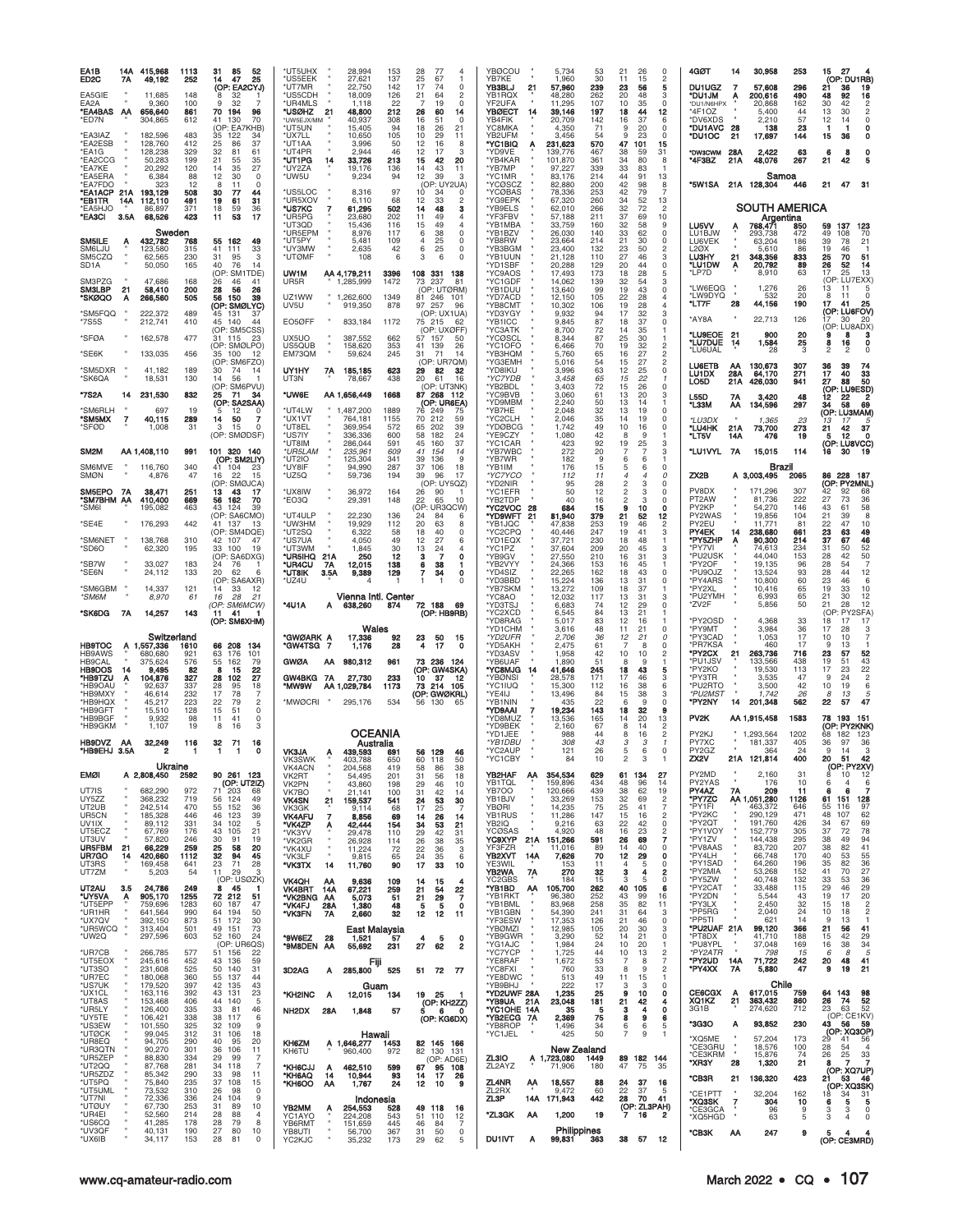| EA1B<br>ED <sub>2</sub> C                   | 14A<br>7Α      | 415.968<br>49,192                     | 1113<br>252              | 52<br>31<br>85<br>25<br>47<br>14                                                         | *UT5UHX<br>28,994<br>153<br>28<br>77<br>25<br>*US5EEK<br>27,621<br>137<br>67                                                                                                                                                              | <b>YBØCOU</b><br>5,734<br>$\overline{4}$<br>YB7KE<br>1.960<br>-1                                                                                                                           | 53<br>21<br>26<br>$\Omega$<br>30<br>11<br>15<br>$\overline{c}$                                                                                     | 4GØT<br>30,958<br>14<br>DU1UGZ                                                                                                      | 253<br>15<br>27<br>(OP: DU1RB)                                                                                                               |
|---------------------------------------------|----------------|---------------------------------------|--------------------------|------------------------------------------------------------------------------------------|-------------------------------------------------------------------------------------------------------------------------------------------------------------------------------------------------------------------------------------------|--------------------------------------------------------------------------------------------------------------------------------------------------------------------------------------------|----------------------------------------------------------------------------------------------------------------------------------------------------|-------------------------------------------------------------------------------------------------------------------------------------|----------------------------------------------------------------------------------------------------------------------------------------------|
| EA5GIE<br>EA2A<br><b>EA4BAS AA</b><br>*ED7N |                | 11,685<br>9,360<br>656,640<br>304,865 | 148<br>100<br>861<br>612 | (OP: EA2CYJ)<br>32<br>8<br>32<br>9<br>70<br>194<br>96<br>130<br>70<br>41<br>(OP: EA7KHB) | 17<br>*UT7MR<br>22,750<br>142<br>74<br>*US5CDH<br>126<br>18,009<br>21<br>64<br>*UR4MLS<br>1,118<br>22<br>19<br>*USØHZ<br>21<br>48,800<br>212<br>26<br>60<br>40,937<br>308<br>16<br>51<br>*UW5EJX/MM<br>*UT5UN<br>15,405<br>18<br>26<br>94 | YB3BLJ<br>57,960<br>$\Omega$<br>21<br>YB1RQX<br>48,280<br>2<br>$\Omega$<br>YF2UFA<br>11,295<br><b>YBØECT</b><br>39,146<br>14<br>14<br>YB4FIK<br>20,709<br>$\circ$<br>YC8MKA<br>21<br>4,350 | 239<br>23<br>56<br>5<br>262<br>20<br>48<br>3<br>107<br>10<br>35<br>$\Omega$<br>197<br>18<br>12<br>44<br>142<br>16<br>37<br>6<br>71<br>20<br>9<br>0 | 7<br>57,608<br><b>MUIUD</b><br>200,616<br>Α<br>*DU1/N6HPX<br>20.868<br>*4F1OZ<br>5,400<br>*DV6XDS<br>2,210<br>*DU1AVC<br>138<br>-28 | 296<br>21<br>19<br>36<br>16<br>490<br>48<br>92<br>162<br>30<br>42<br>$\overline{c}$<br>13<br>30<br>44<br>57<br>12<br>0<br>14<br>23<br>1<br>0 |
| *EA3IAZ<br>*EA2ESB                          |                | 182,596<br>128,760<br>128,238         | 483<br>412<br>329        | 35<br>122<br>34<br>25<br>86<br>37<br>32<br>81                                            | *UX7LL<br>10,650<br>105<br>10<br>29<br>3,996<br>12<br>*UT1AA<br>50<br>16<br>*UT4PR<br>2,944<br>46<br>17                                                                                                                                   | YB2UFM<br>3,456<br>11<br>'YC1BIQ<br>231,623<br>Α<br>8<br>3                                                                                                                                 | 54<br>23<br>9<br>0<br>570<br>47<br>101<br>15<br>467<br>38<br>59<br>31                                                                              | *DU1OC<br>21<br>17,697<br>*DW3CWM<br>28A<br>2,422                                                                                   | 144<br>15<br>36<br>0<br>0<br>63<br>8                                                                                                         |
| *EA1G<br>*EA2CCG<br>*EA7KE                  |                | 50,283<br>20,292                      | 199<br>120               | 61<br>21<br>35<br>55<br>14<br>35<br>27                                                   | 12<br>*UT1PG<br>33,726<br>213<br>15<br>42<br>14<br>*UY2ZA<br>19,176<br>136<br>14<br>43                                                                                                                                                    | 'YD9VE<br>139,776<br>*YB4KAR<br>20<br>101,870<br>*YB7MP<br>11<br>97,227                                                                                                                    | 361<br>34<br>80<br>8<br>339<br>33<br>83<br>-1                                                                                                      | *4F3BZ<br>21A<br>48,076                                                                                                             | 6<br>21<br>267<br>42<br>5                                                                                                                    |
| *EA5ERA<br>*EA7FDO<br>*EA1ACP               | 21A            | 6,384<br>323<br>193,129               | 88<br>12<br>508          | 12<br>30<br>$\Omega$<br>8<br>11<br>$\Omega$<br>30<br>77<br>44                            | *UW5U<br>12<br>9,234<br>94<br>39<br>(OP: UY2UA)<br>*US5LOC<br>8,316<br>97<br>10<br>34                                                                                                                                                     | 3<br>*YC1MR<br>83,176<br>'YCØSCZ<br>82,880<br>*YCØBAS<br>78,336<br>$\Omega$                                                                                                                | 214<br>44<br>91<br>13<br>200<br>42<br>98<br>8<br>253<br>42<br>79<br>$\overline{7}$                                                                 | Samoa<br>*5W1SA<br>21A 128,304                                                                                                      | 21<br>47<br>31<br>446                                                                                                                        |
| *EB1TR<br><b>*EA5HJO</b><br>*EA3CI          | 14A<br>3.5A    | 112,110<br>86,897<br>68,526           | 491<br>371<br>423        | 19<br>61<br>31<br>18<br>59<br>36<br>17<br>11<br>53                                       | *UR5XOV<br>68<br>6,110<br>12<br>33<br>*US7KC<br>7<br>502<br>14<br>48<br>61,295<br>*UR5PG<br>202<br>23,680<br>11<br>49                                                                                                                     | 'YG9EPK<br>2<br>67,320<br>з<br>'YB9ELS<br>62,010<br>'YF3FBV<br>57,188                                                                                                                      | 260<br>34<br>52<br>13<br>266<br>32<br>72<br>$\overline{c}$<br>211<br>37<br>69<br>10                                                                | <b>SOUTH AMERICA</b><br>Argentina                                                                                                   |                                                                                                                                              |
| SM5ILE                                      | A              | Sweden<br>432,782                     | 768                      | 55<br>162<br>49                                                                          | *UT3QD<br>15,436<br>116<br>15<br>49<br>*UR5EPM<br>8,976<br>6<br>38<br>117<br>*UT5PY<br>5,481<br>109<br>25<br>4                                                                                                                            | *YB1MBA<br>33,759<br>'YB1BZV<br>26,030<br>$\Omega$<br>*YB8RW<br>23,664<br>0                                                                                                                | 32<br>160<br>58<br>9<br>140<br>33<br>62<br>$\Omega$<br>214<br>21<br>30<br>0                                                                        | LU5VV<br>768,47<br>Ą<br>LU1BJW<br>293,738<br>LU6VEK<br>63,204                                                                       | 137<br>123<br>850<br>59<br>49<br>472<br>108<br>70<br>39<br>186<br>78<br>21                                                                   |
| SM6LJU<br>SM5CZQ                            |                | 123,580<br>62,565                     | 315<br>230               | 41<br>111<br>33<br>31<br>95<br>3                                                         | *UY3MW<br>42<br>25<br>2,635<br>6<br>*UTØMF<br>108<br>6<br>3<br>6                                                                                                                                                                          | *YB3BGM<br>23,400<br>$\Omega$<br>*YB1UUN<br>21,128<br>$\Omega$                                                                                                                             | 132<br>23<br>50<br>$\overline{c}$<br>110<br>27<br>3<br>46                                                                                          | <b>L2ØX</b><br>5.610<br><b>LU3HY</b><br>21<br>348,356                                                                               | 19<br>86<br>46<br>25<br>833<br>70<br>51                                                                                                      |
| SD <sub>1</sub> A<br>SM3PZG                 |                | 50,050<br>47,686                      | 165<br>168               | 40<br>76<br>14<br>(OP:<br>SM <sup>-</sup><br>TDE)<br>26<br>41<br>46                      | UW1M<br>AA 4,179,211<br>3396<br>108 331<br>UR5R<br>1,285,999<br>1472<br>73<br>237                                                                                                                                                         | 'YD1SBF<br>20,288<br>138<br>'YC9AOS<br>17,493<br>14,062<br>81<br>*YC1GDF                                                                                                                   | $\mathbf 0$<br>129<br>20<br>44<br>173<br>18<br>28<br>5<br>139<br>32<br>54<br>3                                                                     | *LU1DW<br>Α<br>20,792<br>*LP7D<br>8,910                                                                                             | 89<br>26<br>52<br>14<br>17<br>63<br>13<br>25<br>(OP: LU7EXX)                                                                                 |
| <b>SM3LBP</b><br>'SKØQO                     | 21<br>A        | 58,410<br>266,560                     | 200<br>505               | 28<br>56<br>26<br>56<br>150<br>39<br>(OP: SMØLYC)                                        | (OP: UTØRM)<br>UZ1WW<br>1,262,600<br>1349<br>81 246 101<br>UV5U<br>878<br>97<br>257<br>919,350                                                                                                                                            | *YB1DUU<br>13,640<br>*YD7ACD<br>12,150<br>'YB8CMT<br>96<br>10,302                                                                                                                          | -99<br>19<br>43<br>$\Omega$<br>105<br>22<br>28<br>4<br>106<br>19<br>28<br>$\overline{4}$                                                           | *LW6EQG<br>1,276<br>*LW9DYQ<br>532<br>28<br>*LT7F<br>44,156                                                                         | 26<br>13<br>11<br>5<br>$\Omega$<br>20<br>8<br>-11<br>190<br>17<br>41<br>25                                                                   |
| 'SM5FQQ<br>*7S5S                            |                | 222,372<br>212,741                    | 489<br>410               | 131<br>37<br>45<br>45 140<br>44<br>(OP: SM5CSS)                                          | (OP: UX1UA)<br>EO5ØFF<br>833,184<br>1172<br>75 215<br>(OP: UXØFF)                                                                                                                                                                         | *YD3YGY<br>9,932<br>*YB1ICC<br>9,845<br>62<br>'YC3ATK<br>8,700                                                                                                                             | 94<br>17<br>32<br>3<br>87<br>$\Omega$<br>18<br>37<br>72<br>14<br>35<br>-1                                                                          | *AY8A<br>22,713                                                                                                                     | (OP: LU6FOV)<br>126<br>i7<br>30<br>20<br>(OP: LU8ADX)                                                                                        |
| *SFØA                                       |                | 162,578                               | 477                      | 31 115<br>-23<br>(OP: SMØLPO)                                                            | UX5UO<br>387,552<br>662<br>57 157<br>US5QUB<br>158,620<br>353<br>41<br>139<br>$\,$ H                                                                                                                                                      | 'YCØSCL<br>50<br>8,344<br>26<br>*YC1OFO<br>6,466                                                                                                                                           | 87<br>25<br>30<br>70<br>19<br>32<br>$\overline{c}$                                                                                                 | *LU9EOE<br>21<br>900<br>*LU7DUE<br>1,584<br>14<br>'LU6UAL<br>28                                                                     | 20<br>9<br>8<br>з<br>25<br>$\frac{0}{0}$<br>16<br>8<br>3<br>2<br>2                                                                           |
| *SE6K<br>'SM5DXR                            |                | 133,035<br>41,182                     | 456<br>189               | 35 100<br>-12<br>(OP: SM6FZO)<br>74<br>30<br>-14                                         | EM73QM<br>59,624<br>245<br>31<br>71<br>(OP: UR7QM)<br>UY1HY<br>7A<br>185,185<br>623<br>29<br>82                                                                                                                                           | 'YB3HQM<br>5,760<br>14<br>'YG3EMH<br>5,016<br>*YD8IKU<br>3,996<br>32                                                                                                                       | 27<br>$\overline{2}$<br>65<br>16<br>54<br>15<br>27<br>$\overline{c}$<br>$\mathsf 0$<br>63<br>12<br>25                                              | LU6ETB<br>130,673<br>АΑ<br>28A<br><b>LU1DX</b><br>64,170                                                                            | 307<br>$\frac{36}{17}$<br>39<br>74<br>271<br>40<br>33                                                                                        |
| *SK6QA<br>*7S2A                             | 14             | 18,531<br>231,530                     | 130<br>832               | 14<br>56<br>(OP: SM6PVU)<br>25<br>71<br>34                                               | 438<br>20<br>UT3N<br>78,667<br>61<br>(OP: UT3NK)<br>*UW6E<br>87 268 112<br>AA 1,656,449<br>1668                                                                                                                                           | *YC7YDB<br>3,458<br>16<br>'YB2BDL<br>3,403<br>'YC9BVB<br>3,060                                                                                                                             | 65<br>15<br>22<br>72<br>26<br>$\Omega$<br>15<br>13<br>61<br>20<br>3                                                                                | 426,030<br>LO5D<br>21A<br>L55D<br>7Α<br>3,420                                                                                       | 50<br>941<br>27<br>88<br>(OP: LU9ESD)<br>48<br>12<br>22                                                                                      |
| 'SM6RLH<br><b>"SM5MX</b>                    | $\overline{7}$ | 697<br>40,115                         | 19<br>289                | (OP: SA2SAA)<br>12<br>5<br>$\Omega$<br>14<br>50<br>7                                     | (OP: UR6EA)<br>*UT4LW<br>1,487,200<br>1889<br>76 249<br>*UX1VT<br>764,181<br>1155<br>70<br>212                                                                                                                                            | *YD9MBM<br>2,240<br>'YB7HE<br>2,048<br>75<br>2,046<br>59<br>'YC2CLH                                                                                                                        | 50<br>13<br>14<br>32<br>13<br>19<br>$\Omega$<br>35<br>14<br>19<br>$\Omega$                                                                         | *L33M<br>134,596<br>ΑА<br>*LU3DX                                                                                                    | 297<br>34<br>58<br>69<br>(OP: LU3MAM)<br>23                                                                                                  |
| *SFØD                                       |                | 1,008                                 | 31                       | 3<br>15<br>$\Omega$<br>(OP: SMØDSF)                                                      | *UT8EL<br>369,954<br>572<br>65<br>202<br>*US7IY<br>336,336<br>600<br>58<br>182                                                                                                                                                            | 1,742<br>39<br>*YDØBCG<br>24<br>*YE9CZY<br>1,080                                                                                                                                           | 49<br>10<br>16<br>0<br>42<br>9<br>8<br>-1                                                                                                          | 1,365<br>*LU4HK<br>21A<br>73,700<br>*LT5V<br>14A<br>476                                                                             | 13<br>273<br>21<br>42<br>37<br>19<br>12<br>$\mathbf 0$<br>5                                                                                  |
| SM <sub>2</sub> M                           |                | AA 1,408,110                          | 991                      | 101 320 140<br>(OP: SM2LIY)                                                              | *UT8IM<br>286,044<br>591<br>45<br>160<br>*UR5LAM<br>235,961<br>609<br>41<br>154<br>*UT2IO<br>125,304<br>341<br>39<br>136                                                                                                                  | 37<br>'YC1CAR<br>423<br>14<br>*YB7WBC<br>272<br>'YB7WR<br><b>q</b><br>182                                                                                                                  | 92<br>19<br>25<br>3<br>20<br>3<br>9<br>6<br>6                                                                                                      | *LU1VYL 7A<br>15,015                                                                                                                | (OP: LU8VCC)<br>114<br>16<br>19<br>30                                                                                                        |
| SM6MVE<br><b>SMØN</b>                       |                | 116,760<br>4,876                      | 340<br>47                | 41 104<br>23<br>22<br>16<br>15<br>(OP: SMØJCA)                                           | *UY8IF<br>94,990<br>287<br>37<br>106<br>*UZ5Q<br>59,736<br>194<br>39<br>96<br>(OP: UY5QZ)                                                                                                                                                 | 18<br>*YB1IM<br>176<br>17<br>*YC7YCO<br>112<br>'YD2NIR<br>95                                                                                                                               | 15<br>5<br>6<br>0<br>$\Omega$<br>11<br>4<br>4<br>28<br>2<br>3<br>0                                                                                 | Brazil<br>ZX2B<br>A 3,003,495                                                                                                       | 86 228<br>187<br>2065<br>(OP: PY2MNL)                                                                                                        |
| SM5EPO 7A<br><b>SM7BHM AA</b><br>'SM6I      |                | 38,471<br>410,400<br>195,082          | 251<br>669<br>463        | 13<br>43<br>-17<br>56<br>162<br>70<br>43<br>124<br>39                                    | *UX8IW<br>36,972<br>164<br>26<br>90<br>*EO3Q<br>29,391<br>148<br>22<br>65<br>(OP: UR3QCW)                                                                                                                                                 | 'YC1EFR<br>50<br>10<br>*YB2TDP<br>40<br>*YC2VOC<br>684<br>-28                                                                                                                              | 12<br>2<br>$\Omega$<br>з<br>16<br>3<br>0<br>$\mathbf 0$<br>15<br>9<br>10                                                                           | PV8DX<br>171,296<br>PT <sub>2</sub> AW<br>81,736<br>PY2KP<br>54,270                                                                 | 307<br>42<br>92<br>68<br>222<br>27<br>36<br>73<br>58<br>146<br>43<br>61                                                                      |
| 'SE4E                                       |                | 176,293                               | 442                      | (OP: SA6CMO)<br>41 137<br>13<br>(OP: SM4DQE)                                             | *UT4ULP<br>22,230<br>136<br>24<br>84<br>*UW3HM<br>19,929<br>112<br>20<br>63<br>*UT2SQ<br>6,322<br>58<br>18<br>40                                                                                                                          | 'YD9WFT<br>21<br>81,940<br>*YB1JQC<br>47,838<br>*YC2CPQ<br>40,446<br>$\Omega$                                                                                                              | 379<br>21<br>12<br>52<br>253<br>19<br>46<br>$\mathfrak{p}$<br>247<br>19<br>41<br>3                                                                 | PY2WAS<br>19,856<br>PY2EU<br>11,771<br>PY4EK<br>14<br>238,680                                                                       | 104<br>8<br>21<br>39<br>81<br>22<br>47<br>10<br>23<br>49<br>661<br>63                                                                        |
| SM6NET<br>'SD6O                             |                | 138,768<br>62,320                     | 310<br>195               | 42<br>107<br>47<br>33<br>100<br>19<br>(OP: SA6DXG)                                       | *US7UA<br>4,050<br>49<br>12<br>27<br>*UT3WM<br>30<br>1,845<br>13<br>24<br>*UR5IHQ<br>250<br>21A<br>12<br>з<br>7                                                                                                                           | 37,721<br>*YD1EQX<br>6<br>'YC1PZ<br>37,604<br>4<br>$\mathbf 0$<br>*YB9GV<br>27,550                                                                                                         | 230<br>18<br>48<br>-1<br>209<br>20<br>45<br>3<br>210<br>16<br>31<br>3                                                                              | *PY5ZHP<br>90,300<br>A<br>*PY7VI<br>74,613<br>*PU2USK<br>44,040                                                                     | 214<br>37<br>46<br>67<br>52<br>234<br>31<br>50<br>153<br>28<br>42<br>50                                                                      |
| 'SB7W<br>'SE6N                              |                | 33,027<br>24,112                      | 183<br>133               | 24<br>76<br>20<br>62<br>6                                                                | 12,015<br>*UR4CU<br>138<br>6<br>38<br>7A<br>*UT8IK<br>3.5A<br>9,389<br>129<br>7<br>34                                                                                                                                                     | 'YB2VYY<br>24,366<br>$\Omega$<br>'YD4SIZ<br>22,265                                                                                                                                         | 153<br>16<br>45<br>$\mathbf{1}$<br>162<br>18<br>43<br>$\Omega$                                                                                     | *PY2OF<br>19,135<br>*PU9OJZ<br>13,524                                                                                               | $\overline{7}$<br>96<br>28<br>54<br>12<br>93<br>28<br>44                                                                                     |
| *SM6GBM                                     |                | 14,337                                | 121                      | (OP: SA6AXR)                                                                             | *UZ4U<br>-1<br>-1                                                                                                                                                                                                                         | 'YD3BBD<br>15,224<br>$\Omega$                                                                                                                                                              | 136<br>13<br>31<br>$\Omega$                                                                                                                        | *PY4ARS<br>10,800                                                                                                                   | 23<br>60<br>46<br>6                                                                                                                          |
| *SM6M                                       |                | 8,970                                 | 61                       | 14<br>33<br>12<br>16<br>28<br>21                                                         | Vienna Intl. Center                                                                                                                                                                                                                       | *YB7SKM<br>13,272<br>'YC8AO<br>12,032                                                                                                                                                      | 109<br>18<br>37<br>117<br>13<br>31<br>3                                                                                                            | *PY2XL<br>10,416<br>*PU2YMH<br>6,993                                                                                                | 19<br>10<br>65<br>33<br>21<br>30<br>12<br>65                                                                                                 |
| *SK6DG                                      | 7A             | 14,257                                | 143                      | (OP: SM6MCW)<br>41<br>11.<br>(OP: SM6XHM)                                                | *4U1A<br>638,260<br>874<br>72<br>188<br>А<br>(OP: HB9RB)                                                                                                                                                                                  | 'YD3TSJ<br>6,683<br>-69<br>*YC2XCD<br>6,545<br>*YD8RAG<br>5,017                                                                                                                            | 12<br>29<br>74<br>0<br>21<br>84<br>13<br>83<br>12<br>16                                                                                            | *ZV2F<br>5,856<br>*PY2OSD<br>4,368                                                                                                  | 50<br>21<br>28<br>12<br>(OP: PY2SFA)<br>33<br>18<br>17<br>17                                                                                 |
| <b>HB9TOC</b>                               |                | Switzerland<br>A 1,557,336            | 1610                     | 208<br>66<br>-134                                                                        | Wales<br>*GWØARK A<br>17,336<br>92<br>23<br>50<br>*GW4TSG<br>7<br>1,176<br>28<br>4<br>17                                                                                                                                                  | 'YD1CHM<br>3,616<br>15<br>*YD2UFR<br>2,706<br>*YD5AKH<br>2,475<br>$\mathbf 0$                                                                                                              | 48<br>21<br>$\Omega$<br>11<br>36<br>12<br>21<br>0<br>61<br>$\Omega$<br>8                                                                           | *PY9MT<br>3,984<br>*PY3CAD<br>1,053<br>*PR7KSA<br>460                                                                               | 17<br>36<br>28<br>3<br>17<br>7<br>10<br>$10^{1}$<br>17<br>9<br>13                                                                            |
| HB9AWS<br><b>HB9CAL</b>                     |                | 680,680<br>375,624                    | 921<br>576               | 63<br>176<br>101<br>55<br>162<br>79                                                      | <b>GWØA</b><br>980,312<br>961<br>73 236<br>AA                                                                                                                                                                                             | 'YD3ASV<br>1,958<br>'YB6UAF<br>1,890<br>- 124                                                                                                                                              | 42<br>10<br>10<br>2<br>51<br>9<br>8<br>-1<br>43                                                                                                    | 263,736<br>*PY2CX<br>21<br>*PU1JSV<br>133,566                                                                                       | 23<br>716<br>52<br>57<br>43<br>438<br>19<br>51                                                                                               |
| <b>HB9DOS</b><br>*HB9TZU<br>*HB9OAU         | 14<br>A        | 9,495<br>104,876<br>92,637            | 82<br>327<br>337         | 22<br>8<br>15<br>27<br>28<br>102<br>28<br>95<br>18                                       | (OP: GW4SKA)<br>27,730<br>GW4BKG<br>7A<br>233<br>10<br>37<br>1173<br>*MW9W<br>AA 1,029,784<br>214 105<br>73                                                                                                                               | 'YC8MJG<br>41,646<br>-14<br>*YBØNSI<br>28,578<br>12<br>*YC1IUQ<br>15,300                                                                                                                   | 245<br>18<br>5<br>171<br>17<br>46<br>3<br>112<br>16<br>38<br>6                                                                                     | *PY2KO<br>19,530<br>*PY3TR<br>3,535<br>*PU2RTO<br>3,500                                                                             | $\frac{22}{2}$<br>17<br>113<br>23<br>47<br>9<br>24<br>$\,6$<br>42<br>10<br>19                                                                |
| *HB9MXY<br>*HB9HQX<br>*HB9GFT               |                | 46,614<br>45,217<br>15,510            | 232<br>223<br>128        | 17<br>78<br>7<br>22<br>79<br>2<br>15<br>51<br>$\mathbf 0$                                | (OP: GWØKRL)<br>*MWØCRI<br>534<br>295,176<br>56 130                                                                                                                                                                                       | *YE4IJ<br>13,496<br>'YB1NIN<br>65<br>435<br>*YD9AAI<br>7<br>19,234                                                                                                                         | 84<br>15<br>38<br>3<br>22<br>q<br>$\Omega$<br>Б<br>143<br>18<br>32<br>9                                                                            | *PU2MS <sub>7</sub><br>1,742<br>*PY2NY<br>14<br>201,348                                                                             | 26<br>8<br>13<br>5<br>47<br>562<br>22<br>57                                                                                                  |
| *HB9BGF<br>*HB9GKM                          |                | 9,932<br>1,107                        | 98<br>19                 | 41<br>$\Omega$<br>11<br>8<br>16<br>3                                                     | <b>OCEANIA</b>                                                                                                                                                                                                                            | <b>YD8MUZ</b><br>13,536<br>*YD9BEK<br>2,160<br>*YD1JEE<br>988                                                                                                                              | 165<br>20<br>13<br>14<br>67<br>8<br>14<br>2<br>44<br>$\overline{c}$<br>16<br>8                                                                     | PV <sub>2K</sub><br>AA 1,915,458<br>PY2KJ<br>1,293,564                                                                              | 1583<br>78<br>193<br>151<br>(OP: PY2KNK)<br>1202<br>68<br>182<br>123                                                                         |
| HB9DVZ<br>*HB9EHJ 3.5A                      | AA             | 32,249                                | 116<br>-1                | 32<br>71<br>16<br>0<br>-1<br>-1                                                          | Australia<br><b>VK3JA</b><br>439.593<br>691<br>56 129<br>A<br><b>VK3SWK</b><br>60<br>403.788<br>650<br>118                                                                                                                                | *YB1DBU<br>308<br>*YC2AUP<br>121<br>46<br>*YC1CBY<br>84<br>50                                                                                                                              | 43<br>3<br>26<br>$\Omega$<br>5<br>6<br>10<br>з                                                                                                     | PY7XC<br>181,337<br>PY2GZ<br>364<br>21A<br>121,814<br>ZX2V                                                                          | 36<br>405<br>36<br>97<br>24<br>9<br>14<br>3<br>400<br>20<br>42<br>51                                                                         |
| <b>EMØI</b>                                 |                | Ukraine<br>A 2,808,450                | 2592                     | 90 261 123<br>(OP: UT2IZ)                                                                | <b>VK4ACN</b><br>204,568<br>419<br>58<br>86<br>VK2RT<br>54,495<br>201<br>31<br>56<br>VK2PN<br>43,860<br>198<br>29<br>46                                                                                                                   | 38<br>YB2HAF<br>354,534<br>AA<br>18<br>YB1TQL<br>159,896<br>10                                                                                                                             | 27<br>629<br>61<br>134<br>434<br>48<br>96<br>14                                                                                                    | PY2MD<br>2,160<br>PY2YAS<br>176                                                                                                     | (OP: PY2XV)<br>31<br>8<br>10<br>12<br>10<br>6<br>4<br>6                                                                                      |
| UT7IS<br>UY5ZZ                              |                | 682,290<br>368,232                    | 972<br>719<br>470        | 71<br>203<br>68<br>56<br>124<br>49                                                       | VK7BO<br>31<br>21,141<br>100<br>42<br><b>VK4SN</b><br>21<br>159,537<br>24<br>541<br>53                                                                                                                                                    | YB7OO<br>120,666<br>14<br>YB1BJV<br>33,269<br>30<br><b>YBØRI</b>                                                                                                                           | 38<br>439<br>62<br>19<br>32<br>153<br>69<br>$\overline{c}$<br>41<br>7                                                                              | PY4AZ<br>7A<br>209<br>*PY7ZC<br>AA 1,051,280<br>*PY1FI<br>463.372                                                                   | 6<br>7<br>11<br>6<br>61<br>151<br>128<br>1126<br>97<br>646<br>55<br>116                                                                      |
| UT2UB<br>UR5CN<br>UV1IX                     |                | 242,514<br>185,328<br>89,112          | 446<br>331               | 55<br>152<br>36<br>39<br>46<br>123<br>34<br>102<br>-5                                    | VK3GK<br>9,114<br>68<br>17<br>25<br>7<br><b>VK4AFU</b><br>26<br>8,856<br>69<br>14<br>*VK4ZP<br>42,444<br>154<br>34<br>53<br>Α                                                                                                             | 14,235<br>YB1RUS<br>11,286<br>14<br>YB2IQ<br>21<br>9,216                                                                                                                                   | 25<br>75<br>147<br>15<br>16<br>2<br>63<br>22<br>42<br>0                                                                                            | *PY2KC<br>290,129<br>*PY2QT<br>191,760                                                                                              | 471<br>48<br>107<br>62<br>69<br>426<br>34<br>67                                                                                              |
| UT5ECZ<br>UT3UV<br>UR5FBM                   | 21             | 67,769<br>57,820<br>66,229            | 176<br>246<br>259        | 43<br>105<br>21<br>30<br>19<br>91<br>25<br>58<br>20                                      | *VK3YV<br>110<br>29<br>29,478<br>42<br>*VK2GR<br>26,928<br>26<br>38<br>114<br>*VK4XU<br>11,224<br>22<br>72<br>36                                                                                                                          | YCØSAS<br>4,920<br>31<br><b>YC9XYP</b><br>151,266<br>21A<br>35<br>YF3FZR<br>11,016<br>3                                                                                                    | 48<br>16<br>$\overline{\mathbf{c}}$<br>23<br>$\overline{7}$<br>591<br>26<br>69<br>89<br>14<br>40<br>0                                              | *PY1VOY<br>152,779<br>*PY1ZV<br>144,438<br>*PV8AAS<br>83,720                                                                        | 305<br>37<br>72<br>78<br>38<br>94<br>295<br>49<br>207<br>38<br>82<br>41                                                                      |
| UR7GO<br>UT3RS<br>UT7ZM                     | 14             | 420,660<br>169,458<br>5,203           | 1112<br>641<br>54        | 32<br>94<br>45<br>23<br>71<br>28<br>11<br>29<br>3                                        | *VK3LF<br>9,815<br>65<br>24<br>35<br>17<br>*VK3TX<br>90<br>33<br>14<br>11,760                                                                                                                                                             | YB2XVT<br>14A<br>7,626<br>6<br>YE3WIL<br>153<br>10<br>YB2WA<br>7A<br>270                                                                                                                   | 70<br>12<br>29<br>0<br>$\overline{4}$<br>0<br>11<br>-5<br>32<br>3<br>4<br>$\overline{2}$                                                           | *PY4LH<br>66,748<br>*PY1SAD<br>64,260<br>*PY2MIA<br>53,268                                                                          | 40<br>55<br>170<br>53<br>36<br>35<br>82<br>196<br>27<br>152<br>41<br>70                                                                      |
| UT2AU<br>*UY5VA                             | 3.5            | 24,786<br>905,170                     | 249<br>1255              | (OP: USØZK)<br>8<br>45<br>-1<br>72 212<br>51                                             | <b>VK4QH</b><br>9,636<br>109<br>14<br>15<br>AA<br><b>VK4BRT</b><br>259<br>21<br>14A<br>67,221<br>54<br>*VK2BNG AA<br>51<br>5,073<br>21<br>29                                                                                              | YC2GBS<br>184<br>4<br>*YB1BD<br>AA<br>105,700<br>22<br>*YB1RKT<br>96,380<br>$\overline{7}$                                                                                                 | 15<br>0<br>3<br>5<br>262<br>40<br>105<br>6<br>252<br>43<br>99<br>16                                                                                | *PY5ZW<br>40,748<br>*PY2CAT<br>33,488<br>*PY2DN<br>5,544                                                                            | 36<br>132<br>33<br>53<br>29<br>115<br>29<br>46<br>20<br>43<br>19<br>17                                                                       |
| *UT5EPP<br>*UR1HR<br>*UX7QV                 | Ą              | 759,696<br>641,564<br>392,150         | 1283<br>990<br>873       | 60<br>187<br>47<br>64<br>194<br>50<br>51 172<br>30                                       | *VK4FJ<br>28A<br>1,380<br>48<br>5<br>5<br>*VK3FN<br>32<br>12<br>12<br>7A<br>2,660                                                                                                                                                         | *YB1BML<br>83,968<br>$\mathbf 0$<br>*YB1GBN<br>54,390<br>-11<br>*YF3ESW<br>17,353                                                                                                          | 258<br>35<br>82<br>11<br>31<br>241<br>64<br>3<br>126<br>21<br>46<br>0                                                                              | *PY3LX<br>2,450<br>*PP5RG<br>2,040<br>*PP5TI<br>621                                                                                 | 32<br>15<br>18<br>$\overline{c}$<br>$\frac{2}{1}$<br>24<br>10<br>18<br>14<br>9<br>13                                                         |
| *UR5WCQ<br>*UW2Q                            |                | 313,404<br>297,596                    | 501<br>603               | 49 151<br>73<br>24<br>52 160                                                             | East Malaysia<br>*9W6EZ<br>28<br>4<br>5<br>1,521<br>57                                                                                                                                                                                    | *YBØMZI<br>12,985<br>'YB9GWR<br>3,290<br>0                                                                                                                                                 | 105<br>20<br>30<br>3<br>52<br>14<br>21<br>0<br>-1                                                                                                  | *PU2UAF 21A<br>99,120<br>*PT8DX<br>41,710                                                                                           | 21<br>366<br>41<br>56<br>188<br>15<br>29<br>42                                                                                               |
| *UR7CB<br>*UT5EOX                           |                | 266,785<br>245,616                    | 577<br>452               | (OP: UR6QS)<br>51 156<br>22<br>43 136<br>59                                              | *9M8DEN AA<br>55,692<br>231<br>27<br>62                                                                                                                                                                                                   | 'YG1AJC<br>1,984<br>2<br>*YC7YCP<br>1,725<br>*YE8RAF<br>1,672                                                                                                                              | 24<br>10<br>20<br>44<br>10<br>13<br>$\overline{\mathbf{c}}$<br>53<br>$\overline{7}$<br>7<br>8                                                      | *PU8YPL<br>37,048<br>*PY2ATR<br>798<br>*PY2UD 14A<br>71,722                                                                         | 34<br>169<br>16<br>38<br>15<br>8<br>5<br>6<br>242<br>20<br>48                                                                                |
| *UT3SO<br>*UR7EC<br>*US7UK                  |                | 231,608<br>180,068<br>179,520         | 525<br>360<br>397        | 50<br>140<br>31<br>44<br>55<br>137<br>42<br>135<br>43                                    | 3D2AG<br>285,800<br>525<br>72 77<br>Α<br>51<br>Guam                                                                                                                                                                                       | *YC8FXI<br>760<br>*YE8DWC<br>513<br>*YB9BHJ<br>222                                                                                                                                         | 33<br>8<br>9<br>2<br>49<br>11<br>15<br>-1<br>17<br>0<br>3<br>3                                                                                     | *PY4XX<br>7A<br>5,880<br>Chile                                                                                                      | $\frac{41}{21}$<br>19<br>47<br>9                                                                                                             |
| *UX1CL<br>*UT8AS<br>*UR5LY                  |                | 163,116<br>153,468<br>126,400         | 392<br>406<br>335        | 23<br>43 131<br>44<br>140<br>5<br>33<br>81<br>46                                         | *KH2INC<br>25<br>Α<br>12,015<br>134<br>19<br>(OP: KH2ZZ)<br>NH <sub>2</sub> DX<br>1,848<br>57<br>28A<br>5<br>6                                                                                                                            | *YD2UWF 28A<br>1,235<br>*YB9UA 21A<br>*YC1OHE 14A<br>23,048<br>35<br>$\Omega$                                                                                                              | 25<br>9<br>10<br>$\mathbf 0$<br>21<br>181<br>42<br>4<br>0<br>3<br>4<br>-5                                                                          | CE6CGX<br>617,015<br>A<br>XQ1KZ<br>21<br>363,432<br>3G1B<br>274,620                                                                 | 64 143<br>759<br>98<br>26<br>74<br>52<br>860<br>52<br>712<br>23<br>63                                                                        |
| *UY5TE<br>*US3EW<br>*UTØCK                  |                | 106,421<br>101,550<br>99,045          | 338<br>325<br>312        | 6<br>38 117<br>32<br>109<br>9<br>31<br>106<br>18                                         | (OP: KG6DX)<br>Hawaii                                                                                                                                                                                                                     | *YB2ECG 7A<br>2,369<br>*YB8ROP<br>1,496<br>*YC1JEL<br>425                                                                                                                                  | 75<br>8<br>9<br>6<br>34<br>6<br>6<br>5<br>50<br>7<br>9<br>-1                                                                                       | °3G3O<br>93,852<br>Α                                                                                                                | (OP: CE1KV)<br>230<br>43<br>56<br>- 59<br>(OP: XQ3OP)                                                                                        |
| *UR8EQ<br>*UR3QTN<br>*UR5ZEP                |                | 94,705<br>90,270<br>88,830            | 290<br>301<br>334        | 40<br>95<br>20<br>36 106<br>11<br>29<br>99<br>7                                          | KH6ZM<br>1453<br>A 1,646,277<br>82 145 166<br>82<br>KH6TU<br>960,400<br>972<br>130 131                                                                                                                                                    | <b>ZL3IO</b><br>A 1,723,080                                                                                                                                                                | New Zealand<br>89 182 144<br>1449                                                                                                                  | *XQ5ME<br>57,204<br>$\mathbf{u}$<br>*CE3GRU<br>18,576<br>$\,$ $\,$<br>*CE3KRM<br>15,876                                             | 173<br>29<br>41<br>56<br>28<br>100<br>$\overline{4}$<br>-54<br>33<br>74<br>26<br>25                                                          |
| *UT2QQ<br>*UR5ZDZ<br>*UT5PQ                 |                | 87,768<br>85,342<br>75,840            | 281<br>290<br>235        | 34<br>118<br>7<br>33<br>11<br>98<br>37<br>108<br>15                                      | (OP: ADCE)<br>*KH6CJJ<br>462,510<br>599<br>67<br>95 108<br>А<br>93<br>*KH6AQ<br>10,944<br>17<br>14<br>14                                                                                                                                  | ZL2AYZ<br>71,906<br>26                                                                                                                                                                     | 180<br>47<br>75<br>35<br>88<br>24<br>37                                                                                                            | *XR3Y<br>28<br>1,320<br>*CB3R<br>136,320<br>21                                                                                      | 21<br>$\overline{7}$<br>7<br>8<br>(OP: XQ7UP)<br>423<br>21<br>53<br>46                                                                       |
| *UT5UML<br>*UT7NI                           |                | 73,532<br>72,336                      | 310<br>336               | 26<br>98<br>$\mathbf 0$<br>24<br>104<br>9                                                | *KH6OO<br>ΑА<br>1,767<br>24<br>12<br>10<br>Indonesia                                                                                                                                                                                      | ZL4NR<br>18,557<br>AA<br>9<br>ZL2RX<br>9,472<br>ZL3P<br>14A<br>171,943                                                                                                                     | 16<br>60<br>22<br>37<br>5<br>28<br>70<br>41<br>442                                                                                                 | *CE1PTT<br>32,204<br>*XQ3SK<br>304                                                                                                  | (OP: XQ3SK)<br>162<br>18<br>-34<br>31<br>10<br>6<br>5<br>5                                                                                   |
| *UTØUY<br>*UR4EI<br>*US6CQ<br>*UV3QF        |                | 67,730<br>52,560<br>41,285<br>40,131  | 253<br>214<br>178<br>190 | 31<br>89<br>10<br>28<br>88<br>$\overline{4}$<br>28<br>79<br>8<br>27<br>80<br>10          | YB2MM<br>49 118<br>254,553<br>528<br>Α<br>YC1AYO<br>224,208<br>543<br>51 110<br>YB6RMT<br>151,659<br>445<br>46<br>84<br>YB8UTI<br>56,700<br>367<br>31<br>50                                                                               | -16<br>*ZL3GK<br>1,200<br>AA<br>12<br>-7<br>Philippines<br>0                                                                                                                               | (OP: ZL3PAH)<br>19<br>16<br>$\overline{\mathbf{2}}$<br>7                                                                                           | $\frac{7}{1}$<br>CE3GCA<br>96<br>*XQ5HGD<br>63<br>*СВЗК<br>247<br>AA                                                                | 9<br>3<br>3<br>0<br>0<br>5<br>$\overline{4}$<br>з<br>9<br>5<br>4                                                                             |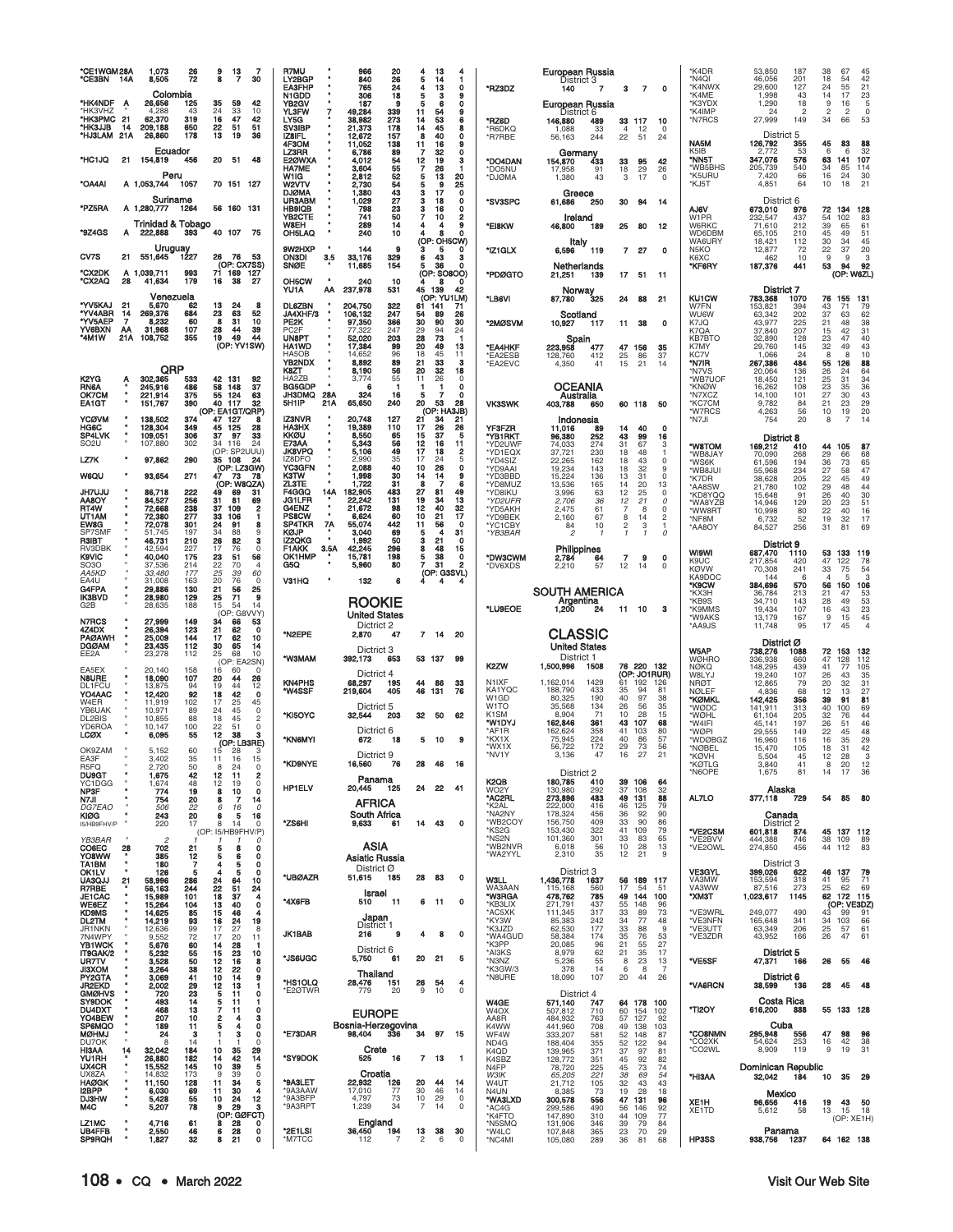| *CE1WGM28A<br>*CE3BN                                | 14A                  | 1.073<br>8,505<br>Colombia                     | $\frac{26}{72}$                  | 9<br>8                           | $\frac{13}{7}$<br>-7<br>30                                      | R7MU<br>LY2BGP<br><b>EA3FHP</b><br>N1GDD              | 966<br>840<br>765<br>306                                     | 20<br>26<br>24<br>18          | 4<br>5<br>4<br>5                             | 13<br>14<br>13<br>э                | 4<br>1<br>$\mathbf o$<br>9             | *RZ3DZ                                           | European Russia<br>District 3<br>140                        | $\overline{7}$           | з                                   | $\overline{7}$<br>$\mathbf 0$                          | *K4DR<br>*N4QI<br>*K4NWX<br>*K4ME              | 53,850<br>46,056<br>29,600<br>1,998          | 187<br>201<br>127<br>43       | 38<br>18<br>24<br>14                         | 67<br>54<br>55<br>17       | 45<br>42<br>21                                          |
|-----------------------------------------------------|----------------------|------------------------------------------------|----------------------------------|----------------------------------|-----------------------------------------------------------------|-------------------------------------------------------|--------------------------------------------------------------|-------------------------------|----------------------------------------------|------------------------------------|----------------------------------------|--------------------------------------------------|-------------------------------------------------------------|--------------------------|-------------------------------------|--------------------------------------------------------|------------------------------------------------|----------------------------------------------|-------------------------------|----------------------------------------------|----------------------------|---------------------------------------------------------|
| *HK4NDF<br>'HK3VHZ<br>*HK3PMC<br>*HK3JJB<br>*HJ3LAM | A<br>21<br>14<br>21A | 26,656<br>4.288<br>62,370<br>209,188<br>26,860 | 125<br>43<br>319<br>650<br>178   | 35<br>24<br>16<br>22<br>13       | 59<br>42<br>33<br>10<br>47<br>42<br>51<br>51<br>19<br>36        | <b>YB2GV</b><br>YL3FW<br>LY5G<br>SV3IBP<br>IZ8IFL     | 187<br>49,284<br>38,982<br>٠<br>21,373<br>12,672             | я<br>339<br>273<br>178<br>157 | 5<br>11<br>14<br>14<br>8                     | 6<br>54<br>53<br>45<br>40          | $\mathbf o$<br>9<br>6<br>8<br>$\Omega$ | *RZ6D<br>*R6DKQ<br>*R7RBE                        | European Russia<br>District 6<br>146,880<br>1,088<br>56,163 | 489<br>33<br>244         | 33 117<br>$\overline{4}$<br>22      | 10<br>12<br>$\Omega$<br>51<br>24                       | *K3YDX<br>*K4IMP<br>*N7RCS                     | 1,290<br>24<br>27,999<br>District 5          | 18<br>$\overline{2}$<br>149   | 9<br>$\overline{2}$<br>34                    | 16<br>$\overline{2}$<br>66 | $\begin{array}{c} 23 \\ 5 \end{array}$<br>$\circ$<br>53 |
| *HC1JQ                                              |                      | Ecuador<br>21 154,819                          | 456                              | 20 51                            | 48                                                              | 4F3OM<br>LZ3RR<br>E2ØWXA<br><b>HA7ME</b>              | 11,052<br>6,786<br>4,012<br>3,604                            | 138<br>89<br>54<br>55         | 11<br>$\overline{7}$<br>12<br>$\overline{7}$ | 16<br>32<br>19<br>26               | 9<br>0<br>3                            | *DO4DAN<br>*DO5NU                                | Germany<br>154,870<br>17,958                                | 433<br>91                | 33<br>18                            | 95<br>42<br>29<br>26                                   | NA5M<br>K5IB<br>*NN5T<br>*WB5BHS               | 126,792<br>2,772<br>347,076<br>205,739       | 355<br>53<br>576<br>540       | 45<br>6<br>63<br>34                          | 83<br>6<br>141<br>85       | 88<br>32<br>107<br>114                                  |
| *OA4AI                                              |                      | Peru<br>A 1,053,744                            | 1057                             |                                  | 70 151 127                                                      | W1IG<br><b>W2VTV</b><br><b>DJØMA</b>                  | 2,812<br>2,730<br>1,380                                      | 52<br>54<br>$\frac{43}{27}$   | 5<br>5<br>з                                  | 13<br>9<br>17                      | 20<br>25<br>$\mathbf 0$                | *DJØMA                                           | 1,380<br>Greece                                             | 43                       | 3                                   | 17<br>0                                                | *K5URU<br>*KJ5T                                | 7,420<br>4,851                               | 66<br>64                      | 16<br>10                                     | 24<br>18                   | 30<br>21                                                |
| *PZ5RA                                              |                      | Suriname<br>A 1,280,777                        | 1264                             |                                  | 56 160 131                                                      | <b>UR3ABM</b><br><b>HB9IQB</b><br>YB2CTE              | 1,029<br>798<br>741                                          | 23<br>50                      | з<br>3<br>7                                  | 18<br>16<br>10                     | 0<br>$\mathbf 0$<br>2                  | *SV3SPC                                          | 61,686<br>Ireland                                           | 250                      | 30                                  | 94<br>-14                                              | AJ6V<br>W1PR                                   | District 6<br>673,010<br>232,547             | 976<br>437                    | 72<br>54                                     | 134<br>102                 | 128<br>83                                               |
| "9Z4GS                                              | A                    | <b>Trinidad &amp; Tobago</b><br>222,888        | 393                              |                                  | 40 107 75                                                       | W8EH<br>OH5LAQ                                        | 289<br>240                                                   | 14<br>10                      | 4                                            | 4<br>я<br>(OP: OH5CW)              | 9<br>n                                 | *EI8KW                                           | 46,800<br>Italy                                             | 189                      | 25                                  | - 80<br>-12                                            | W6RKC<br>WD6DBM<br>WA6URY                      | 71.610<br>65,105<br>18,421                   | 212<br>210<br>112             | 39<br>45<br>30                               | 65<br>49<br>34             | 61<br>51<br>45                                          |
| CV7S<br>*CX2DK                                      | 21                   | Uruguay<br>551,645<br>A 1,039,711              | 1227<br>993                      | 26<br>71 169                     | 76<br>53<br>(OP: CX7SS)                                         | 9W2HXP<br><b>ON3DI</b><br>SNØE                        | 144<br>3.5<br>33,176<br>11,685                               | 9<br>329<br>154               | з<br>6<br>5                                  | 5<br>43<br>36                      | 0<br>з<br>$\Omega$                     | *IZ1GLX                                          | 6,596<br>Netherlands                                        | 119                      | 7                                   | 27<br>$\Omega$                                         | N <sub>5</sub> KO<br>K6XC<br>*KF6RY            | 12,877<br>462<br>187,376                     | 72<br>10<br>441               | 22<br>9<br>53                                | 37<br>9<br>94              | 20<br>$\frac{3}{92}$                                    |
| *CX2AQ                                              | 28                   | 41,634<br>Venezuela                            | 179                              | 16                               | 127<br>38<br>27                                                 | OH5CW<br>YU1A                                         | ٠<br>240<br>ΑА<br>237,978                                    | 10<br>531                     | 45 139                                       | (OP: SO8OO)<br>8<br>(OP: YU1LM)    | $\Omega$<br>42                         | *PDØGTO                                          | 21,251<br>Norway                                            | 139                      | 17                                  | 51<br>-11                                              | <b>KU1CW</b>                                   | <b>District 7</b>                            | 1070                          | 76                                           | (OP: W6ZL)<br>155          | 131                                                     |
| <b>"YV5KAJ</b><br>*YV4ABR<br>*YV5AEP                | 21<br>14<br>7        | 5,670<br>269,376<br>8,232                      | 62<br>684<br>60                  | 13<br>23<br>8                    | 24<br>8<br>63<br>52<br>10<br>31                                 | <b>DL6ZBN</b><br><b>JA4XHF/3</b><br>PE2K              | 204,750<br>л<br>106,132<br>97,350                            | 322<br>247<br>366             | 61<br>54<br>30                               | 141<br>89<br>90                    | 71<br>26<br>30                         | *LB6VI<br>*2MØSVM                                | 87,780<br>Scotland<br>10,927                                | 325<br>117               | 24<br>11                            | 88<br>21<br>38<br>$\mathbf 0$                          | W7FN<br><b>WU6W</b><br>K7JQ                    | 783,368<br>153,821<br>63,342<br>43,977       | 394<br>202<br>225             | 43<br>37<br>21                               | 71<br>63<br>48             | 79<br>62<br>38                                          |
| YV6BXN<br>*4M1W                                     | ΑА<br>21A            | 31,968<br>108,752                              | 107<br>355                       | 28<br>19                         | 39<br>44<br>49<br>44<br>(OP: YV1SW)                             | PC <sub>2</sub> F<br><b>UN8PT</b><br><b>HA1WD</b>     | 77.322<br>52,020<br>17,384                                   | 247<br>203<br>99<br>96        | 29<br>28<br>20                               | 94<br>73<br>49                     | 24<br>-1<br>13                         | *EA4HKF                                          | Spain<br>223,958                                            | 477                      | 47 156                              | 35                                                     | K7QA<br>KB7BTO<br>K7MY                         | 37,840<br>32,890<br>29,760                   | 207<br>128<br>145             | 15<br>$\frac{23}{32}$                        | 42<br>47<br>49             | 31<br>40<br>43                                          |
|                                                     |                      | QRP                                            |                                  |                                  |                                                                 | HA5OB<br><b>YB2NDX</b><br>K8ZT                        | 14,652<br>8,892<br>8,190                                     | 89<br>56<br>55                | 18<br>21<br>20                               | 45<br>33<br>32                     | 11<br>3<br>18                          | *EA2ESB<br>*EA2EVC                               | 128,760<br>4.350                                            | 412<br>41                | 25<br>15                            | 86<br>37<br>21<br>14                                   | KC7V<br>*N7IR<br>*N7VS                         | 1,066<br>267,386<br>20,064                   | 24<br>484<br>136              | 8<br>55<br>26                                | 8<br>126<br>24             | 10<br>88<br>64                                          |
| K2YG.<br><b>RN6A</b><br>OK7CM<br><b>EA1GT</b>       | Ą<br>٠               | 302,365<br>245,916<br>221,914<br>151,767       | 533<br>486<br>375<br>390         | 42 131<br>58<br>55 124<br>40 117 | 92<br>148<br>37<br>63<br>32<br>(OP: EA1GT/QRP)                  | HA2ZB<br><b>BG5GDP</b><br><b>JH3DMQ</b><br>5H1IP      | 3,774<br>٠<br>6<br>28A<br>324<br>65,650<br>21A               | 16<br>240                     | 11<br>1<br>5<br>20                           | 26<br>-1<br>7<br>53<br>(OP: HA3JB) | $\Omega$<br>$\Omega$<br>o<br>28        | <b>VK3SWK</b>                                    | <b>OCEANIA</b><br>Australia<br>403,788                      | 650                      | 60 118                              | 50                                                     | *WB7UOF<br>*KNØW<br>*N7XCZ<br>*KC7CM<br>*W7RCS | 18,450<br>16,262<br>14,100<br>9,782<br>4,263 | 121<br>108<br>101<br>84<br>56 | 25<br>23<br>27<br>21<br>10                   | 31<br>35<br>30<br>23<br>19 | $\frac{34}{36}$<br>43<br>29<br>20                       |
| YCØVM<br>HG6C<br>SP4LVK                             | ٠                    | 138,502<br>128,304<br>109,051                  | 374<br>349<br>306                | 47 127<br>45 125<br>37           | я<br>28<br>33<br>97                                             | <b>IZ3NVR</b><br>HA3HX<br>KKØU                        | 20,748<br>19,389<br>8,550                                    | 127<br>110<br>65<br>56        | 21<br>17<br>15                               | 34<br>26<br>37                     | 21<br>26<br>5                          | <b>YF3FZR</b><br>*YB1RKT                         | Indonesia<br>11,016<br>96,380                               | 89<br>252                | 14<br>43                            | 40<br>$\Omega$<br>99<br>16                             | *N7JI                                          | 754<br>District 8                            | 20                            | 8                                            | $\overline{7}$             | 14                                                      |
| SO2U<br>LZ7K                                        |                      | 107,880<br>97,862                              | 302<br>290                       | 34 116<br>35 108                 | 24<br>(OP: SP2UUU)<br>24                                        | E73AA<br>JK8VPQ<br>IZ8DFO                             | 5,343<br>5,106<br>2,990                                      | 49<br>35                      | 12<br>17<br>17<br>10                         | 16<br>18<br>24<br>26               | 11<br>$\overline{2}$<br>5              | *YD2UWF<br>*YD1EQX<br>*YD4SIZ                    | 74,033<br>37,721<br>22,265                                  | 274<br>230<br>162        | 31<br>18<br>18                      | 67<br>3<br>48<br>43<br>$\Omega$                        | "W8TOM<br>'WB8JAY<br>*WS6K                     | 169,212<br>70,090<br>61,596                  | 410<br>268<br>194             | 44<br>29<br>36                               | 105<br>66<br>73            | 87<br>68<br>65                                          |
| <b>W6QU</b><br><b>JH7UJU</b>                        |                      | 93,654<br>86,718                               | 271<br>222                       | 47<br>49                         | (OP: LZ3GW)<br>73<br>78<br>(OP: W8QZA)<br>69<br>31              | <b>YC3GFN</b><br>K3TW<br><b>ZL3TE</b><br><b>F4GGQ</b> | 2,088<br>1,998<br>٠<br>1,722<br>14A<br>182,905               | $\frac{40}{30}$<br>31         | 14<br>8<br>27                                | 14<br>-7<br>81                     | $\mathbf o$<br>9<br>6<br>49            | *YD9AAI<br>*YD3BBD<br>*YD8MUZ<br>*YD8IKU         | 19,234<br>15,224<br>13,536<br>3,996                         | 143<br>136<br>165        | 18<br>13<br>14                      | 32<br>9<br>31<br>$\Omega$<br>20<br>13<br>$\Omega$      | *WB8JUI<br>*K7DR<br>*AA8SW                     | 55,968<br>38,628<br>21,780                   | 234<br>205<br>102             | 27<br>22<br>29                               | 58<br>45<br>48             | 47<br>49<br>44                                          |
| AA8OY<br>RT4W<br>UT1AM                              |                      | 84,527<br>72,668<br>72,380                     | 256<br>238<br>277                | 31<br>37<br>33<br>106            | 81<br>69<br>$\overline{\mathbf{2}}$<br>109<br>-1                | JG1LFR<br>G4ENZ<br><b>PS8CW</b>                       | 22,242<br>$\blacksquare$<br>21,672<br>٠<br>6,624             | 483<br>131<br>98<br>60        | 19<br>12<br>10                               | 34<br>40<br>21                     | 13<br>32<br>17                         | *YD2UFR<br>*YD5AKH<br>*YD9BEK                    | 2,706<br>2,475<br>2,160                                     | 63<br>36<br>61<br>67     | 12<br>12<br>7<br>8                  | 25<br>21<br>$\Omega$<br>8<br>0<br>$\overline{c}$<br>14 | *KD8YQQ<br>*WA8YZB<br>*WW8RT                   | 15,648<br>14,946<br>10,998                   | 91<br>129<br>80               | 26<br>20<br>22                               | 40<br>23<br>40             | 30<br>51<br>16                                          |
| EW8G<br>SP7SMF<br>R3IBT                             |                      | 72,078<br>51,745<br>46,731                     | 301<br>197<br>210                | 24<br>34<br>26                   | 91<br>8<br>88<br>9<br>82<br>з                                   | SP4TKR<br>KØJP<br>IZ2QKG                              | $\frac{7A}{4}$<br>55,074<br>3,040<br>$\blacksquare$<br>1,992 | 442<br>69<br>50               | 11<br>5<br>з                                 | 56<br>4<br>21                      | $\Omega$<br>31<br>0                    | *YC1CBY<br>*YB3BAR                               | 84<br>$\overline{\phantom{a}}$                              | 10<br>-1                 | $\frac{2}{1}$                       | 3<br>1<br>0<br>$\mathbf{1}$                            | *NF8M<br>*AA8OY                                | 6,732<br>84,527<br>District 9                | 52<br>256                     | 19<br>31                                     | 32<br>81                   | 17<br>69                                                |
| RV3DBK<br>K9VIC<br>SO3O                             |                      | 42.594<br>40,040<br>37,536                     | 227<br>175<br>214                | 17<br>23<br>22                   | 76<br>$\Omega$<br>56<br>51<br>70<br>4                           | F1AKK<br>OK1HMP<br>G5Q                                | 3.5A<br>42,245<br>15,781<br>5,960                            | 296<br>198<br>80              | 8<br>5<br>7                                  | 48<br>38<br>31                     | 15<br>$\mathbf 0$<br>2                 | *DW3CWM<br>*DV6XDS                               | Philippines<br>2,784<br>2.210                               | 64<br>57                 | 7<br>12                             | 9<br>0<br>14<br>$\Omega$                               | <b>WI9WI</b><br>K9UC<br><b>KØVW</b>            | 687,470<br>217,854<br>70,308                 | 1110<br>420<br>241            | 53<br>47<br>33                               | 133<br>122<br>75           | 119<br>78<br>54                                         |
| AA5KD<br>EA4U<br>G4FPA                              |                      | 33,480<br>31,008<br>29,886                     | 177<br>163<br>130                | 25<br>20<br>21                   | 39<br>60<br>76<br>0<br>56<br>25                                 | V31HQ                                                 | 132                                                          | 6                             |                                              | (OP: G3SVL)<br>4                   | 4                                      |                                                  | <b>SOUTH AMERICA</b>                                        |                          |                                     |                                                        | KA9DOC<br>*K9CW<br>*КХЗН                       | 144<br>384,696<br>36,784                     | 6<br>570<br>213               | $\overline{4}$<br>56<br>21                   | 5<br>150<br>47             | 3<br>106<br>53                                          |
| IK3BVD<br>G2B                                       |                      | 28,980<br>28,635                               | 129<br>188                       | 25<br>15                         | 71<br>9<br>54<br>14<br>(OP: G8VVY)                              |                                                       | <b>ROOKIE</b><br><b>United States</b>                        |                               |                                              |                                    |                                        | *LU9EOE                                          | Argentina<br>2 1,200                                        | 24                       | 11                                  | 10<br>з                                                | *KB9S<br>*K9MMS<br><b>W9AKS</b>                | 34,710<br>19,434<br>13,179                   | 143<br>107<br>167             | 28<br>$\begin{array}{c} 16 \\ 9 \end{array}$ | 49<br>43<br>15             | 53<br>$^{23}_{45}$                                      |
| N7RCS<br>4Z4DX<br><b>PAØAWH</b><br>DGØAM            | ٠                    | 27,999<br>26,394<br>25,009<br>23,435           | 149<br>123<br>144<br>112         | 34<br>21<br>17<br>30             | 66<br>53<br>62<br>0<br>62<br>10<br>65<br>14                     | *N2EPE                                                | Dictrict 2<br>2,870                                          | 47                            |                                              | $7$ 14                             | 20                                     |                                                  | <b>CLASSIC</b><br><b>United States</b>                      |                          |                                     |                                                        | *AA9JS                                         | 11,748<br>District Ø                         | 95                            | 17                                           | 45                         | 4                                                       |
| EE2A<br>EA5EX                                       |                      | 23,278<br>20,140                               | 112<br>158                       | 25<br>16                         | 68<br>10<br>(OP: EA2SN)<br>60<br>$\Omega$                       | MAMEW*                                                | Dictrict 3<br>392,173                                        | 653                           | 53 137                                       |                                    | 99                                     | K2ZW                                             | District 1<br>1,500,996                                     | 1508                     |                                     | 76 220 132                                             | W5AP<br><b>WØHRO</b><br><b>NØKQ</b>            | 738,276<br>336,938<br>148,295                | 1088<br>660<br>439            | 72<br>47<br>41                               | 153<br>128<br>77           | 132<br>112<br>105                                       |
| N8URE<br>DL1FCU<br>YO4AAC                           |                      | 18,090<br>13,875<br>12,420                     | 107<br>94<br>92                  | 20<br>19<br>18                   | 44<br>26<br>44<br>12<br>42<br>$\mathbf 0$                       | <b>KN4PHS</b><br>*W4SSF                               | Dictrict 4<br>68,297<br>219,604                              | 195<br>405                    | 44<br>46                                     | 86<br>131                          | 33<br>76                               | N1IXF<br>KA1YQC<br>W1GD                          | 1.162.014<br>188,790<br>80,325                              | 1429<br>433<br>190       | 61<br>192<br>35<br>40               | (OP: JO1RUR)<br>126<br>94<br>81<br>97<br>38            | W8LYJ<br><b>NRØT</b><br><b>NØLEF</b>           | 19,240<br>12,865<br>4,836                    | 107<br>79<br>68               | 26<br>20<br>12                               | 43<br>32<br>13             | 35<br>$\frac{31}{27}$                                   |
| W4ER<br>YB6UAK<br>DL2BIS                            |                      | 11,919<br>10,971<br>10,855                     | 102<br>89<br>88                  | 17<br>24<br>18                   | 25<br>45<br>45<br>$\Omega$<br>45<br>$\overline{c}$              | *KI5OYC                                               | Dictrict 5<br>32,544                                         | 203                           | 32                                           | - 50                               | 62                                     | W <sub>1</sub> TO<br>K <sub>1</sub> SM<br>*W1DYJ | 35,568<br>8,904<br>162,846                                  | 134<br>71<br>361         | 26<br>10<br>43<br>107               | 35<br>56<br>15<br>28<br>68                             | *KØMKL<br>*WØDC<br>*WØHL                       | 142,425<br>141,911<br>61,104                 | 356<br>313<br>205<br>197      | 39<br>40<br>32<br>26                         | 91<br>100<br>76            | 81<br>69<br>44<br>46                                    |
| YD6ROA<br>LCØX                                      |                      | 10,147<br>6,095                                | 100<br>55                        | 22<br>$\overline{12}$            | 51<br>$\Omega$<br>38<br>з<br>(OP: LB3RE)                        | *KN6MYI                                               | Dictrict 6<br>672                                            | 18                            |                                              | 5 10                               | 9                                      | *AF1R<br>*KX1X<br>*WX1X                          | 162,624<br>75,945<br>56,722                                 | 358<br>224<br>172        | 41<br>103<br>40<br>29               | 80<br>86<br>57<br>73<br>56                             | *W4IFI<br>*WØPI<br>*WDØBGZ<br>*NØBEL           | 45,141<br>29,555<br>16,960<br>15,470         | 149<br>116<br>105             | 22<br>16<br>18                               | 51<br>45<br>35<br>31       | 48<br>29<br>42                                          |
| OK9ZAM<br>EA3F<br>R5FQ<br><b>DU9GT</b>              |                      | 5,152<br>3.402<br>2,720<br>1,675               | 60<br>35<br>50<br>42             | 15<br>11<br>8<br>12              | 28<br>16<br>$\mathsf{O}$<br>24<br>11<br>$\overline{\mathbf{2}}$ | *KD9NYE                                               | Dictrict 9<br>16,560                                         | 76                            | 28                                           | 46                                 | 16                                     | *NV1Y                                            | 3,136<br>District 2                                         | 47                       | 16                                  | 27<br>21                                               | *KØVH<br><b>KØTLG</b><br>*N6OPE                | 5,504<br>3.840<br>1,675                      | 45<br>41<br>81                | 12<br>8<br>14                                | 28<br>20<br>17             | 3<br>12<br>36                                           |
| YC1DGG<br>NP3F<br>N7JI                              |                      | 1,674<br>774<br>754                            | 48<br>19                         | 12<br>8<br>8                     | 19<br>0<br>10<br>$\Omega$<br>14<br>7                            | HP1ELV                                                | Panama<br>20,445                                             | 125                           | 24                                           | 22                                 | 41                                     | K2QB<br>WO <sub>2</sub> Y<br>*AC2RL              | 180,785<br>130.980<br>273,896                               | 410<br>292<br>483        | 39<br>106<br>37<br>49<br>131        | 64<br>32<br>108<br>88                                  | AL7LO                                          | Alaska<br>377,118                            | 729                           | 54                                           | 85                         | - 80                                                    |
| <i>DG7EAO</i><br>KIØG<br>I5/HB9FHV/P                |                      | 506<br>243<br>220                              | $\frac{20}{22}$<br>20<br>17      | 6<br>6<br>8                      | 16<br>0<br>5<br>16<br>14<br>0                                   | *ZS6HI                                                | <b>AFRICA</b><br>South Africa<br>9,633                       | 61                            | 14                                           | 43                                 | $\mathbf 0$                            | *K2AL<br>*NA2NY<br>*WB2COY                       | 222,000<br>178,324<br>156,750                               | 416<br>456<br>409        | 46<br>125<br>36<br>33               | 79<br>92<br>90<br>90<br>86                             |                                                | Canada<br>District 2                         |                               |                                              |                            |                                                         |
| YB3BAR<br>CO6EC                                     | 28                   | 702                                            | 21                               | 5                                | (OP: I5/HB9FHV/P)<br>0<br>8<br>0                                |                                                       | ASIA                                                         |                               |                                              |                                    |                                        | *KS2G<br>*NS2N<br>*WB2NVR<br>*WA2YYL             | 153,430<br>101,360<br>6,018<br>2,310                        | 322<br>301<br>56<br>35   | 41<br>109<br>33<br>10<br>12         | 79<br>65<br>83<br>13<br>28<br>21<br>9                  | *VE2CSM<br>*VE2BVV<br>*VE2OWL                  | 601,818<br>444,388<br>274,850                | 874<br>746<br>456             | 38<br>44 112                                 | 45 137 112<br>109          | 89<br>83                                                |
| YO8WW<br>TA1BM<br>OK1LV<br><b>UA3QJJ</b>            | ٠                    | 385<br>180<br>126<br>58,996                    | 12<br>$\overline{7}$<br>5<br>286 | 5<br>4<br>4<br>24                | 6<br>0<br>5<br>$\mathbf 0$<br>5<br>$\mathbf o$<br>64<br>10      | *UBØAZR                                               | Asiatic Russia<br>District Ø<br>51,615                       | 185                           | 28                                           | 83                                 | 0                                      | <b>W3LL</b>                                      | District 3<br>1,436,778                                     | 1637                     |                                     | 56 189 117                                             | <b>VE3GYL</b><br>VA3MW                         | District 3<br>399,026<br>153,594             | 622<br>318                    | 46 137<br>41                                 | 95                         | 79<br>71                                                |
| R7RBE<br><b>JE1CAC</b><br>WE6EZ                     | 21                   | 56,163<br>15,989<br>15,264                     | 244<br>101<br>104                | 22<br>18<br>13                   | 51<br>24<br>37<br>4<br>40<br>0                                  | *4X6FB                                                | Israel<br>510                                                | -11                           | 6                                            | - 11                               | $\mathbf 0$                            | WA3AAN<br>*W3RGA<br>*KB3LIX                      | 115,168<br>478,762<br>271,791                               | 560<br>785<br>437        | 17<br>49<br>144<br>148<br>55        | 54<br>-51<br>100<br>96                                 | VA3WW<br>*XM3T                                 | 87,516<br>1,023,617                          | 273<br>1145                   | 25<br>62 172                                 | 62<br>(OP: VE3DZ)          | 69<br>115                                               |
| <b>KD9MS</b><br>DL2TM<br>JR1NKN                     |                      | 14,625<br>14,219<br>12,636                     | 85<br>93<br>99                   | 15<br>16<br>17                   | 46<br>4<br>24<br>19<br>27<br>8                                  |                                                       | Japan<br>District 1                                          |                               |                                              |                                    |                                        | *AC5XK<br>*KY3W<br>*K3JZD                        | 111,345<br>85,383<br>62,530                                 | 317<br>242<br>177        | 33<br>34<br>33                      | 89<br>73<br>77<br>48<br>88<br>9                        | *VE3WRL<br>*VE3NFN<br>*VE3UTT                  | 249,077<br>165,648<br>63,349                 | 490<br>341<br>206             | 43<br>34 103<br>25 57                        | 99                         | 91<br>66<br>61                                          |
| 7N4WPY<br><b>YB1WCK</b><br>IT9GAK/2                 |                      | 9,552<br>5,676<br>5,232                        | 72<br>60<br>$\frac{55}{50}$      | 17<br>14<br>15                   | 20<br>11<br>28<br>-1<br>23<br>10                                | <b>JK1BAB</b>                                         | 216<br>District 6                                            | 9                             | 4                                            | 8                                  | 0                                      | *WA4GUD<br>*K3PP<br>*AI3KS                       | 58,384<br>20,085<br>8,979                                   | 174<br>96<br>62          | 35<br>21<br>21                      | 76<br>53<br>55<br>27<br>35<br>17                       | *VE3ZDR                                        | 43,952<br>District 5                         | 166                           | 26                                           | 47                         | 61                                                      |
| UR7TV<br><b>JI3XOM</b><br>PY2GTA                    |                      | 3,528<br>3,264<br>3,069                        | 38<br>41                         | 12<br>$\overline{12}$<br>10      | 16<br>8<br>22<br>$\mathbf 0$<br>14<br>9                         | *JS6UGC                                               | 5,750<br>Thailand                                            | 61                            | 20                                           | 21                                 | 5                                      | *N3NZ<br>*K3GW/3<br>*N8URE                       | 5,236<br>378<br>18,090                                      | 55<br>14<br>107          | 8<br>6<br>20                        | 23<br>13<br>8<br>$\overline{7}$<br>26<br>44            | *VE5SF                                         | 47,371<br>District 6                         | 166                           | 26                                           | 55                         | 46                                                      |
| <b>JR2EKD</b><br><b>GMØHVS</b><br><b>SY9DOK</b>     |                      | 2,002<br>720<br>493                            | $\frac{29}{23}$<br>14            | 12<br>5<br>5                     | 13<br>1<br>11<br>0<br>11<br>1                                   | *HS1OLQ<br>*E2ØTWR                                    | 28,476<br>779                                                | 151<br>20                     | 26<br>$\boldsymbol{9}$                       | 54<br>10                           | 4<br>$\mathbf 0$                       | W4GE                                             | District 4, 140<br>571,140                                  |                          | 64 178                              | 100                                                    | *VA6RCN                                        | 38,599<br>Costa Rica                         | 136                           | 28                                           | 45                         | 48                                                      |
| DU4DXT<br>YO4BEW<br>SP6MQO<br>MØHMJ                 |                      | 468<br>207<br>189<br>24                        | 13<br>10<br>11                   | 7<br>2<br>5                      | 0<br>11<br>4<br>з<br>0<br>4<br>3                                | *E73DAR                                               | <b>EUROPE</b><br>Bosnia-Herzegovina<br>98,404                | 336                           | 34                                           | 97                                 | 15                                     | W <sub>4</sub> OX<br>AA8R<br>K4WW                | 507,812<br>484,932<br>441,960                               | 710<br>763<br>708        | 60<br>154<br>57<br>127<br>49<br>138 | 102<br>92<br>103                                       | *TI2OY<br>*CO8NMN                              | 616,200<br>Cuba<br>295,948                   | 888<br>556                    | 47                                           | 55 133 128<br>98           | 96                                                      |
| DU7OK<br>HI3AA<br>YU1RH                             | 14                   | 8<br>32,042<br>26,880                          | 3<br>14<br>184<br>182            | 10<br>14                         | 0<br>$\Omega$<br>35<br>29<br>14<br>42                           | *SY9DOK                                               | Crete<br>525                                                 | 16                            | 7 13                                         |                                    | $\mathbf{1}$                           | WF4W<br>ND4G<br>K4QD<br>K4SBZ                    | 333,207<br>188,404<br>139,965<br>128,772                    | 581<br>355<br>371<br>351 | 52<br>148<br>52<br>122<br>37<br>45  | 87<br>94<br>97<br>81<br>92<br>82                       | *CO2XK<br>*CO2WL                               | 54.624<br>8,909                              | 253<br>119                    | 16<br>9                                      | 42<br>19                   | 38<br>31                                                |
| UX4CR<br>UX8ZA<br>HAØGK                             |                      | 15,552<br>14,832<br>11,150                     | 145<br>173<br>128                | 10<br>9<br>11                    | 39<br>5<br>39<br>$\mathsf 0$<br>34<br>5                         | *9A3LET                                               | Croatia<br>22,932                                            | 126                           | 20                                           | 44                                 | 14                                     | N <sub>4FP</sub><br><b>W3IK</b><br>W4UT          | 78,720<br>65,205<br>21,712                                  | 225<br>221<br>105        | 45<br>38<br>32                      | 73<br>74<br>69<br>54<br>43<br>43                       | *HI3AA                                         | Dominican Republic<br>32,042                 | 184                           | 10                                           | 35                         | 29                                                      |
| I2BPP<br>DJ3HW<br>M4C                               |                      | 6,030<br>5,428<br>5,207                        | 69<br>55<br>78                   | 11<br>10<br>9                    | 30<br>4<br>12<br>24<br>29<br>з                                  | *9A3AAW<br>*9A3BFP<br>*9A3RPT                         | 17,010<br>4,797<br>1,239                                     | 77<br>73<br>34                | 30<br>$10$<br>$\overline{7}$                 | 46<br>29<br>14                     | 14<br>$\mathbf 0$<br>0                 | N4UN<br>*WA3LXD<br>*AC4G                         | 8,385<br>300,578<br>299,586                                 | 73<br>556<br>490         | 19<br>47<br>131<br>56<br>146        | 28<br>18<br>96<br>92                                   | XE1H<br>XE <sub>1</sub> TD                     | Mexico<br>96,656<br>5,612                    | 416<br>58                     | 19<br>13                                     | 43<br>15                   | 50<br>18                                                |
| LZ1MC<br><b>UB4FFB</b><br><b>SP9RQH</b>             |                      | 4,716<br>2,550<br>1,827                        | 61<br>46<br>32                   | 8<br>6<br>8                      | (OP: GØFCT)<br>28<br>$\mathbf{0}$<br>28<br>0<br>21<br>0         | *2E1LSI<br>*M7TCC                                     | England<br>36,450<br>112                                     | 194                           | 13<br>$\overline{c}$                         | 38<br>6                            | 30<br>0                                | *K4FTO<br>*N5SMQ<br>*W4LC<br>*NC4MI              | 147,890<br>131,906<br>107,848<br>105,080                    | 310<br>346<br>365<br>289 | 44<br>109<br>39<br>23<br>36         | 77<br>79<br>84<br>70<br>29<br>81<br>68                 | HP3SS                                          | Panama<br>938,756 1237                       |                               |                                              | (OP: XE1H)<br>64 162 138   |                                                         |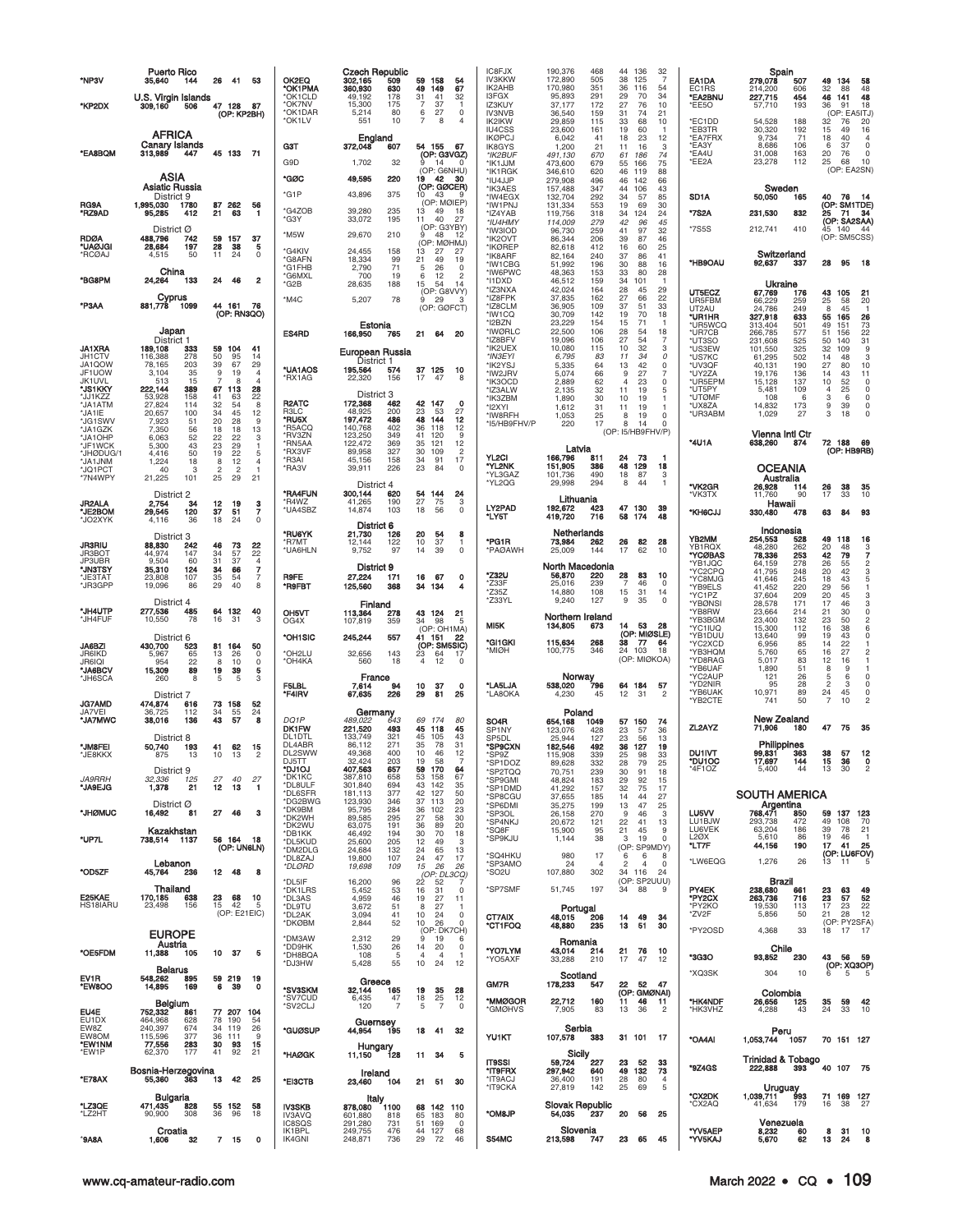| *NP3V                                                            | <b>Puerto Rico</b><br>35,640<br>144                                                                                    | - 41<br>53<br>26                                                                                                                     | OK2EQ<br>*OK1PMA                                | <b>Czech Republic</b><br>302,165<br>509<br>360,930<br>630                          | 59<br>158<br>54<br>67<br>49<br>149                                                                                                                | IC8FJX<br><b>IV3KKW</b><br>IK2AHB                                                    | 190,376<br>468<br>172,890<br>505<br>170,980<br>351                                                                         | 44 136<br>$\frac{32}{7}$<br>38<br>125<br>36<br>116<br>54                                                                                                                          | EA1DA<br>EC1RS                                                                       | Spain<br>279,078<br>507<br>214,200<br>606                                                                                              | 49<br>134<br>58<br>32<br>88<br>48                                                                                                                                           |
|------------------------------------------------------------------|------------------------------------------------------------------------------------------------------------------------|--------------------------------------------------------------------------------------------------------------------------------------|-------------------------------------------------|------------------------------------------------------------------------------------|---------------------------------------------------------------------------------------------------------------------------------------------------|--------------------------------------------------------------------------------------|----------------------------------------------------------------------------------------------------------------------------|-----------------------------------------------------------------------------------------------------------------------------------------------------------------------------------|--------------------------------------------------------------------------------------|----------------------------------------------------------------------------------------------------------------------------------------|-----------------------------------------------------------------------------------------------------------------------------------------------------------------------------|
| *KP2DX                                                           | U.S. Virgin Islands<br>506<br>309,160                                                                                  | 47 128<br>- 87<br>(OP: KP2BH)                                                                                                        | *OK1CLD<br>*OK7NV<br>*OK1DAR<br>*OK1LV          | 49,192<br>178<br>175<br>15,300<br>80<br>5,214<br>551<br>10                         | 31<br>41<br>32<br>37<br>7<br>$\mathbf{1}$<br>6<br>27<br>$\mathsf{O}\xspace$<br>7<br>8<br>$\overline{4}$                                           | I3FGX<br>IZ3KUY<br><b>IV3NVB</b>                                                     | 95,893<br>291<br>37,177<br>172<br>36,540<br>159                                                                            | 34<br>29<br>70<br>27<br>76<br>10<br>31<br>74<br>21                                                                                                                                | <b>*EA2BNU</b><br>*EE5O<br>*EC1DD                                                    | 227,715<br>454<br>193<br>57,710                                                                                                        | 46<br>48<br>141<br>36<br>91<br>18<br>(OP: EA5ITJ)                                                                                                                           |
| *EA8BQM                                                          | <b>AFRICA</b><br>Canary Islands<br>313,989<br>447                                                                      | 45 133 71                                                                                                                            | G3T<br>G9D                                      | England<br>372,048<br>607<br>1,702<br>32                                           | 54 155<br>67<br>(OP: G3VGZ)<br>-14<br>$\Omega$<br>(OP: G6NHU)                                                                                     | IK2IKW<br>IU4CSS<br><b>IKØPCJ</b><br><b>IK8GYS</b><br>*IK2BUF<br>*IK1JJM<br>*IK1RGK  | 29,859<br>115<br>23,600<br>161<br>6,042<br>41<br>1,200<br>21<br>491,130<br>670<br>473,600<br>679<br>346,610<br>620         | 33<br>68<br>10<br>60<br>19<br>-1<br>23<br>18<br>12<br>11<br>16<br>3<br>61<br>186<br>74<br>75<br>55<br>166<br>46<br>88<br>119                                                      | *EB3TR<br>*EA7FRX<br>*EA3Y<br>*EA4U<br>*EE2A                                         | 54,528<br>188<br>30,320<br>192<br>9,734<br>71<br>8,686<br>106<br>31,008<br>163<br>23,278<br>112                                        | 32<br>76<br>20<br>15<br>49<br>16<br>18<br>40<br>$\overline{4}$<br>6<br>37<br>$\mathbf 0$<br>20<br>76<br>0<br>25<br>68<br>10<br>(OP: EA2SN)                                  |
| RG9A<br>*RZ9AD                                                   | ASIA<br>Asiatic Russia<br>District 9<br>1,995,030<br>1780<br>95,285<br>412<br>District Ø                               | 87 262<br>56<br>21<br>63<br>-1                                                                                                       | *GØC<br>*G1P<br><b>G4ZOB</b><br>*G3Y<br>*M5W    | 49,595<br>220<br>43,896<br>375<br>39,280<br>235<br>33,072<br>195<br>29,670<br>210  | 19<br>42<br>30<br>(OP: GØCER)<br>10 <sup>°</sup><br>43<br>୍ରଦ<br>(OP: MØIEP)<br>13<br>49<br>18<br>11<br>40<br>27<br>(OP: G3YBY)<br>48<br>9<br>-12 | *IU4JJP<br>*IK3AES<br>*IW4EGX<br>*IW1PNJ<br>*IZ4YAB<br>*IU4HMY<br>*IW3IOD            | 279,908<br>496<br>157,488<br>347<br>132,704<br>292<br>131,334<br>553<br>119,756<br>318<br>114,009<br>279<br>96,730<br>259  | 46<br>142<br>66<br>44<br>106<br>43<br>34<br>57<br>85<br>19<br>69<br>30<br>124<br>34<br>24<br>42<br>96<br>45<br>41<br>97<br>32                                                     | SD <sub>1</sub> A<br>*7S2A<br>*7S5S                                                  | Sweden<br>50,050<br>165<br>231,530<br>832<br>212,741<br>410                                                                            | 76<br>40<br>-14<br>(OP: SM1TDE)<br>- 71<br>25<br>-34<br>(OP: SA2SAA)<br>45 140<br>44                                                                                        |
| RDØA<br>*UAØJGI<br>*RCØAJ                                        | 488,796<br>742<br>197<br>28,684<br>4.515<br>50                                                                         | 59<br>157<br>37<br>28<br>38<br>5<br>11<br>24<br>$\Omega$                                                                             | *G4KIV<br>*G8AFN                                | 158<br>24,455<br>99<br>18,334                                                      | (OP: MØHMJ)<br>13<br>27<br>27<br>21<br>49<br>19                                                                                                   | *IK2OVT<br>*IKØREP<br>*IK8ARF<br>*IW1CBG                                             | 86,344<br>206<br>82,618<br>412<br>82,164<br>240<br>51,992<br>196                                                           | 39<br>87<br>46<br>16<br>60<br>25<br>37<br>86<br>41<br>88<br>30<br>16                                                                                                              | *HB9OAU                                                                              | Switzerland<br>92,637<br>337                                                                                                           | (OP: SM5CSS)<br>28<br>95<br>-18                                                                                                                                             |
| *BG8PM                                                           | China<br>24,264<br>133                                                                                                 | 24<br>46<br>$\overline{\mathbf{2}}$                                                                                                  | *G1FHB<br>*G6MXL<br>*G2B                        | 2,790<br>71<br>700<br>19<br>28,635<br>188                                          | 5<br>26<br>$\Omega$<br>6<br>12<br>$\overline{2}$<br>15<br>54<br>14<br>(OP: G8VVY)                                                                 | *IW6PWC<br>*I1DXD<br>*IZ3NXA                                                         | 48,363<br>153<br>46,512<br>159<br>42,024<br>164                                                                            | 33<br>80<br>28<br>34<br>101<br>-1<br>29<br>28<br>45                                                                                                                               | UT5ECZ                                                                               | Ukraine<br>67,769<br>176                                                                                                               | 43 105<br>21                                                                                                                                                                |
| *P3AA                                                            | Cyprus<br>881,778<br>1099                                                                                              | 44 161<br>76<br>(OP: RN3QO)                                                                                                          | *M4C                                            | 5,207<br>78<br>Estonia                                                             | 29<br>9<br>$\mathbf{3}$<br>(OP: GØFCT)                                                                                                            | *IZ8FPK<br>*IZ8CLM<br>*IW1CQ<br>*I2BZN                                               | 37,835<br>162<br>36,905<br>109<br>30,709<br>142<br>23,229<br>154                                                           | 27<br>66<br>22<br>51<br>33<br>37<br>19<br>70<br>18<br>71<br>15<br>-1                                                                                                              | UR5FBM<br>UT2AU<br>*UR1HR<br>*UR5WCQ                                                 | 66,229<br>259<br>24,786<br>249<br>633<br>327,918<br>313,404<br>501                                                                     | 25<br>58<br>20<br>45<br>8<br>55<br>165<br>26<br>49<br>151<br>73                                                                                                             |
| JA1XRA<br>JH1CTV<br>JA1QOW<br>JF1UOW<br><b>JK1UVL</b><br>*JS1KKY | Japan<br>District 1<br>189,108<br>333<br>116,388<br>278<br>78,165<br>203<br>35<br>3,104<br>513<br>15<br>222,144<br>389 | 59 104<br>41<br>50<br>95<br>14<br>39<br>67<br>29<br>9<br>19<br>4<br>8<br>$\overline{4}$<br>67<br>28<br>113                           | ES4RD<br>*UA1AOS<br>*RX1AG                      | 166,950<br>765<br>European Russia<br>District 1<br>195,564<br>574<br>22,320<br>156 | 21<br>64<br>20<br>37 125<br>10<br>17<br>47<br>8                                                                                                   | *IWØRLC<br>*IZ8BFV<br>*IK2UEX<br>*IN3EYI<br>*IK2YSJ<br>*IW2JRV<br>*IK3OCD<br>*IZ3ALW | 22,500<br>106<br>19,096<br>106<br>10,080<br>115<br>6,795<br>83<br>5,335<br>64<br>5,074<br>66<br>2,889<br>62<br>2,135<br>32 | 28<br>54<br>18<br>27<br>$\overline{7}$<br>54<br>32<br>3<br>10<br>11<br>34<br>0<br>$\mathsf 0$<br>42<br>13<br>$\overline{7}$<br>9<br>27<br>23<br>$\mathsf 0$<br>4<br>11<br>19<br>5 | *UR7CB<br>*UT3SO<br>*US3EW<br>*US7KC<br>*UV3QF<br>*UY2ZA<br>*UR5EPM<br>*UT5PY        | 577<br>266,785<br>231,608<br>525<br>101,550<br>325<br>61,295<br>502<br>40,131<br>190<br>19,176<br>136<br>15,128<br>137<br>5,481<br>109 | 51<br>22<br>156<br>50<br>140<br>31<br>32<br>109<br>9<br>14<br>48<br>3<br>27<br>80<br>10<br>14<br>43<br>11<br>10<br>52<br>$\mathsf 0$<br>$\overline{4}$<br>25<br>$\mathbf 0$ |
| *JJ1KZZ<br>*JA1ATM<br>*JA1IE<br>*JG1SWV                          | 53,928<br>158<br>27,824<br>114<br>20,657<br>100<br>7,923<br>51                                                         | 22<br>41<br>63<br>32<br>54<br>8<br>34<br>45<br>12<br>20<br>28<br>9                                                                   | R <sub>2</sub> ATC<br>R3LC<br>*RU5X             | District 3<br>172,368<br>462<br>48,925<br>200<br>486<br>197,472                    | 42 147<br>$\mathbf 0$<br>23<br>27<br>53<br>48<br>144<br>12                                                                                        | *IK3ZBM<br>*I2XYI<br>*IW8RFH                                                         | 1,890<br>30<br>1,612<br>31<br>1,053<br>25                                                                                  | 10<br>19<br>-1<br>19<br>11<br>-1<br>8<br>19<br>0                                                                                                                                  | *UTØMF<br>*UX8ZA<br>*UR3ABM                                                          | 108<br>6<br>14,832<br>173<br>1,029<br>27                                                                                               | 3<br>6<br>$\mathbf 0$<br>9<br>39<br>0<br>3<br>18                                                                                                                            |
| *JA1GZK<br>*JA1OHP<br>*JF1WCK                                    | 7,350<br>56<br>6,063<br>52<br>5,300<br>43<br>50                                                                        | 18<br>18<br>13<br>22<br>22<br>3<br>23<br>29<br>1<br>19<br>22                                                                         | *R5ACQ<br>*RV3ZN<br>*RN5AA<br>*RX3VF            | 402<br>140,768<br>123,250<br>349<br>122,472<br>369<br>327<br>89,958                | 36<br>118<br>12<br>9<br>41<br>120<br>121<br>35<br>12<br>$\overline{c}$<br>30<br>109                                                               | *I5/HB9FHV/P                                                                         | 17<br>220<br>Latvia                                                                                                        | 8<br>$\Omega$<br>14<br>(OP: I5/HB9FHV/P)                                                                                                                                          | *4U1A                                                                                | <b>Vienna Intl Ctr</b><br>638,260<br>874                                                                                               | 72 188<br>69<br>(OP: HB9RB)                                                                                                                                                 |
| *JHØDUG/1<br>MKLrAL*<br>*JQ1PCT<br>*7N4WPY                       | 4,416<br>1,224<br>18<br>40<br>3<br>21,225<br>101                                                                       | 5<br>8<br>12<br>$\overline{4}$<br>$\overline{c}$<br>$\overline{c}$<br>25<br>21<br>29                                                 | *R3AI<br>*RA3V                                  | 45,156<br>158<br>39,911<br>226<br>District 4                                       | 34<br>91<br>17<br>23<br>84<br>$\circ$                                                                                                             | YL2CI<br>*YL2NK<br>*YL3GAZ<br>*YL2QG                                                 | 166,796<br>811<br>151,905<br>386<br>101,736<br>490<br>29,998<br>294                                                        | 24<br>73<br>-1<br>48<br>129<br>18<br>18<br>87<br>3<br>8<br>44<br>$\mathbf{1}$                                                                                                     |                                                                                      | OCEANIA<br>Australia                                                                                                                   |                                                                                                                                                                             |
| JR2ALA<br><b>JE2BOM</b><br>*JO2XYK                               | District 2<br>2,754<br>34<br>29,545<br>120<br>36<br>4,116                                                              | 12<br>19<br>з<br>37<br>7<br>51<br>$\circ$<br>18<br>24                                                                                | *RA4FUN<br>*R4WZ<br>*UA4SBZ                     | 300,144<br>620<br>41,265<br>190<br>14,874<br>103<br>District 6                     | 54<br>144<br>24<br>27<br>75<br>3<br>18<br>56<br>$\mathbf 0$                                                                                       | LY2PAD<br>*LY5T                                                                      | Lithuania<br>192,672<br>423<br>419,720<br>716                                                                              | 47 130<br>39<br>58<br>174<br>48                                                                                                                                                   | *VK2GR<br>*VK3TX<br><b>KH6CJJ</b>                                                    | 26,928<br>114<br>11,760<br>90<br>Hawali<br>330,480<br>478                                                                              | 38<br>26<br>35<br>17<br>33<br>10<br>63<br>84<br>93                                                                                                                          |
| <b>JR3RIU</b><br>JR3BOT<br>JP3UBR<br>*JN3TSY<br>*JE3TAT          | District 3<br>88,830<br>242<br>44,974<br>147<br>9.504<br>60<br>35,310<br>124<br>107<br>23,808                          | 46<br>73<br>22<br>22<br>34<br>57<br>31<br>37<br>$\overline{4}$<br>$\overline{\phantom{a}}$<br>34<br>66<br>35<br>54<br>$\overline{7}$ | *RU6YK<br>*R7MT<br>*UA6HLN<br><b>R9FE</b>       | 126<br>21,730<br>12,144<br>122<br>97<br>9,752<br>District 9<br>27,224<br>171       | 20<br>54<br>8<br>10<br>37<br>1<br>14<br>39<br>$\Omega$<br>67<br>16<br>$\Omega$                                                                    | *PG1R<br>*PAØAWH<br>*Z32U<br>*Z33F                                                   | Netherlands<br>73,984<br>262<br>144<br>25,009<br>North Macedonia<br>56,870<br>220<br>25,016<br>239                         | 26<br>82<br>28<br>62<br>17<br>10<br>28<br>83<br>10<br>$\overline{7}$<br>46<br>0                                                                                                   | YB2MM<br>YB1RQX<br>*YCØBAS<br>*YB1JQC<br>*YC2CPQ<br>*YC8MJG                          | Indonesia<br>254,553<br>528<br>48,280<br>262<br>253<br>78,336<br>64,159<br>278<br>41,795<br>248<br>245<br>41,646                       | 49<br>118<br>16<br>$^{20}_{42}$<br>48<br>$\frac{3}{7}$<br>79<br>26<br>55<br>$\frac{2}{3}$<br>42<br>20<br>18<br>43<br>5                                                      |
| *JR3GPP<br>*JH4UTP                                               | 19,096<br>86<br>District 4<br>277,536<br>485                                                                           | 29<br>40<br>8<br>64 132<br>40                                                                                                        | *R9FBT<br>OH5VT                                 | 125,560<br>368<br>Finland<br>113,364<br>278                                        | 34 134<br>4<br>43 124<br>21                                                                                                                       | *Z35Z<br>*Z33YL                                                                      | 14,880<br>108<br>9,240<br>127                                                                                              | 15<br>31<br>14<br>$\mathbf 0$<br>9<br>35                                                                                                                                          | *YB9ELS<br>*YC1PZ<br>*YBØNSI<br>*YB8RW                                               | 41,452<br>220<br>37,604<br>209<br>171<br>28,578<br>23,664<br>214                                                                       | 56<br>29<br>1<br>20<br>45<br>3<br>3<br>17<br>46<br>21<br>30<br>$\mathbf 0$                                                                                                  |
| <b>'JH4FUF</b><br>JA6BZI<br>JR6IKD<br><b>JR6IQI</b><br>*JA6BCV   | 10,550<br>78<br>District 6<br>430,700<br>523<br>5,967<br>65<br>22<br>954<br>15,309<br>89                               | 16<br>31<br>3<br>164<br>50<br>81<br>13<br>26<br>0<br>8<br>10<br>0<br>$\begin{array}{c}\n19 \\ 5\n\end{array}$<br>39<br>5             | OG4X<br>*OH1SIC<br>*OH2LU<br>*OH4KA             | 107,819<br>359<br>245,244<br>557<br>32,656<br>143<br>560<br>18                     | 34<br>98<br>5<br>(OP: OH1MA)<br>41 151<br>22<br>(OP: SM5SIC)<br>23<br>64<br>17<br>$\overline{4}$<br>12<br>0                                       | MI5K<br>*GI1GKI<br>*MIØH                                                             | Northern Ireland<br>134,805<br>673<br>115,634<br>268<br>100,775<br>346                                                     | 53<br>28<br>14<br>(OP: MIØSLE)<br>38<br>77<br>64<br>24 103<br>18<br>(OP: MIØKOA)                                                                                                  | *YB3BGM<br>*YC1IUQ<br>*YB1DUU<br>*YC2XCD<br>*YB3HQM<br>*YD8RAG<br>*YB6UAF<br>*YC2AUP | 132<br>23,400<br>15,300<br>112<br>13,640<br>99<br>6,956<br>85<br>5,760<br>65<br>5,017<br>83<br>1,890<br>51<br>26                       | 23<br>50<br>$\overline{\mathbf{c}}$<br>16<br>38<br>6<br>19<br>43<br>$\mathbf 0$<br>22<br>14<br>27<br>16<br>$\overline{c}$<br>12<br>16<br>1<br>8<br>9<br>1<br>$\mathbf 0$    |
| *JH6SCA<br><b>JG7AMD</b><br>JA7VEI                               | 8<br>260<br>District 7<br>474,874<br>616<br>36.725<br>112                                                              | 5<br>3<br>73<br>158<br>52<br>34<br>55<br>24                                                                                          | F5LBL<br>*F4IRV                                 | France<br>7,614<br>94<br>67,635<br>226                                             | 10<br>37<br>$\Omega$<br>29<br>81<br>25                                                                                                            | *LA5LJA<br>*LA8OKA                                                                   | Norway<br>538,020<br>796<br>4,230<br>45                                                                                    | 64 184<br>57<br>12<br>31<br>$\overline{c}$                                                                                                                                        | *YD2NIR<br>*YB6UAK<br>*YB2CTE                                                        | 121<br>28<br>95<br>89<br>10,971<br>50<br>741                                                                                           | 5<br>6<br>$\overline{c}$<br>3<br>$\mathbf 0$<br>24<br>45<br>0<br>$\overline{7}$<br>$\overline{a}$<br>10                                                                     |
| *JA7MWC                                                          | 38,016<br>136<br>District 8                                                                                            | 43<br>57<br>8                                                                                                                        | DQ1P<br><b>DK1FW</b><br>DL1DTL                  | Germany<br>9.022 643<br>489,022<br>221,520<br>493<br>133,749<br>321                | 69<br>174<br>80<br>45<br>118<br>45<br>45<br>43<br>105                                                                                             | SO <sub>4</sub> R<br>SP1NY<br>SP5DL                                                  | Poland<br>654.168<br>1049<br>123,076<br>428<br>25,944<br>127                                                               | 57 150<br>74<br>23<br>57<br>36<br>23<br>56<br>13                                                                                                                                  | ZL2AYZ                                                                               | New Zealand<br>71,906<br>180                                                                                                           | 75<br>35<br>47                                                                                                                                                              |
| *JM8FEI<br>'JE8KKX                                               | 50,740<br>193<br>875<br>13<br>District 9                                                                               | 41<br>62<br>15<br>10<br>13<br>2                                                                                                      | DL4ABR<br>DL2SWW<br>DJ5TT<br>*DJ1OJ             | 86,112<br>271<br>49,368<br>400<br>32,424<br>203<br>407,563<br>657                  | 35<br>78<br>31<br>10<br>12<br>46<br>19<br>$\overline{7}$<br>58<br>170<br>59<br>64                                                                 | *SP9CXN<br>*SP9Z<br>*SP1DOZ<br>*SP2TQQ                                               | 182,546<br>492<br>115,908<br>339<br>89.628<br>332<br>70,751<br>239                                                         | 127<br>36<br>19<br>98<br>25<br>33<br>28<br>79<br>25<br>30<br>91<br>18                                                                                                             | <b>DU1IVT</b><br>*DU1OC<br>*4F1OZ                                                    | Philippines<br>99,831<br>363<br>17,697<br>144<br>5,400<br>44                                                                           | 38<br>57<br>12<br>15<br>0<br>36<br>13<br>30<br>$\overline{c}$                                                                                                               |
| <i>JA9RRH</i><br><b>JA9EJG</b>                                   | 32,336<br>125<br>21<br>1,378<br>District Ø                                                                             | 27<br>40<br>27<br>12<br>13<br>-1                                                                                                     | *DK1KC<br>*DL8ULF<br>*DL6SFR<br>*DG2BWG         | 387,810<br>658<br>301,840<br>694<br>181,113<br>377<br>123,930<br>346               | 53<br>158<br>67<br>43<br>142<br>35<br>127<br>42<br>50<br>37<br>113<br>20                                                                          | *SP9GMI<br>*SP1DMD<br>*SP8CGU<br>*SP6DMI                                             | 48,824<br>183<br>41,292<br>157<br>37,655<br>185<br>35,275<br>199                                                           | 29<br>92<br>15<br>75<br>32<br>17<br>14<br>44<br>27<br>13<br>47<br>25                                                                                                              |                                                                                      | <b>SOUTH AMERICA</b><br>Argentina                                                                                                      |                                                                                                                                                                             |
| <b>JHØMUC</b>                                                    | 16,492<br>81<br>Kazakhstan                                                                                             | 46<br>27<br>3<br>56 164                                                                                                              | *DK9BM<br>*DK2WH<br>*DK2WU<br>*DB1KK            | 95,795<br>284<br>89,585<br>295<br>63,075<br>191<br>46,492<br>194                   | 36<br>102<br>23<br>30<br>27<br>58<br>36<br>89<br>20<br>30<br>70<br>18                                                                             | *SP3OL<br>*SP4NKJ<br>*SQ8F<br>*SP9KJU                                                | 26,158<br>270<br>20,672<br>121<br>15,900<br>95                                                                             | 46<br>3<br>- 9<br>22<br>41<br>13<br>21<br>45<br>9<br>$\circ$<br>19<br>3                                                                                                           | LU5VV<br>LU1BJW<br>LU6VEK<br><b>L20X</b>                                             | 768,471<br>850<br>293,738<br>472<br>63,204<br>186<br>5,610<br>86                                                                       | 59<br>137 123<br>49<br>108<br>70<br>39<br>78<br>21<br>19<br>46<br>-1                                                                                                        |
| *UP7L                                                            | 738,514 1137<br>Lebanon                                                                                                | -18<br>(OP: UN6LN)                                                                                                                   | *DL5KUD<br>*DM2DLG<br>*DL8ZAJ<br>*DLØRD         | 25,600<br>205<br>24,684<br>132<br>19,800<br>107<br>19,698<br>109                   | 12<br>49<br>3<br>24<br>65<br>13<br>47<br>17<br>24<br>15<br>26<br>26                                                                               | *SQ4HKU<br>*SP3AMO                                                                   | 1,144<br>38<br>980<br>17<br>24<br>$\overline{4}$                                                                           | (OP: SP9MDY)<br>6<br>6<br>8<br>$\overline{c}$<br>$\overline{4}$<br>$\mathbf 0$                                                                                                    | *LT7F<br>*LW6EQG                                                                     | 44,156<br>190<br>1,276<br>26                                                                                                           | 17<br>41<br>25<br>(OP: LU6FOV)<br>13<br>11<br>-5                                                                                                                            |
| *OD5ZF<br>E25KAE<br>HS18IARU                                     | 45,764<br>236<br>Thailand<br>170,185<br>638<br>23,498<br>156                                                           | 12 48<br>8<br>68<br>23<br>10<br>15<br>42<br>5<br>(OP: E21EIC)                                                                        | *DL5IF<br>*DK1LRS<br>*DL3AS<br>*DL9TU<br>*DL2AK | 16,200<br>96<br>5,452<br>53<br>4,959<br>46<br>3,672<br>51<br>3,094<br>41           | (OP: DLSCQ)<br>$22^{\circ}$<br>52<br>$\overline{7}$<br>31<br>16<br>$\mathbf 0$<br>19<br>27<br>11<br>8<br>27<br>-1<br>10<br>24<br>0                | *SO <sub>2U</sub><br>*SP7SMF<br>CT7AIX                                               | 107,880<br>302<br>51,745<br>197<br>Portugal<br>48,015<br>206                                                               | 34 116<br>24<br>(OP: SP2UUU)<br>88<br>34<br>9<br>14<br>49<br>34                                                                                                                   | PY4EK<br>*PY2CX<br>*PY2KO<br>*ZV2F                                                   | <b>Brazil</b><br>238,680<br>661<br>263,736<br>716<br>19,530<br>113<br>5,856<br>50                                                      | $\frac{23}{23}$<br>63<br>49<br>52<br>57<br>17<br>23<br>22<br>21<br>28<br>12<br>(OP: PY2SFA)                                                                                 |
| *OE5FDM                                                          | <b>EUROPE</b><br>Austria<br>11,388<br>105                                                                              | 10<br>- 37<br>5                                                                                                                      | *DKØBM<br>*DM3AW<br>*DD9HK<br>*DH8BQA           | 2,844<br>52<br>2,312<br>29<br>1,530<br>26<br>108<br>5                              | 10<br>26<br>$\Omega$<br>(OP: DK7CH)<br>9<br>19<br>6<br>14<br>20<br>0<br>$\overline{4}$<br>$\overline{4}$<br>-1                                    | *CT1FOQ<br>*YO7LYM<br>*YO5AXF                                                        | 48,880<br>235<br>Romania<br>43,014<br>214<br>33,288<br>210                                                                 | 13<br>51<br>30<br>21<br>76<br>10<br>17<br>47<br>12                                                                                                                                | *PY2OSD<br>*3G3O                                                                     | 4,368<br>33<br>Chile<br>93,852<br>230                                                                                                  | 18 17<br>-17<br>43 56 59                                                                                                                                                    |
| EV1R<br><b>EW8OO</b>                                             | <b>Belarus</b><br>548,262<br>895<br>14,895<br>169                                                                      | 59 219<br>19<br>39<br>$\mathbf{o}$<br>6                                                                                              | *DJ3HW<br>*SV3SKM                               | 5,428<br>55<br>Greece<br>32,144<br>165                                             | 10<br>24<br>12<br>19<br>35<br>28                                                                                                                  | GM7R                                                                                 | Scotland<br>178,233<br>547                                                                                                 | 22 52<br>- 47<br>(OP: GMØNAI)                                                                                                                                                     | *XQ3SK                                                                               | 304<br>10                                                                                                                              | (OP: XQ3OP)<br>6<br>5                                                                                                                                                       |
| EU4E<br>EU1DX                                                    | Belgium<br>752,332<br>861<br>464,968<br>628                                                                            | 77 207<br>104<br>78<br>190<br>54                                                                                                     | *SV7CUD<br>*SV2CLJ                              | 47<br>6,435<br>120<br>$\overline{7}$<br>Guernsey                                   | 25<br>18<br>12<br>5<br>$\overline{7}$<br>$\Omega$                                                                                                 | *MMØGOR<br><b>"GMØHVS</b>                                                            | 22,712<br>160<br>7,905<br>83                                                                                               | 11<br>46<br>11<br>36<br>$\overline{c}$<br>13                                                                                                                                      | *HK4NDF<br>*HK3VHZ                                                                   | Colombia<br>26,656<br>125<br>4,288<br>43                                                                                               | 35<br>59<br>42<br>24<br>33<br>10                                                                                                                                            |
| EW8Z<br>EW8OM<br>*EW1NM<br>*EW1P                                 | 240,397<br>674<br>115,596<br>377<br>77,556<br>283<br>62,370<br>177                                                     | 34<br>26<br>119<br>36<br>111<br>9<br>30<br>93<br>15<br>41<br>92<br>21                                                                | *GUØSUP                                         | 44,954<br>195<br>Hungary                                                           | 18<br>32<br>41                                                                                                                                    | <b>YU1KT</b>                                                                         | Serbia<br>107,578<br>383                                                                                                   | 31 101 17                                                                                                                                                                         | *OA4AI                                                                               | Peru<br>1,053,744<br>1057                                                                                                              | 70 151 127                                                                                                                                                                  |
| *E78AX                                                           | Bosnia-Herzegovina<br>363<br>55,360                                                                                    | 13<br>42<br>25                                                                                                                       | *HAØGK<br>*EI3CTB                               | 128<br>11,150<br>Ireland<br>104<br>23,460                                          | 11<br>-34<br>5<br>21 51<br>30                                                                                                                     | <b>IT9SSI</b><br>*IT9FRX<br>*IT9ACJ                                                  | Sicily<br>59,724<br>227<br>297,942<br>640<br>36,400<br>191                                                                 | 23<br>52<br>33<br>49 132<br>73<br>28<br>80<br>$\overline{4}$                                                                                                                      | *9Z4GS                                                                               | <b>Trinidad &amp; Tobago</b><br>222,888<br>393                                                                                         | 40 107 75                                                                                                                                                                   |
| *LZ3QE<br>*LZ2HT                                                 | Bulgaria<br>471,435<br>828<br>90,900<br>308                                                                            | 55 152<br>58<br>36<br>96<br>18                                                                                                       | <b>IV3SKB</b><br>IV3AVQ                         | Italy<br>878,080<br>1100<br>601,880<br>818                                         | 68 142 110<br>65<br>183<br>80                                                                                                                     | *IT9CKA<br>*OM8JP                                                                    | 27,819<br>142<br><b>Slovak Republic</b><br>54,035<br>237                                                                   | 25<br>69<br>5<br>20<br>56<br>25                                                                                                                                                   | *CX2DK<br>*CX2AQ                                                                     | Uruguay<br>993<br>1,039,711<br>41,634<br>179                                                                                           | 71 169 127<br>16<br>38<br>27                                                                                                                                                |
| <b>*9A8A</b>                                                     | Croatia<br>32<br>1.606                                                                                                 | 7 15<br>$\mathbf 0$                                                                                                                  | IC8SQS<br>IK1BPL<br>IK4GNI                      | 291,280<br>731<br>249,755<br>476<br>248,871<br>736                                 | 51<br>169<br>$\circ$<br>44 127<br>68<br>29<br>72<br>46                                                                                            | S54MC                                                                                | Slovenia<br>213,598<br>747                                                                                                 | 23<br>65<br>45                                                                                                                                                                    | *YV5AEP<br>*YV5KAJ                                                                   | Venezuela<br>8,232<br>60<br>5,670<br>62                                                                                                | 8<br>31<br>10<br>13<br>24<br>8                                                                                                                                              |